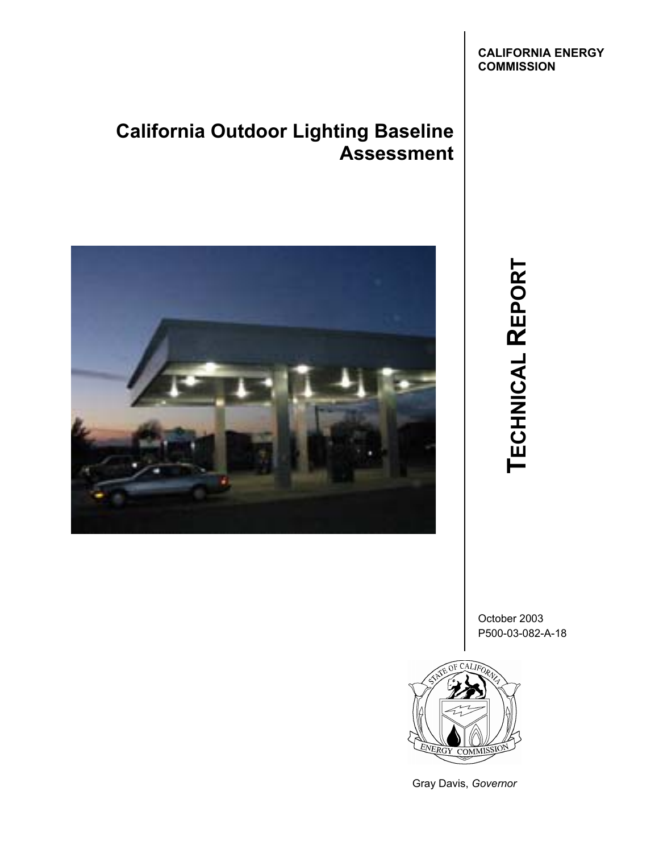**CALIFORNIA ENERGY COMMISSION**

# **California Outdoor Lighting Baseline Assessment**



**TECHNICAL**  TECHNICAL REPORT

October 2003 P500-03-082-A-18



Gray Davis, *Governor*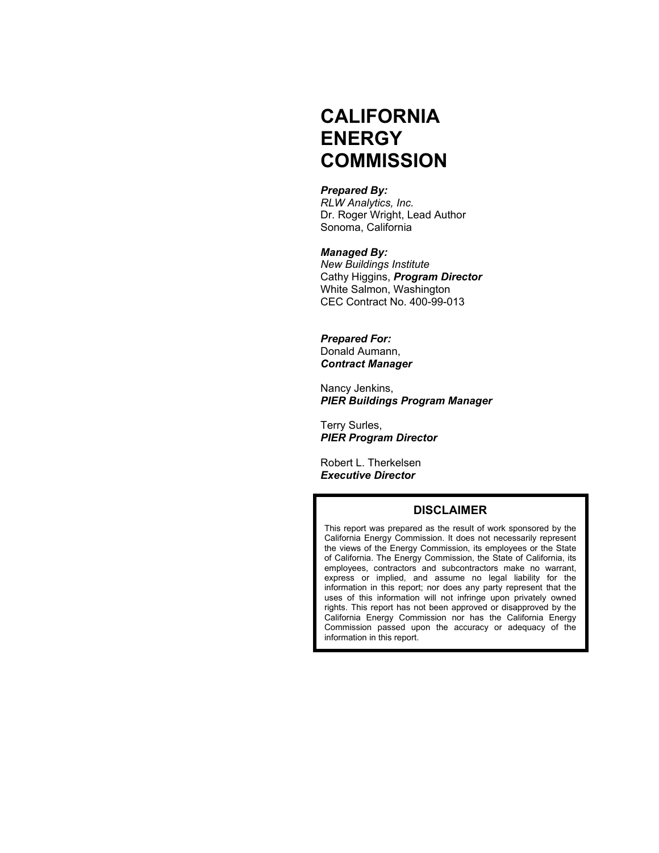# **CALIFORNIA ENERGY COMMISSION**

#### *Prepared By:*

 *RLW Analytics, Inc.*  Dr. Roger Wright, Lead Author Sonoma, California

#### *Managed By:*

*New Buildings Institute*  Cathy Higgins, *Program Director* White Salmon, Washington CEC Contract No. 400-99-013

#### *Prepared For:*

 Donald Aumann, *Contract Manager* 

 Nancy Jenkins, *PIER Buildings Program Manager* 

 Terry Surles, *PIER Program Director* 

 Robert L. Therkelsen *Executive Director* 

#### **DISCLAIMER**

This report was prepared as the result of work sponsored by the California Energy Commission. It does not necessarily represent the views of the Energy Commission, its employees or the State of California. The Energy Commission, the State of California, its employees, contractors and subcontractors make no warrant, express or implied, and assume no legal liability for the information in this report; nor does any party represent that the uses of this information will not infringe upon privately owned rights. This report has not been approved or disapproved by the California Energy Commission nor has the California Energy Commission passed upon the accuracy or adequacy of the information in this report.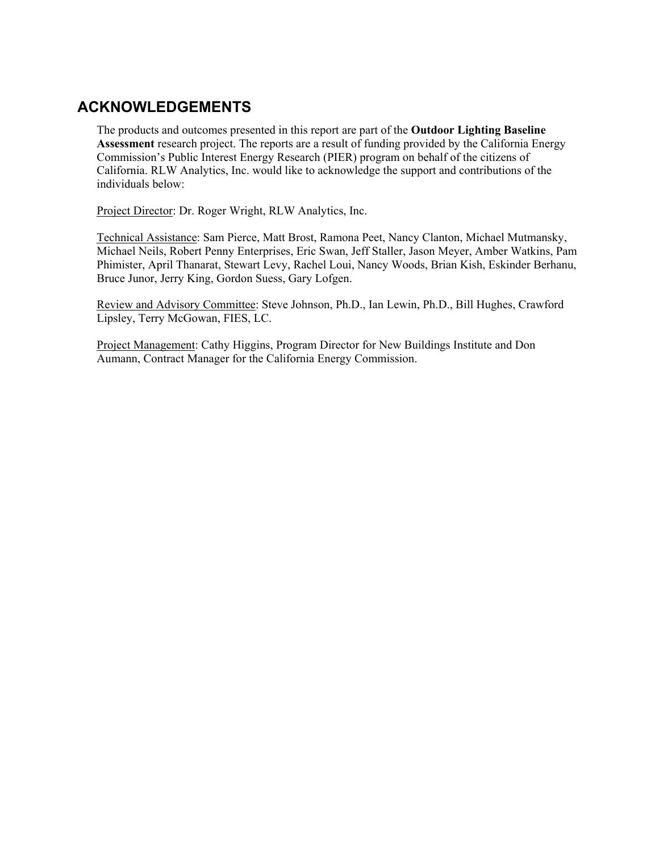# **ACKNOWLEDGEMENTS**

The products and outcomes presented in this report are part of the **Outdoor Lighting Baseline Assessment** research project. The reports are a result of funding provided by the California Energy Commission's Public Interest Energy Research (PIER) program on behalf of the citizens of California. RLW Analytics, Inc. would like to acknowledge the support and contributions of the individuals below:

Project Director: Dr. Roger Wright, RLW Analytics, Inc.

Technical Assistance: Sam Pierce, Matt Brost, Ramona Peet, Nancy Clanton, Michael Mutmansky, Michael Neils, Robert Penny Enterprises, Eric Swan, Jeff Staller, Jason Meyer, Amber Watkins, Pam Phimister, April Thanarat, Stewart Levy, Rachel Loui, Nancy Woods, Brian Kish, Eskinder Berhanu, Bruce Junor, Jerry King, Gordon Suess, Gary Lofgen.

Review and Advisory Committee: Steve Johnson, Ph.D., Ian Lewin, Ph.D., Bill Hughes, Crawford Lipsley, Terry McGowan, FIES, LC.

Project Management: Cathy Higgins, Program Director for New Buildings Institute and Don Aumann, Contract Manager for the California Energy Commission.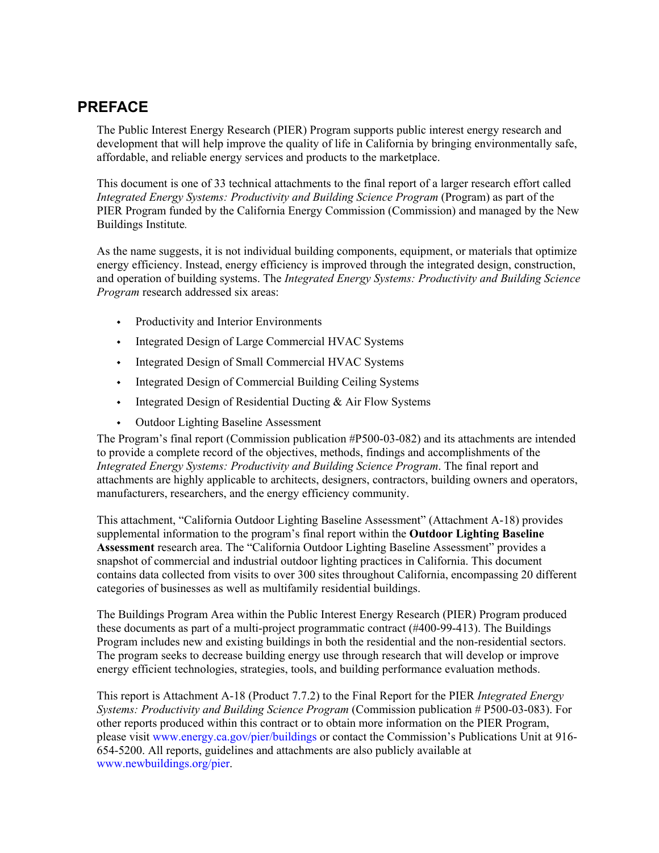### **PREFACE**

The Public Interest Energy Research (PIER) Program supports public interest energy research and development that will help improve the quality of life in California by bringing environmentally safe, affordable, and reliable energy services and products to the marketplace.

This document is one of 33 technical attachments to the final report of a larger research effort called *Integrated Energy Systems: Productivity and Building Science Program* (Program) as part of the PIER Program funded by the California Energy Commission (Commission) and managed by the New Buildings Institute*.*

As the name suggests, it is not individual building components, equipment, or materials that optimize energy efficiency. Instead, energy efficiency is improved through the integrated design, construction, and operation of building systems. The *Integrated Energy Systems: Productivity and Building Science Program* research addressed six areas:

- Productivity and Interior Environments
- $\cdot$  Integrated Design of Large Commercial HVAC Systems
- $\cdot$  Integrated Design of Small Commercial HVAC Systems
- Integrated Design of Commercial Building Ceiling Systems
- $\cdot$  Integrated Design of Residential Ducting & Air Flow Systems
- Outdoor Lighting Baseline Assessment

The Program's final report (Commission publication #P500-03-082) and its attachments are intended to provide a complete record of the objectives, methods, findings and accomplishments of the *Integrated Energy Systems: Productivity and Building Science Program*. The final report and attachments are highly applicable to architects, designers, contractors, building owners and operators, manufacturers, researchers, and the energy efficiency community.

This attachment, "California Outdoor Lighting Baseline Assessment" (Attachment A-18) provides supplemental information to the program's final report within the **Outdoor Lighting Baseline Assessment** research area. The "California Outdoor Lighting Baseline Assessment" provides a snapshot of commercial and industrial outdoor lighting practices in California. This document contains data collected from visits to over 300 sites throughout California, encompassing 20 different categories of businesses as well as multifamily residential buildings.

The Buildings Program Area within the Public Interest Energy Research (PIER) Program produced these documents as part of a multi-project programmatic contract (#400-99-413). The Buildings Program includes new and existing buildings in both the residential and the non-residential sectors. The program seeks to decrease building energy use through research that will develop or improve energy efficient technologies, strategies, tools, and building performance evaluation methods.

This report is Attachment A-18 (Product 7.7.2) to the Final Report for the PIER *Integrated Energy Systems: Productivity and Building Science Program* (Commission publication # P500-03-083). For other reports produced within this contract or to obtain more information on the PIER Program, please visit www.energy.ca.gov/pier/buildings or contact the Commission's Publications Unit at 916- 654-5200. All reports, guidelines and attachments are also publicly available at www.newbuildings.org/pier.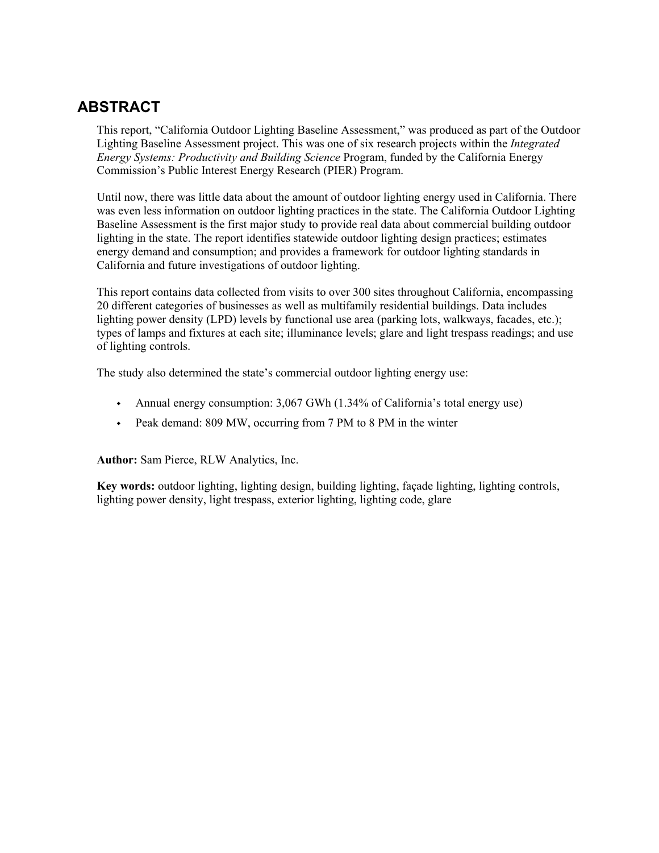# **ABSTRACT**

This report, "California Outdoor Lighting Baseline Assessment," was produced as part of the Outdoor Lighting Baseline Assessment project. This was one of six research projects within the *Integrated Energy Systems: Productivity and Building Science* Program, funded by the California Energy Commission's Public Interest Energy Research (PIER) Program.

Until now, there was little data about the amount of outdoor lighting energy used in California. There was even less information on outdoor lighting practices in the state. The California Outdoor Lighting Baseline Assessment is the first major study to provide real data about commercial building outdoor lighting in the state. The report identifies statewide outdoor lighting design practices; estimates energy demand and consumption; and provides a framework for outdoor lighting standards in California and future investigations of outdoor lighting.

This report contains data collected from visits to over 300 sites throughout California, encompassing 20 different categories of businesses as well as multifamily residential buildings. Data includes lighting power density (LPD) levels by functional use area (parking lots, walkways, facades, etc.); types of lamps and fixtures at each site; illuminance levels; glare and light trespass readings; and use of lighting controls.

The study also determined the state's commercial outdoor lighting energy use:

- Annual energy consumption: 3,067 GWh (1.34% of California's total energy use)
- Peak demand: 809 MW, occurring from 7 PM to 8 PM in the winter

**Author:** Sam Pierce, RLW Analytics, Inc.

**Key words:** outdoor lighting, lighting design, building lighting, façade lighting, lighting controls, lighting power density, light trespass, exterior lighting, lighting code, glare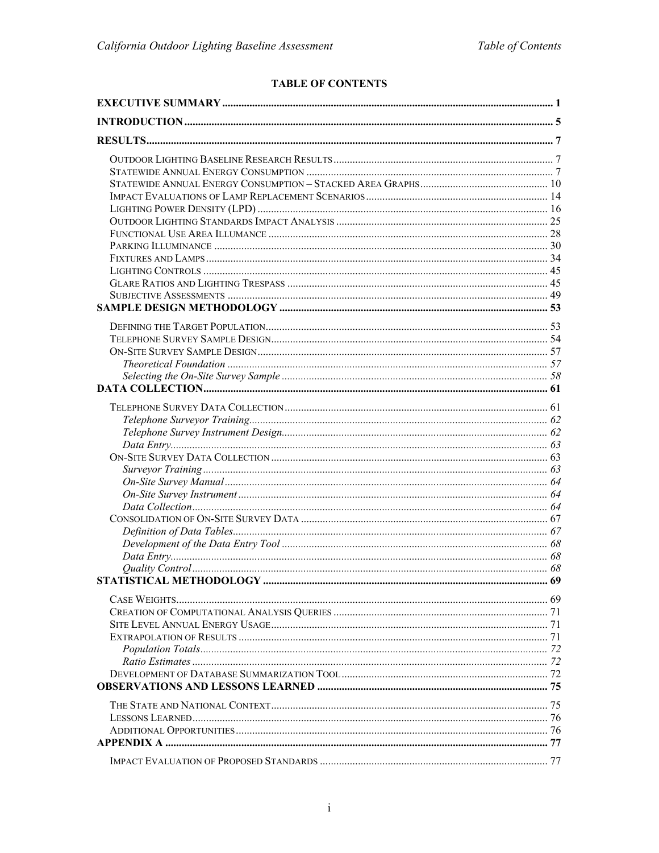### **TABLE OF CONTENTS**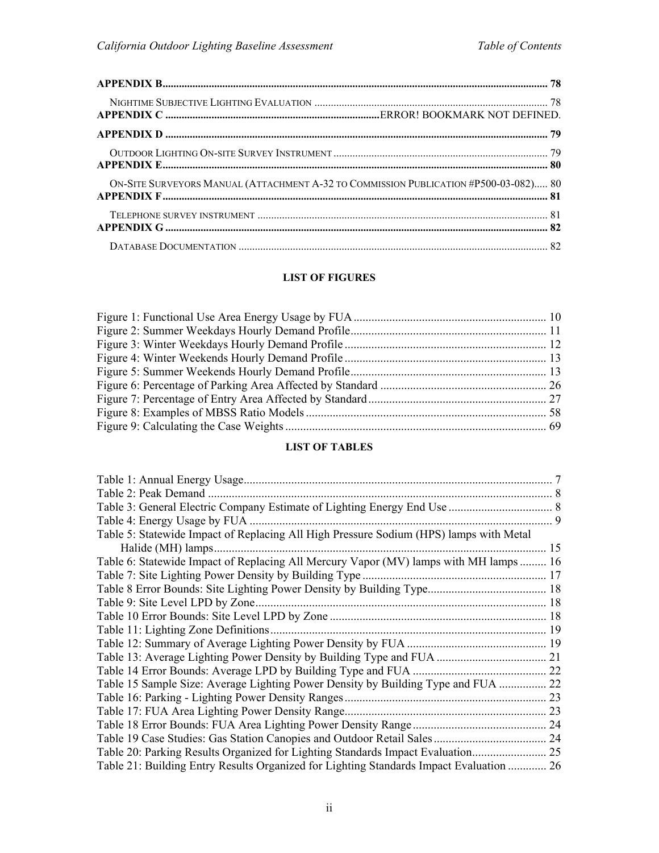| ON-SITE SURVEYORS MANUAL (ATTACHMENT A-32 TO COMMISSION PUBLICATION #P500-03-082) 80 |  |
|--------------------------------------------------------------------------------------|--|
|                                                                                      |  |
|                                                                                      |  |

#### **LIST OF FIGURES**

#### **LIST OF TABLES**

| Table 2: Peak Demand                                                                    |    |
|-----------------------------------------------------------------------------------------|----|
|                                                                                         |    |
| Table 4: Energy Usage by FUA.                                                           |    |
| Table 5: Statewide Impact of Replacing All High Pressure Sodium (HPS) lamps with Metal  |    |
| Halide (MH) lamps.                                                                      | 15 |
| Table 6: Statewide Impact of Replacing All Mercury Vapor (MV) lamps with MH lamps  16   |    |
| Table 7: Site Lighting Power Density by Building Type                                   |    |
|                                                                                         |    |
| Table 9: Site Level LPD by Zone                                                         |    |
|                                                                                         |    |
| Table 11: Lighting Zone Definitions.                                                    |    |
|                                                                                         |    |
|                                                                                         |    |
|                                                                                         |    |
| Table 15 Sample Size: Average Lighting Power Density by Building Type and FUA  22       |    |
|                                                                                         |    |
| Table 17: FUA Area Lighting Power Density Range                                         |    |
|                                                                                         |    |
|                                                                                         |    |
| Table 20: Parking Results Organized for Lighting Standards Impact Evaluation            |    |
| Table 21: Building Entry Results Organized for Lighting Standards Impact Evaluation  26 |    |
|                                                                                         |    |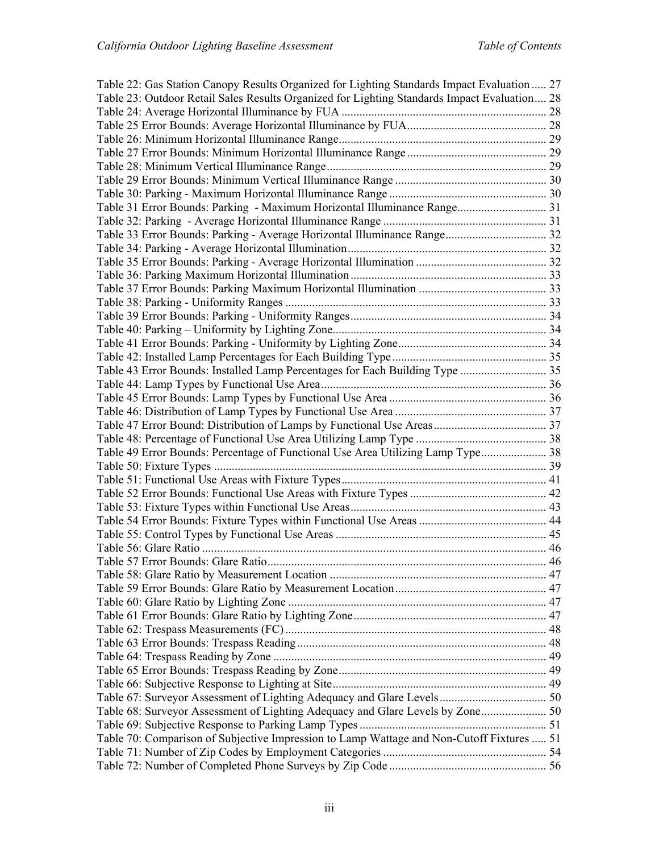| Table 22: Gas Station Canopy Results Organized for Lighting Standards Impact Evaluation  27  |  |
|----------------------------------------------------------------------------------------------|--|
| Table 23: Outdoor Retail Sales Results Organized for Lighting Standards Impact Evaluation 28 |  |
|                                                                                              |  |
|                                                                                              |  |
|                                                                                              |  |
|                                                                                              |  |
|                                                                                              |  |
|                                                                                              |  |
|                                                                                              |  |
| Table 31 Error Bounds: Parking - Maximum Horizontal Illuminance Range 31                     |  |
|                                                                                              |  |
|                                                                                              |  |
|                                                                                              |  |
|                                                                                              |  |
|                                                                                              |  |
|                                                                                              |  |
|                                                                                              |  |
|                                                                                              |  |
|                                                                                              |  |
|                                                                                              |  |
|                                                                                              |  |
|                                                                                              |  |
|                                                                                              |  |
|                                                                                              |  |
|                                                                                              |  |
|                                                                                              |  |
|                                                                                              |  |
|                                                                                              |  |
| Table 49 Error Bounds: Percentage of Functional Use Area Utilizing Lamp Type 38              |  |
|                                                                                              |  |
|                                                                                              |  |
|                                                                                              |  |
|                                                                                              |  |
|                                                                                              |  |
|                                                                                              |  |
|                                                                                              |  |
|                                                                                              |  |
|                                                                                              |  |
|                                                                                              |  |
|                                                                                              |  |
|                                                                                              |  |
|                                                                                              |  |
|                                                                                              |  |
|                                                                                              |  |
|                                                                                              |  |
|                                                                                              |  |
|                                                                                              |  |
| Table 68: Surveyor Assessment of Lighting Adequacy and Glare Levels by Zone 50               |  |
|                                                                                              |  |
| Table 70: Comparison of Subjective Impression to Lamp Wattage and Non-Cutoff Fixtures  51    |  |
|                                                                                              |  |
|                                                                                              |  |
|                                                                                              |  |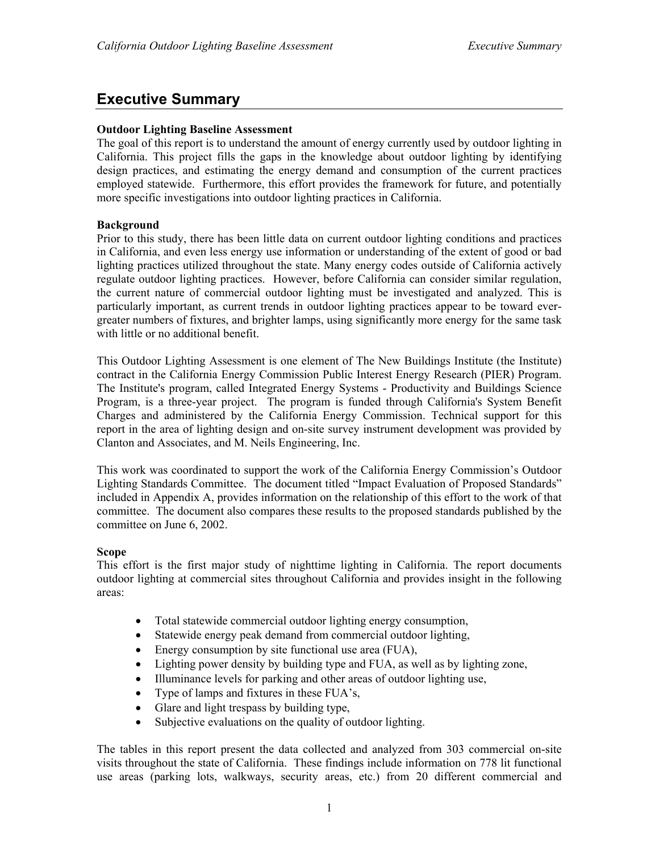# **Executive Summary**

#### **Outdoor Lighting Baseline Assessment**

The goal of this report is to understand the amount of energy currently used by outdoor lighting in California. This project fills the gaps in the knowledge about outdoor lighting by identifying design practices, and estimating the energy demand and consumption of the current practices employed statewide. Furthermore, this effort provides the framework for future, and potentially more specific investigations into outdoor lighting practices in California.

#### **Background**

Prior to this study, there has been little data on current outdoor lighting conditions and practices in California, and even less energy use information or understanding of the extent of good or bad lighting practices utilized throughout the state. Many energy codes outside of California actively regulate outdoor lighting practices. However, before California can consider similar regulation, the current nature of commercial outdoor lighting must be investigated and analyzed. This is particularly important, as current trends in outdoor lighting practices appear to be toward evergreater numbers of fixtures, and brighter lamps, using significantly more energy for the same task with little or no additional benefit.

This Outdoor Lighting Assessment is one element of The New Buildings Institute (the Institute) contract in the California Energy Commission Public Interest Energy Research (PIER) Program. The Institute's program, called Integrated Energy Systems - Productivity and Buildings Science Program, is a three-year project. The program is funded through California's System Benefit Charges and administered by the California Energy Commission. Technical support for this report in the area of lighting design and on-site survey instrument development was provided by Clanton and Associates, and M. Neils Engineering, Inc.

This work was coordinated to support the work of the California Energy Commission's Outdoor Lighting Standards Committee. The document titled "Impact Evaluation of Proposed Standards" included in Appendix A, provides information on the relationship of this effort to the work of that committee. The document also compares these results to the proposed standards published by the committee on June 6, 2002.

#### **Scope**

This effort is the first major study of nighttime lighting in California. The report documents outdoor lighting at commercial sites throughout California and provides insight in the following areas:

- Total statewide commercial outdoor lighting energy consumption,
- Statewide energy peak demand from commercial outdoor lighting,
- Energy consumption by site functional use area (FUA),
- Lighting power density by building type and FUA, as well as by lighting zone,
- Illuminance levels for parking and other areas of outdoor lighting use,
- Type of lamps and fixtures in these FUA's,
- Glare and light trespass by building type,
- Subjective evaluations on the quality of outdoor lighting.

The tables in this report present the data collected and analyzed from 303 commercial on-site visits throughout the state of California. These findings include information on 778 lit functional use areas (parking lots, walkways, security areas, etc.) from 20 different commercial and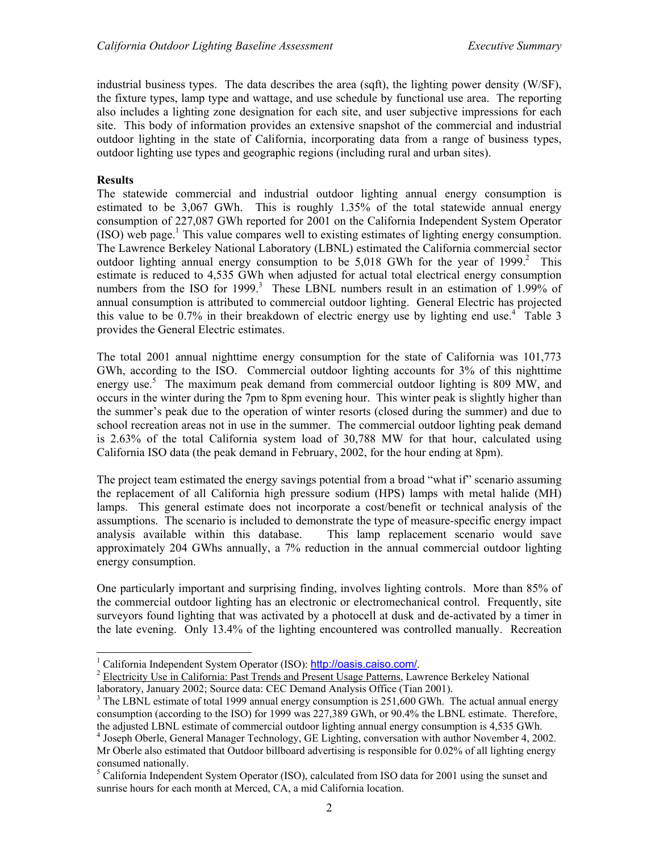industrial business types. The data describes the area (sqft), the lighting power density (W/SF), the fixture types, lamp type and wattage, and use schedule by functional use area. The reporting also includes a lighting zone designation for each site, and user subjective impressions for each site. This body of information provides an extensive snapshot of the commercial and industrial outdoor lighting in the state of California, incorporating data from a range of business types, outdoor lighting use types and geographic regions (including rural and urban sites).

#### **Results**

l

The statewide commercial and industrial outdoor lighting annual energy consumption is estimated to be 3,067 GWh. This is roughly 1.35% of the total statewide annual energy consumption of 227,087 GWh reported for 2001 on the California Independent System Operator (ISO) web page.<sup>1</sup> This value compares well to existing estimates of lighting energy consumption. The Lawrence Berkeley National Laboratory (LBNL) estimated the California commercial sector outdoor lighting annual energy consumption to be  $5,018$  GWh for the year of  $1999$ .<sup>2</sup> This estimate is reduced to 4,535 GWh when adjusted for actual total electrical energy consumption numbers from the ISO for 1999.<sup>3</sup> These LBNL numbers result in an estimation of 1.99% of annual consumption is attributed to commercial outdoor lighting. General Electric has projected this value to be 0.7% in their breakdown of electric energy use by lighting end use.<sup>4</sup> Table 3 provides the General Electric estimates.

The total 2001 annual nighttime energy consumption for the state of California was 101,773 GWh, according to the ISO. Commercial outdoor lighting accounts for 3% of this nighttime energy use.<sup>5</sup> The maximum peak demand from commercial outdoor lighting is 809 MW, and occurs in the winter during the 7pm to 8pm evening hour. This winter peak is slightly higher than the summer's peak due to the operation of winter resorts (closed during the summer) and due to school recreation areas not in use in the summer. The commercial outdoor lighting peak demand is 2.63% of the total California system load of 30,788 MW for that hour, calculated using California ISO data (the peak demand in February, 2002, for the hour ending at 8pm).

The project team estimated the energy savings potential from a broad "what if" scenario assuming the replacement of all California high pressure sodium (HPS) lamps with metal halide (MH) lamps. This general estimate does not incorporate a cost/benefit or technical analysis of the assumptions. The scenario is included to demonstrate the type of measure-specific energy impact analysis available within this database. This lamp replacement scenario would save approximately 204 GWhs annually, a 7% reduction in the annual commercial outdoor lighting energy consumption.

One particularly important and surprising finding, involves lighting controls. More than 85% of the commercial outdoor lighting has an electronic or electromechanical control. Frequently, site surveyors found lighting that was activated by a photocell at dusk and de-activated by a timer in the late evening. Only 13.4% of the lighting encountered was controlled manually. Recreation

<sup>&</sup>lt;sup>1</sup> California Independent System Operator (ISO): **http://oasis.caiso.com/.**<br><sup>2</sup> Electricity Use in Colifornia: Best Trands and Bresont Usego Betterns, Law

<sup>&</sup>lt;sup>2</sup> Electricity Use in California: Past Trends and Present Usage Patterns, Lawrence Berkeley National laboratory, January 2002; Source data: CEC Demand Analysis Office (Tian 2001).

 $3$  The LBNL estimate of total 1999 annual energy consumption is 251,600 GWh. The actual annual energy consumption (according to the ISO) for 1999 was 227,389 GWh, or 90.4% the LBNL estimate. Therefore, the adjusted LBNL estimate of commercial outdoor lighting annual energy consumption is 4,535 GWh. 4

<sup>&</sup>lt;sup>4</sup> Joseph Oberle, General Manager Technology, GE Lighting, conversation with author November 4, 2002. Mr Oberle also estimated that Outdoor billboard advertising is responsible for 0.02% of all lighting energy consumed nationally.

<sup>&</sup>lt;sup>5</sup> California Independent System Operator (ISO), calculated from ISO data for 2001 using the sunset and sunrise hours for each month at Merced, CA, a mid California location.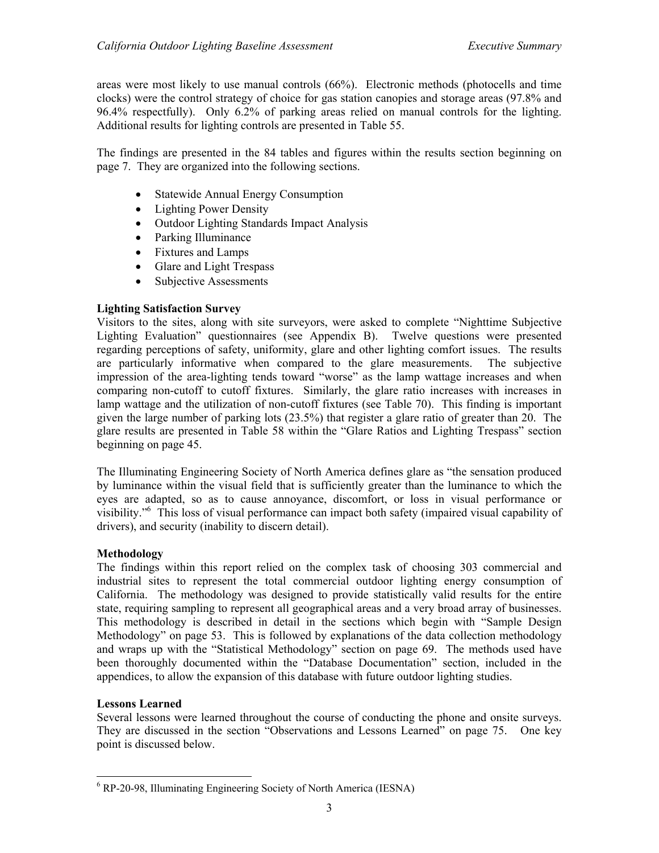areas were most likely to use manual controls (66%). Electronic methods (photocells and time clocks) were the control strategy of choice for gas station canopies and storage areas (97.8% and 96.4% respectfully). Only 6.2% of parking areas relied on manual controls for the lighting. Additional results for lighting controls are presented in Table 55.

The findings are presented in the 84 tables and figures within the results section beginning on page 7. They are organized into the following sections.

- Statewide Annual Energy Consumption
- Lighting Power Density
- Outdoor Lighting Standards Impact Analysis
- Parking Illuminance
- Fixtures and Lamps
- Glare and Light Trespass
- Subjective Assessments

#### **Lighting Satisfaction Survey**

Visitors to the sites, along with site surveyors, were asked to complete "Nighttime Subjective Lighting Evaluation" questionnaires (see Appendix B). Twelve questions were presented regarding perceptions of safety, uniformity, glare and other lighting comfort issues. The results are particularly informative when compared to the glare measurements. The subjective impression of the area-lighting tends toward "worse" as the lamp wattage increases and when comparing non-cutoff to cutoff fixtures. Similarly, the glare ratio increases with increases in lamp wattage and the utilization of non-cutoff fixtures (see Table 70). This finding is important given the large number of parking lots (23.5%) that register a glare ratio of greater than 20. The glare results are presented in Table 58 within the "Glare Ratios and Lighting Trespass" section beginning on page 45.

The Illuminating Engineering Society of North America defines glare as "the sensation produced by luminance within the visual field that is sufficiently greater than the luminance to which the eyes are adapted, so as to cause annoyance, discomfort, or loss in visual performance or visibility."6 This loss of visual performance can impact both safety (impaired visual capability of drivers), and security (inability to discern detail).

#### **Methodology**

The findings within this report relied on the complex task of choosing 303 commercial and industrial sites to represent the total commercial outdoor lighting energy consumption of California. The methodology was designed to provide statistically valid results for the entire state, requiring sampling to represent all geographical areas and a very broad array of businesses. This methodology is described in detail in the sections which begin with "Sample Design Methodology" on page 53. This is followed by explanations of the data collection methodology and wraps up with the "Statistical Methodology" section on page 69. The methods used have been thoroughly documented within the "Database Documentation" section, included in the appendices, to allow the expansion of this database with future outdoor lighting studies.

#### **Lessons Learned**

l

Several lessons were learned throughout the course of conducting the phone and onsite surveys. They are discussed in the section "Observations and Lessons Learned" on page 75. One key point is discussed below.

<sup>6</sup> RP-20-98, Illuminating Engineering Society of North America (IESNA)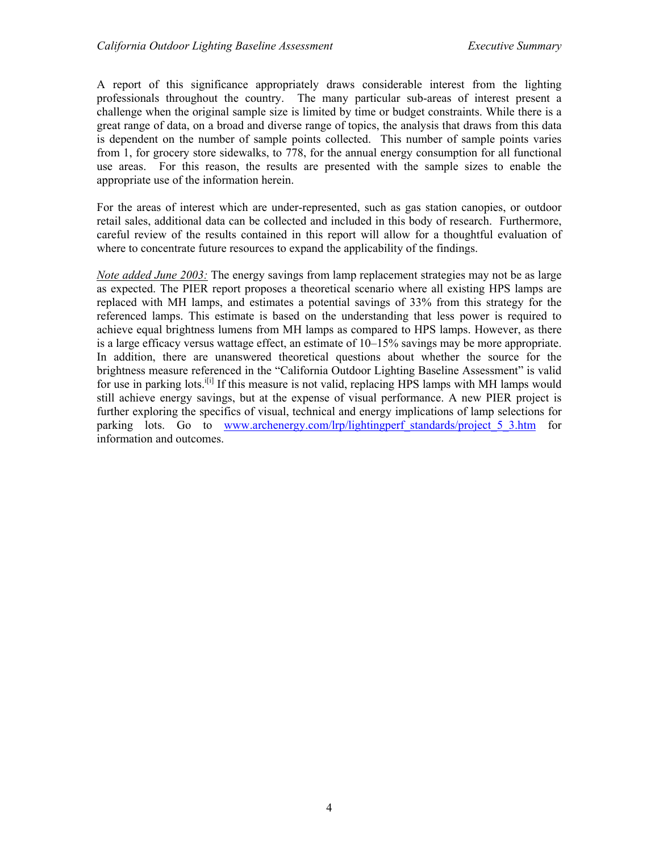A report of this significance appropriately draws considerable interest from the lighting professionals throughout the country. The many particular sub-areas of interest present a challenge when the original sample size is limited by time or budget constraints. While there is a great range of data, on a broad and diverse range of topics, the analysis that draws from this data is dependent on the number of sample points collected. This number of sample points varies from 1, for grocery store sidewalks, to 778, for the annual energy consumption for all functional use areas. For this reason, the results are presented with the sample sizes to enable the appropriate use of the information herein.

For the areas of interest which are under-represented, such as gas station canopies, or outdoor retail sales, additional data can be collected and included in this body of research. Furthermore, careful review of the results contained in this report will allow for a thoughtful evaluation of where to concentrate future resources to expand the applicability of the findings.

*Note added June 2003:* The energy savings from lamp replacement strategies may not be as large as expected. The PIER report proposes a theoretical scenario where all existing HPS lamps are replaced with MH lamps, and estimates a potential savings of 33% from this strategy for the referenced lamps. This estimate is based on the understanding that less power is required to achieve equal brightness lumens from MH lamps as compared to HPS lamps. However, as there is a large efficacy versus wattage effect, an estimate of 10–15% savings may be more appropriate. In addition, there are unanswered theoretical questions about whether the source for the brightness measure referenced in the "California Outdoor Lighting Baseline Assessment" is valid for use in parking lots.<sup>i[i]</sup> If this measure is not valid, replacing HPS lamps with MH lamps would still achieve energy savings, but at the expense of visual performance. A new PIER project is further exploring the specifics of visual, technical and energy implications of lamp selections for parking lots. Go to www.archenergy.com/lrp/lightingperf\_standards/project\_5\_3.htm for information and outcomes.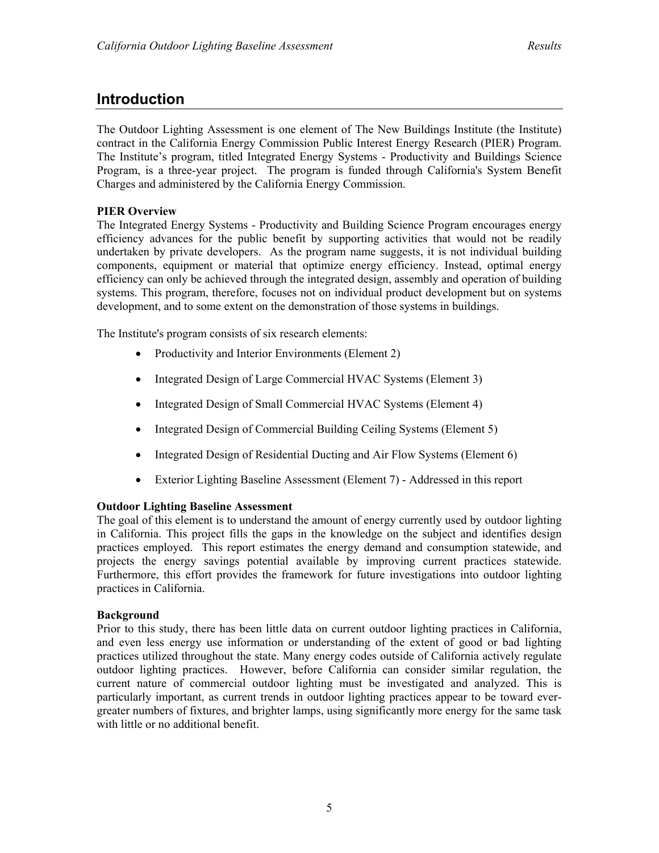# **Introduction**

The Outdoor Lighting Assessment is one element of The New Buildings Institute (the Institute) contract in the California Energy Commission Public Interest Energy Research (PIER) Program. The Institute's program, titled Integrated Energy Systems - Productivity and Buildings Science Program, is a three-year project. The program is funded through California's System Benefit Charges and administered by the California Energy Commission.

#### **PIER Overview**

The Integrated Energy Systems - Productivity and Building Science Program encourages energy efficiency advances for the public benefit by supporting activities that would not be readily undertaken by private developers. As the program name suggests, it is not individual building components, equipment or material that optimize energy efficiency. Instead, optimal energy efficiency can only be achieved through the integrated design, assembly and operation of building systems. This program, therefore, focuses not on individual product development but on systems development, and to some extent on the demonstration of those systems in buildings.

The Institute's program consists of six research elements:

- Productivity and Interior Environments (Element 2)
- Integrated Design of Large Commercial HVAC Systems (Element 3)
- Integrated Design of Small Commercial HVAC Systems (Element 4)
- Integrated Design of Commercial Building Ceiling Systems (Element 5)
- Integrated Design of Residential Ducting and Air Flow Systems (Element 6)
- Exterior Lighting Baseline Assessment (Element 7) Addressed in this report

#### **Outdoor Lighting Baseline Assessment**

The goal of this element is to understand the amount of energy currently used by outdoor lighting in California. This project fills the gaps in the knowledge on the subject and identifies design practices employed. This report estimates the energy demand and consumption statewide, and projects the energy savings potential available by improving current practices statewide. Furthermore, this effort provides the framework for future investigations into outdoor lighting practices in California.

#### **Background**

Prior to this study, there has been little data on current outdoor lighting practices in California, and even less energy use information or understanding of the extent of good or bad lighting practices utilized throughout the state. Many energy codes outside of California actively regulate outdoor lighting practices. However, before California can consider similar regulation, the current nature of commercial outdoor lighting must be investigated and analyzed. This is particularly important, as current trends in outdoor lighting practices appear to be toward evergreater numbers of fixtures, and brighter lamps, using significantly more energy for the same task with little or no additional benefit.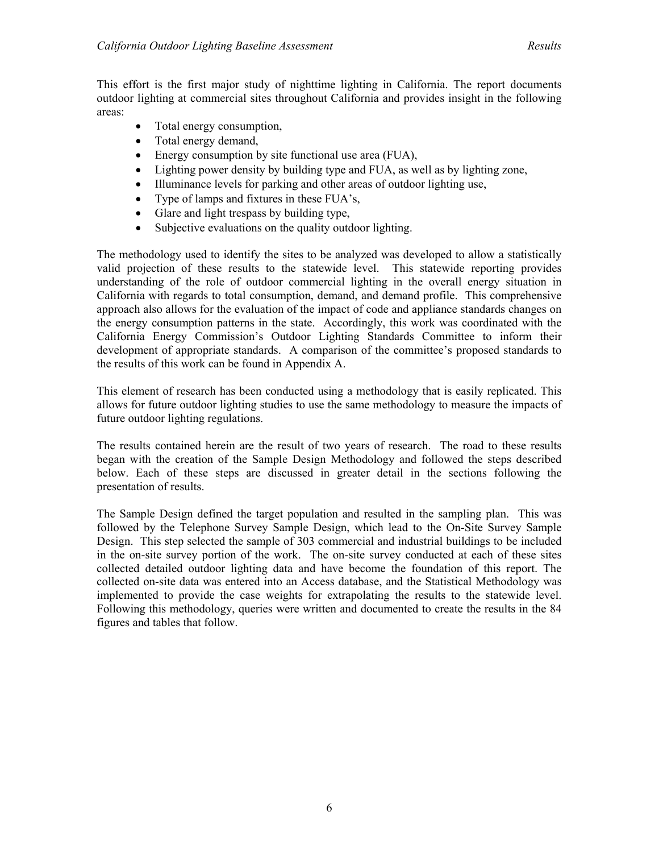This effort is the first major study of nighttime lighting in California. The report documents outdoor lighting at commercial sites throughout California and provides insight in the following areas:

- Total energy consumption,
- Total energy demand,
- Energy consumption by site functional use area (FUA),
- Lighting power density by building type and FUA, as well as by lighting zone,
- Illuminance levels for parking and other areas of outdoor lighting use,
- Type of lamps and fixtures in these FUA's,
- Glare and light trespass by building type,
- Subjective evaluations on the quality outdoor lighting.

The methodology used to identify the sites to be analyzed was developed to allow a statistically valid projection of these results to the statewide level. This statewide reporting provides understanding of the role of outdoor commercial lighting in the overall energy situation in California with regards to total consumption, demand, and demand profile. This comprehensive approach also allows for the evaluation of the impact of code and appliance standards changes on the energy consumption patterns in the state. Accordingly, this work was coordinated with the California Energy Commission's Outdoor Lighting Standards Committee to inform their development of appropriate standards. A comparison of the committee's proposed standards to the results of this work can be found in Appendix A.

This element of research has been conducted using a methodology that is easily replicated. This allows for future outdoor lighting studies to use the same methodology to measure the impacts of future outdoor lighting regulations.

The results contained herein are the result of two years of research. The road to these results began with the creation of the Sample Design Methodology and followed the steps described below. Each of these steps are discussed in greater detail in the sections following the presentation of results.

The Sample Design defined the target population and resulted in the sampling plan. This was followed by the Telephone Survey Sample Design, which lead to the On-Site Survey Sample Design. This step selected the sample of 303 commercial and industrial buildings to be included in the on-site survey portion of the work. The on-site survey conducted at each of these sites collected detailed outdoor lighting data and have become the foundation of this report. The collected on-site data was entered into an Access database, and the Statistical Methodology was implemented to provide the case weights for extrapolating the results to the statewide level. Following this methodology, queries were written and documented to create the results in the 84 figures and tables that follow.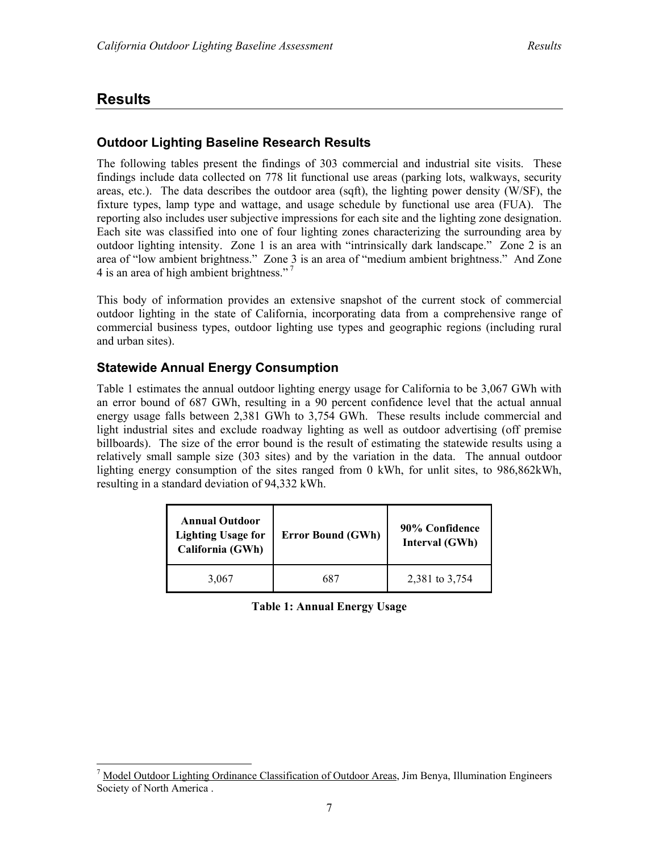# **Results**

1

### **Outdoor Lighting Baseline Research Results**

The following tables present the findings of 303 commercial and industrial site visits. These findings include data collected on 778 lit functional use areas (parking lots, walkways, security areas, etc.). The data describes the outdoor area (sqft), the lighting power density (W/SF), the fixture types, lamp type and wattage, and usage schedule by functional use area (FUA). The reporting also includes user subjective impressions for each site and the lighting zone designation. Each site was classified into one of four lighting zones characterizing the surrounding area by outdoor lighting intensity. Zone 1 is an area with "intrinsically dark landscape." Zone 2 is an area of "low ambient brightness." Zone 3 is an area of "medium ambient brightness." And Zone 4 is an area of high ambient brightness."<sup>7</sup>

This body of information provides an extensive snapshot of the current stock of commercial outdoor lighting in the state of California, incorporating data from a comprehensive range of commercial business types, outdoor lighting use types and geographic regions (including rural and urban sites).

### **Statewide Annual Energy Consumption**

Table 1 estimates the annual outdoor lighting energy usage for California to be 3,067 GWh with an error bound of 687 GWh, resulting in a 90 percent confidence level that the actual annual energy usage falls between 2,381 GWh to 3,754 GWh. These results include commercial and light industrial sites and exclude roadway lighting as well as outdoor advertising (off premise billboards). The size of the error bound is the result of estimating the statewide results using a relatively small sample size (303 sites) and by the variation in the data. The annual outdoor lighting energy consumption of the sites ranged from 0 kWh, for unlit sites, to 986,862kWh, resulting in a standard deviation of 94,332 kWh.

| <b>Annual Outdoor</b><br><b>Lighting Usage for</b><br>California (GWh) | <b>Error Bound (GWh)</b> | 90% Confidence<br>Interval (GWh) |
|------------------------------------------------------------------------|--------------------------|----------------------------------|
| 3,067                                                                  | 687                      | 2,381 to 3,754                   |

**Table 1: Annual Energy Usage** 

<sup>&</sup>lt;sup>7</sup> Model Outdoor Lighting Ordinance Classification of Outdoor Areas, Jim Benya, Illumination Engineers Society of North America .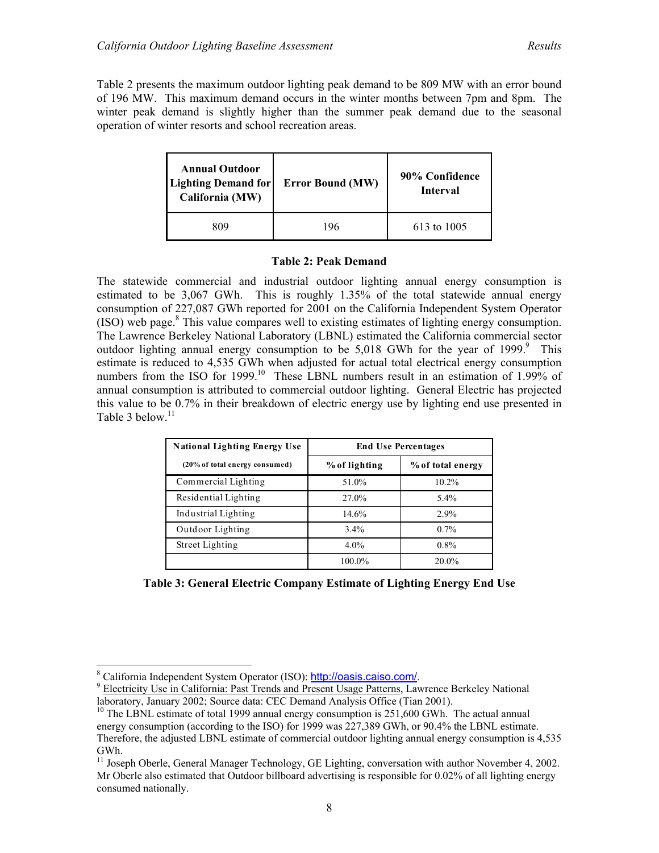Table 2 presents the maximum outdoor lighting peak demand to be 809 MW with an error bound of 196 MW. This maximum demand occurs in the winter months between 7pm and 8pm. The winter peak demand is slightly higher than the summer peak demand due to the seasonal operation of winter resorts and school recreation areas.

| <b>Annual Outdoor</b><br><b>Lighting Demand for</b><br>California (MW) | <b>Error Bound (MW)</b> | 90% Confidence<br><b>Interval</b> |  |
|------------------------------------------------------------------------|-------------------------|-----------------------------------|--|
| 809                                                                    | 196                     | 613 to 1005                       |  |

#### **Table 2: Peak Demand**

The statewide commercial and industrial outdoor lighting annual energy consumption is estimated to be 3,067 GWh. This is roughly 1.35% of the total statewide annual energy consumption of 227,087 GWh reported for 2001 on the California Independent System Operator (ISO) web page.<sup>8</sup> This value compares well to existing estimates of lighting energy consumption. The Lawrence Berkeley National Laboratory (LBNL) estimated the California commercial sector outdoor lighting annual energy consumption to be  $5,018$  GWh for the year of  $1999$ .<sup>9</sup> This estimate is reduced to 4,535 GWh when adjusted for actual total electrical energy consumption numbers from the ISO for 1999.<sup>10</sup> These LBNL numbers result in an estimation of 1.99% of annual consumption is attributed to commercial outdoor lighting. General Electric has projected this value to be 0.7% in their breakdown of electric energy use by lighting end use presented in Table 3 below.<sup>11</sup>

| <b>National Lighting Energy Use</b> | <b>End Use Percentages</b> |                   |  |
|-------------------------------------|----------------------------|-------------------|--|
| (20% of total energy consumed)      | % of lighting              | % of total energy |  |
| Commercial Lighting                 | 51.0%                      | 10.2%             |  |
| Residential Lighting                | 27.0%                      | $5.4\%$           |  |
| Industrial Lighting                 | 14.6%                      | $2.9\%$           |  |
| Outdoor Lighting                    | $3.4\%$                    | $0.7\%$           |  |
| Street Lighting                     | $4.0\%$                    | $0.8\%$           |  |
|                                     | 100.0%                     | 20.0%             |  |

**Table 3: General Electric Company Estimate of Lighting Energy End Use** 

1

<sup>&</sup>lt;sup>8</sup> California Independent System Operator (ISO): http://oasis.caiso.com/.

<sup>&</sup>lt;sup>8</sup> California Independent System Operator (ISO): *http://oasis.caiso.com/*.<br><sup>9</sup> Electricity Use in California: Past Trends and Present Usage Patterns, Lawrence Berkeley National laboratory, January 2002; Source data: CEC Demand Analysis Office (Tian 2001).

 $10$  The LBNL estimate of total 1999 annual energy consumption is 251,600 GWh. The actual annual energy consumption (according to the ISO) for 1999 was 227,389 GWh, or 90.4% the LBNL estimate. Therefore, the adjusted LBNL estimate of commercial outdoor lighting annual energy consumption is 4,535 GWh.

<sup>&</sup>lt;sup>11</sup> Joseph Oberle, General Manager Technology, GE Lighting, conversation with author November 4, 2002. Mr Oberle also estimated that Outdoor billboard advertising is responsible for 0.02% of all lighting energy consumed nationally.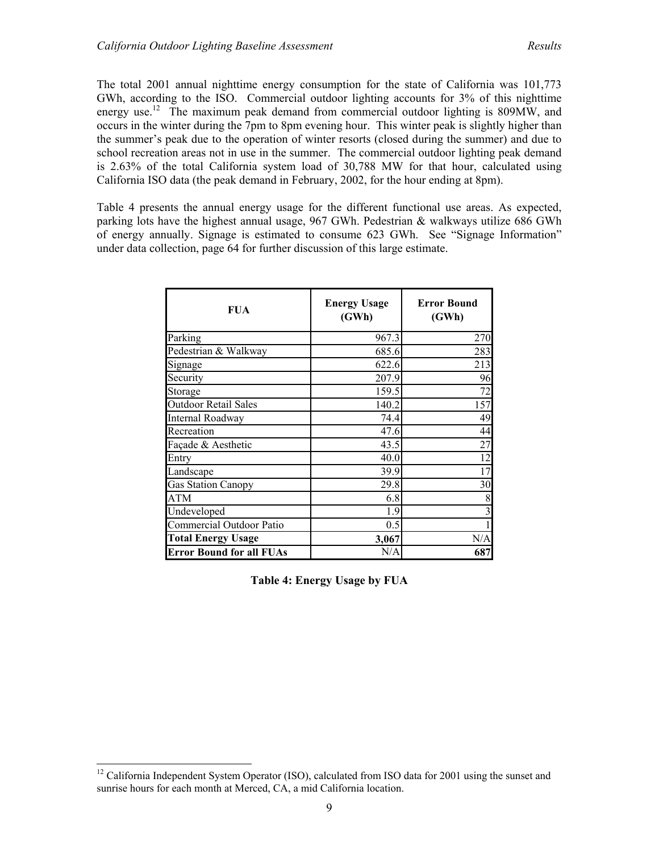The total 2001 annual nighttime energy consumption for the state of California was 101,773 GWh, according to the ISO. Commercial outdoor lighting accounts for 3% of this nighttime energy use.<sup>12</sup> The maximum peak demand from commercial outdoor lighting is 809MW, and occurs in the winter during the 7pm to 8pm evening hour. This winter peak is slightly higher than the summer's peak due to the operation of winter resorts (closed during the summer) and due to school recreation areas not in use in the summer. The commercial outdoor lighting peak demand is 2.63% of the total California system load of 30,788 MW for that hour, calculated using California ISO data (the peak demand in February, 2002, for the hour ending at 8pm).

Table 4 presents the annual energy usage for the different functional use areas. As expected, parking lots have the highest annual usage, 967 GWh. Pedestrian & walkways utilize 686 GWh of energy annually. Signage is estimated to consume 623 GWh. See "Signage Information" under data collection, page 64 for further discussion of this large estimate.

| FUA                             | <b>Energy Usage</b><br>(GWh) | <b>Error Bound</b><br>(GWh) |  |
|---------------------------------|------------------------------|-----------------------------|--|
| Parking                         | 967.3                        | 270                         |  |
| Pedestrian & Walkway            | 685.6                        | 283                         |  |
| Signage                         | 622.6                        | 213                         |  |
| Security                        | 207.9                        | 96                          |  |
| Storage                         | 159.5                        | 72                          |  |
| <b>Outdoor Retail Sales</b>     | 140.2                        | 157                         |  |
| Internal Roadway                | 74.4                         | 49                          |  |
| Recreation                      | 47.6                         | 44                          |  |
| Façade & Aesthetic              | 43.5                         | 27                          |  |
| Entry                           | 40.0                         | 12                          |  |
| Landscape                       | 39.9                         | 17                          |  |
| <b>Gas Station Canopy</b>       | 29.8                         | 30                          |  |
| ATM                             | 6.8                          | 8                           |  |
| Undeveloped                     | 1.9                          | 3                           |  |
| Commercial Outdoor Patio        | 0.5                          |                             |  |
| <b>Total Energy Usage</b>       | 3,067                        | N/A                         |  |
| <b>Error Bound for all FUAs</b> | N/A                          | 687                         |  |

**Table 4: Energy Usage by FUA** 

l

<sup>&</sup>lt;sup>12</sup> California Independent System Operator (ISO), calculated from ISO data for 2001 using the sunset and sunrise hours for each month at Merced, CA, a mid California location.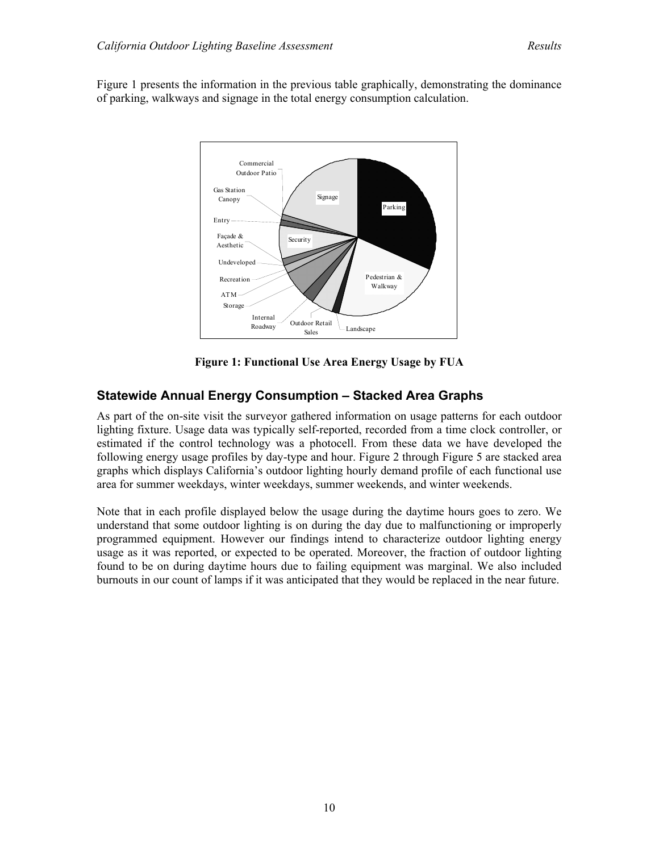Figure 1 presents the information in the previous table graphically, demonstrating the dominance of parking, walkways and signage in the total energy consumption calculation.



**Figure 1: Functional Use Area Energy Usage by FUA** 

### **Statewide Annual Energy Consumption – Stacked Area Graphs**

As part of the on-site visit the surveyor gathered information on usage patterns for each outdoor lighting fixture. Usage data was typically self-reported, recorded from a time clock controller, or estimated if the control technology was a photocell. From these data we have developed the following energy usage profiles by day-type and hour. Figure 2 through Figure 5 are stacked area graphs which displays California's outdoor lighting hourly demand profile of each functional use area for summer weekdays, winter weekdays, summer weekends, and winter weekends.

Note that in each profile displayed below the usage during the daytime hours goes to zero. We understand that some outdoor lighting is on during the day due to malfunctioning or improperly programmed equipment. However our findings intend to characterize outdoor lighting energy usage as it was reported, or expected to be operated. Moreover, the fraction of outdoor lighting found to be on during daytime hours due to failing equipment was marginal. We also included burnouts in our count of lamps if it was anticipated that they would be replaced in the near future.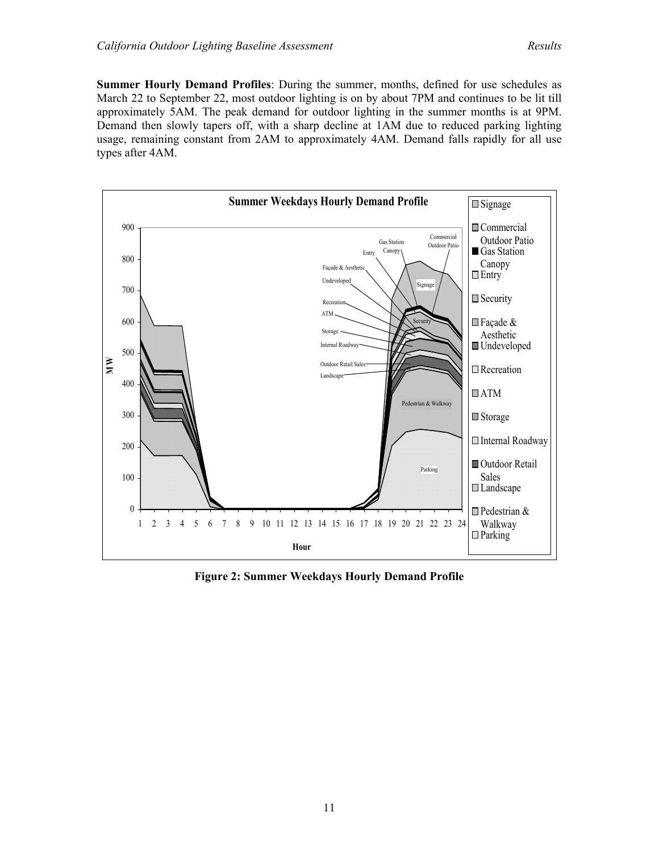**Summer Hourly Demand Profiles**: During the summer, months, defined for use schedules as March 22 to September 22, most outdoor lighting is on by about 7PM and continues to be lit till approximately 5AM. The peak demand for outdoor lighting in the summer months is at 9PM. Demand then slowly tapers off, with a sharp decline at 1AM due to reduced parking lighting usage, remaining constant from 2AM to approximately 4AM. Demand falls rapidly for all use types after 4AM.



**Figure 2: Summer Weekdays Hourly Demand Profile**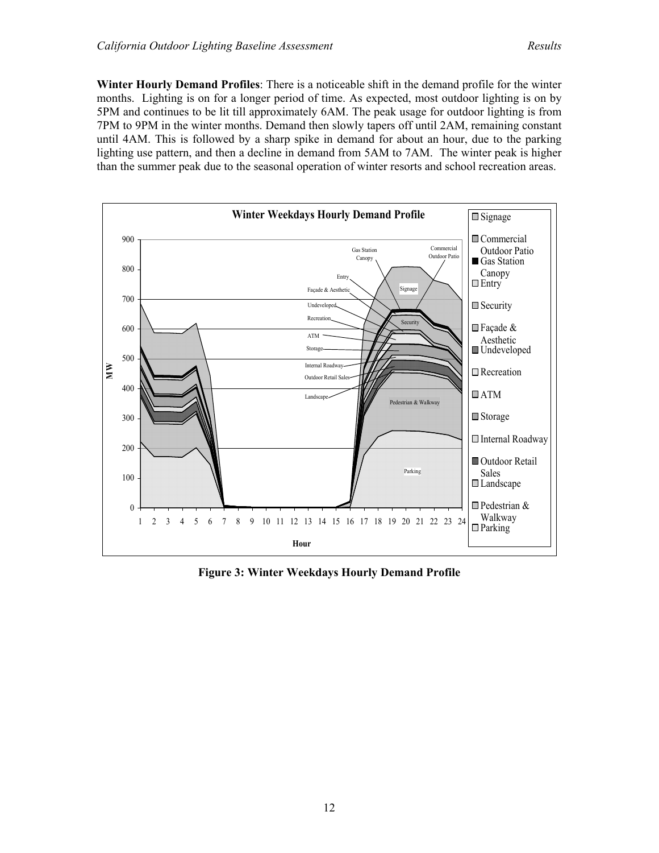**Winter Hourly Demand Profiles**: There is a noticeable shift in the demand profile for the winter months. Lighting is on for a longer period of time. As expected, most outdoor lighting is on by 5PM and continues to be lit till approximately 6AM. The peak usage for outdoor lighting is from 7PM to 9PM in the winter months. Demand then slowly tapers off until 2AM, remaining constant until 4AM. This is followed by a sharp spike in demand for about an hour, due to the parking lighting use pattern, and then a decline in demand from 5AM to 7AM. The winter peak is higher than the summer peak due to the seasonal operation of winter resorts and school recreation areas.



**Figure 3: Winter Weekdays Hourly Demand Profile**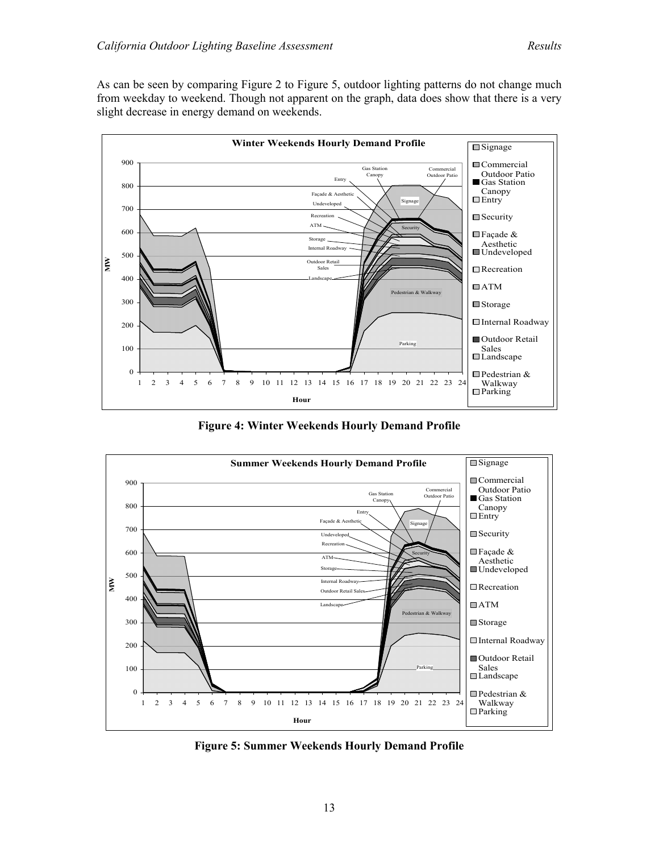As can be seen by comparing Figure 2 to Figure 5, outdoor lighting patterns do not change much from weekday to weekend. Though not apparent on the graph, data does show that there is a very slight decrease in energy demand on weekends.



**Figure 4: Winter Weekends Hourly Demand Profile** 



**Figure 5: Summer Weekends Hourly Demand Profile**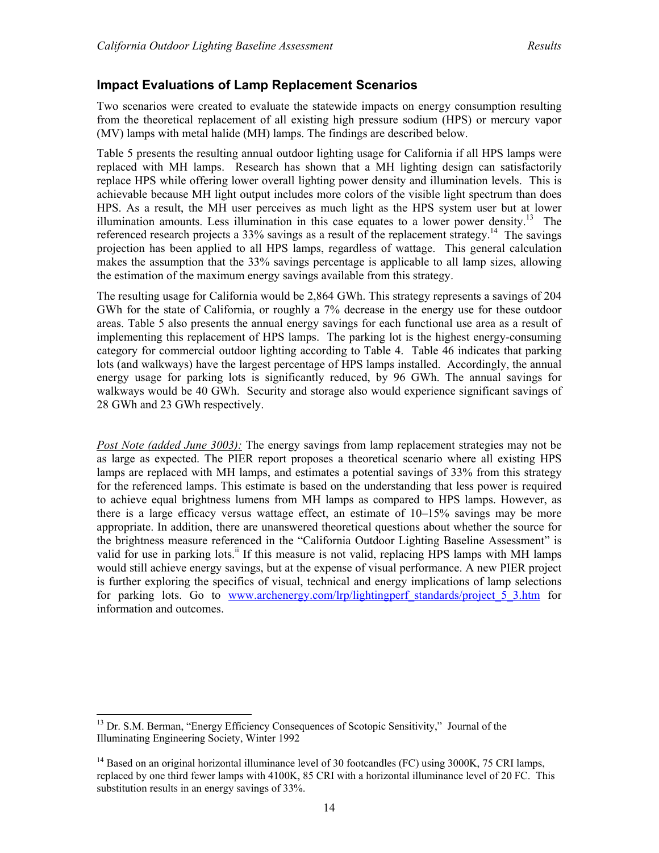#### **Impact Evaluations of Lamp Replacement Scenarios**

Two scenarios were created to evaluate the statewide impacts on energy consumption resulting from the theoretical replacement of all existing high pressure sodium (HPS) or mercury vapor (MV) lamps with metal halide (MH) lamps. The findings are described below.

Table 5 presents the resulting annual outdoor lighting usage for California if all HPS lamps were replaced with MH lamps. Research has shown that a MH lighting design can satisfactorily replace HPS while offering lower overall lighting power density and illumination levels. This is achievable because MH light output includes more colors of the visible light spectrum than does HPS. As a result, the MH user perceives as much light as the HPS system user but at lower illumination amounts. Less illumination in this case equates to a lower power density.<sup>13</sup> The referenced research projects a 33% savings as a result of the replacement strategy.<sup>14</sup> The savings projection has been applied to all HPS lamps, regardless of wattage. This general calculation makes the assumption that the 33% savings percentage is applicable to all lamp sizes, allowing the estimation of the maximum energy savings available from this strategy.

The resulting usage for California would be 2,864 GWh. This strategy represents a savings of 204 GWh for the state of California, or roughly a 7% decrease in the energy use for these outdoor areas. Table 5 also presents the annual energy savings for each functional use area as a result of implementing this replacement of HPS lamps. The parking lot is the highest energy-consuming category for commercial outdoor lighting according to Table 4. Table 46 indicates that parking lots (and walkways) have the largest percentage of HPS lamps installed. Accordingly, the annual energy usage for parking lots is significantly reduced, by 96 GWh. The annual savings for walkways would be 40 GWh. Security and storage also would experience significant savings of 28 GWh and 23 GWh respectively.

*Post Note (added June 3003):* The energy savings from lamp replacement strategies may not be as large as expected. The PIER report proposes a theoretical scenario where all existing HPS lamps are replaced with MH lamps, and estimates a potential savings of 33% from this strategy for the referenced lamps. This estimate is based on the understanding that less power is required to achieve equal brightness lumens from MH lamps as compared to HPS lamps. However, as there is a large efficacy versus wattage effect, an estimate of 10–15% savings may be more appropriate. In addition, there are unanswered theoretical questions about whether the source for the brightness measure referenced in the "California Outdoor Lighting Baseline Assessment" is valid for use in parking lots.<sup>ii</sup> If this measure is not valid, replacing HPS lamps with MH lamps would still achieve energy savings, but at the expense of visual performance. A new PIER project is further exploring the specifics of visual, technical and energy implications of lamp selections for parking lots. Go to www.archenergy.com/lrp/lightingperf\_standards/project\_5\_3.htm for information and outcomes.

<sup>-</sup><sup>13</sup> Dr. S.M. Berman, "Energy Efficiency Consequences of Scotopic Sensitivity," Journal of the Illuminating Engineering Society, Winter 1992

 $14$  Based on an original horizontal illuminance level of 30 footcandles (FC) using 3000K, 75 CRI lamps, replaced by one third fewer lamps with 4100K, 85 CRI with a horizontal illuminance level of 20 FC. This substitution results in an energy savings of 33%.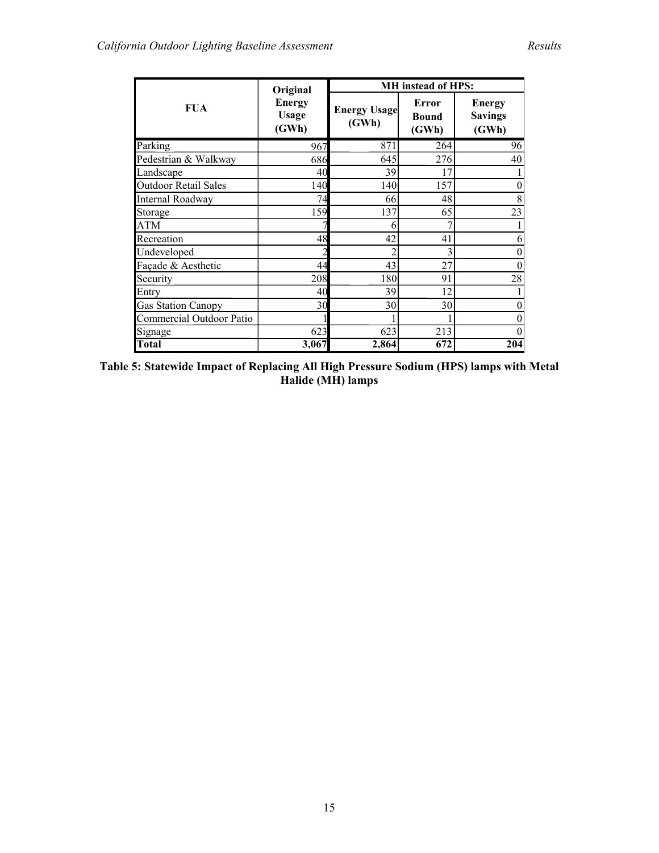|                             | <b>MH</b> instead of HPS:<br>Original  |                              |                                       |                                   |
|-----------------------------|----------------------------------------|------------------------------|---------------------------------------|-----------------------------------|
| <b>FUA</b>                  | <b>Energy</b><br><b>Usage</b><br>(GWh) | <b>Energy Usage</b><br>(GWh) | <b>Error</b><br><b>Bound</b><br>(GWh) | Energy<br><b>Savings</b><br>(GWh) |
| Parking                     | 967                                    | 871                          | 264                                   | 96                                |
| Pedestrian & Walkway        | 686                                    | 645                          | 276                                   | 40                                |
| Landscape                   | 40                                     | 39                           | 17                                    |                                   |
| <b>Outdoor Retail Sales</b> | 140                                    | 140                          | 157                                   | $\theta$                          |
| <b>Internal Roadway</b>     | 74                                     | 66                           | 48                                    | 8                                 |
| Storage                     | 159                                    | 137                          | 65                                    | 23                                |
| <b>ATM</b>                  |                                        | 6                            |                                       |                                   |
| Recreation                  | 48                                     | 42                           | 41                                    | 6                                 |
| Undeveloped                 |                                        |                              | 3                                     | $\boldsymbol{0}$                  |
| Façade & Aesthetic          | 44                                     | 43                           | 27                                    | $\theta$                          |
| Security                    | 208                                    | 180                          | 91                                    | 28                                |
| Entry                       | 40                                     | 39                           | 12                                    |                                   |
| <b>Gas Station Canopy</b>   | 30                                     | 30                           | 30                                    | $\boldsymbol{0}$                  |
| Commercial Outdoor Patio    |                                        |                              |                                       | $\boldsymbol{0}$                  |
| Signage                     | 623                                    | 623                          | 213                                   | $\boldsymbol{0}$                  |
| Total                       | 3,067                                  | 2,864                        | 672                                   | 204                               |

**Table 5: Statewide Impact of Replacing All High Pressure Sodium (HPS) lamps with Metal Halide (MH) lamps**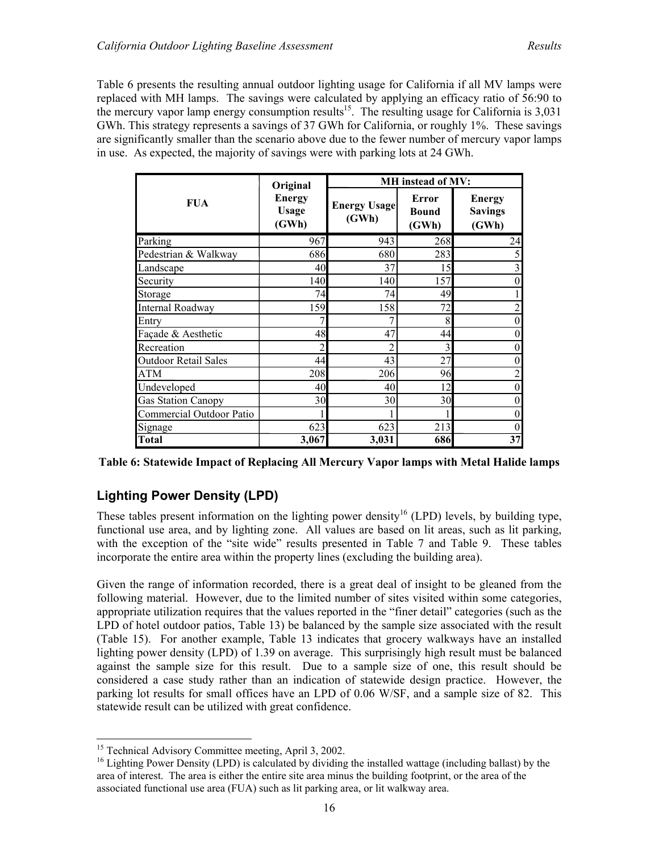Table 6 presents the resulting annual outdoor lighting usage for California if all MV lamps were replaced with MH lamps. The savings were calculated by applying an efficacy ratio of 56:90 to the mercury vapor lamp energy consumption results<sup>15</sup>. The resulting usage for California is  $3,031$ GWh. This strategy represents a savings of 37 GWh for California, or roughly 1%. These savings are significantly smaller than the scenario above due to the fewer number of mercury vapor lamps in use. As expected, the majority of savings were with parking lots at 24 GWh.

|                           | Original                                                               | <b>MH</b> instead of MV:              |                                          |                  |
|---------------------------|------------------------------------------------------------------------|---------------------------------------|------------------------------------------|------------------|
| <b>FUA</b>                | <b>Energy</b><br><b>Energy Usage</b><br><b>Usage</b><br>(GWh)<br>(GWh) | <b>Error</b><br><b>Bound</b><br>(GWh) | <b>Energy</b><br><b>Savings</b><br>(GWh) |                  |
| Parking                   | 967                                                                    | 943                                   | 268                                      | 24               |
| Pedestrian & Walkway      | 686                                                                    | 680                                   | 283                                      | 5                |
| Landscape                 | 40                                                                     | 37                                    | 15                                       | 3                |
| Security                  | 140                                                                    | 140                                   | 157                                      | $\boldsymbol{0}$ |
| Storage                   | 74                                                                     | 74                                    | 49                                       |                  |
| Internal Roadway          | 159                                                                    | 158                                   | 72                                       | $\overline{2}$   |
| Entry                     |                                                                        |                                       | 8                                        | $\boldsymbol{0}$ |
| Façade & Aesthetic        | 48                                                                     | 47                                    | 44                                       | $\boldsymbol{0}$ |
| Recreation                | 2                                                                      | $\overline{\mathcal{L}}$              | 3                                        | $\boldsymbol{0}$ |
| Outdoor Retail Sales      | 44                                                                     | 43                                    | 27                                       | $\boldsymbol{0}$ |
| <b>ATM</b>                | 208                                                                    | 206                                   | 96                                       | $\overline{c}$   |
| Undeveloped               | 40                                                                     | 40                                    | 12                                       | $\boldsymbol{0}$ |
| <b>Gas Station Canopy</b> | 30                                                                     | 30                                    | 30 <sup>l</sup>                          | $\boldsymbol{0}$ |
| Commercial Outdoor Patio  |                                                                        |                                       |                                          | $\boldsymbol{0}$ |
| Signage                   | 623                                                                    | 623                                   | 213                                      | $\boldsymbol{0}$ |
| Total                     | 3,067                                                                  | 3,031                                 | 686                                      | 37               |

**Table 6: Statewide Impact of Replacing All Mercury Vapor lamps with Metal Halide lamps** 

### **Lighting Power Density (LPD)**

These tables present information on the lighting power density<sup>16</sup> (LPD) levels, by building type, functional use area, and by lighting zone. All values are based on lit areas, such as lit parking, with the exception of the "site wide" results presented in Table 7 and Table 9. These tables incorporate the entire area within the property lines (excluding the building area).

Given the range of information recorded, there is a great deal of insight to be gleaned from the following material. However, due to the limited number of sites visited within some categories, appropriate utilization requires that the values reported in the "finer detail" categories (such as the LPD of hotel outdoor patios, Table 13) be balanced by the sample size associated with the result (Table 15). For another example, Table 13 indicates that grocery walkways have an installed lighting power density (LPD) of 1.39 on average. This surprisingly high result must be balanced against the sample size for this result. Due to a sample size of one, this result should be considered a case study rather than an indication of statewide design practice. However, the parking lot results for small offices have an LPD of 0.06 W/SF, and a sample size of 82. This statewide result can be utilized with great confidence.

l

<sup>&</sup>lt;sup>15</sup> Technical Advisory Committee meeting, April 3, 2002.<br><sup>16</sup> Lighting Power Density (LPD) is calculated by dividing the installed wattage (including ballast) by the area of interest. The area is either the entire site area minus the building footprint, or the area of the associated functional use area (FUA) such as lit parking area, or lit walkway area.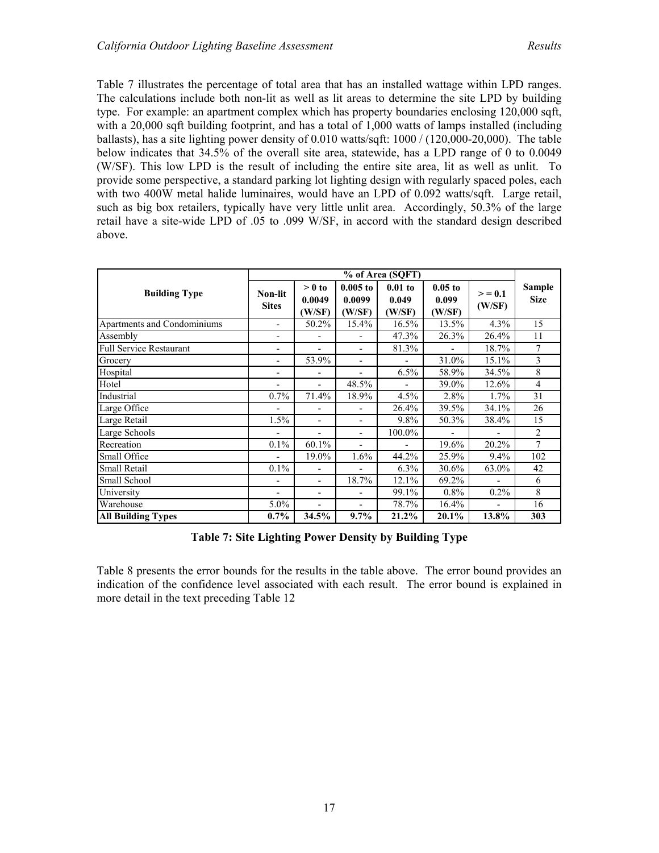Table 7 illustrates the percentage of total area that has an installed wattage within LPD ranges. The calculations include both non-lit as well as lit areas to determine the site LPD by building type. For example: an apartment complex which has property boundaries enclosing 120,000 sqft, with a 20,000 sqft building footprint, and has a total of 1,000 watts of lamps installed (including ballasts), has a site lighting power density of 0.010 watts/sqft: 1000 / (120,000-20,000). The table below indicates that 34.5% of the overall site area, statewide, has a LPD range of 0 to 0.0049 (W/SF). This low LPD is the result of including the entire site area, lit as well as unlit. To provide some perspective, a standard parking lot lighting design with regularly spaced poles, each with two 400W metal halide luminaires, would have an LPD of 0.092 watts/sqft. Large retail, such as big box retailers, typically have very little unlit area. Accordingly, 50.3% of the large retail have a site-wide LPD of .05 to .099 W/SF, in accord with the standard design described above.

|                                |                          |                              |                                | % of Area (SQFT)             |                              |                          |                              |
|--------------------------------|--------------------------|------------------------------|--------------------------------|------------------------------|------------------------------|--------------------------|------------------------------|
| <b>Building Type</b>           | Non-lit<br><b>Sites</b>  | $> 0$ to<br>0.0049<br>(W/SF) | $0.005$ to<br>0.0099<br>(W/SF) | $0.01$ to<br>0.049<br>(W/SF) | $0.05$ to<br>0.099<br>(W/SF) | > 0.1<br>(W/SF)          | <b>Sample</b><br><b>Size</b> |
| Apartments and Condominiums    |                          | 50.2%                        | 15.4%                          | 16.5%                        | 13.5%                        | 4.3%                     | 15                           |
| Assembly                       | -                        | -                            | $\overline{\phantom{a}}$       | 47.3%                        | $26.3\%$                     | 26.4%                    | 11                           |
| <b>Full Service Restaurant</b> | $\overline{\phantom{0}}$ | -                            | $\overline{\phantom{a}}$       | 81.3%                        |                              | 18.7%                    | 7                            |
| Grocery                        | -                        | 53.9%                        | $\overline{\phantom{a}}$       |                              | 31.0%                        | 15.1%                    | 3                            |
| Hospital                       |                          |                              | $\blacksquare$                 | 6.5%                         | 58.9%                        | 34.5%                    | 8                            |
| Hotel                          | $\overline{a}$           | $\blacksquare$               | 48.5%                          | $\overline{a}$               | 39.0%                        | 12.6%                    | 4                            |
| Industrial                     | 0.7%                     | 71.4%                        | 18.9%                          | 4.5%                         | 2.8%                         | 1.7%                     | 31                           |
| Large Office                   |                          | -                            | $\overline{\phantom{a}}$       | 26.4%                        | 39.5%                        | 34.1%                    | 26                           |
| Large Retail                   | 1.5%                     | ۰                            | $\overline{\phantom{a}}$       | 9.8%                         | 50.3%                        | 38.4%                    | 15                           |
| Large Schools                  | $\overline{a}$           | -                            | $\overline{\phantom{a}}$       | 100.0%                       | $\blacksquare$               | $\overline{\phantom{0}}$ | $\overline{c}$               |
| Recreation                     | $0.1\%$                  | 60.1%                        | $\overline{\phantom{a}}$       | $\overline{a}$               | 19.6%                        | 20.2%                    | 7                            |
| Small Office                   |                          | 19.0%                        | 1.6%                           | 44.2%                        | 25.9%                        | 9.4%                     | 102                          |
| <b>Small Retail</b>            | 0.1%                     | $\overline{\phantom{a}}$     | $\overline{\phantom{0}}$       | 6.3%                         | 30.6%                        | 63.0%                    | 42                           |
| Small School                   | $\blacksquare$           | -                            | 18.7%                          | 12.1%                        | 69.2%                        |                          | 6                            |
| University                     |                          | -                            | $\overline{\phantom{a}}$       | 99.1%                        | $0.8\%$                      | 0.2%                     | 8                            |
| Warehouse                      | 5.0%                     | ۰                            | $\blacksquare$                 | 78.7%                        | 16.4%                        |                          | 16                           |
| <b>All Building Types</b>      | $0.7\%$                  | 34.5%                        | $9.7\%$                        | 21.2%                        | 20.1%                        | 13.8%                    | 303                          |

**Table 7: Site Lighting Power Density by Building Type** 

Table 8 presents the error bounds for the results in the table above. The error bound provides an indication of the confidence level associated with each result. The error bound is explained in more detail in the text preceding Table 12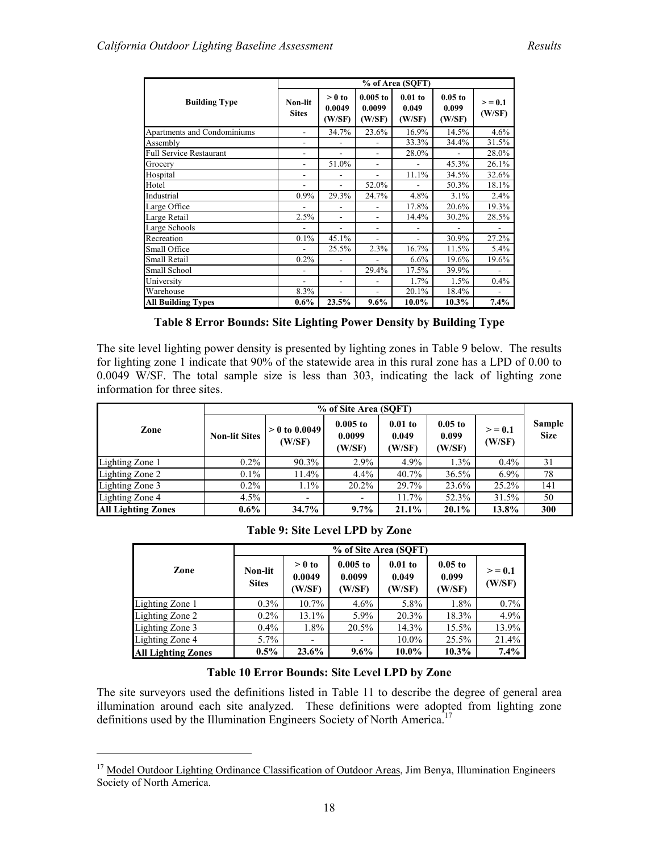|                                |                              |                              |                                | % of Area (SQFT)             |                              |                 |
|--------------------------------|------------------------------|------------------------------|--------------------------------|------------------------------|------------------------------|-----------------|
| <b>Building Type</b>           | Non-lit<br><b>Sites</b>      | $> 0$ to<br>0.0049<br>(W/SF) | $0.005$ to<br>0.0099<br>(W/SF) | $0.01$ to<br>0.049<br>(W/SF) | $0.05$ to<br>0.099<br>(W/SF) | > 0.1<br>(W/SF) |
| Apartments and Condominiums    |                              | 34.7%                        | 23.6%                          | 16.9%                        | 14.5%                        | 4.6%            |
| Assembly                       | ٠                            |                              |                                | 33.3%                        | 34.4%                        | 31.5%           |
| <b>Full Service Restaurant</b> | $\qquad \qquad \blacksquare$ |                              |                                | 28.0%                        |                              | 28.0%           |
| Grocery                        | ٠                            | 51.0%                        | ٠                              | ۰                            | 45.3%                        | 26.1%           |
| Hospital                       | ۰                            |                              |                                | 11.1%                        | 34.5%                        | 32.6%           |
| Hotel                          | ٠                            | $\overline{a}$               | 52.0%                          |                              | 50.3%                        | 18.1%           |
| Industrial                     | 0.9%                         | 29.3%                        | 24.7%                          | 4.8%                         | 3.1%                         | 2.4%            |
| Large Office                   | ۰                            | ۰                            |                                | 17.8%                        | 20.6%                        | 19.3%           |
| Large Retail                   | 2.5%                         |                              |                                | 14.4%                        | 30.2%                        | 28.5%           |
| Large Schools                  |                              | ۰                            |                                |                              |                              |                 |
| Recreation                     | 0.1%                         | 45.1%                        | $\overline{\phantom{a}}$       | $\blacksquare$               | 30.9%                        | 27.2%           |
| Small Office                   | ٠                            | 25.5%                        | 2.3%                           | 16.7%                        | 11.5%                        | 5.4%            |
| Small Retail                   | $0.2\%$                      |                              |                                | 6.6%                         | 19.6%                        | 19.6%           |
| Small School                   | $\qquad \qquad \blacksquare$ | ۰                            | 29.4%                          | 17.5%                        | 39.9%                        |                 |
| University                     | ۰                            |                              |                                | 1.7%                         | 1.5%                         | $0.4\%$         |
| Warehouse                      | 8.3%                         |                              |                                | 20.1%                        | 18.4%                        |                 |
| <b>All Building Types</b>      | $0.6\%$                      | 23.5%                        | 9.6%                           | 10.0%                        | 10.3%                        | 7.4%            |

**Table 8 Error Bounds: Site Lighting Power Density by Building Type** 

The site level lighting power density is presented by lighting zones in Table 9 below. The results for lighting zone 1 indicate that 90% of the statewide area in this rural zone has a LPD of 0.00 to 0.0049 W/SF. The total sample size is less than 303, indicating the lack of lighting zone information for three sites.

|                           |                      |                           | % of Site Area (SQFT)          |                              |                              |                 |                              |
|---------------------------|----------------------|---------------------------|--------------------------------|------------------------------|------------------------------|-----------------|------------------------------|
| Zone                      | <b>Non-lit Sites</b> | $> 0$ to 0.0049<br>(W/SF) | $0.005$ to<br>0.0099<br>(W/SF) | $0.01$ to<br>0.049<br>(W/SF) | $0.05$ to<br>0.099<br>(W/SF) | > 0.1<br>(W/SF) | <b>Sample</b><br><b>Size</b> |
| Lighting Zone 1           | $0.2\%$              | 90.3%                     | $2.9\%$                        | 4.9%                         | $1.3\%$                      | $0.4\%$         | 31                           |
| Lighting Zone 2           | $0.1\%$              | 11.4%                     | $4.4\%$                        | 40.7%                        | 36.5%                        | $6.9\%$         | 78                           |
| Lighting Zone 3           | $0.2\%$              | $1.1\%$                   | 20.2%                          | 29.7%                        | 23.6%                        | $25.2\%$        | 141                          |
| Lighting Zone 4           | 4.5%                 |                           |                                | 11.7%                        | 52.3%                        | 31.5%           | 50                           |
| <b>All Lighting Zones</b> | $0.6\%$              | 34.7%                     | $9.7\%$                        | $21.1\%$                     | $20.1\%$                     | 13.8%           | 300                          |

#### **Table 9: Site Level LPD by Zone**

|                           |                         | % of Site Area (SQFT)        |                                |                              |                              |                 |  |  |  |  |  |
|---------------------------|-------------------------|------------------------------|--------------------------------|------------------------------|------------------------------|-----------------|--|--|--|--|--|
| Zone                      | Non-lit<br><b>Sites</b> | $> 0$ to<br>0.0049<br>(W/SF) | $0.005$ to<br>0.0099<br>(W/SF) | $0.01$ to<br>0.049<br>(W/SF) | $0.05$ to<br>0.099<br>(W/SF) | > 0.1<br>(W/SF) |  |  |  |  |  |
| Lighting Zone 1           | $0.3\%$                 | $10.7\%$                     | 4.6%                           | 5.8%                         | 1.8%                         | 0.7%            |  |  |  |  |  |
| Lighting Zone 2           | $0.2\%$                 | 13.1%                        | $5.9\%$                        | 20.3%                        | 18.3%                        | 4.9%            |  |  |  |  |  |
| Lighting Zone 3           | $0.4\%$                 | 1.8%                         | 20.5%                          | 14.3%                        | 15.5%                        | 13.9%           |  |  |  |  |  |
| Lighting Zone 4           | $5.7\%$                 |                              |                                | 10.0%                        | 25.5%                        | 21.4%           |  |  |  |  |  |
| <b>All Lighting Zones</b> | $0.5\%$                 | 23.6%                        | $9.6\%$                        | $10.0\%$                     | $10.3\%$                     | $7.4\%$         |  |  |  |  |  |

#### **Table 10 Error Bounds: Site Level LPD by Zone**

The site surveyors used the definitions listed in Table 11 to describe the degree of general area illumination around each site analyzed. These definitions were adopted from lighting zone definitions used by the Illumination Engineers Society of North America.<sup>17</sup>

-

<sup>&</sup>lt;sup>17</sup> Model Outdoor Lighting Ordinance Classification of Outdoor Areas, Jim Benya, Illumination Engineers Society of North America.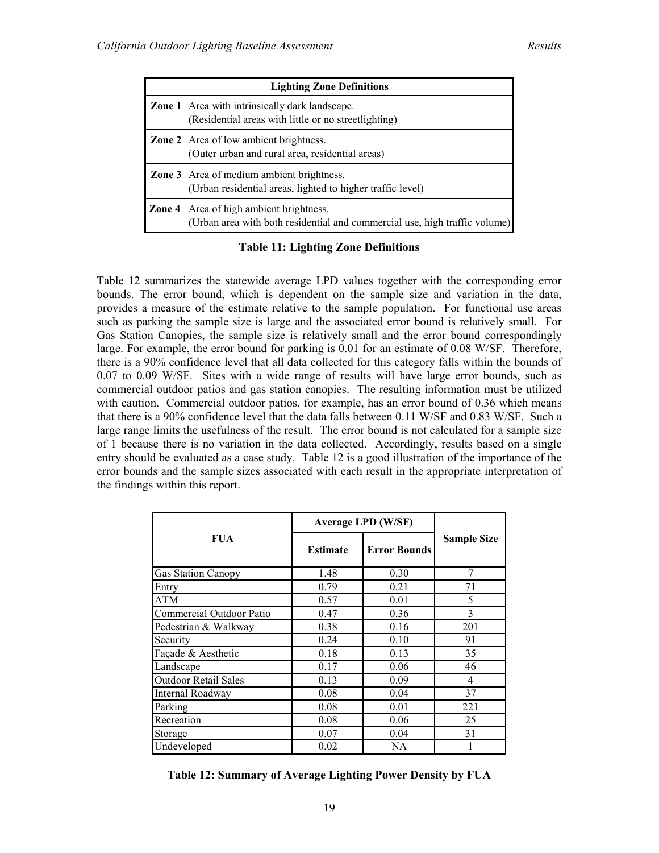| <b>Lighting Zone Definitions</b>                                                                                             |
|------------------------------------------------------------------------------------------------------------------------------|
| <b>Zone 1</b> Area with intrinsically dark landscape.<br>(Residential areas with little or no streetlighting)                |
| <b>Zone 2</b> Area of low ambient brightness.<br>(Outer urban and rural area, residential areas)                             |
| <b>Zone 3</b> Area of medium ambient brightness.<br>(Urban residential areas, lighted to higher traffic level)               |
| <b>Zone 4</b> Area of high ambient brightness.<br>(Urban area with both residential and commercial use, high traffic volume) |

**Table 11: Lighting Zone Definitions** 

Table 12 summarizes the statewide average LPD values together with the corresponding error bounds. The error bound, which is dependent on the sample size and variation in the data, provides a measure of the estimate relative to the sample population. For functional use areas such as parking the sample size is large and the associated error bound is relatively small. For Gas Station Canopies, the sample size is relatively small and the error bound correspondingly large. For example, the error bound for parking is 0.01 for an estimate of 0.08 W/SF. Therefore, there is a 90% confidence level that all data collected for this category falls within the bounds of 0.07 to 0.09 W/SF. Sites with a wide range of results will have large error bounds, such as commercial outdoor patios and gas station canopies. The resulting information must be utilized with caution. Commercial outdoor patios, for example, has an error bound of 0.36 which means that there is a 90% confidence level that the data falls between 0.11 W/SF and 0.83 W/SF. Such a large range limits the usefulness of the result. The error bound is not calculated for a sample size of 1 because there is no variation in the data collected. Accordingly, results based on a single entry should be evaluated as a case study. Table 12 is a good illustration of the importance of the error bounds and the sample sizes associated with each result in the appropriate interpretation of the findings within this report.

|                             |                 | <b>Average LPD (W/SF)</b> |                    |
|-----------------------------|-----------------|---------------------------|--------------------|
| FUA                         | <b>Estimate</b> | <b>Error Bounds</b>       | <b>Sample Size</b> |
| <b>Gas Station Canopy</b>   | 1.48            | 0.30                      | 7                  |
| Entry                       | 0.79            | 0.21                      | 71                 |
| ATM                         | 0.57            | 0.01                      | 5                  |
| Commercial Outdoor Patio    | 0.47            | 0.36                      | 3                  |
| Pedestrian & Walkway        | 0.38            | 0.16                      | 201                |
| Security                    | 0.24            | 0.10                      | 91                 |
| Façade & Aesthetic          | 0.18            | 0.13                      | 35                 |
| Landscape                   | 0.17            | 0.06                      | 46                 |
| <b>Outdoor Retail Sales</b> | 0.13            | 0.09                      | 4                  |
| Internal Roadway            | 0.08            | 0.04                      | 37                 |
| Parking                     | 0.08            | 0.01                      | 221                |
| Recreation                  | 0.08            | 0.06                      | 25                 |
| Storage                     | 0.07            | 0.04                      | 31                 |
| Undeveloped                 | 0.02            | NA                        |                    |

**Table 12: Summary of Average Lighting Power Density by FUA**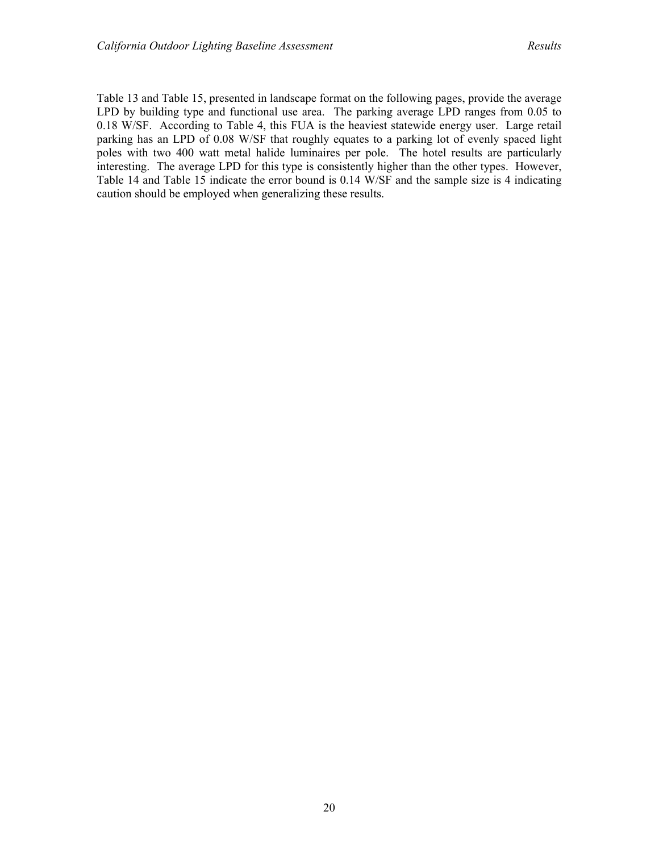Table 13 and Table 15, presented in landscape format on the following pages, provide the average LPD by building type and functional use area. The parking average LPD ranges from 0.05 to 0.18 W/SF. According to Table 4, this FUA is the heaviest statewide energy user. Large retail parking has an LPD of 0.08 W/SF that roughly equates to a parking lot of evenly spaced light poles with two 400 watt metal halide luminaires per pole. The hotel results are particularly interesting. The average LPD for this type is consistently higher than the other types. However, Table 14 and Table 15 indicate the error bound is 0.14 W/SF and the sample size is 4 indicating caution should be employed when generalizing these results.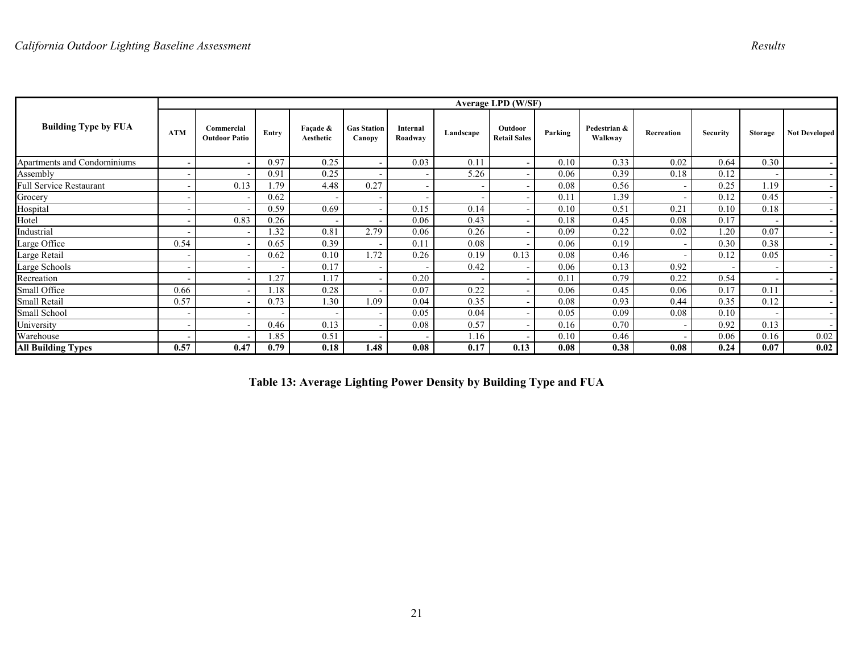|                                |            |                                    |       |                       |                              |                          |                          | <b>Average LPD (W/SF)</b>      |         |                         |                          |                 |                |                      |
|--------------------------------|------------|------------------------------------|-------|-----------------------|------------------------------|--------------------------|--------------------------|--------------------------------|---------|-------------------------|--------------------------|-----------------|----------------|----------------------|
| <b>Building Type by FUA</b>    | <b>ATM</b> | Commercial<br><b>Outdoor Patio</b> | Entry | Façade &<br>Aesthetic | <b>Gas Station</b><br>Canopy | Internal<br>Roadway      | Landscape                | Outdoor<br><b>Retail Sales</b> | Parking | Pedestrian &<br>Walkway | Recreation               | <b>Security</b> | <b>Storage</b> | <b>Not Developed</b> |
| Apartments and Condominiums    |            |                                    | 0.97  | 0.25                  |                              | 0.03                     | 0.11                     |                                | 0.10    | 0.33                    | 0.02                     | 0.64            | 0.30           |                      |
| Assembly                       |            |                                    | 0.91  | 0.25                  |                              |                          | 5.26                     |                                | 0.06    | 0.39                    | 0.18                     | 0.12            |                | $\sim$               |
| <b>Full Service Restaurant</b> |            | 0.13                               | 1.79  | 4.48                  | 0.27                         | $\overline{\phantom{a}}$ | $\overline{\phantom{a}}$ |                                | 0.08    | 0.56                    |                          | 0.25            | 1.19           | $\sim$               |
| Grocery                        |            |                                    | 0.62  |                       |                              |                          | $\overline{\phantom{a}}$ |                                | 0.11    | .39                     |                          | 0.12            | 0.45           | $\sim$               |
| Hospital                       |            |                                    | 0.59  | 0.69                  |                              | 0.15                     | 0.14                     |                                | 0.10    | 0.51                    | 0.21                     | 0.10            | 0.18           | $\sim$               |
| Hotel                          |            | 0.83                               | 0.26  |                       |                              | 0.06                     | 0.43                     |                                | 0.18    | 0.45                    | 0.08                     | 0.17            |                | $\sim$               |
| Industrial                     |            |                                    | 1.32  | 0.81                  | 2.79                         | 0.06                     | 0.26                     |                                | 0.09    | 0.22                    | 0.02                     | 1.20            | 0.07           | $\sim$               |
| Large Office                   | 0.54       |                                    | 0.65  | 0.39                  |                              | 0.1                      | 0.08                     |                                | 0.06    | 0.19                    |                          | 0.30            | 0.38           |                      |
| Large Retail                   |            |                                    | 0.62  | 0.10                  | 1.72                         | 0.26                     | 0.19                     | 0.13                           | 0.08    | 0.46                    |                          | 0.12            | 0.05           | $\sim$               |
| Large Schools                  |            |                                    |       | 0.17                  |                              |                          | 0.42                     |                                | 0.06    | 0.13                    | 0.92                     |                 |                | $\sim$               |
| Recreation                     |            |                                    | 1.27  | 1.17                  |                              | 0.20                     | $\overline{\phantom{0}}$ |                                | 0.11    | 0.79                    | 0.22                     | 0.54            |                | $\sim$               |
| Small Office                   | 0.66       |                                    | 1.18  | 0.28                  |                              | 0.07                     | 0.22                     | $\overline{\phantom{0}}$       | 0.06    | 0.45                    | 0.06                     | 0.17            | 0.11           | $\sim$               |
| Small Retail                   | 0.57       |                                    | 0.73  | 1.30                  | 1.09                         | 0.04                     | 0.35                     |                                | 0.08    | 0.93                    | 0.44                     | 0.35            | 0.12           | $\sim$               |
| Small School                   |            |                                    |       |                       |                              | 0.05                     | 0.04                     |                                | 0.05    | 0.09                    | 0.08                     | 0.10            |                |                      |
| University                     |            |                                    | 0.46  | 0.13                  |                              | 0.08                     | 0.57                     |                                | 0.16    | 0.70                    | $\overline{\phantom{a}}$ | 0.92            | 0.13           | $\sim$               |
| Warehouse                      |            |                                    | 1.85  | 0.51                  |                              |                          | .16                      |                                | 0.10    | 0.46                    |                          | 0.06            | 0.16           | 0.02                 |
| <b>All Building Types</b>      | 0.57       | 0.47                               | 0.79  | 0.18                  | 1.48                         | 0.08                     | 0.17                     | 0.13                           | 0.08    | 0.38                    | 0.08                     | 0.24            | 0.07           | 0.02                 |

**Table 13: Average Lighting Power Density by Building Type and FUA**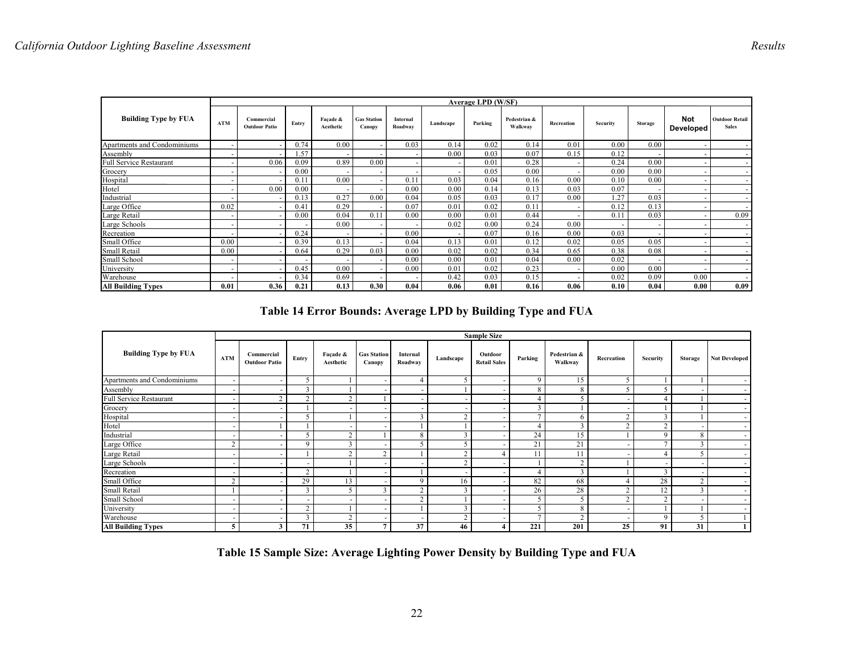|                                    |            |                                    |       |                              |                              |                     |           | <b>Average LPD (W/SF)</b> |                         |            |          |                |                          |                                       |
|------------------------------------|------------|------------------------------------|-------|------------------------------|------------------------------|---------------------|-----------|---------------------------|-------------------------|------------|----------|----------------|--------------------------|---------------------------------------|
| <b>Building Type by FUA</b>        | <b>ATM</b> | Commercial<br><b>Outdoor Patio</b> | Entry | Facade &<br><b>Aesthetic</b> | <b>Gas Station</b><br>Canopy | Internal<br>Roadway | Landscape | Parking                   | Pedestrian &<br>Walkway | Recreation | Security | <b>Storage</b> | <b>Not</b><br>Developed  | <b>Outdoor Retail</b><br><b>Sales</b> |
| <b>Apartments and Condominiums</b> |            | $\sim$                             | 0.74  | 0.00                         |                              | 0.03                | 0.14      | 0.02                      | 0.14                    | 0.01       | 0.00     | 0.00           |                          |                                       |
| Assembly                           |            |                                    | 1.57  |                              |                              |                     | 0.00      | 0.03                      | 0.07                    | 0.15       | 0.12     |                |                          | $\sim$                                |
| <b>Full Service Restaurant</b>     |            | 0.06                               | 0.09  | 0.89                         | 0.00                         |                     |           | 0.01                      | 0.28                    |            | 0.24     | 0.00           |                          | $\sim$ 1                              |
| Grocery                            |            | $\overline{\phantom{0}}$           | 0.00  |                              | $\overline{\phantom{a}}$     |                     |           | 0.05                      | 0.00                    |            | 0.00     | 0.00           |                          | $\sim$                                |
| Hospital                           |            | $\overline{\phantom{0}}$           | 0.1   | 0.00                         | $\overline{a}$               | 0.1                 | 0.03      | 0.04                      | 0.16                    | 0.00       | 0.10     | 0.00           | $\overline{\phantom{a}}$ | $\sim$                                |
| Hotel                              |            | 0.00                               | 0.00  |                              |                              | 0.00                | 0.00      | 0.14                      | 0.13                    | 0.03       | 0.07     |                |                          | $\overline{\phantom{0}}$              |
| Industrial                         |            | $\sim$                             | 0.13  | 0.27                         | 0.00                         | 0.04                | 0.05      | 0.03                      | 0.17                    | 0.00       | 1.27     | 0.03           |                          | $\sim$                                |
| Large Office                       | 0.02       | $\sim$                             | 0.41  | 0.29                         |                              | 0.07                | 0.01      | 0.02                      | 0.11                    |            | 0.12     | 0.13           |                          | $\sim$                                |
| Large Retail                       |            |                                    | 0.00  | 0.04                         | 0.11                         | 0.00                | 0.00      | 0.01                      | 0.44                    |            | 0.11     | 0.03           |                          | 0.09                                  |
| Large Schools                      |            |                                    |       | 0.00                         |                              |                     | 0.02      | 0.00                      | 0.24                    | 0.00       |          |                |                          | $\sim$                                |
| Recreation                         |            | $\sim$                             | 0.24  |                              |                              | 0.00                |           | 0.07                      | 0.16                    | 0.00       | 0.03     |                |                          | $\sim$ 1                              |
| Small Office                       | 0.00       |                                    | 0.39  | 0.13                         |                              | 0.04                | 0.13      | 0.01                      | 0.12                    | 0.02       | 0.05     | 0.05           |                          | $\sim$                                |
| Small Retail                       | 0.00       | $\sim$                             | 0.64  | 0.29                         | 0.03                         | 0.00                | 0.02      | 0.02                      | 0.34                    | 0.65       | 0.38     | 0.08           |                          | $\sim$                                |
| Small School                       |            |                                    |       |                              |                              | 0.00                | 0.00      | 0.01                      | 0.04                    | 0.00       | 0.02     |                |                          | $\overline{\phantom{0}}$              |
| University                         |            | $\sim$                             | 0.45  | 0.00                         | ٠                            | 0.00                | 0.01      | 0.02                      | 0.23                    |            | 0.00     | 0.00           | $\overline{\phantom{a}}$ | $\sim$                                |
| Warehouse                          |            |                                    | 0.34  | 0.69                         |                              |                     | 0.42      | 0.03                      | 0.15                    |            | 0.02     | 0.09           | 0.00                     | $\sim$                                |
| <b>All Building Types</b>          | 0.01       | 0.36                               | 0.21  | 0.13                         | 0.30                         | 0.04                | 0.06      | 0.01                      | 0.16                    | 0.06       | 0.10     | 0.04           | 0.00                     | 0.09                                  |

**Table 14 Error Bounds: Average LPD by Building Type and FUA** 

|                                |                |                                    |             |                       |                              |                     |                | <b>Sample Size</b>             |                |                         |                   |                 |                |                      |
|--------------------------------|----------------|------------------------------------|-------------|-----------------------|------------------------------|---------------------|----------------|--------------------------------|----------------|-------------------------|-------------------|-----------------|----------------|----------------------|
| <b>Building Type by FUA</b>    | <b>ATM</b>     | Commercial<br><b>Outdoor Patio</b> | Entry       | Façade &<br>Aesthetic | <b>Gas Station</b><br>Canopy | Internal<br>Roadway | Landscape      | Outdoor<br><b>Retail Sales</b> | Parking        | Pedestrian &<br>Walkway | Recreation        | <b>Security</b> | <b>Storage</b> | <b>Not Developed</b> |
| Apartments and Condominiums    |                |                                    | 5           |                       |                              |                     | 5              |                                | 9              | 15                      |                   |                 |                |                      |
| Assembly                       |                |                                    | $\sim$      |                       |                              |                     |                | $\overline{a}$                 | 8              | 8                       |                   |                 |                | $\sim$               |
| <b>Full Service Restaurant</b> |                | $\mathcal{L}$                      | $\sim$      | $\sim$                |                              |                     | ۰              | ۰                              | $\overline{4}$ |                         |                   |                 |                | $\sim$               |
| Grocery                        |                |                                    |             |                       |                              |                     | $\sim$         | $\overline{a}$                 | $\overline{3}$ |                         |                   |                 |                | $\sim$               |
| Hospital                       |                |                                    |             |                       |                              |                     | 2              | $\overline{\phantom{a}}$       | $\overline{ }$ | 6                       | $\mathbf{\hat{}}$ | 3               |                | $\sim$               |
| Hotel                          |                |                                    |             |                       | -                            |                     |                | $\overline{\phantom{a}}$       | $\overline{4}$ |                         | $\sim$            | $\sim$          |                | $\sim$               |
| Industrial                     |                |                                    |             | $\sim$                |                              | 8                   | 3              | ۰                              | 24             | 15                      |                   | $\Omega$        | 8              | $\sim$               |
| Large Office                   | $\mathcal{L}$  |                                    | $\mathbf Q$ | 3                     | -                            |                     | 5              | $\overline{\phantom{a}}$       | 21             | 21                      |                   |                 |                | $\sim$               |
| Large Retail                   |                |                                    |             | $\sim$                | $\sim$                       |                     | $\sim$<br>∠    |                                | 11             | 11                      |                   |                 |                | $\sim$               |
| Large Schools                  |                |                                    |             |                       |                              |                     | $\overline{c}$ | $\overline{a}$                 |                | $\mathbf{\hat{}}$       |                   |                 |                | $\sim$               |
| Recreation                     |                |                                    | $\sim$      |                       | $\overline{\phantom{a}}$     |                     | $\sim$         | $\overline{a}$                 | $\overline{4}$ | $\sim$                  |                   | 3               |                | $\sim$               |
| Small Office                   | $\overline{2}$ |                                    | 29          | 13                    | -                            | $\Omega$            | 16             |                                | 82             | 68                      |                   | 28              |                | $\sim$               |
| Small Retail                   |                |                                    | 3           | -                     | $\mathbf{3}$                 |                     | 3              | -                              | 26             | 28                      | $\sim$            | 12              |                | $\sim$               |
| Small School                   |                |                                    |             |                       |                              |                     |                | $\overline{a}$                 | 5              |                         | $\sim$            | $\sim$          |                | $\sim$               |
| University                     |                |                                    | $\sim$      |                       |                              |                     | 3              | ۰                              | 5              | 8                       |                   |                 |                | $\sim$               |
| Warehouse                      |                |                                    | $\sim$      | $\sim$                | -                            |                     | $\sim$<br>∠    |                                | $\overline{ }$ | $\sim$                  |                   | $\Omega$        |                |                      |
| <b>All Building Types</b>      | 5              | 3                                  | 71          | 35                    | $\mathbf{r}$                 | 37                  | 46             | $\overline{\mathbf{4}}$        | 221            | 201                     | 25                | 91              | 31             |                      |

**Table 15 Sample Size: Average Lighting Power Density by Building Type and FUA**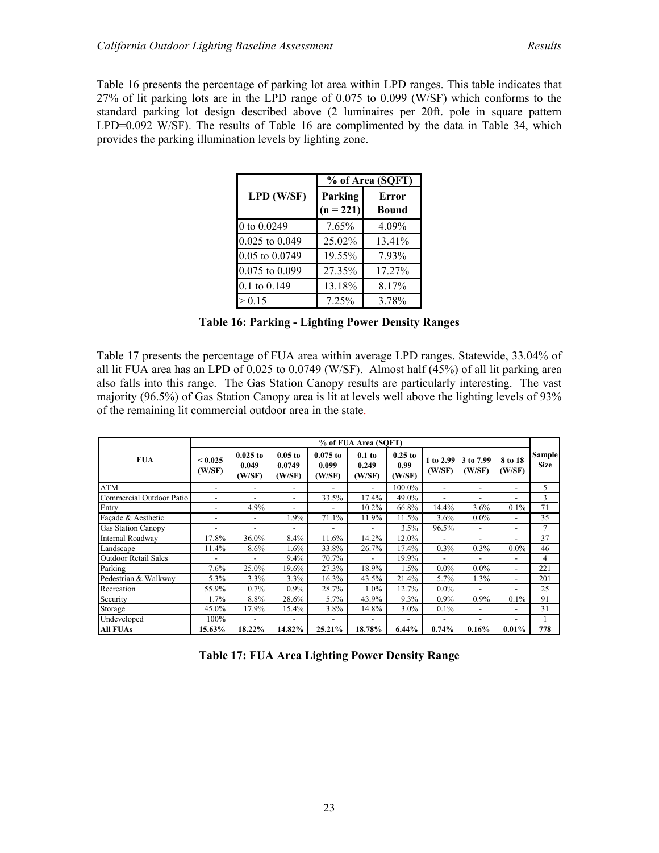Table 16 presents the percentage of parking lot area within LPD ranges. This table indicates that 27% of lit parking lots are in the LPD range of 0.075 to 0.099 (W/SF) which conforms to the standard parking lot design described above (2 luminaires per 20ft. pole in square pattern LPD=0.092 W/SF). The results of Table 16 are complimented by the data in Table 34, which provides the parking illumination levels by lighting zone.

|                    |                        | % of Area (SQFT)      |
|--------------------|------------------------|-----------------------|
| LPD (W/SF)         | Parking<br>$(n = 221)$ | Error<br><b>Bound</b> |
| 0 to 0.0249        | 7.65%                  | 4.09%                 |
| $0.025$ to $0.049$ | 25.02%                 | 13.41%                |
| 0.05 to 0.0749     | 19.55%                 | 7.93%                 |
| $0.075$ to $0.099$ | 27.35%                 | 17.27%                |
| 0.1 to 0.149       | 13.18%                 | 8.17%                 |
| > 0.15             | 7.25%                  | 3.78%                 |

**Table 16: Parking - Lighting Power Density Ranges** 

Table 17 presents the percentage of FUA area within average LPD ranges. Statewide, 33.04% of all lit FUA area has an LPD of 0.025 to 0.0749 (W/SF). Almost half (45%) of all lit parking area also falls into this range. The Gas Station Canopy results are particularly interesting. The vast majority (96.5%) of Gas Station Canopy area is lit at levels well above the lighting levels of 93% of the remaining lit commercial outdoor area in the state.

|                             |                          |                               |                               |                               | % of FUA Area (SOFT)        |                             |                          |                          |                          |                              |
|-----------------------------|--------------------------|-------------------------------|-------------------------------|-------------------------------|-----------------------------|-----------------------------|--------------------------|--------------------------|--------------------------|------------------------------|
| <b>FUA</b>                  | ${}_{0.025}$<br>(W/SF)   | $0.025$ to<br>0.049<br>(W/SF) | $0.05$ to<br>0.0749<br>(W/SF) | $0.075$ to<br>0.099<br>(W/SF) | $0.1$ to<br>0.249<br>(W/SF) | $0.25$ to<br>0.99<br>(W/SF) | 1 to 2.99<br>(W/SF)      | 3 to 7.99<br>(W/SF)      | 8 to 18<br>(W/SF)        | <b>Sample</b><br><b>Size</b> |
| <b>ATM</b>                  | $\overline{\phantom{a}}$ | $\overline{\phantom{0}}$      |                               | $\overline{\phantom{0}}$      | $\overline{\phantom{a}}$    | 100.0%                      | $\overline{\phantom{0}}$ | $\overline{\phantom{0}}$ | $\overline{\phantom{0}}$ | 5                            |
| Commercial Outdoor Patio    | $\overline{\phantom{0}}$ | $\overline{a}$                | $\overline{\phantom{a}}$      | 33.5%                         | 17.4%                       | 49.0%                       | $\overline{\phantom{0}}$ | $\overline{\phantom{a}}$ | $\overline{\phantom{a}}$ | 3                            |
| Entry                       | $\overline{\phantom{0}}$ | 4.9%                          | $\overline{a}$                | $\overline{\phantom{0}}$      | 10.2%                       | 66.8%                       | 14.4%                    | 3.6%                     | 0.1%                     | 71                           |
| Façade & Aesthetic          | $\overline{\phantom{a}}$ |                               | 1.9%                          | 71.1%                         | 11.9%                       | 11.5%                       | $3.6\%$                  | $0.0\%$                  | $\overline{\phantom{0}}$ | 35                           |
| <b>Gas Station Canopy</b>   | $\overline{\phantom{0}}$ | $\overline{a}$                |                               | $\overline{\phantom{0}}$      | $\overline{\phantom{0}}$    | 3.5%                        | 96.5%                    | $\overline{\phantom{0}}$ | ۰                        | 7                            |
| <b>Internal Roadway</b>     | 17.8%                    | 36.0%                         | 8.4%                          | 11.6%                         | 14.2%                       | 12.0%                       | $\overline{\phantom{0}}$ | $\overline{\phantom{0}}$ |                          | 37                           |
| Landscape                   | 11.4%                    | 8.6%                          | 1.6%                          | 33.8%                         | 26.7%                       | 17.4%                       | $0.3\%$                  | 0.3%                     | $0.0\%$                  | 46                           |
| <b>Outdoor Retail Sales</b> | $\overline{\phantom{0}}$ |                               | 9.4%                          | 70.7%                         | $\overline{\phantom{a}}$    | 19.9%                       | $\overline{\phantom{0}}$ | -                        | $\overline{\phantom{0}}$ | 4                            |
| Parking                     | 7.6%                     | 25.0%                         | 19.6%                         | 27.3%                         | 18.9%                       | 1.5%                        | $0.0\%$                  | $0.0\%$                  | ۰                        | 221                          |
| Pedestrian & Walkway        | 5.3%                     | 3.3%                          | 3.3%                          | 16.3%                         | 43.5%                       | 21.4%                       | $5.7\%$                  | 1.3%                     | ۰                        | 201                          |
| Recreation                  | 55.9%                    | 0.7%                          | $0.9\%$                       | 28.7%                         | $1.0\%$                     | 12.7%                       | $0.0\%$                  | $\overline{\phantom{0}}$ | $\overline{\phantom{0}}$ | 25                           |
| Security                    | 1.7%                     | 8.8%                          | 28.6%                         | 5.7%                          | 43.9%                       | 9.3%                        | $0.9\%$                  | $0.9\%$                  | $0.1\%$                  | 91                           |
| Storage                     | 45.0%                    | 17.9%                         | 15.4%                         | 3.8%                          | 14.8%                       | 3.0%                        | $0.1\%$                  | $\overline{\phantom{a}}$ | $\overline{\phantom{a}}$ | 31                           |
| Undeveloped                 | 100%                     |                               |                               |                               |                             | $\overline{\phantom{0}}$    | $\overline{\phantom{0}}$ |                          |                          |                              |
| <b>All FUAs</b>             | 15.63%                   | 18.22%                        | 14.82%                        | 25.21%                        | 18.78%                      | $6.44\%$                    | $0.74\%$                 | $0.16\%$                 | 0.01%                    | 778                          |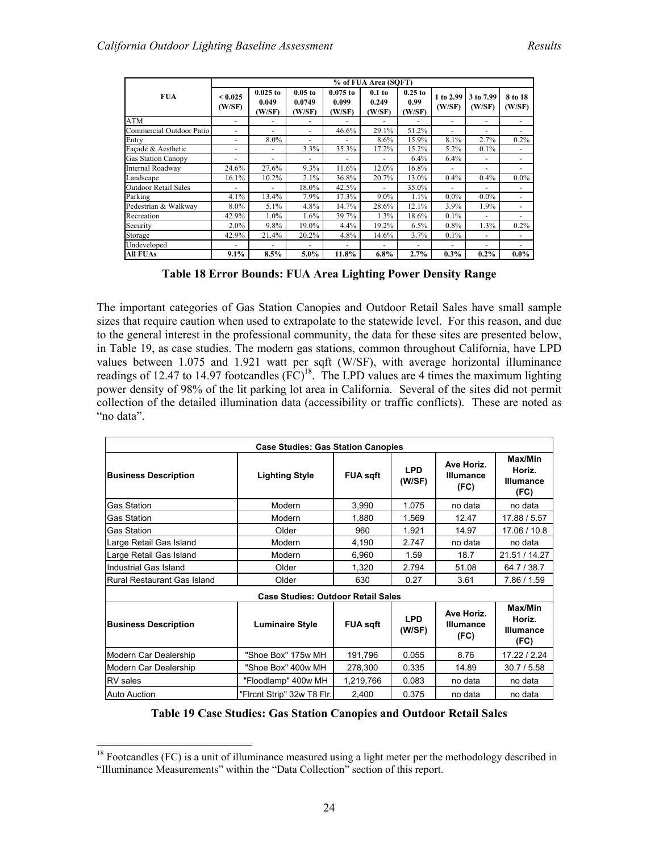|                           | % of FUA Area (SOFT)     |                               |                               |                               |                             |                             |                          |                          |                   |  |  |
|---------------------------|--------------------------|-------------------------------|-------------------------------|-------------------------------|-----------------------------|-----------------------------|--------------------------|--------------------------|-------------------|--|--|
| <b>FUA</b>                | < 0.025<br>(W/SF)        | $0.025$ to<br>0.049<br>(W/SF) | $0.05$ to<br>0.0749<br>(W/SF) | $0.075$ to<br>0.099<br>(W/SF) | $0.1$ to<br>0.249<br>(W/SF) | $0.25$ to<br>0.99<br>(W/SF) | 1 to 2.99<br>(W/SF)      | 3 to 7.99<br>(W/SF)      | 8 to 18<br>(W/SF) |  |  |
| ATM                       | $\overline{\phantom{0}}$ |                               |                               |                               |                             |                             | $\overline{\phantom{0}}$ | $\overline{\phantom{0}}$ |                   |  |  |
| Commercial Outdoor Patio  |                          |                               |                               | 46.6%                         | 29.1%                       | 51.2%                       | ٠                        | -                        |                   |  |  |
| Entry                     | -                        | 8.0%                          | ٠                             |                               | 8.6%                        | 15.9%                       | 8.1%                     | 2.7%                     | $0.2\%$           |  |  |
| Façade & Aesthetic        | -                        |                               | $3.3\%$                       | 35.3%                         | 17.2%                       | 15.2%                       | $5.2\%$                  | $0.1\%$                  |                   |  |  |
| <b>Gas Station Canopy</b> | -                        |                               | -                             |                               |                             | 6.4%                        | 6.4%                     | $\overline{\phantom{a}}$ |                   |  |  |
| <b>Internal Roadway</b>   | 24.6%                    | 27.6%                         | 9.3%                          | 11.6%                         | 12.0%                       | 16.8%                       |                          | $\overline{\phantom{0}}$ |                   |  |  |
| Landscape                 | 16.1%                    | 10.2%                         | 2.1%                          | 36.8%                         | 20.7%                       | 13.0%                       | $0.4\%$                  | 0.4%                     | $0.0\%$           |  |  |
| Outdoor Retail Sales      | -                        |                               | 18.0%                         | 42.5%                         |                             | 35.0%                       |                          | $\overline{\phantom{a}}$ |                   |  |  |
| Parking                   | 4.1%                     | 13.4%                         | 7.9%                          | 17.3%                         | 9.0%                        | 1.1%                        | $0.0\%$                  | $0.0\%$                  |                   |  |  |
| Pedestrian & Walkway      | 8.0%                     | $5.1\%$                       | 4.8%                          | 14.7%                         | 28.6%                       | 12.1%                       | 3.9%                     | 1.9%                     |                   |  |  |
| Recreation                | 42.9%                    | $1.0\%$                       | 1.6%                          | 39.7%                         | 1.3%                        | 18.6%                       | 0.1%                     | $\overline{\phantom{a}}$ |                   |  |  |
| Security                  | 2.0%                     | 9.8%                          | 19.0%                         | 4.4%                          | 19.2%                       | 6.5%                        | $0.8\%$                  | 1.3%                     | $0.2\%$           |  |  |
| Storage                   | 42.9%                    | 21.4%                         | 20.2%                         | 4.8%                          | 14.6%                       | 3.7%                        | 0.1%                     | -                        |                   |  |  |
| Undeveloped               | -                        |                               |                               |                               |                             |                             | ٠                        | -                        |                   |  |  |
| <b>All FUAs</b>           | 9.1%                     | 8.5%                          | 5.0%                          | 11.8%                         | $6.8\%$                     | 2.7%                        | $0.3\%$                  | $0.2\%$                  | $0.0\%$           |  |  |

|  |  |  |  |  |  | Table 18 Error Bounds: FUA Area Lighting Power Density Range |  |
|--|--|--|--|--|--|--------------------------------------------------------------|--|
|  |  |  |  |  |  |                                                              |  |

The important categories of Gas Station Canopies and Outdoor Retail Sales have small sample sizes that require caution when used to extrapolate to the statewide level. For this reason, and due to the general interest in the professional community, the data for these sites are presented below, in Table 19, as case studies. The modern gas stations, common throughout California, have LPD values between 1.075 and 1.921 watt per sqft (W/SF), with average horizontal illuminance readings of 12.47 to 14.97 footcandles  $(FC)^{18}$ . The LPD values are 4 times the maximum lighting power density of 98% of the lit parking lot area in California. Several of the sites did not permit collection of the detailed illumination data (accessibility or traffic conflicts). These are noted as "no data".

| <b>Case Studies: Gas Station Canopies</b> |                            |                 |                      |                                        |                                        |  |  |  |  |  |  |
|-------------------------------------------|----------------------------|-----------------|----------------------|----------------------------------------|----------------------------------------|--|--|--|--|--|--|
| <b>Business Description</b>               | <b>Lighting Style</b>      | <b>FUA saft</b> | <b>LPD</b><br>(W/SF) | Ave Horiz.<br><b>Illumance</b><br>(FC) | Max/Min<br>Horiz.<br>Illumance<br>(FC) |  |  |  |  |  |  |
| Gas Station                               | Modern                     | 3,990           | 1.075                | no data                                | no data                                |  |  |  |  |  |  |
| Gas Station                               | Modern                     | 1,880           | 1.569                | 12.47                                  | 17.88 / 5.57                           |  |  |  |  |  |  |
| Gas Station                               | Older                      | 960             | 1.921                | 14.97                                  | 17.06 / 10.8                           |  |  |  |  |  |  |
| Large Retail Gas Island                   | Modern                     | 4,190           | 2.747                | no data                                | no data                                |  |  |  |  |  |  |
| Large Retail Gas Island                   | Modern                     | 6,960           | 1.59                 | 18.7                                   | 21.51 / 14.27                          |  |  |  |  |  |  |
| Industrial Gas Island                     | Older                      | 1,320           | 2.794                | 51.08                                  | 64.7 / 38.7                            |  |  |  |  |  |  |
| <b>Rural Restaurant Gas Island</b>        | Older                      | 630             | 0.27                 | 3.61                                   | 7.86 / 1.59                            |  |  |  |  |  |  |
| <b>Case Studies: Outdoor Retail Sales</b> |                            |                 |                      |                                        |                                        |  |  |  |  |  |  |
| <b>Business Description</b>               | <b>Luminaire Style</b>     | <b>FUA saft</b> | <b>LPD</b><br>(W/SF) | Ave Horiz.<br><b>Illumance</b><br>(FC) | Max/Min<br>Horiz.<br>Illumance<br>(FC) |  |  |  |  |  |  |
| Modern Car Dealership                     | "Shoe Box" 175w MH         | 191,796         | 0.055                | 8.76                                   | 17.22 / 2.24                           |  |  |  |  |  |  |
| Modern Car Dealership                     | "Shoe Box" 400w MH         | 278,300         | 0.335                | 14.89                                  | 30.7 / 5.58                            |  |  |  |  |  |  |
| RV sales                                  | "Floodlamp" 400w MH        | 1,219,766       | 0.083                | no data                                | no data                                |  |  |  |  |  |  |
| Auto Auction                              | "Fircnt Strip" 32w T8 Fir. | 2,400           | 0.375                | no data                                | no data                                |  |  |  |  |  |  |

**Table 19 Case Studies: Gas Station Canopies and Outdoor Retail Sales** 

1

 $18$  Footcandles (FC) is a unit of illuminance measured using a light meter per the methodology described in "Illuminance Measurements" within the "Data Collection" section of this report.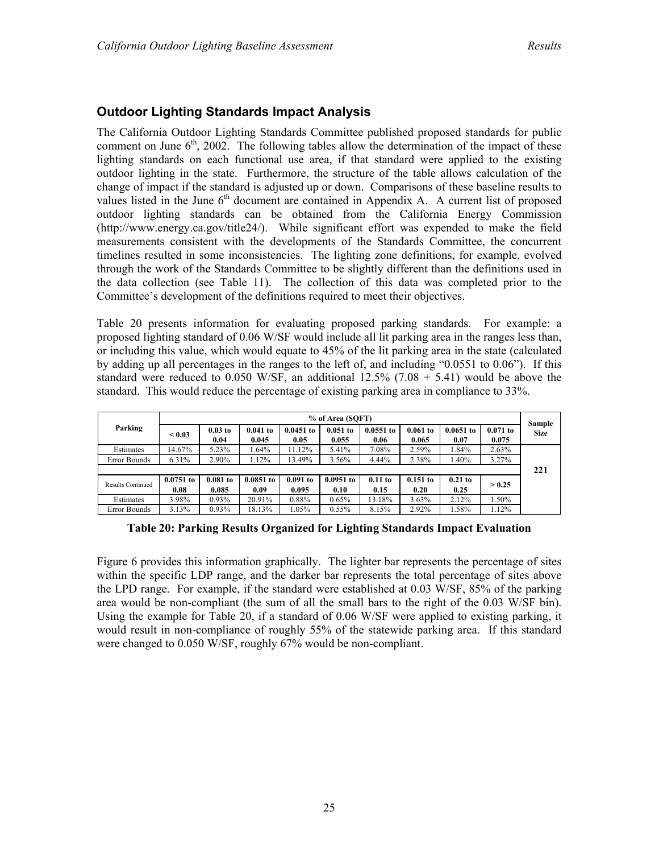## **Outdoor Lighting Standards Impact Analysis**

The California Outdoor Lighting Standards Committee published proposed standards for public comment on June  $6<sup>th</sup>$ , 2002. The following tables allow the determination of the impact of these lighting standards on each functional use area, if that standard were applied to the existing outdoor lighting in the state. Furthermore, the structure of the table allows calculation of the change of impact if the standard is adjusted up or down. Comparisons of these baseline results to values listed in the June  $6<sup>th</sup>$  document are contained in Appendix A. A current list of proposed outdoor lighting standards can be obtained from the California Energy Commission (http://www.energy.ca.gov/title24/). While significant effort was expended to make the field measurements consistent with the developments of the Standards Committee, the concurrent timelines resulted in some inconsistencies. The lighting zone definitions, for example, evolved through the work of the Standards Committee to be slightly different than the definitions used in the data collection (see Table 11). The collection of this data was completed prior to the Committee's development of the definitions required to meet their objectives.

Table 20 presents information for evaluating proposed parking standards. For example: a proposed lighting standard of 0.06 W/SF would include all lit parking area in the ranges less than, or including this value, which would equate to 45% of the lit parking area in the state (calculated by adding up all percentages in the ranges to the left of, and including "0.0551 to 0.06"). If this standard were reduced to  $0.050$  W/SF, an additional 12.5% (7.08 + 5.41) would be above the standard. This would reduce the percentage of existing parking area in compliance to 33%.

|                          |               |                   |                     |                     | % of Area (SOFT)    |                     |                     |                     |                     | Sample      |
|--------------------------|---------------|-------------------|---------------------|---------------------|---------------------|---------------------|---------------------|---------------------|---------------------|-------------|
| Parking                  | ${}_{< 0.03}$ | $0.03$ to<br>0.04 | $0.041$ to<br>0.045 | $0.0451$ to<br>0.05 | $0.051$ to<br>0.055 | $0.0551$ to<br>0.06 | $0.061$ to<br>0.065 | $0.0651$ to<br>0.07 | $0.071$ to<br>0.075 | <b>Size</b> |
| Estimates                | 14.67%        | 5.23%             | 1.64%               | 11.12%              | 5.41%               | 7.08%               | 2.59%               | 1.84%               | 2.63%               |             |
| Error Bounds             | 6.31%         | 2.90%             | 1.12%               | 13.49%              | 3.56%               | 4.44%               | 2.38%               | 1.40%               | 3.27%               |             |
|                          |               |                   |                     |                     |                     |                     |                     |                     |                     | 221         |
| <b>Results Continued</b> | $0.0751$ to   | $0.081$ to        | $0.0851$ to         | $0.091$ to          | $0.0951$ to         | $0.11$ to           | $0.151$ to          | $0.21$ to           |                     |             |
|                          | 0.08          | 0.085             | 0.09                | 0.095               | 0.10                | 0.15                | 0.20                | 0.25                | > 0.25              |             |
| Estimates                | 3.98%         | $0.93\%$          | 20.91%              | 0.88%               | 0.65%               | 13.18%              | $3.63\%$            | 2.12%               | 1.50%               |             |
| Error Bounds             | 3.13%         | 0.93%             | 18.13%              | 1.05%               | $0.55\%$            | 8.15%               | 2.92%               | 1.58%               | 1.12%               |             |

**Table 20: Parking Results Organized for Lighting Standards Impact Evaluation** 

Figure 6 provides this information graphically. The lighter bar represents the percentage of sites within the specific LDP range, and the darker bar represents the total percentage of sites above the LPD range. For example, if the standard were established at 0.03 W/SF, 85% of the parking area would be non-compliant (the sum of all the small bars to the right of the 0.03 W/SF bin). Using the example for Table 20, if a standard of 0.06 W/SF were applied to existing parking, it would result in non-compliance of roughly 55% of the statewide parking area. If this standard were changed to 0.050 W/SF, roughly 67% would be non-compliant.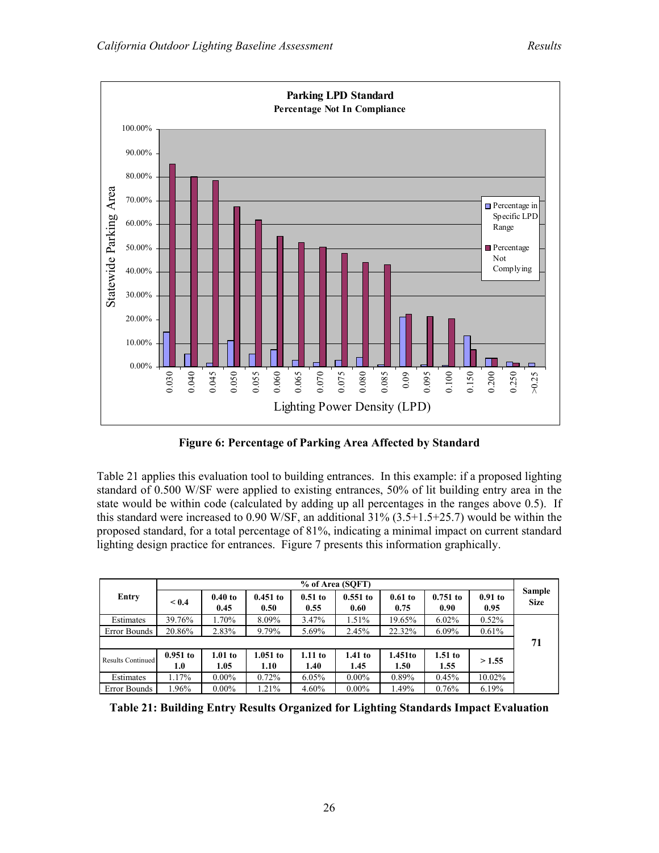

**Figure 6: Percentage of Parking Area Affected by Standard** 

Table 21 applies this evaluation tool to building entrances. In this example: if a proposed lighting standard of 0.500 W/SF were applied to existing entrances, 50% of lit building entry area in the state would be within code (calculated by adding up all percentages in the ranges above 0.5). If this standard were increased to  $0.90$  W/SF, an additional  $31\%$  (3.5+1.5+25.7) would be within the proposed standard, for a total percentage of 81%, indicating a minimal impact on current standard lighting design practice for entrances. Figure 7 presents this information graphically.

|                          |                   | % of Area (SOFT)  |                    |                   |                    |                   |                    |                   |                              |  |  |  |  |  |
|--------------------------|-------------------|-------------------|--------------------|-------------------|--------------------|-------------------|--------------------|-------------------|------------------------------|--|--|--|--|--|
| Entry                    | < 0.4             | $0.40$ to<br>0.45 | $0.451$ to<br>0.50 | $0.51$ to<br>0.55 | $0.551$ to<br>0.60 | $0.61$ to<br>0.75 | $0.751$ to<br>0.90 | $0.91$ to<br>0.95 | <b>Sample</b><br><b>Size</b> |  |  |  |  |  |
| Estimates                | 39.76%            | 1.70%             | 8.09%              | 3.47%             | 1.51%              | 19.65%            | $6.02\%$           | $0.52\%$          |                              |  |  |  |  |  |
| Error Bounds             | 20.86%            | 2.83%             | 9.79%              | 5.69%             | 2.45%              | 22.32%            | 6.09%              | 0.61%             |                              |  |  |  |  |  |
|                          |                   |                   |                    |                   |                    |                   |                    |                   | 71                           |  |  |  |  |  |
| <b>Results Continued</b> | $0.951$ to<br>1.0 | $1.01$ to<br>1.05 | 1.051 to<br>1.10   | $1.11$ to<br>1.40 | $1.41$ to<br>1.45  | 1.451to<br>1.50   | $1.51$ to<br>1.55  | >1.55             |                              |  |  |  |  |  |
| Estimates                | 1.17%             | $0.00\%$          | $0.72\%$           | 6.05%             | $0.00\%$           | 0.89%             | 0.45%              | $10.02\%$         |                              |  |  |  |  |  |
| Error Bounds             | 1.96%             | $0.00\%$          | 1.21%              | $4.60\%$          | $0.00\%$           | 1.49%             | 0.76%              | $6.19\%$          |                              |  |  |  |  |  |

**Table 21: Building Entry Results Organized for Lighting Standards Impact Evaluation**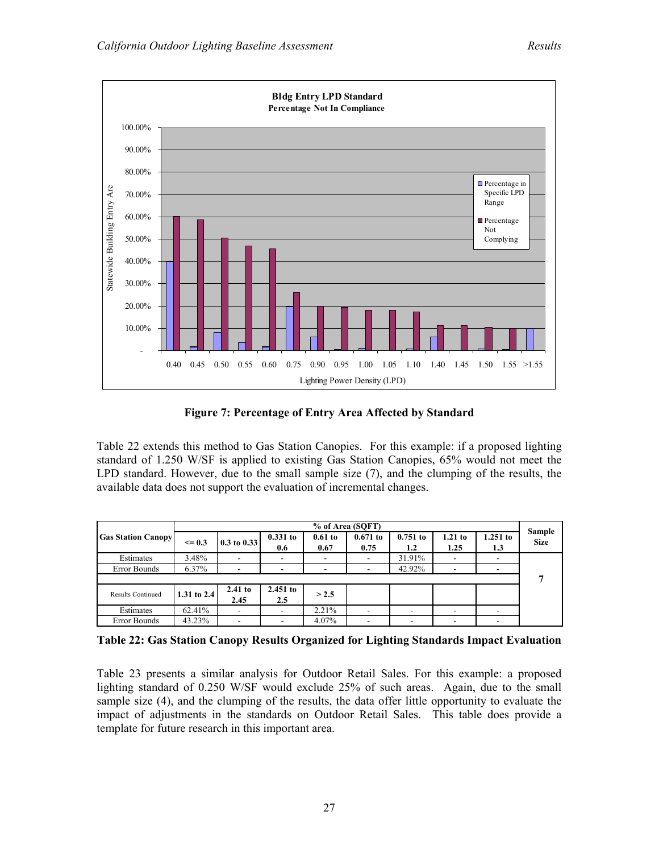

**Figure 7: Percentage of Entry Area Affected by Standard** 

Table 22 extends this method to Gas Station Canopies. For this example: if a proposed lighting standard of 1.250 W/SF is applied to existing Gas Station Canopies, 65% would not meet the LPD standard. However, due to the small sample size (7), and the clumping of the results, the available data does not support the evaluation of incremental changes.

|                           |             |                   |                   | % of Area (SQFT)  |                          |                          |                   |                          | <b>Sample</b> |
|---------------------------|-------------|-------------------|-------------------|-------------------|--------------------------|--------------------------|-------------------|--------------------------|---------------|
| <b>Gas Station Canopy</b> | $\leq$ 0.3  | $0.3$ to $0.33$   | $0.331$ to<br>0.6 | $0.61$ to<br>0.67 | $0.671$ to<br>0.75       | $0.751$ to<br>1.2        | $1.21$ to<br>1.25 | $1.251$ to<br>1.3        | <b>Size</b>   |
| Estimates                 | 3.48%       | -                 | ۰.                |                   | $\overline{\phantom{a}}$ | 31.91%                   | ۰                 |                          |               |
| Error Bounds              | 6.37%       | -                 |                   |                   |                          | 42.92%                   | ۰                 |                          |               |
|                           |             |                   |                   |                   |                          |                          |                   |                          |               |
| <b>Results Continued</b>  | 1.31 to 2.4 | $2.41$ to<br>2.45 | $2.451$ to<br>2.5 | > 2.5             |                          |                          |                   |                          |               |
| Estimates                 | 62.41%      | ٠                 |                   | 2.21%             | $\overline{\phantom{a}}$ | $\overline{\phantom{a}}$ | -                 | $\overline{\phantom{a}}$ |               |
| Error Bounds              | 43.23%      | ۰.                |                   | 4.07%             |                          | $\overline{\phantom{0}}$ | -                 | $\overline{\phantom{a}}$ |               |

**Table 22: Gas Station Canopy Results Organized for Lighting Standards Impact Evaluation** 

Table 23 presents a similar analysis for Outdoor Retail Sales. For this example: a proposed lighting standard of 0.250 W/SF would exclude 25% of such areas. Again, due to the small sample size (4), and the clumping of the results, the data offer little opportunity to evaluate the impact of adjustments in the standards on Outdoor Retail Sales. This table does provide a template for future research in this important area.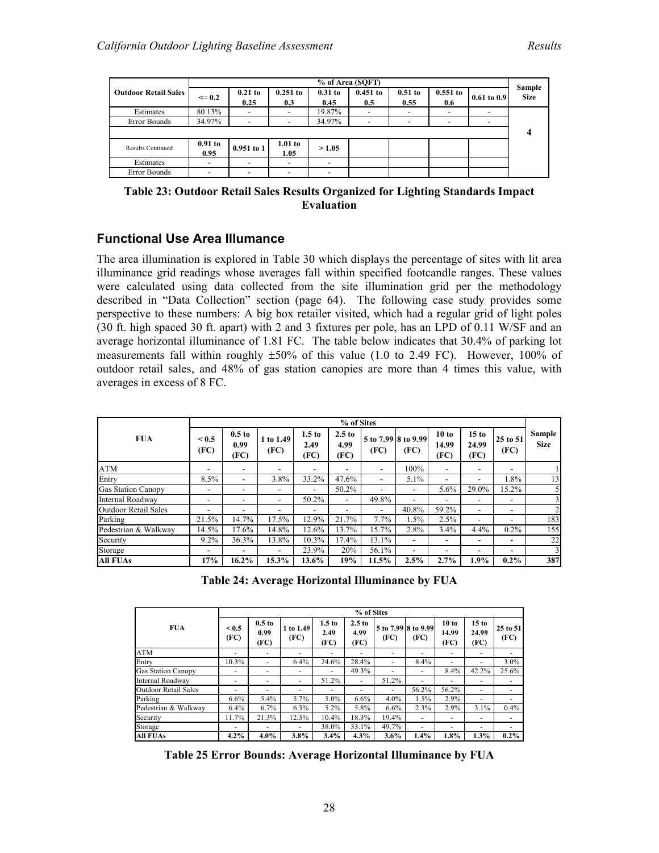|                             |                   |                   |                   | % of Area (SOFT)         |                          |                   |                          |                 | Sample      |
|-----------------------------|-------------------|-------------------|-------------------|--------------------------|--------------------------|-------------------|--------------------------|-----------------|-------------|
| <b>Outdoor Retail Sales</b> | $\leq$ 0.2        | $0.21$ to<br>0.25 | $0.251$ to<br>0.3 | $0.31$ to<br>0.45        | $0.451$ to<br>0.5        | $0.51$ to<br>0.55 | $0.551$ to<br>0.6        | $0.61$ to $0.9$ | <b>Size</b> |
| Estimates                   | 80.13%            |                   |                   | 19.87%                   | $\overline{\phantom{a}}$ |                   |                          |                 |             |
| Error Bounds                | 34.97%            | -                 |                   | 34.97%                   | $\overline{\phantom{a}}$ | ٠                 | $\overline{\phantom{a}}$ |                 |             |
|                             |                   |                   |                   |                          |                          |                   |                          |                 |             |
| <b>Results Continued</b>    | $0.91$ to<br>0.95 | $0.951$ to 1      | $1.01$ to<br>1.05 | >1.05                    |                          |                   |                          |                 |             |
| Estimates                   |                   |                   |                   |                          |                          |                   |                          |                 |             |
| Error Bounds                | -                 |                   | -                 | $\overline{\phantom{a}}$ |                          |                   |                          |                 |             |

**Table 23: Outdoor Retail Sales Results Organized for Lighting Standards Impact Evaluation** 

#### **Functional Use Area Illumance**

The area illumination is explored in Table 30 which displays the percentage of sites with lit area illuminance grid readings whose averages fall within specified footcandle ranges. These values were calculated using data collected from the site illumination grid per the methodology described in "Data Collection" section (page 64). The following case study provides some perspective to these numbers: A big box retailer visited, which had a regular grid of light poles (30 ft. high spaced 30 ft. apart) with 2 and 3 fixtures per pole, has an LPD of 0.11 W/SF and an average horizontal illuminance of 1.81 FC. The table below indicates that 30.4% of parking lot measurements fall within roughly  $\pm 50\%$  of this value (1.0 to 2.49 FC). However, 100% of outdoor retail sales, and 48% of gas station canopies are more than 4 times this value, with averages in excess of 8 FC.

|                           |                          |                          |                          |                                   | % of Sites                        |                          |                             |                          |                          |                          |                       |
|---------------------------|--------------------------|--------------------------|--------------------------|-----------------------------------|-----------------------------------|--------------------------|-----------------------------|--------------------------|--------------------------|--------------------------|-----------------------|
| <b>FUA</b>                | < 0.5<br>(FC)            | $0.5$ to<br>0.99<br>(FC) | 1 to 1.49<br>(FC)        | 1.5 <sub>to</sub><br>2.49<br>(FC) | 2.5 <sub>to</sub><br>4.99<br>(FC) | (FC)                     | 5 to 7.99 8 to 9.99<br>(FC) | 10 to<br>14.99<br>(FC)   | 15 to<br>24.99<br>(FC)   | 25 to 51<br>(FC)         | Sample<br><b>Size</b> |
| ATM                       | $\overline{\phantom{a}}$ | $\overline{\phantom{a}}$ | $\overline{\phantom{0}}$ | $\overline{\phantom{a}}$          | $\overline{\phantom{a}}$          | $\overline{\phantom{0}}$ | 100%                        | $\overline{\phantom{0}}$ | $\overline{\phantom{0}}$ | $\overline{\phantom{0}}$ |                       |
| Entry                     | 8.5%                     | $\overline{\phantom{a}}$ | 3.8%                     | 33.2%                             | 47.6%                             | $\overline{\phantom{0}}$ | $5.1\%$                     | $\overline{\phantom{0}}$ | $\overline{\phantom{a}}$ | 1.8%                     | 13                    |
| <b>Gas Station Canopy</b> | $\overline{\phantom{a}}$ | $\overline{\phantom{a}}$ | $\overline{\phantom{0}}$ | $\overline{\phantom{0}}$          | 50.2%                             | -                        | $\overline{\phantom{0}}$    | 5.6%                     | 29.0%                    | 15.2%                    |                       |
| <b>Internal Roadway</b>   | $\overline{\phantom{a}}$ | $\overline{\phantom{a}}$ | $\overline{\phantom{0}}$ | 50.2%                             | $\overline{\phantom{0}}$          | 49.8%                    | $\overline{\phantom{a}}$    | $\overline{\phantom{0}}$ | $\overline{\phantom{a}}$ | $\overline{\phantom{a}}$ | $\overline{3}$        |
| Outdoor Retail Sales      | $\overline{\phantom{a}}$ | $\overline{\phantom{0}}$ | -                        | $\overline{\phantom{a}}$          | $\overline{\phantom{a}}$          | $\overline{\phantom{0}}$ | 40.8%                       | 59.2%                    | $\overline{\phantom{0}}$ | $\overline{\phantom{a}}$ | $\overline{2}$        |
| Parking                   | 21.5%                    | 14.7%                    | 17.5%                    | 12.9%                             | 21.7%                             | 7.7%                     | 1.5%                        | 2.5%                     | $\overline{\phantom{a}}$ | $\overline{\phantom{0}}$ | 183                   |
| Pedestrian & Walkway      | 14.5%                    | 17.6%                    | 14.8%                    | 12.6%                             | 13.7%                             | 15.7%                    | 2.8%                        | 3.4%                     | 4.4%                     | $0.2\%$                  | 155                   |
| Security                  | $9.2\%$                  | 36.3%                    | 13.8%                    | 10.3%                             | 17.4%                             | 13.1%                    | $\overline{\phantom{0}}$    | $\overline{\phantom{a}}$ | $\overline{\phantom{a}}$ | $\overline{\phantom{a}}$ | 22                    |
| Storage                   | -                        | $\overline{\phantom{a}}$ | -                        | 23.9%                             | 20%                               | 56.1%                    | $\overline{\phantom{0}}$    | $\overline{\phantom{a}}$ | $\overline{\phantom{a}}$ | $\overline{\phantom{a}}$ | $\overline{3}$        |
| <b>All FUAs</b>           | 17%                      | $16.2\%$                 | 15.3%                    | $13.6\%$                          | 19%                               | 11.5%                    | 2.5%                        | 2.7%                     | 1.9%                     | $0.2\%$                  | 387                   |

**Table 24: Average Horizontal Illuminance by FUA** 

|                             |                          |                          |                          |                                   | % of Sites                        |       |                             |                          |                          |                          |
|-----------------------------|--------------------------|--------------------------|--------------------------|-----------------------------------|-----------------------------------|-------|-----------------------------|--------------------------|--------------------------|--------------------------|
| <b>FUA</b>                  | ${}_{< 0.5}$<br>(FC)     | 0.5 to<br>0.99<br>(FC)   | 1 to 1.49<br>(FC)        | 1.5 <sub>to</sub><br>2.49<br>(FC) | 2.5 <sub>to</sub><br>4.99<br>(FC) | (FC)  | 5 to 7.99 8 to 9.99<br>(FC) | 10 to<br>14.99<br>(FC)   | 15 to<br>24.99<br>(FC)   | 25 to 51<br>(FC)         |
| <b>ATM</b>                  | ۰                        | ۰                        | ۰                        | ۰                                 | ۰                                 | ۰     | ۰                           | ۰                        | ۰                        |                          |
| Entry                       | 10.3%                    | ٠                        | 6.4%                     | 24.6%                             | 28.4%                             | ٠     | 8.4%                        | -                        | ۰                        | $3.0\%$                  |
| <b>Gas Station Canopy</b>   | ٠                        | ٠                        | $\overline{\phantom{0}}$ | $\sim$                            | 49.3%                             | ۰     | ٠                           | 8.4%                     | 42.2%                    | 25.6%                    |
| <b>Internal Roadway</b>     | ٠                        | $\overline{a}$           | ٠                        | 51.2%                             | $\overline{\phantom{0}}$          | 51.2% | -                           | $\overline{\phantom{a}}$ | $\overline{\phantom{a}}$ | ۰                        |
| <b>Outdoor Retail Sales</b> | $\overline{\phantom{a}}$ | $\overline{a}$           | $\overline{\phantom{0}}$ | $\sim$                            | $\overline{\phantom{0}}$          | ۰     | 56.2%                       | 56.2%                    | $\overline{\phantom{a}}$ | $\sim$                   |
| Parking                     | 6.6%                     | 5.4%                     | 5.7%                     | $5.0\%$                           | 6.6%                              | 4.0%  | 1.5%                        | 2.9%                     | ۰                        | ۰                        |
| Pedestrian & Walkway        | 6.4%                     | 6.7%                     | 6.3%                     | $5.2\%$                           | 5.8%                              | 6.6%  | 2.3%                        | 2.9%                     | 3.1%                     | 0.4%                     |
| Security                    | 11.7%                    | 21.3%                    | 12.3%                    | 10.4%                             | 18.3%                             | 19.4% | ٠                           | $\overline{\phantom{a}}$ | ۰                        | $\overline{\phantom{a}}$ |
| Storage                     | $\overline{\phantom{0}}$ | $\overline{\phantom{0}}$ | $\overline{\phantom{0}}$ | 38.0%                             | 33.1%                             | 49.7% | ٠                           | $\overline{\phantom{a}}$ | $\overline{\phantom{0}}$ | $\sim$                   |
| <b>All FUAs</b>             | 4.2%                     | $4.0\%$                  | 3.8%                     | 3.4%                              | 4.3%                              | 3.6%  | 1.4%                        | $1.8\%$                  | 1.3%                     | $0.2\%$                  |

**Table 25 Error Bounds: Average Horizontal Illuminance by FUA**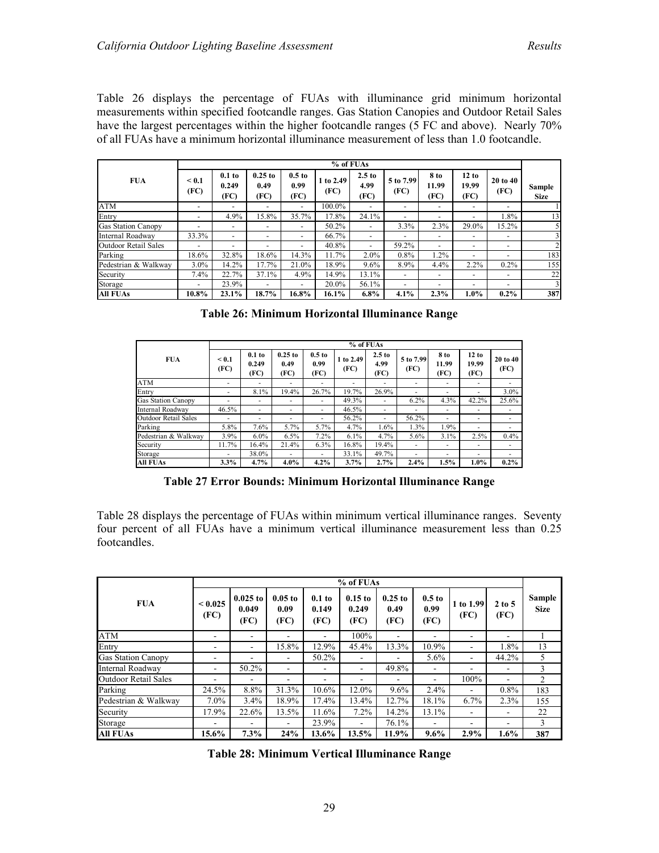Table 26 displays the percentage of FUAs with illuminance grid minimum horizontal measurements within specified footcandle ranges. Gas Station Canopies and Outdoor Retail Sales have the largest percentages within the higher footcandle ranges (5 FC and above). Nearly 70% of all FUAs have a minimum horizontal illuminance measurement of less than 1.0 footcandle.

|                             |                          |                           |                           |                          |                   | % of FUAs                         |                          |                          |                          |                          |                       |
|-----------------------------|--------------------------|---------------------------|---------------------------|--------------------------|-------------------|-----------------------------------|--------------------------|--------------------------|--------------------------|--------------------------|-----------------------|
| <b>FUA</b>                  | < 0.1<br>(FC)            | $0.1$ to<br>0.249<br>(FC) | $0.25$ to<br>0.49<br>(FC) | $0.5$ to<br>0.99<br>(FC) | 1 to 2.49<br>(FC) | 2.5 <sub>to</sub><br>4.99<br>(FC) | 5 to 7.99<br>(FC)        | 8 to<br>11.99<br>(FC)    | 12 to<br>19.99<br>(FC)   | 20 to 40<br>(FC)         | Sample<br><b>Size</b> |
| <b>ATM</b>                  | $\overline{\phantom{a}}$ |                           | -                         | -                        | 100.0%            | $\overline{\phantom{a}}$          |                          | $\overline{\phantom{0}}$ | ٠                        | $\overline{\phantom{a}}$ |                       |
| Entry                       | -                        | 4.9%                      | 15.8%                     | 35.7%                    | 17.8%             | 24.1%                             | $\overline{\phantom{a}}$ | $\overline{\phantom{0}}$ | ٠                        | 1.8%                     | 13                    |
| <b>Gas Station Canopy</b>   | -                        |                           | -                         | -                        | 50.2%             | $\overline{\phantom{a}}$          | 3.3%                     | 2.3%                     | 29.0%                    | 15.2%                    | 5                     |
| Internal Roadway            | 33.3%                    | -                         | -                         | -                        | 66.7%             | $\overline{\phantom{a}}$          |                          | $\overline{\phantom{0}}$ | $\overline{\phantom{0}}$ | $\overline{\phantom{a}}$ | $\overline{3}$        |
| <b>Outdoor Retail Sales</b> | $\overline{\phantom{0}}$ | -                         | ۰                         | ۰                        | 40.8%             | $\overline{\phantom{a}}$          | 59.2%                    | $\overline{\phantom{0}}$ | ٠                        | $\overline{\phantom{0}}$ |                       |
| Parking                     | 18.6%                    | 32.8%                     | 18.6%                     | 14.3%                    | 11.7%             | 2.0%                              | 0.8%                     | 1.2%                     | ٠                        | -                        | 183                   |
| Pedestrian & Walkway        | $3.0\%$                  | 14.2%                     | 17.7%                     | 21.0%                    | 18.9%             | 9.6%                              | 8.9%                     | 4.4%                     | 2.2%                     | $0.2\%$                  | 155                   |
| Security                    | 7.4%                     | 22.7%                     | 37.1%                     | 4.9%                     | 14.9%             | 13.1%                             |                          | $\overline{\phantom{0}}$ |                          | $\overline{\phantom{0}}$ | 22                    |
| Storage                     | $\overline{\phantom{0}}$ | 23.9%                     | ٠                         | -                        | 20.0%             | 56.1%                             | $\overline{\phantom{a}}$ | $\overline{\phantom{0}}$ |                          | ٠                        | $\overline{3}$        |
| <b>All FUAs</b>             | 10.8%                    | 23.1%                     | 18.7%                     | 16.8%                    | 16.1%             | 6.8%                              | 4.1%                     | 2.3%                     | $1.0\%$                  | $0.2\%$                  | 387                   |

|                             |                    |                           |                           |                          | % of FUAs         |                                   |                          |                          |                        |                          |
|-----------------------------|--------------------|---------------------------|---------------------------|--------------------------|-------------------|-----------------------------------|--------------------------|--------------------------|------------------------|--------------------------|
| <b>FUA</b>                  | ${}_{0.1}$<br>(FC) | $0.1$ to<br>0.249<br>(FC) | $0.25$ to<br>0.49<br>(FC) | $0.5$ to<br>0.99<br>(FC) | 1 to 2.49<br>(FC) | 2.5 <sub>to</sub><br>4.99<br>(FC) | 5 to 7.99<br>(FC)        | 8 to<br>11.99<br>(FC)    | 12 to<br>19.99<br>(FC) | 20 to 40<br>(FC)         |
| <b>ATM</b>                  |                    | ۰.                        |                           | ۰                        | ٠                 | $\overline{\phantom{a}}$          | ٠                        |                          | ۰                      | $\overline{\phantom{a}}$ |
| Entry                       |                    | 8.1%                      | 19.4%                     | 26.7%                    | 19.7%             | 26.9%                             | $\overline{\phantom{a}}$ | $\overline{\phantom{a}}$ | ۰                      | 3.0%                     |
| <b>Gas Station Canopy</b>   |                    | ٠                         | ۰                         | ۰                        | 49.3%             | $\overline{\phantom{a}}$          | 6.2%                     | 4.3%                     | 42.2%                  | 25.6%                    |
| Internal Roadway            | 46.5%              | ٠                         | ۰                         | ۰                        | 46.5%             | ٠                                 | ۰                        | $\overline{\phantom{a}}$ |                        |                          |
| <b>Outdoor Retail Sales</b> | ۰                  | ٠                         | ۰                         | ٠                        | 56.2%             | ٠                                 | 56.2%                    | $\overline{\phantom{a}}$ | ٠                      | ۰                        |
| Parking                     | 5.8%               | 7.6%                      | 5.7%                      | 5.7%                     | 4.7%              | 1.6%                              | 1.3%                     | 1.9%                     | ۰                      |                          |
| Pedestrian & Walkway        | 3.9%               | $6.0\%$                   | 6.5%                      | 7.2%                     | 6.1%              | 4.7%                              | 5.6%                     | 3.1%                     | 2.5%                   | 0.4%                     |
| Security                    | 11.7%              | 16.4%                     | 21.4%                     | 6.3%                     | 16.8%             | 19.4%                             | $\overline{\phantom{a}}$ | ٠                        | ۰                      | $\overline{\phantom{a}}$ |
| Storage                     |                    | 38.0%                     | ۰                         | ۰                        | 33.1%             | 49.7%                             | $\overline{\phantom{a}}$ | $\overline{\phantom{a}}$ | ۰                      | $\overline{\phantom{a}}$ |
| <b>All FUAs</b>             | 3.3%               | 4.7%                      | 4.0%                      | 4.2%                     | 3.7%              | 2.7%                              | 2.4%                     | 1.5%                     | $1.0\%$                | $0.2\%$                  |

**Table 27 Error Bounds: Minimum Horizontal Illuminance Range** 

Table 28 displays the percentage of FUAs within minimum vertical illuminance ranges. Seventy four percent of all FUAs have a minimum vertical illuminance measurement less than 0.25 footcandles.

|                             |                      |                             |                           |                           | % of FUAs                  |                           |                          |                          |                          |                       |
|-----------------------------|----------------------|-----------------------------|---------------------------|---------------------------|----------------------------|---------------------------|--------------------------|--------------------------|--------------------------|-----------------------|
| <b>FUA</b>                  | ${}_{0.025}$<br>(FC) | $0.025$ to<br>0.049<br>(FC) | $0.05$ to<br>0.09<br>(FC) | $0.1$ to<br>0.149<br>(FC) | $0.15$ to<br>0.249<br>(FC) | $0.25$ to<br>0.49<br>(FC) | $0.5$ to<br>0.99<br>(FC) | 1 to 1.99<br>(FC)        | $2$ to 5<br>(FC)         | Sample<br><b>Size</b> |
| <b>ATM</b>                  | -                    | ۰                           | -                         | -                         | 100%                       | -                         | -                        | -                        | -                        |                       |
| Entry                       | -                    | ۰                           | 15.8%                     | 12.9%                     | 45.4%                      | 13.3%                     | 10.9%                    | -                        | 1.8%                     | 13                    |
| <b>Gas Station Canopy</b>   | -                    | -                           |                           | 50.2%                     |                            | ۰                         | 5.6%                     |                          | 44.2%                    | 5                     |
| Internal Roadway            | ۰                    | 50.2%                       | ۰                         | -                         | $\overline{\phantom{a}}$   | 49.8%                     | ۰                        |                          | -                        | 3                     |
| <b>Outdoor Retail Sales</b> |                      | ۰                           | ۰                         | ۰                         | $\overline{\phantom{a}}$   | ۰                         | $\overline{\phantom{a}}$ | 100%                     | ۰                        | 2                     |
| Parking                     | 24.5%                | 8.8%                        | 31.3%                     | 10.6%                     | 12.0%                      | $9.6\%$                   | 2.4%                     | -                        | 0.8%                     | 183                   |
| Pedestrian & Walkway        | $7.0\%$              | 3.4%                        | 18.9%                     | 17.4%                     | 13.4%                      | 12.7%                     | 18.1%                    | 6.7%                     | 2.3%                     | 155                   |
| Security                    | 17.9%                | 22.6%                       | 13.5%                     | 11.6%                     | 7.2%                       | 14.2%                     | 13.1%                    | $\overline{\phantom{a}}$ | $\overline{\phantom{a}}$ | 22                    |
| Storage                     | -                    | ۰.                          | $\overline{\phantom{a}}$  | 23.9%                     | $\overline{\phantom{a}}$   | 76.1%                     | ۰                        | -                        | ۰                        | 3                     |
| <b>All FUAs</b>             | 15.6%                | $7.3\%$                     | 24%                       | 13.6%                     | 13.5%                      | 11.9%                     | $9.6\%$                  | 2.9%                     | 1.6%                     | 387                   |

**Table 28: Minimum Vertical Illuminance Range**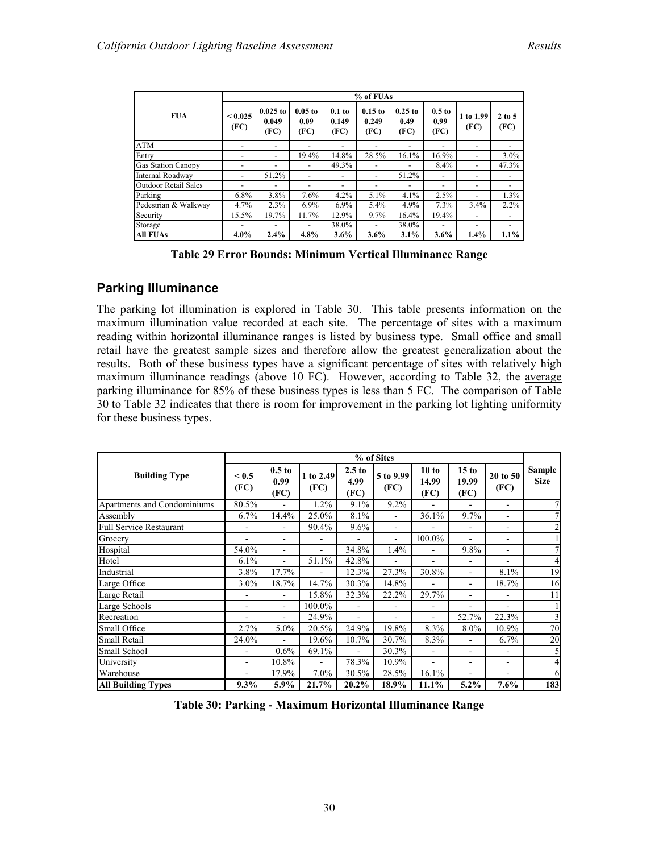|                             |                          |                             |                           |                           | % of FUAs                  |                           |                                   |                          |                          |
|-----------------------------|--------------------------|-----------------------------|---------------------------|---------------------------|----------------------------|---------------------------|-----------------------------------|--------------------------|--------------------------|
| <b>FUA</b>                  | < 0.025<br>(FC)          | $0.025$ to<br>0.049<br>(FC) | $0.05$ to<br>0.09<br>(FC) | $0.1$ to<br>0.149<br>(FC) | $0.15$ to<br>0.249<br>(FC) | $0.25$ to<br>0.49<br>(FC) | 0.5 <sub>to</sub><br>0.99<br>(FC) | 1 to 1.99<br>(FC)        | $2$ to 5<br>(FC)         |
| <b>ATM</b>                  | $\overline{\phantom{0}}$ | $\overline{\phantom{0}}$    | $\overline{\phantom{a}}$  | -                         | $\overline{\phantom{a}}$   |                           | $\overline{\phantom{a}}$          | $\overline{\phantom{a}}$ |                          |
| Entry                       |                          | $\overline{a}$              | 19.4%                     | 14.8%                     | 28.5%                      | 16.1%                     | 16.9%                             | $\overline{a}$           | $3.0\%$                  |
| <b>Gas Station Canopy</b>   | $\overline{\phantom{0}}$ | -                           | $\overline{\phantom{a}}$  | 49.3%                     | $\overline{\phantom{a}}$   |                           | 8.4%                              | $\overline{\phantom{a}}$ | 47.3%                    |
| Internal Roadway            | $\overline{\phantom{0}}$ | 51.2%                       | $\overline{\phantom{a}}$  | $\overline{\phantom{0}}$  | $\overline{\phantom{a}}$   | 51.2%                     | $\overline{\phantom{a}}$          | $\overline{\phantom{a}}$ |                          |
| <b>Outdoor Retail Sales</b> |                          | -                           |                           | -                         | $\overline{\phantom{a}}$   |                           | $\overline{\phantom{a}}$          | $\overline{\phantom{a}}$ |                          |
| Parking                     | $6.8\%$                  | 3.8%                        | 7.6%                      | 4.2%                      | 5.1%                       | 4.1%                      | 2.5%                              | $\overline{\phantom{a}}$ | 1.3%                     |
| Pedestrian & Walkway        | 4.7%                     | 2.3%                        | $6.9\%$                   | $6.9\%$                   | $5.4\%$                    | 4.9%                      | 7.3%                              | $3.4\%$                  | $2.2\%$                  |
| Security                    | 15.5%                    | 19.7%                       | 11.7%                     | 12.9%                     | 9.7%                       | 16.4%                     | 19.4%                             | $\overline{\phantom{0}}$ |                          |
| Storage                     | $\overline{\phantom{0}}$ | $\overline{\phantom{0}}$    | $\overline{\phantom{a}}$  | 38.0%                     | $\overline{\phantom{a}}$   | 38.0%                     | $\overline{\phantom{a}}$          | $\overline{\phantom{a}}$ | $\overline{\phantom{0}}$ |
| <b>All FUAs</b>             | $4.0\%$                  | 2.4%                        | 4.8%                      | 3.6%                      | 3.6%                       | 3.1%                      | 3.6%                              | 1.4%                     | 1.1%                     |

**Table 29 Error Bounds: Minimum Vertical Illuminance Range** 

## **Parking Illuminance**

The parking lot illumination is explored in Table 30. This table presents information on the maximum illumination value recorded at each site. The percentage of sites with a maximum reading within horizontal illuminance ranges is listed by business type. Small office and small retail have the greatest sample sizes and therefore allow the greatest generalization about the results. Both of these business types have a significant percentage of sites with relatively high maximum illuminance readings (above 10 FC). However, according to Table 32, the average parking illuminance for 85% of these business types is less than 5 FC. The comparison of Table 30 to Table 32 indicates that there is room for improvement in the parking lot lighting uniformity for these business types.

|                                |                          |                              |                          |                          | % of Sites                   |                          |                              |                              |                         |
|--------------------------------|--------------------------|------------------------------|--------------------------|--------------------------|------------------------------|--------------------------|------------------------------|------------------------------|-------------------------|
| <b>Building Type</b>           | < 0.5<br>(FC)            | $0.5$ to<br>0.99<br>(FC)     | 1 to 2.49<br>(FC)        | $2.5$ to<br>4.99<br>(FC) | 5 to 9.99<br>(FC)            | 10 to<br>14.99<br>(FC)   | 15 to<br>19.99<br>(FC)       | 20 to 50<br>(FC)             | Sample<br><b>Size</b>   |
| Apartments and Condominiums    | 80.5%                    |                              | 1.2%                     | 9.1%                     | 9.2%                         |                          |                              | $\overline{\phantom{a}}$     | 7                       |
| Assembly                       | 6.7%                     | 14.4%                        | 25.0%                    | 8.1%                     | $\overline{\phantom{a}}$     | 36.1%                    | 9.7%                         | $\overline{a}$               | 7                       |
| <b>Full Service Restaurant</b> | $\overline{\phantom{a}}$ |                              | 90.4%                    | 9.6%                     | $\qquad \qquad \blacksquare$ |                          | $\qquad \qquad \blacksquare$ | $\overline{\phantom{a}}$     | $\overline{\mathbf{c}}$ |
| Grocery                        | $\overline{\phantom{a}}$ | ۰                            | $\overline{\phantom{a}}$ | $\overline{\phantom{a}}$ | $\blacksquare$               | 100.0%                   | ۰                            | $\overline{a}$               |                         |
| Hospital                       | 54.0%                    | $\qquad \qquad \blacksquare$ |                          | 34.8%                    | 1.4%                         | $\overline{\phantom{a}}$ | 9.8%                         | ۰                            | $\overline{7}$          |
| Hotel                          | 6.1%                     | ٠                            | 51.1%                    | 42.8%                    | $\overline{\phantom{0}}$     | $\overline{\phantom{a}}$ | $\qquad \qquad \blacksquare$ | $\overline{\phantom{a}}$     | $\overline{4}$          |
| Industrial                     | 3.8%                     | 17.7%                        | $\blacksquare$           | 12.3%                    | 27.3%                        | 30.8%                    | $\qquad \qquad \blacksquare$ | 8.1%                         | 19                      |
| Large Office                   | $3.0\%$                  | 18.7%                        | 14.7%                    | 30.3%                    | 14.8%                        | $\overline{\phantom{a}}$ | ۰                            | 18.7%                        | 16                      |
| Large Retail                   | $\overline{\phantom{a}}$ | $\overline{\phantom{0}}$     | 15.8%                    | 32.3%                    | 22.2%                        | 29.7%                    | $\qquad \qquad \blacksquare$ | ۰                            | 11                      |
| Large Schools                  | $\overline{\phantom{a}}$ | ٠                            | 100.0%                   | $\blacksquare$           | $\blacksquare$               | $\overline{\phantom{a}}$ | $\overline{\phantom{0}}$     | $\overline{\phantom{a}}$     |                         |
| Recreation                     | $\overline{\phantom{a}}$ | ۰                            | 24.9%                    | $\overline{\phantom{a}}$ | $\qquad \qquad \blacksquare$ | $\overline{\phantom{a}}$ | 52.7%                        | 22.3%                        | $\overline{\mathbf{3}}$ |
| Small Office                   | 2.7%                     | 5.0%                         | 20.5%                    | 24.9%                    | 19.8%                        | 8.3%                     | 8.0%                         | 10.9%                        | 70                      |
| Small Retail                   | 24.0%                    | ۰                            | 19.6%                    | 10.7%                    | 30.7%                        | 8.3%                     | $\overline{\phantom{0}}$     | 6.7%                         | 20                      |
| Small School                   | $\overline{\phantom{a}}$ | 0.6%                         | 69.1%                    | $\blacksquare$           | 30.3%                        | $\overline{\phantom{a}}$ | $\overline{\phantom{0}}$     | $\overline{\phantom{a}}$     | $\mathfrak{S}$          |
| University                     | $\overline{\phantom{a}}$ | 10.8%                        |                          | 78.3%                    | 10.9%                        | $\overline{\phantom{a}}$ | $\overline{\phantom{0}}$     | $\overline{\phantom{a}}$     | $\overline{4}$          |
| Warehouse                      | $\overline{\phantom{a}}$ | 17.9%                        | $7.0\%$                  | 30.5%                    | 28.5%                        | 16.1%                    | $\qquad \qquad \blacksquare$ | $\qquad \qquad \blacksquare$ | 6                       |
| <b>All Building Types</b>      | $9.3\%$                  | 5.9%                         | 21.7%                    | 20.2%                    | 18.9%                        | 11.1%                    | 5.2%                         | 7.6%                         | 183                     |

**Table 30: Parking - Maximum Horizontal Illuminance Range**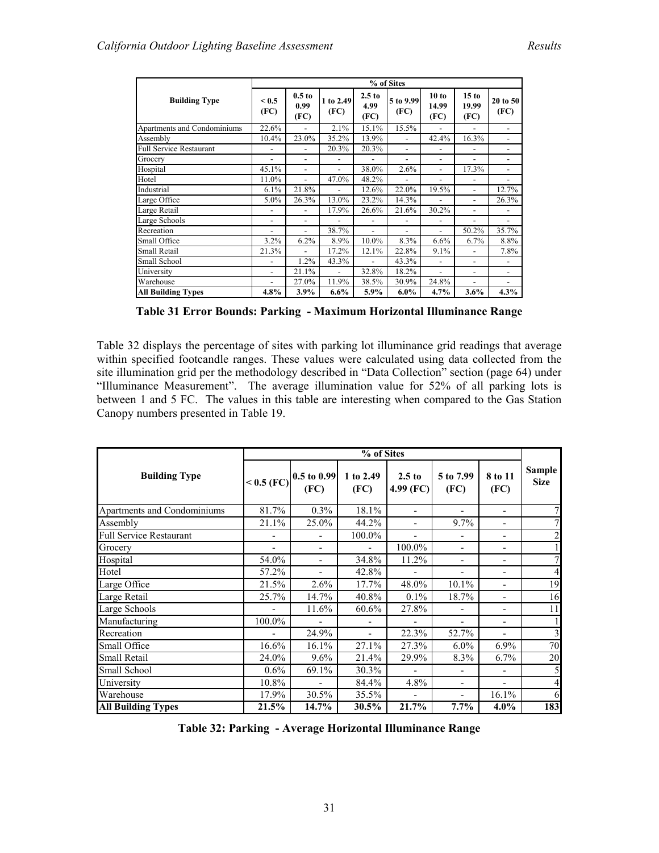|                                    |                          |                          |                          |                                   | % of Sites               |                          |                          |                          |
|------------------------------------|--------------------------|--------------------------|--------------------------|-----------------------------------|--------------------------|--------------------------|--------------------------|--------------------------|
| <b>Building Type</b>               | < 0.5<br>(FC)            | $0.5$ to<br>0.99<br>(FC) | 1 to 2.49<br>(FC)        | 2.5 <sub>to</sub><br>4.99<br>(FC) | 5 to 9.99<br>(FC)        | 10 to<br>14.99<br>(FC)   | 15 to<br>19.99<br>(FC)   | 20 to 50<br>(FC)         |
| <b>Apartments and Condominiums</b> | 22.6%                    | $\overline{\phantom{a}}$ | 2.1%                     | 15.1%                             | 15.5%                    | $\overline{\phantom{a}}$ |                          | $\overline{\phantom{a}}$ |
| Assembly                           | 10.4%                    | 23.0%                    | 35.2%                    | 13.9%                             | $\overline{\phantom{0}}$ | 42.4%                    | 16.3%                    | $\overline{\phantom{a}}$ |
| <b>Full Service Restaurant</b>     | $\overline{\phantom{a}}$ | $\overline{\phantom{a}}$ | 20.3%                    | 20.3%                             | $\overline{\phantom{0}}$ | $\overline{\phantom{a}}$ | $\overline{a}$           | $\overline{\phantom{a}}$ |
| Grocery                            | $\overline{\phantom{a}}$ | $\overline{\phantom{a}}$ | $\overline{\phantom{a}}$ |                                   | $\overline{\phantom{a}}$ | $\overline{\phantom{a}}$ | $\overline{\phantom{0}}$ | $\overline{\phantom{a}}$ |
| Hospital                           | 45.1%                    | $\overline{\phantom{a}}$ | $\overline{\phantom{a}}$ | 38.0%                             | 2.6%                     | $\overline{\phantom{a}}$ | 17.3%                    | $\overline{\phantom{a}}$ |
| Hotel                              | 11.0%                    |                          | 47.0%                    | 48.2%                             |                          | $\overline{\phantom{a}}$ |                          |                          |
| Industrial                         | 6.1%                     | 21.8%                    | $\overline{\phantom{a}}$ | 12.6%                             | 22.0%                    | 19.5%                    | $\overline{\phantom{0}}$ | 12.7%                    |
| Large Office                       | 5.0%                     | 26.3%                    | 13.0%                    | 23.2%                             | 14.3%                    |                          | $\overline{\phantom{0}}$ | 26.3%                    |
| Large Retail                       | $\overline{\phantom{a}}$ | $\overline{\phantom{a}}$ | 17.9%                    | 26.6%                             | 21.6%                    | 30.2%                    | $\overline{\phantom{0}}$ |                          |
| Large Schools                      | $\overline{\phantom{a}}$ | $\overline{\phantom{a}}$ |                          |                                   | -                        | $\overline{\phantom{a}}$ | $\overline{\phantom{0}}$ | $\overline{\phantom{a}}$ |
| Recreation                         | $\overline{\phantom{a}}$ | $\overline{\phantom{a}}$ | 38.7%                    | $\overline{\phantom{a}}$          | $\overline{\phantom{a}}$ | $\overline{\phantom{a}}$ | 50.2%                    | 35.7%                    |
| Small Office                       | 3.2%                     | 6.2%                     | 8.9%                     | 10.0%                             | 8.3%                     | 6.6%                     | 6.7%                     | 8.8%                     |
| <b>Small Retail</b>                | 21.3%                    |                          | 17.2%                    | 12.1%                             | 22.8%                    | 9.1%                     |                          | 7.8%                     |
| Small School                       | $\overline{\phantom{a}}$ | 1.2%                     | 43.3%                    | $\overline{\phantom{0}}$          | 43.3%                    | $\overline{\phantom{a}}$ | $\overline{\phantom{0}}$ |                          |
| University                         | $\overline{\phantom{0}}$ | 21.1%                    | $\overline{a}$           | 32.8%                             | 18.2%                    | $\overline{\phantom{a}}$ | $\overline{\phantom{a}}$ | $\overline{\phantom{0}}$ |
| Warehouse                          | $\overline{\phantom{0}}$ | 27.0%                    | 11.9%                    | 38.5%                             | 30.9%                    | 24.8%                    | $\overline{\phantom{0}}$ | $\overline{\phantom{a}}$ |
| <b>All Building Types</b>          | 4.8%                     | $3.9\%$                  | 6.6%                     | 5.9%                              | $6.0\%$                  | $4.7\%$                  | $3.6\%$                  | 4.3%                     |

**Table 31 Error Bounds: Parking - Maximum Horizontal Illuminance Range** 

Table 32 displays the percentage of sites with parking lot illuminance grid readings that average within specified footcandle ranges. These values were calculated using data collected from the site illumination grid per the methodology described in "Data Collection" section (page 64) under "Illuminance Measurement". The average illumination value for 52% of all parking lots is between 1 and 5 FC. The values in this table are interesting when compared to the Gas Station Canopy numbers presented in Table 19.

|                                |                |                          | % of Sites               |                       |                              |                          |                              |
|--------------------------------|----------------|--------------------------|--------------------------|-----------------------|------------------------------|--------------------------|------------------------------|
| <b>Building Type</b>           | $< 0.5$ (FC)   | 0.5 to 0.99<br>(FC)      | 1 to 2.49<br>(FC)        | $2.5$ to<br>4.99 (FC) | 5 to 7.99<br>(FC)            | 8 to 11<br>(FC)          | <b>Sample</b><br><b>Size</b> |
| Apartments and Condominiums    | 81.7%          | 0.3%                     | 18.1%                    |                       |                              | $\overline{\phantom{0}}$ |                              |
| Assembly                       | 21.1%          | 25.0%                    | 44.2%                    | $\overline{a}$        | 9.7%                         | ٠                        |                              |
| <b>Full Service Restaurant</b> |                |                          | 100.0%                   |                       |                              | $\overline{\phantom{0}}$ | $\overline{c}$               |
| Grocery                        | $\overline{a}$ | $\overline{\phantom{a}}$ | $\overline{\phantom{a}}$ | 100.0%                | $\overline{\phantom{a}}$     | $\overline{\phantom{0}}$ |                              |
| Hospital                       | 54.0%          | $\overline{\phantom{m}}$ | 34.8%                    | 11.2%                 | $\qquad \qquad \blacksquare$ | $\overline{a}$           |                              |
| Hotel                          | 57.2%          | $\overline{a}$           | 42.8%                    |                       | $\qquad \qquad \blacksquare$ | $\overline{a}$           | 4                            |
| Large Office                   | 21.5%          | 2.6%                     | 17.7%                    | 48.0%                 | 10.1%                        | ٠                        | 19                           |
| Large Retail                   | 25.7%          | 14.7%                    | 40.8%                    | 0.1%                  | 18.7%                        | ٠                        | 16                           |
| Large Schools                  |                | 11.6%                    | 60.6%                    | 27.8%                 | $\overline{\phantom{0}}$     | $\overline{\phantom{0}}$ | 11                           |
| Manufacturing                  | 100.0%         |                          |                          |                       | ٠                            | $\overline{\phantom{0}}$ |                              |
| Recreation                     | $\overline{a}$ | 24.9%                    | $\blacksquare$           | 22.3%                 | 52.7%                        | $\overline{\phantom{0}}$ | 3                            |
| Small Office                   | 16.6%          | 16.1%                    | 27.1%                    | 27.3%                 | $6.0\%$                      | 6.9%                     | 70                           |
| <b>Small Retail</b>            | 24.0%          | 9.6%                     | 21.4%                    | 29.9%                 | 8.3%                         | 6.7%                     | 20                           |
| Small School                   | 0.6%           | 69.1%                    | 30.3%                    | ٠                     | $\overline{\phantom{a}}$     | $\overline{\phantom{a}}$ | 5                            |
| University                     | 10.8%          | $\overline{a}$           | 84.4%                    | 4.8%                  | $\qquad \qquad \blacksquare$ | $\overline{\phantom{0}}$ | $\overline{4}$               |
| Warehouse                      | 17.9%          | 30.5%                    | 35.5%                    |                       |                              | 16.1%                    | 6                            |
| <b>All Building Types</b>      | 21.5%          | 14.7%                    | 30.5%                    | 21.7%                 | $7.7\%$                      | $4.0\%$                  | 183                          |

**Table 32: Parking - Average Horizontal Illuminance Range**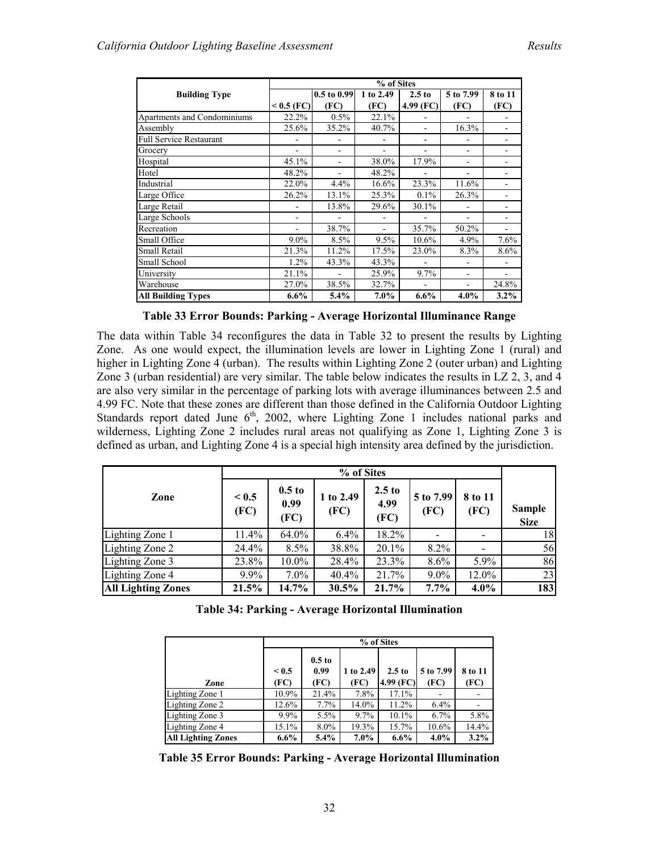|                                |              |                 | % of Sites |                   |           |         |
|--------------------------------|--------------|-----------------|------------|-------------------|-----------|---------|
| <b>Building Type</b>           |              | $0.5$ to $0.99$ | 1 to 2.49  | 2.5 <sub>to</sub> | 5 to 7.99 | 8 to 11 |
|                                | $< 0.5$ (FC) | (FC)            | (FC)       | 4.99 (FC)         | (FC)      | (FC)    |
| Apartments and Condominiums    | 22.2%        | 0.5%            | 22.1%      |                   |           |         |
| Assembly                       | 25.6%        | 35.2%           | 40.7%      |                   | 16.3%     |         |
| <b>Full Service Restaurant</b> |              |                 |            |                   |           |         |
| Grocery                        |              |                 |            |                   | -         |         |
| Hospital                       | 45.1%        |                 | 38.0%      | 17.9%             |           |         |
| Hotel                          | 48.2%        |                 | 48.2%      |                   |           |         |
| Industrial                     | 22.0%        | 4.4%            | 16.6%      | 23.3%             | 11.6%     |         |
| Large Office                   | 26.2%        | 13.1%           | 25.3%      | 0.1%              | 26.3%     |         |
| Large Retail                   |              | 13.8%           | 29.6%      | 30.1%             |           |         |
| Large Schools                  |              |                 |            |                   |           |         |
| Recreation                     |              | 38.7%           |            | 35.7%             | 50.2%     |         |
| Small Office                   | $9.0\%$      | 8.5%            | 9.5%       | 10.6%             | 4.9%      | 7.6%    |
| Small Retail                   | 21.3%        | 11.2%           | 17.5%      | 23.0%             | 8.3%      | 8.6%    |
| Small School                   | 1.2%         | 43.3%           | 43.3%      |                   |           |         |
| University                     | 21.1%        |                 | 25.9%      | 9.7%              |           |         |
| Warehouse                      | 27.0%        | 38.5%           | 32.7%      |                   |           | 24.8%   |
| <b>All Building Types</b>      | $6.6\%$      | 5.4%            | $7.0\%$    | $6.6\%$           | 4.0%      | $3.2\%$ |

**Table 33 Error Bounds: Parking - Average Horizontal Illuminance Range** 

The data within Table 34 reconfigures the data in Table 32 to present the results by Lighting Zone. As one would expect, the illumination levels are lower in Lighting Zone 1 (rural) and higher in Lighting Zone 4 (urban). The results within Lighting Zone 2 (outer urban) and Lighting Zone 3 (urban residential) are very similar. The table below indicates the results in LZ 2, 3, and 4 are also very similar in the percentage of parking lots with average illuminances between 2.5 and 4.99 FC. Note that these zones are different than those defined in the California Outdoor Lighting Standards report dated June  $6<sup>th</sup>$ , 2002, where Lighting Zone 1 includes national parks and wilderness, Lighting Zone 2 includes rural areas not qualifying as Zone 1, Lighting Zone 3 is defined as urban, and Lighting Zone 4 is a special high intensity area defined by the jurisdiction.

|                           |               |                          | % of Sites        |                          |                   |                          |                              |
|---------------------------|---------------|--------------------------|-------------------|--------------------------|-------------------|--------------------------|------------------------------|
| Zone                      | < 0.5<br>(FC) | $0.5$ to<br>0.99<br>(FC) | 1 to 2.49<br>(FC) | $2.5$ to<br>4.99<br>(FC) | 5 to 7.99<br>(FC) | 8 to 11<br>(FC)          | <b>Sample</b><br><b>Size</b> |
| Lighting Zone 1           | 11.4%         | 64.0%                    | 6.4%              | 18.2%                    |                   | $\overline{\phantom{a}}$ | 18                           |
| Lighting Zone 2           | 24.4%         | 8.5%                     | 38.8%             | 20.1%                    | 8.2%              | $\overline{\phantom{a}}$ | 56                           |
| Lighting Zone 3           | 23.8%         | $10.0\%$                 | 28.4%             | 23.3%                    | 8.6%              | $5.9\%$                  | 86                           |
| Lighting Zone 4           | $9.9\%$       | $7.0\%$                  | 40.4%             | 21.7%                    | $9.0\%$           | 12.0%                    | 23                           |
| <b>All Lighting Zones</b> | 21.5%         | 14.7%                    | 30.5%             | 21.7%                    | $7.7\%$           | $4.0\%$                  | 183                          |

|  |  |  |  | Table 34: Parking - Average Horizontal Illumination |
|--|--|--|--|-----------------------------------------------------|
|--|--|--|--|-----------------------------------------------------|

|                           |                      |                          |                   | % of Sites                     |                   |                 |
|---------------------------|----------------------|--------------------------|-------------------|--------------------------------|-------------------|-----------------|
| Zone                      | ${}_{< 0.5}$<br>(FC) | $0.5$ to<br>0.99<br>(FC) | 1 to 2.49<br>(FC) | 2.5 <sub>to</sub><br>4.99 (FC) | 5 to 7.99<br>(FC) | 8 to 11<br>(FC) |
| Lighting Zone 1           | 10.9%                | 21.4%                    | 7.8%              | $17.1\%$                       |                   |                 |
| Lighting Zone 2           | 12.6%                | $7.7\%$                  | 14.0%             | 11.2%                          | 6.4%              |                 |
| Lighting Zone 3           | $9.9\%$              | $5.5\%$                  | $9.7\%$           | $10.1\%$                       | $6.7\%$           | 5.8%            |
| Lighting Zone 4           | 15.1%                | $8.0\%$                  | 19.3%             | 15.7%                          | 10.6%             | 14.4%           |
| <b>All Lighting Zones</b> | $6.6\%$              | 5.4%                     | $7.0\%$           | $6.6\%$                        | $4.0\%$           | $3.2\%$         |

**Table 35 Error Bounds: Parking - Average Horizontal Illumination**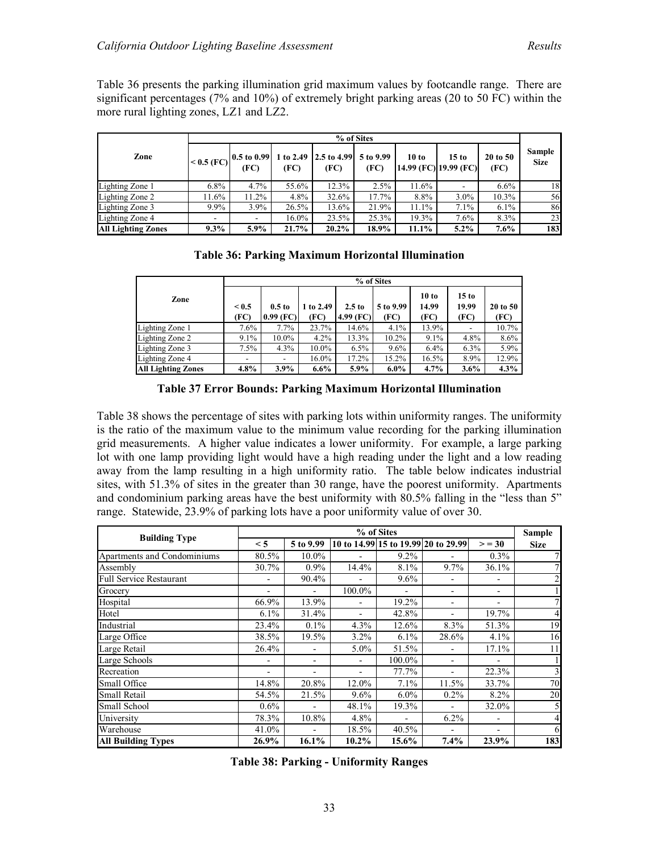Table 36 presents the parking illumination grid maximum values by footcandle range. There are significant percentages (7% and 10%) of extremely bright parking areas (20 to 50 FC) within the more rural lighting zones, LZ1 and LZ2.

|                           |                                               |                                |       | % of Sites                    |                   |          |                                |                  |                              |
|---------------------------|-----------------------------------------------|--------------------------------|-------|-------------------------------|-------------------|----------|--------------------------------|------------------|------------------------------|
| Zone                      | $1 < 0.5$ (FC) <sup><math>\Gamma</math></sup> | $0.5 \text{ to } 0.99$<br>(FC) | (FC)  | 1 to 2.49 2.5 to 4.99<br>(FC) | 5 to 9.99<br>(FC) | 10 to    | 15 to<br>14.99 (FC) 19.99 (FC) | 20 to 50<br>(FC) | <b>Sample</b><br><b>Size</b> |
| Lighting Zone 1           | $6.8\%$                                       | 4.7%                           | 55.6% | 12.3%                         | 2.5%              | 11.6%    |                                | $6.6\%$          | 18                           |
| Lighting Zone 2           | $1.6\%$                                       | 11.2%                          | 4.8%  | 32.6%                         | 17.7%             | 8.8%     | $3.0\%$                        | 10.3%            | 56                           |
| Lighting Zone 3           | $9.9\%$                                       | $3.9\%$                        | 26.5% | 13.6%                         | 21.9%             | 11.1%    | 7.1%                           | $6.1\%$          | 86                           |
| Lighting Zone 4           |                                               |                                | 16.0% | 23.5%                         | 25.3%             | 19.3%    | 7.6%                           | 8.3%             | 23                           |
| <b>All Lighting Zones</b> | $9.3\%$                                       | 5.9%                           | 21.7% | $20.2\%$                      | 18.9%             | $11.1\%$ | $5.2\%$                        | 7.6%             | 183                          |

#### **Table 36: Parking Maximum Horizontal Illumination**

|                           | % of Sites    |                          |                 |                                  |                   |                        |                        |                  |  |  |  |
|---------------------------|---------------|--------------------------|-----------------|----------------------------------|-------------------|------------------------|------------------------|------------------|--|--|--|
| Zone                      | < 0.5<br>(FC) | $0.5$ to<br>$0.99$ (FC)  | to 2.49<br>(FC) | 2.5 <sub>to</sub><br>$4.99$ (FC) | 5 to 9.99<br>(FC) | 10 to<br>14.99<br>(FC) | 15 to<br>19.99<br>(FC) | 20 to 50<br>(FC) |  |  |  |
| Lighting Zone 1           | $7.6\%$       | 7.7%                     | 23.7%           | 14.6%                            | 4.1%              | 13.9%                  |                        | 10.7%            |  |  |  |
| Lighting Zone 2           | 9.1%          | $10.0\%$                 | 4.2%            | 13.3%                            | $10.2\%$          | 9.1%                   | 4.8%                   | 8.6%             |  |  |  |
| Lighting Zone 3           | 7.5%          | 4.3%                     | $10.0\%$        | 6.5%                             | 9.6%              | 6.4%                   | 6.3%                   | 5.9%             |  |  |  |
| Lighting Zone 4           | ۰             | $\overline{\phantom{a}}$ | 16.0%           | 17.2%                            | 15.2%             | 16.5%                  | 8.9%                   | 12.9%            |  |  |  |
| <b>All Lighting Zones</b> | $4.8\%$       | $3.9\%$                  | $6.6\%$         | 5.9%                             | $6.0\%$           | 4.7%                   | 3.6%                   | $4.3\%$          |  |  |  |

#### **Table 37 Error Bounds: Parking Maximum Horizontal Illumination**

Table 38 shows the percentage of sites with parking lots within uniformity ranges. The uniformity is the ratio of the maximum value to the minimum value recording for the parking illumination grid measurements. A higher value indicates a lower uniformity. For example, a large parking lot with one lamp providing light would have a high reading under the light and a low reading away from the lamp resulting in a high uniformity ratio. The table below indicates industrial sites, with 51.3% of sites in the greater than 30 range, have the poorest uniformity. Apartments and condominium parking areas have the best uniformity with 80.5% falling in the "less than 5" range. Statewide, 23.9% of parking lots have a poor uniformity value of over 30.

|                                |         |           |          | % of Sites |                                     |         | <b>Sample</b>           |
|--------------------------------|---------|-----------|----------|------------|-------------------------------------|---------|-------------------------|
| <b>Building Type</b>           | < 5     | 5 to 9.99 |          |            | 10 to 14.99 15 to 19.99 20 to 29.99 | > 30    | <b>Size</b>             |
| Apartments and Condominiums    | 80.5%   | 10.0%     |          | $9.2\%$    |                                     | $0.3\%$ |                         |
| Assembly                       | 30.7%   | $0.9\%$   | 14.4%    | 8.1%       | 9.7%                                | 36.1%   | $\overline{7}$          |
| <b>Full Service Restaurant</b> |         | 90.4%     |          | 9.6%       |                                     |         | $\overline{\mathbf{c}}$ |
| Grocery                        |         |           | 100.0%   |            |                                     |         |                         |
| Hospital                       | 66.9%   | 13.9%     |          | 19.2%      |                                     |         | $\overline{7}$          |
| Hotel                          | $6.1\%$ | 31.4%     |          | 42.8%      |                                     | 19.7%   | $\overline{4}$          |
| Industrial                     | 23.4%   | 0.1%      | 4.3%     | 12.6%      | 8.3%                                | 51.3%   | 19                      |
| Large Office                   | 38.5%   | 19.5%     | $3.2\%$  | $6.1\%$    | 28.6%                               | 4.1%    | 16                      |
| Large Retail                   | 26.4%   |           | $5.0\%$  | 51.5%      |                                     | 17.1%   | 11                      |
| Large Schools                  |         |           | -        | 100.0%     |                                     |         |                         |
| Recreation                     |         |           |          | 77.7%      |                                     | 22.3%   | $\overline{\mathbf{3}}$ |
| Small Office                   | 14.8%   | 20.8%     | 12.0%    | 7.1%       | 11.5%                               | 33.7%   | 70                      |
| Small Retail                   | 54.5%   | 21.5%     | $9.6\%$  | $6.0\%$    | $0.2\%$                             | $8.2\%$ | 20                      |
| Small School                   | $0.6\%$ |           | 48.1%    | 19.3%      |                                     | 32.0%   | 5                       |
| University                     | 78.3%   | 10.8%     | 4.8%     |            | 6.2%                                |         | $\overline{4}$          |
| Warehouse                      | 41.0%   |           | 18.5%    | 40.5%      |                                     |         | 6                       |
| <b>All Building Types</b>      | 26.9%   | 16.1%     | $10.2\%$ | 15.6%      | $7.4\%$                             | 23.9%   | 183                     |

|  |  | <b>Table 38: Parking - Uniformity Ranges</b> |  |
|--|--|----------------------------------------------|--|
|--|--|----------------------------------------------|--|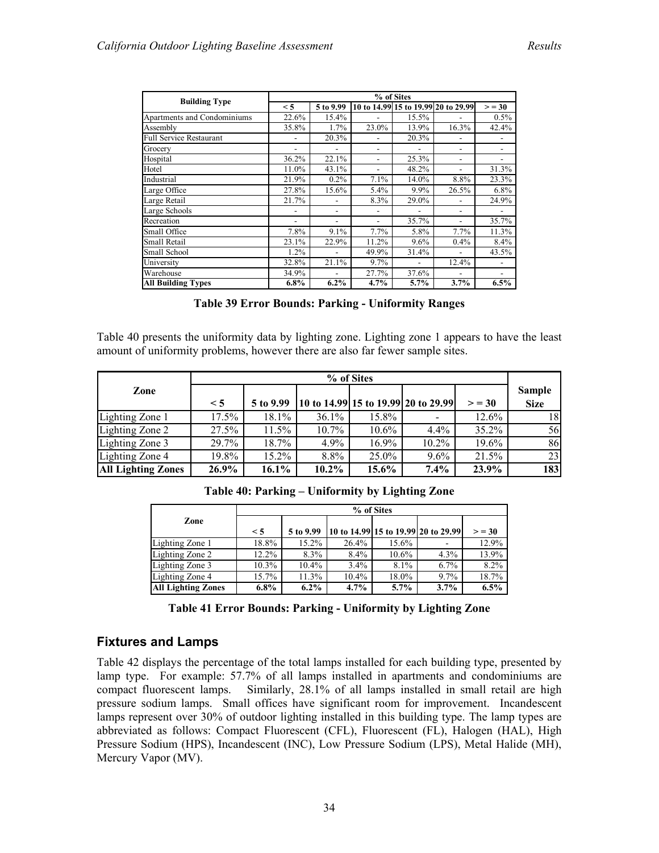|                                |         |           |                          | % of Sites |                                     |       |
|--------------------------------|---------|-----------|--------------------------|------------|-------------------------------------|-------|
| <b>Building Type</b>           | < 5     | 5 to 9.99 |                          |            | 10 to 14.99 15 to 19.99 20 to 29.99 | > 30  |
| Apartments and Condominiums    | 22.6%   | 15.4%     |                          | 15.5%      |                                     | 0.5%  |
| Assembly                       | 35.8%   | 1.7%      | 23.0%                    | 13.9%      | 16.3%                               | 42.4% |
| <b>Full Service Restaurant</b> |         | 20.3%     |                          | 20.3%      |                                     |       |
| Grocery                        |         |           | $\overline{\phantom{0}}$ |            | $\qquad \qquad \blacksquare$        |       |
| Hospital                       | 36.2%   | 22.1%     | ٠                        | 25.3%      | ۰                                   |       |
| Hotel                          | 11.0%   | 43.1%     | ٠                        | 48.2%      |                                     | 31.3% |
| Industrial                     | 21.9%   | 0.2%      | 7.1%                     | 14.0%      | 8.8%                                | 23.3% |
| Large Office                   | 27.8%   | 15.6%     | 5.4%                     | 9.9%       | 26.5%                               | 6.8%  |
| Large Retail                   | 21.7%   |           | 8.3%                     | 29.0%      |                                     | 24.9% |
| Large Schools                  |         |           |                          |            |                                     |       |
| Recreation                     |         |           |                          | 35.7%      |                                     | 35.7% |
| Small Office                   | 7.8%    | 9.1%      | 7.7%                     | 5.8%       | 7.7%                                | 11.3% |
| Small Retail                   | 23.1%   | 22.9%     | 11.2%                    | 9.6%       | 0.4%                                | 8.4%  |
| Small School                   | 1.2%    |           | 49.9%                    | 31.4%      |                                     | 43.5% |
| University                     | 32.8%   | 21.1%     | 9.7%                     |            | 12.4%                               |       |
| Warehouse                      | 34.9%   |           | 27.7%                    | 37.6%      |                                     |       |
| <b>All Building Types</b>      | $6.8\%$ | 6.2%      | 4.7%                     | $5.7\%$    | 3.7%                                | 6.5%  |

**Table 39 Error Bounds: Parking - Uniformity Ranges** 

Table 40 presents the uniformity data by lighting zone. Lighting zone 1 appears to have the least amount of uniformity problems, however there are also far fewer sample sites.

|                           |          |           |          | % of Sites |                                     |       |                              |
|---------------------------|----------|-----------|----------|------------|-------------------------------------|-------|------------------------------|
| Zone                      | $\leq$ 5 | 5 to 9.99 |          |            | 10 to 14.99 15 to 19.99 20 to 29.99 | > 30  | <b>Sample</b><br><b>Size</b> |
| Lighting Zone 1           | $17.5\%$ | 18.1%     | $36.1\%$ | 15.8%      |                                     | 12.6% | 18                           |
| Lighting Zone 2           | 27.5%    | $11.5\%$  | $10.7\%$ | 10.6%      | $4.4\%$                             | 35.2% | 56                           |
| Lighting Zone 3           | 29.7%    | 18.7%     | $4.9\%$  | 16.9%      | $10.2\%$                            | 19.6% | 86                           |
| Lighting Zone 4           | 19.8%    | $15.2\%$  | 8.8%     | 25.0%      | $9.6\%$                             | 21.5% | 23                           |
| <b>All Lighting Zones</b> | 26.9%    | $16.1\%$  | $10.2\%$ | 15.6%      | $7.4\%$                             | 23.9% | 183                          |

**Table 40: Parking – Uniformity by Lighting Zone** 

|                           | % of Sites |           |                                     |       |         |       |  |  |  |  |
|---------------------------|------------|-----------|-------------------------------------|-------|---------|-------|--|--|--|--|
| Zone                      | $\leq 5$   | 5 to 9.99 | 10 to 14.99 15 to 19.99 20 to 29.99 |       |         | > 30  |  |  |  |  |
| Lighting Zone 1           | 18.8%      | 15.2%     | 26.4%                               | 15.6% |         | 12.9% |  |  |  |  |
| Lighting Zone 2           | 12.2%      | 8.3%      | $8.4\%$                             | 10.6% | $4.3\%$ | 13.9% |  |  |  |  |
| Lighting Zone 3           | $10.3\%$   | $10.4\%$  | $3.4\%$                             | 8.1%  | 6.7%    | 8.2%  |  |  |  |  |
| Lighting Zone 4           | 15.7%      | 11.3%     | 10.4%                               | 18.0% | 9.7%    | 18.7% |  |  |  |  |
| <b>All Lighting Zones</b> | $6.8\%$    | $6.2\%$   | 4.7%                                | 5.7%  | 3.7%    | 6.5%  |  |  |  |  |

|  |  |  | Table 41 Error Bounds: Parking - Uniformity by Lighting Zone |
|--|--|--|--------------------------------------------------------------|
|  |  |  |                                                              |

#### **Fixtures and Lamps**

Table 42 displays the percentage of the total lamps installed for each building type, presented by lamp type. For example: 57.7% of all lamps installed in apartments and condominiums are compact fluorescent lamps. Similarly, 28.1% of all lamps installed in small retail are high pressure sodium lamps. Small offices have significant room for improvement. Incandescent lamps represent over 30% of outdoor lighting installed in this building type. The lamp types are abbreviated as follows: Compact Fluorescent (CFL), Fluorescent (FL), Halogen (HAL), High Pressure Sodium (HPS), Incandescent (INC), Low Pressure Sodium (LPS), Metal Halide (MH), Mercury Vapor (MV).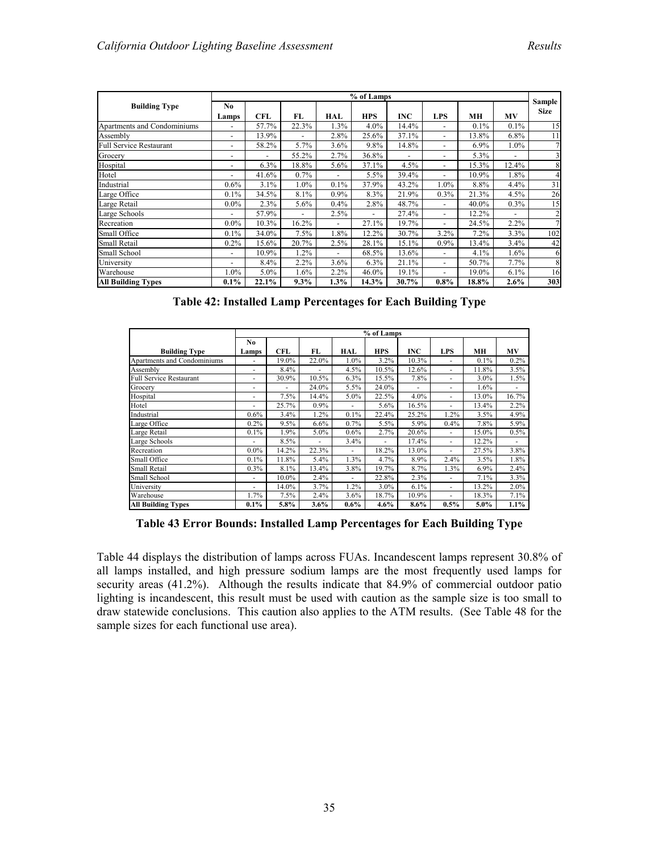|                                |                          |            |       |                          | % of Lamps                   |            |                          |         |         |                         |
|--------------------------------|--------------------------|------------|-------|--------------------------|------------------------------|------------|--------------------------|---------|---------|-------------------------|
| <b>Building Type</b>           | No.                      |            |       |                          |                              |            |                          |         |         | Sample<br><b>Size</b>   |
|                                | Lamps                    | <b>CFL</b> | FL    | HAL                      | <b>HPS</b>                   | <b>INC</b> | <b>LPS</b>               | MН      | MV      |                         |
| Apartments and Condominiums    |                          | 57.7%      | 22.3% | 1.3%                     | 4.0%                         | 14.4%      |                          | 0.1%    | $0.1\%$ | 15                      |
| Assembly                       | -                        | 13.9%      | ۰     | 2.8%                     | 25.6%                        | 37.1%      | -                        | 13.8%   | 6.8%    | 11                      |
| <b>Full Service Restaurant</b> | $\overline{\phantom{0}}$ | 58.2%      | 5.7%  | 3.6%                     | 9.8%                         | 14.8%      | $\overline{\phantom{0}}$ | $6.9\%$ | 1.0%    |                         |
| Grocery                        | $\overline{\phantom{a}}$ |            | 55.2% | 2.7%                     | 36.8%                        | ٠          | $\overline{\phantom{0}}$ | 5.3%    |         | 3                       |
| Hospital                       | -                        | 6.3%       | 18.8% | 5.6%                     | 37.1%                        | 4.5%       | $\overline{\phantom{0}}$ | 15.3%   | 12.4%   | 8                       |
| Hotel                          |                          | 41.6%      | 0.7%  |                          | 5.5%                         | 39.4%      |                          | 10.9%   | 1.8%    |                         |
| Industrial                     | 0.6%                     | 3.1%       | 1.0%  | 0.1%                     | 37.9%                        | 43.2%      | 1.0%                     | 8.8%    | 4.4%    | 31                      |
| Large Office                   | 0.1%                     | 34.5%      | 8.1%  | $0.9\%$                  | 8.3%                         | 21.9%      | 0.3%                     | 21.3%   | 4.5%    | 26                      |
| Large Retail                   | $0.0\%$                  | 2.3%       | 5.6%  | 0.4%                     | 2.8%                         | 48.7%      | Ξ.                       | 40.0%   | $0.3\%$ | 15                      |
| Large Schools                  |                          | 57.9%      |       | 2.5%                     | $\qquad \qquad \blacksquare$ | 27.4%      | ٠                        | 12.2%   |         | $\overline{\mathbf{c}}$ |
| Recreation                     | $0.0\%$                  | 10.3%      | 16.2% |                          | 27.1%                        | 19.7%      |                          | 24.5%   | 2.2%    |                         |
| Small Office                   | 0.1%                     | 34.0%      | 7.5%  | 1.8%                     | 12.2%                        | 30.7%      | 3.2%                     | 7.2%    | 3.3%    | 102                     |
| Small Retail                   | 0.2%                     | 15.6%      | 20.7% | 2.5%                     | 28.1%                        | 15.1%      | $0.9\%$                  | 13.4%   | 3.4%    | 42                      |
| Small School                   | $\overline{\phantom{0}}$ | 10.9%      | 1.2%  | $\overline{\phantom{0}}$ | 68.5%                        | 13.6%      | $\overline{\phantom{0}}$ | 4.1%    | 1.6%    | 6                       |
| University                     |                          | 8.4%       | 2.2%  | 3.6%                     | 6.3%                         | 21.1%      |                          | 50.7%   | 7.7%    | 8                       |
| Warehouse                      | 1.0%                     | 5.0%       | 1.6%  | 2.2%                     | 46.0%                        | 19.1%      |                          | 19.0%   | 6.1%    | 16                      |
| <b>All Building Types</b>      | $0.1\%$                  | 22.1%      | 9.3%  | $1.3\%$                  | 14.3%                        | 30.7%      | $0.8\%$                  | 18.8%   | 2.6%    | 303                     |

**Table 42: Installed Lamp Percentages for Each Building Type** 

|                                |         |       |       |                          | % of Lamps |            |            |         |         |
|--------------------------------|---------|-------|-------|--------------------------|------------|------------|------------|---------|---------|
|                                | No.     |       |       |                          |            |            |            |         |         |
| <b>Building Type</b>           | Lamps   | CFL   | FL    | HAL                      | <b>HPS</b> | <b>INC</b> | <b>LPS</b> | MH      | MV      |
| Apartments and Condominiums    | ٠       | 19.0% | 22.0% | 1.0%                     | 3.2%       | 10.3%      | ٠          | 0.1%    | 0.2%    |
| Assembly                       | ٠       | 8.4%  |       | 4.5%                     | 10.5%      | 12.6%      | ٠          | 11.8%   | 3.5%    |
| <b>Full Service Restaurant</b> |         | 30.9% | 10.5% | 6.3%                     | 15.5%      | 7.8%       | ٠          | $3.0\%$ | 1.5%    |
| Grocery                        | ۰       | ٠     | 24.0% | 5.5%                     | 24.0%      |            | ٠          | 1.6%    |         |
| Hospital                       | ۰       | 7.5%  | 14.4% | 5.0%                     | 22.5%      | 4.0%       | ٠          | 13.0%   | 16.7%   |
| Hotel                          | ٠       | 25.7% | 0.9%  | ٠                        | 5.6%       | 16.5%      | ٠          | 13.4%   | 2.2%    |
| Industrial                     | 0.6%    | 3.4%  | 1.2%  | 0.1%                     | 22.4%      | 25.2%      | 1.2%       | 3.5%    | 4.9%    |
| Large Office                   | 0.2%    | 9.5%  | 6.6%  | 0.7%                     | 5.5%       | 5.9%       | 0.4%       | 7.8%    | 5.9%    |
| Large Retail                   | 0.1%    | 1.9%  | 5.0%  | 0.6%                     | 2.7%       | 20.6%      | ٠          | 15.0%   | 0.5%    |
| Large Schools                  |         | 8.5%  |       | 3.4%                     |            | 17.4%      | ٠          | 12.2%   |         |
| Recreation                     | $0.0\%$ | 14.2% | 22.3% |                          | 18.2%      | 13.0%      | ٠          | 27.5%   | 3.8%    |
| Small Office                   | 0.1%    | 11.8% | 5.4%  | 1.3%                     | 4.7%       | 8.9%       | 2.4%       | 3.5%    | 1.8%    |
| Small Retail                   | 0.3%    | 8.1%  | 13.4% | 3.8%                     | 19.7%      | 8.7%       | 1.3%       | 6.9%    | 2.4%    |
| Small School                   | ٠       | 10.0% | 2.4%  | $\overline{\phantom{a}}$ | 22.8%      | 2.3%       | ٠          | 7.1%    | 3.3%    |
| University                     | ٠       | 14.0% | 3.7%  | 1.2%                     | 3.0%       | 6.1%       | ٠          | 13.2%   | 2.0%    |
| Warehouse                      | .7%     | 7.5%  | 2.4%  | 3.6%                     | 18.7%      | 10.9%      | ٠          | 18.3%   | 7.1%    |
| <b>All Building Types</b>      | 0.1%    | 5.8%  | 3.6%  | $0.6\%$                  | $4.6\%$    | $8.6\%$    | 0.5%       | 5.0%    | $1.1\%$ |

**Table 43 Error Bounds: Installed Lamp Percentages for Each Building Type** 

Table 44 displays the distribution of lamps across FUAs. Incandescent lamps represent 30.8% of all lamps installed, and high pressure sodium lamps are the most frequently used lamps for security areas (41.2%). Although the results indicate that 84.9% of commercial outdoor patio lighting is incandescent, this result must be used with caution as the sample size is too small to draw statewide conclusions. This caution also applies to the ATM results. (See Table 48 for the sample sizes for each functional use area).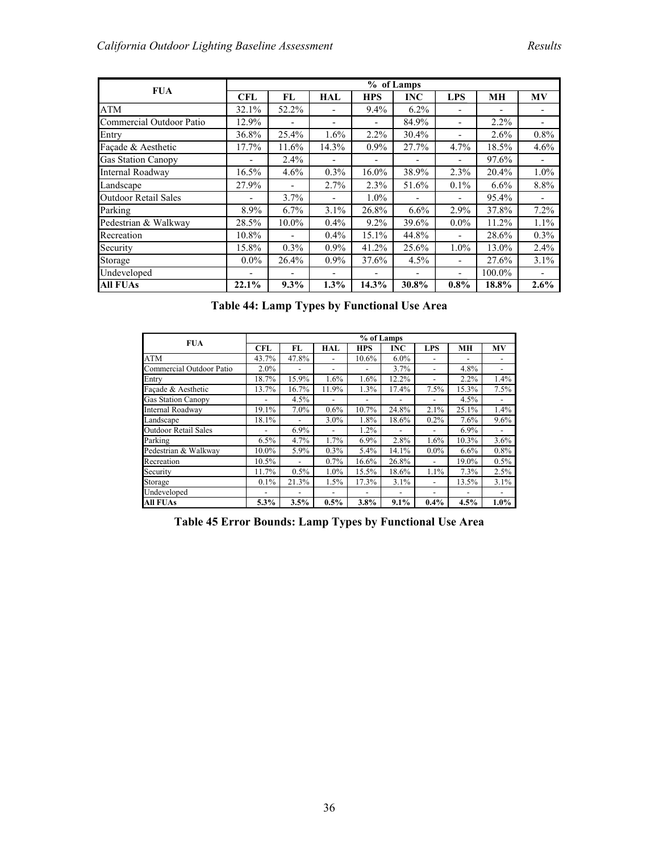|                             |                          |          |                          |            | % of Lamps |                          |         |           |
|-----------------------------|--------------------------|----------|--------------------------|------------|------------|--------------------------|---------|-----------|
| <b>FUA</b>                  | <b>CFL</b>               | FL       | <b>HAL</b>               | <b>HPS</b> | <b>INC</b> | <b>LPS</b>               | MН      | <b>MV</b> |
| <b>ATM</b>                  | 32.1%                    | 52.2%    |                          | 9.4%       | 6.2%       |                          |         |           |
| Commercial Outdoor Patio    | 12.9%                    |          | $\overline{\phantom{a}}$ |            | 84.9%      |                          | 2.2%    |           |
| Entry                       | 36.8%                    | 25.4%    | 1.6%                     | 2.2%       | 30.4%      |                          | 2.6%    | $0.8\%$   |
| Facade & Aesthetic          | 17.7%                    | 11.6%    | 14.3%                    | $0.9\%$    | 27.7%      | 4.7%                     | 18.5%   | 4.6%      |
| <b>Gas Station Canopy</b>   |                          | 2.4%     |                          |            |            |                          | 97.6%   |           |
| Internal Roadway            | 16.5%                    | 4.6%     | 0.3%                     | 16.0%      | 38.9%      | 2.3%                     | 20.4%   | $1.0\%$   |
| Landscape                   | 27.9%                    |          | 2.7%                     | 2.3%       | 51.6%      | $0.1\%$                  | $6.6\%$ | 8.8%      |
| <b>Outdoor Retail Sales</b> | $\overline{\phantom{0}}$ | 3.7%     |                          | $1.0\%$    |            |                          | 95.4%   |           |
| Parking                     | 8.9%                     | 6.7%     | 3.1%                     | 26.8%      | 6.6%       | 2.9%                     | 37.8%   | $7.2\%$   |
| Pedestrian & Walkway        | 28.5%                    | $10.0\%$ | $0.4\%$                  | $9.2\%$    | 39.6%      | $0.0\%$                  | 11.2%   | 1.1%      |
| Recreation                  | 10.8%                    |          | $0.4\%$                  | 15.1%      | 44.8%      |                          | 28.6%   | $0.3\%$   |
| Security                    | 15.8%                    | $0.3\%$  | $0.9\%$                  | 41.2%      | 25.6%      | $1.0\%$                  | 13.0%   | 2.4%      |
| Storage                     | $0.0\%$                  | 26.4%    | $0.9\%$                  | 37.6%      | 4.5%       |                          | 27.6%   | 3.1%      |
| Undeveloped                 | -                        |          | ٠                        |            |            | $\overline{\phantom{a}}$ | 100.0%  |           |
| <b>All FUAs</b>             | 22.1%                    | $9.3\%$  | 1.3%                     | 14.3%      | 30.8%      | $0.8\%$                  | 18.8%   | 2.6%      |

| <b>FUA</b>                  |            |                          |                          |            | % of Lamps               |            |                          |           |
|-----------------------------|------------|--------------------------|--------------------------|------------|--------------------------|------------|--------------------------|-----------|
|                             | <b>CFL</b> | FL                       | <b>HAL</b>               | <b>HPS</b> | <b>INC</b>               | <b>LPS</b> | MH                       | <b>MV</b> |
| <b>ATM</b>                  | 43.7%      | 47.8%                    |                          | 10.6%      | $6.0\%$                  |            |                          |           |
| Commercial Outdoor Patio    | 2.0%       |                          | $\overline{\phantom{a}}$ |            | 3.7%                     | ۰          | 4.8%                     |           |
| Entry                       | 18.7%      | 15.9%                    | 1.6%                     | 1.6%       | 12.2%                    |            | 2.2%                     | 1.4%      |
| Facade & Aesthetic          | 13.7%      | 16.7%                    | 11.9%                    | 1.3%       | 17.4%                    | 7.5%       | 15.3%                    | 7.5%      |
| <b>Gas Station Canopy</b>   |            | 4.5%                     |                          |            |                          | -          | 4.5%                     |           |
| <b>Internal Roadway</b>     | 19.1%      | $7.0\%$                  | $0.6\%$                  | 10.7%      | 24.8%                    | 2.1%       | 25.1%                    | 1.4%      |
| Landscape                   | 18.1%      | $\overline{\phantom{0}}$ | $3.0\%$                  | 1.8%       | 18.6%                    | $0.2\%$    | 7.6%                     | 9.6%      |
| <b>Outdoor Retail Sales</b> |            | $6.9\%$                  |                          | 1.2%       |                          | ۰          | 6.9%                     |           |
| Parking                     | 6.5%       | 4.7%                     | 1.7%                     | 6.9%       | 2.8%                     | 1.6%       | 10.3%                    | 3.6%      |
| Pedestrian & Walkway        | 10.0%      | 5.9%                     | $0.3\%$                  | 5.4%       | 14.1%                    | $0.0\%$    | 6.6%                     | 0.8%      |
| Recreation                  | 10.5%      |                          | 0.7%                     | 16.6%      | 26.8%                    |            | 19.0%                    | $0.5\%$   |
| Security                    | 11.7%      | 0.5%                     | 1.0%                     | 15.5%      | 18.6%                    | 1.1%       | 7.3%                     | 2.5%      |
| Storage                     | 0.1%       | 21.3%                    | 1.5%                     | 17.3%      | 3.1%                     | ۰          | 13.5%                    | 3.1%      |
| Undeveloped                 |            | $\overline{\phantom{a}}$ | -                        |            | $\overline{\phantom{a}}$ | -          | $\overline{\phantom{a}}$ |           |
| <b>All FUAs</b>             | $5.3\%$    | 3.5%                     | 0.5%                     | 3.8%       | 9.1%                     | $0.4\%$    | 4.5%                     | $1.0\%$   |

**Table 45 Error Bounds: Lamp Types by Functional Use Area**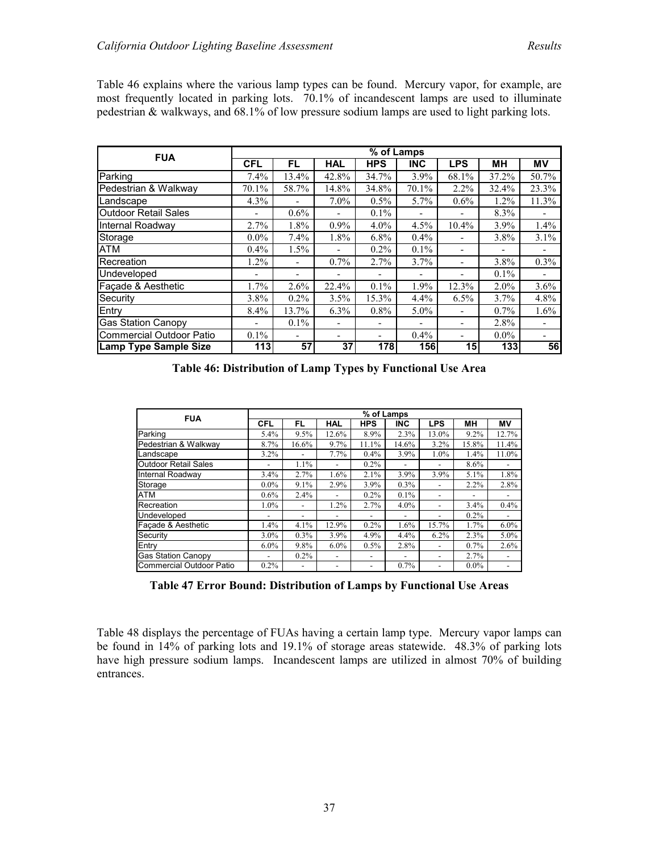Table 46 explains where the various lamp types can be found. Mercury vapor, for example, are most frequently located in parking lots. 70.1% of incandescent lamps are used to illuminate pedestrian & walkways, and 68.1% of low pressure sodium lamps are used to light parking lots.

| <b>FUA</b>                      | % of Lamps |         |            |            |            |            |         |           |  |  |
|---------------------------------|------------|---------|------------|------------|------------|------------|---------|-----------|--|--|
|                                 | <b>CFL</b> | FL.     | <b>HAL</b> | <b>HPS</b> | <b>INC</b> | <b>LPS</b> | MН      | <b>MV</b> |  |  |
| Parking                         | 7.4%       | 13.4%   | 42.8%      | 34.7%      | 3.9%       | 68.1%      | 37.2%   | 50.7%     |  |  |
| Pedestrian & Walkway            | 70.1%      | 58.7%   | 14.8%      | 34.8%      | 70.1%      | $2.2\%$    | 32.4%   | 23.3%     |  |  |
| Landscape                       | 4.3%       |         | $7.0\%$    | 0.5%       | 5.7%       | $0.6\%$    | 1.2%    | 11.3%     |  |  |
| <b>Outdoor Retail Sales</b>     |            | $0.6\%$ |            | $0.1\%$    | ٠          |            | 8.3%    |           |  |  |
| Internal Roadway                | 2.7%       | 1.8%    | $0.9\%$    | $4.0\%$    | 4.5%       | $10.4\%$   | 3.9%    | $1.4\%$   |  |  |
| Storage                         | $0.0\%$    | 7.4%    | 1.8%       | 6.8%       | 0.4%       |            | 3.8%    | $3.1\%$   |  |  |
| <b>ATM</b>                      | 0.4%       | 1.5%    |            | $0.2\%$    | 0.1%       |            |         |           |  |  |
| Recreation                      | $1.2\%$    |         | 0.7%       | 2.7%       | 3.7%       |            | 3.8%    | $0.3\%$   |  |  |
| Undeveloped                     | ۰          | -       |            | -          | -          |            | $0.1\%$ |           |  |  |
| Façade & Aesthetic              | $.7\%$     | 2.6%    | 22.4%      | $0.1\%$    | 1.9%       | 12.3%      | 2.0%    | 3.6%      |  |  |
| Security                        | 3.8%       | 0.2%    | 3.5%       | 15.3%      | 4.4%       | 6.5%       | 3.7%    | 4.8%      |  |  |
| Entry                           | 8.4%       | 13.7%   | $6.3\%$    | $0.8\%$    | 5.0%       |            | 0.7%    | 1.6%      |  |  |
| <b>Gas Station Canopy</b>       |            | $0.1\%$ |            | ۰          | ٠          |            | 2.8%    | ٠         |  |  |
| <b>Commercial Outdoor Patio</b> | $0.1\%$    | ٠       |            | -          | $0.4\%$    |            | $0.0\%$ |           |  |  |
| <b>Lamp Type Sample Size</b>    | 113        | 57      | 37         | 178        | 156        | 15         | 133     | 56        |  |  |

**Table 46: Distribution of Lamp Types by Functional Use Area** 

| <b>FUA</b>                      |            |                          |            | % of Lamps |                              |            |         |                          |
|---------------------------------|------------|--------------------------|------------|------------|------------------------------|------------|---------|--------------------------|
|                                 | <b>CFL</b> | FL.                      | <b>HAL</b> | <b>HPS</b> | <b>INC</b>                   | <b>LPS</b> | MН      | MV                       |
| Parking                         | $5.4\%$    | 9.5%                     | 12.6%      | 8.9%       | 2.3%                         | 13.0%      | 9.2%    | 12.7%                    |
| Pedestrian & Walkway            | 8.7%       | 16.6%                    | 9.7%       | 11.1%      | 14.6%                        | 3.2%       | 15.8%   | 11.4%                    |
| Landscape                       | $3.2\%$    |                          | 7.7%       | $0.4\%$    | 3.9%                         | $1.0\%$    | 1.4%    | 11.0%                    |
| <b>Outdoor Retail Sales</b>     |            | 1.1%                     |            | $0.2\%$    | $\qquad \qquad \blacksquare$ |            | 8.6%    |                          |
| Internal Roadway                | 3.4%       | 2.7%                     | $1.6\%$    | 2.1%       | 3.9%                         | 3.9%       | 5.1%    | 1.8%                     |
| Storage                         | $0.0\%$    | 9.1%                     | 2.9%       | 3.9%       | 0.3%                         |            | 2.2%    | 2.8%                     |
| ATM                             | $0.6\%$    | 2.4%                     |            | $0.2\%$    | 0.1%                         |            | -       | $\overline{\phantom{a}}$ |
| Recreation                      | $1.0\%$    |                          | $1.2\%$    | 2.7%       | 4.0%                         |            | 3.4%    | $0.4\%$                  |
| Undeveloped                     |            | $\overline{\phantom{a}}$ |            |            | -                            |            | $0.2\%$ |                          |
| Facade & Aesthetic              | $1.4\%$    | 4.1%                     | 12.9%      | $0.2\%$    | 1.6%                         | 15.7%      | 1.7%    | $6.0\%$                  |
| Security                        | $3.0\%$    | 0.3%                     | 3.9%       | 4.9%       | 4.4%                         | 6.2%       | 2.3%    | $5.0\%$                  |
| Entry                           | $6.0\%$    | 9.8%                     | $6.0\%$    | $0.5\%$    | 2.8%                         |            | 0.7%    | 2.6%                     |
| <b>Gas Station Canopy</b>       |            | 0.2%                     |            | -          | ۰                            |            | 2.7%    |                          |
| <b>Commercial Outdoor Patio</b> | $0.2\%$    | $\overline{\phantom{a}}$ |            | -          | 0.7%                         |            | $0.0\%$ |                          |

**Table 47 Error Bound: Distribution of Lamps by Functional Use Areas** 

Table 48 displays the percentage of FUAs having a certain lamp type. Mercury vapor lamps can be found in 14% of parking lots and 19.1% of storage areas statewide. 48.3% of parking lots have high pressure sodium lamps. Incandescent lamps are utilized in almost 70% of building entrances.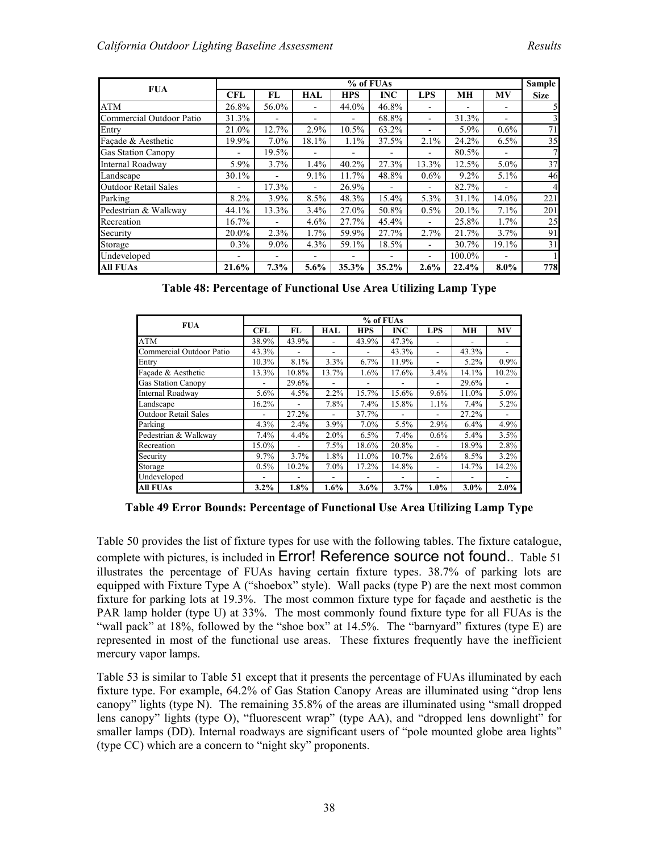| <b>FUA</b>                  |                          |         |         |            | $\overline{\frac{9}{6}}$ of FUAs |            |         |                          | Sample      |
|-----------------------------|--------------------------|---------|---------|------------|----------------------------------|------------|---------|--------------------------|-------------|
|                             | <b>CFL</b>               | FL      | HAL     | <b>HPS</b> | <b>INC</b>                       | <b>LPS</b> | MH      | <b>MV</b>                | <b>Size</b> |
| <b>ATM</b>                  | 26.8%                    | 56.0%   |         | 44.0%      | 46.8%                            |            |         |                          |             |
| Commercial Outdoor Patio    | 31.3%                    |         |         |            | 68.8%                            |            | 31.3%   | -                        |             |
| Entry                       | 21.0%                    | 12.7%   | 2.9%    | 10.5%      | 63.2%                            |            | 5.9%    | $0.6\%$                  | 71          |
| Façade & Aesthetic          | 19.9%                    | $7.0\%$ | 18.1%   | $1.1\%$    | 37.5%                            | $2.1\%$    | 24.2%   | 6.5%                     | 35          |
| <b>Gas Station Canopy</b>   |                          | 19.5%   |         |            | -                                | ٠          | 80.5%   | -                        |             |
| <b>Internal Roadway</b>     | $5.9\%$                  | 3.7%    | 1.4%    | 40.2%      | 27.3%                            | 13.3%      | 12.5%   | 5.0%                     | 37          |
| Landscape                   | $30.1\%$                 |         | 9.1%    | 11.7%      | 48.8%                            | $0.6\%$    | $9.2\%$ | 5.1%                     | 46          |
| <b>Outdoor Retail Sales</b> |                          | 17.3%   |         | 26.9%      |                                  |            | 82.7%   | $\overline{\phantom{a}}$ |             |
| Parking                     | 8.2%                     | 3.9%    | 8.5%    | 48.3%      | 15.4%                            | 5.3%       | 31.1%   | 14.0%                    | 221         |
| Pedestrian & Walkway        | 44.1%                    | 13.3%   | 3.4%    | 27.0%      | 50.8%                            | $0.5\%$    | 20.1%   | 7.1%                     | 201         |
| Recreation                  | 16.7%                    |         | 4.6%    | 27.7%      | 45.4%                            | ٠          | 25.8%   | 1.7%                     | 25          |
| Security                    | 20.0%                    | 2.3%    | 1.7%    | 59.9%      | 27.7%                            | 2.7%       | 21.7%   | 3.7%                     | 91          |
| Storage                     | $0.3\%$                  | $9.0\%$ | 4.3%    | 59.1%      | 18.5%                            | -          | 30.7%   | 19.1%                    | 31          |
| Undeveloped                 | $\overline{\phantom{a}}$ |         |         | -          | -                                | ٠          | 100.0%  | $\overline{\phantom{a}}$ |             |
| <b>All FUAs</b>             | 21.6%                    | $7.3\%$ | $5.6\%$ | 35.3%      | $35.2\%$                         | $2.6\%$    | 22.4%   | $8.0\%$                  | 778         |

**Table 48: Percentage of Functional Use Area Utilizing Lamp Type** 

|                             |            |          |                          |            | % of FUAs  |                |         |           |
|-----------------------------|------------|----------|--------------------------|------------|------------|----------------|---------|-----------|
| <b>FUA</b>                  | <b>CFL</b> | FL.      | HAL                      | <b>HPS</b> | <b>INC</b> | <b>LPS</b>     | MH      | <b>MV</b> |
| ATM                         | 38.9%      | 43.9%    |                          | 43.9%      | 47.3%      |                |         |           |
| Commercial Outdoor Patio    | 43.3%      |          |                          |            | 43.3%      | $\blacksquare$ | 43.3%   |           |
| Entry                       | 10.3%      | 8.1%     | 3.3%                     | 6.7%       | 11.9%      | ۰              | $5.2\%$ | $0.9\%$   |
| Façade & Aesthetic          | 13.3%      | 10.8%    | 13.7%                    | 1.6%       | 17.6%      | 3.4%           | 14.1%   | 10.2%     |
| <b>Gas Station Canopy</b>   |            | 29.6%    |                          |            |            | $\blacksquare$ | 29.6%   |           |
| <b>Internal Roadway</b>     | 5.6%       | 4.5%     | 2.2%                     | 15.7%      | 15.6%      | 9.6%           | 11.0%   | 5.0%      |
| Landscape                   | 16.2%      |          | 7.8%                     | 7.4%       | 15.8%      | $1.1\%$        | 7.4%    | 5.2%      |
| <b>Outdoor Retail Sales</b> |            | 27.2%    |                          | 37.7%      |            | $\blacksquare$ | 27.2%   |           |
| Parking                     | 4.3%       | 2.4%     | $3.9\%$                  | 7.0%       | 5.5%       | 2.9%           | 6.4%    | 4.9%      |
| Pedestrian & Walkway        | 7.4%       | 4.4%     | $2.0\%$                  | 6.5%       | 7.4%       | $0.6\%$        | 5.4%    | 3.5%      |
| Recreation                  | 15.0%      |          | 7.5%                     | 18.6%      | 20.8%      |                | 18.9%   | 2.8%      |
| Security                    | $9.7\%$    | 3.7%     | 1.8%                     | 11.0%      | 10.7%      | $2.6\%$        | 8.5%    | $3.2\%$   |
| Storage                     | $0.5\%$    | $10.2\%$ | 7.0%                     | 17.2%      | 14.8%      | $\blacksquare$ | 14.7%   | 14.2%     |
| Undeveloped                 |            | ۰        | $\overline{\phantom{a}}$ |            | -          | ۰              |         |           |
| <b>All FUAs</b>             | 3.2%       | 1.8%     | 1.6%                     | 3.6%       | 3.7%       | $1.0\%$        | $3.0\%$ | 2.0%      |

**Table 49 Error Bounds: Percentage of Functional Use Area Utilizing Lamp Type** 

Table 50 provides the list of fixture types for use with the following tables. The fixture catalogue, complete with pictures, is included in Error! Reference source not found.. Table 51 illustrates the percentage of FUAs having certain fixture types. 38.7% of parking lots are equipped with Fixture Type A ("shoebox" style). Wall packs (type P) are the next most common fixture for parking lots at 19.3%. The most common fixture type for façade and aesthetic is the PAR lamp holder (type U) at 33%. The most commonly found fixture type for all FUAs is the "wall pack" at 18%, followed by the "shoe box" at 14.5%. The "barnyard" fixtures (type E) are represented in most of the functional use areas. These fixtures frequently have the inefficient mercury vapor lamps.

Table 53 is similar to Table 51 except that it presents the percentage of FUAs illuminated by each fixture type. For example, 64.2% of Gas Station Canopy Areas are illuminated using "drop lens canopy" lights (type N). The remaining 35.8% of the areas are illuminated using "small dropped lens canopy" lights (type O), "fluorescent wrap" (type AA), and "dropped lens downlight" for smaller lamps (DD). Internal roadways are significant users of "pole mounted globe area lights" (type CC) which are a concern to "night sky" proponents.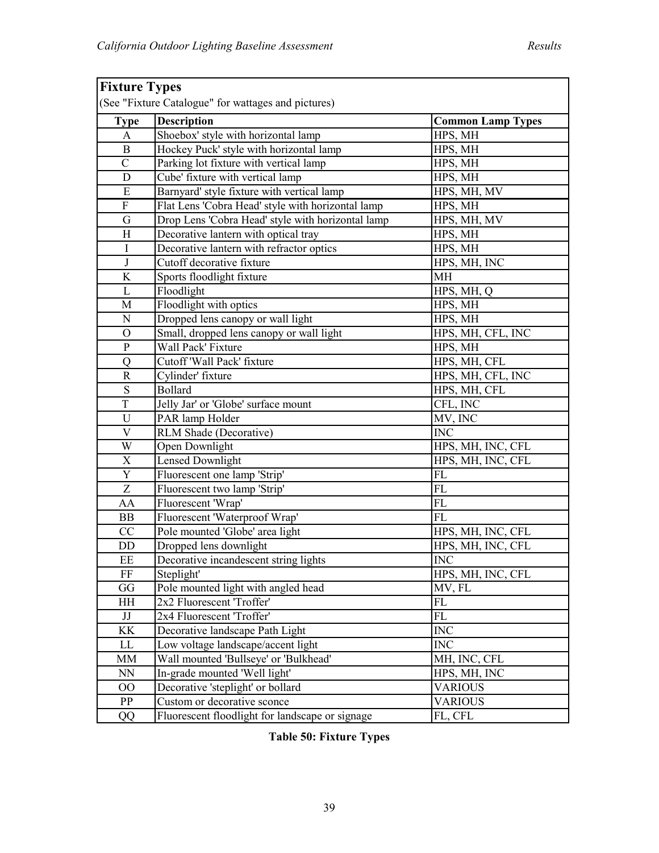| <b>Fixture Types</b>      |                                                     |                          |
|---------------------------|-----------------------------------------------------|--------------------------|
|                           | (See "Fixture Catalogue" for wattages and pictures) |                          |
| <b>Type</b>               | <b>Description</b>                                  | <b>Common Lamp Types</b> |
| A                         | Shoebox' style with horizontal lamp                 | HPS, MH                  |
| B                         | Hockey Puck' style with horizontal lamp             | HPS, MH                  |
| $\mathcal{C}$             | Parking lot fixture with vertical lamp              | HPS, MH                  |
| D                         | Cube' fixture with vertical lamp                    | HPS, MH                  |
| E                         | Barnyard' style fixture with vertical lamp          | HPS, MH, MV              |
| ${\bf F}$                 | Flat Lens 'Cobra Head' style with horizontal lamp   | HPS, MH                  |
| G                         | Drop Lens 'Cobra Head' style with horizontal lamp   | HPS, MH, MV              |
| H                         | Decorative lantern with optical tray                | HPS, MH                  |
| $\mathbf I$               | Decorative lantern with refractor optics            | HPS, MH                  |
| $_{\rm J}$                | Cutoff decorative fixture                           | HPS, MH, INC             |
| K                         | Sports floodlight fixture                           | <b>MH</b>                |
| L                         | Floodlight                                          | HPS, MH, Q               |
| M                         | Floodlight with optics                              | HPS, MH                  |
| $\mathbf N$               | Dropped lens canopy or wall light                   | HPS, MH                  |
| $\mathcal{O}$             | Small, dropped lens canopy or wall light            | HPS, MH, CFL, INC        |
| ${\bf P}$                 | Wall Pack' Fixture                                  | HPS, MH                  |
| Q                         | Cutoff 'Wall Pack' fixture                          | HPS, MH, CFL             |
| R                         | Cylinder' fixture                                   | HPS, MH, CFL, INC        |
| S                         | <b>Bollard</b>                                      | HPS, MH, CFL             |
| T                         | Jelly Jar' or 'Globe' surface mount                 | CFL, INC                 |
| U                         | PAR lamp Holder                                     | MV, INC                  |
| V                         | RLM Shade (Decorative)                              | <b>INC</b>               |
| W                         | Open Downlight                                      | HPS, MH, INC, CFL        |
| $\boldsymbol{\mathrm{X}}$ | <b>Lensed Downlight</b>                             | HPS, MH, INC, CFL        |
| Y                         | Fluorescent one lamp 'Strip'                        | FL                       |
| Z                         | Fluorescent two lamp 'Strip'                        | FL                       |
| ${\bf AA}$                | Fluorescent 'Wrap'                                  | FL                       |
| <b>BB</b>                 | Fluorescent 'Waterproof Wrap'                       | <b>FL</b>                |
| CC                        | Pole mounted 'Globe' area light                     | HPS, MH, INC, CFL        |
| DD                        | Dropped lens downlight                              | HPS, MH, INC, CFL        |
| EE                        | Decorative incandescent string lights               | $\rm{INC}$               |
| FF                        | Steplight'                                          | HPS, MH, INC, CFL        |
| GG                        | Pole mounted light with angled head                 | MV, FL                   |
| HH                        | 2x2 Fluorescent 'Troffer'                           | FL                       |
| JJ                        | 2x4 Fluorescent 'Troffer'                           | FL                       |
| KK                        | Decorative landscape Path Light                     | <b>INC</b>               |
| LL                        | Low voltage landscape/accent light                  | <b>INC</b>               |
| МM                        | Wall mounted 'Bullseye' or 'Bulkhead'               | MH, INC, CFL             |
| NN                        | In-grade mounted 'Well light'                       | HPS, MH, INC             |
| $\overline{O}O$           | Decorative 'steplight' or bollard                   | <b>VARIOUS</b>           |
| PP                        | Custom or decorative sconce                         | <b>VARIOUS</b>           |
| QQ                        | Fluorescent floodlight for landscape or signage     | FL, CFL                  |
|                           |                                                     |                          |

|  |  | <b>Table 50: Fixture Types</b> |  |
|--|--|--------------------------------|--|
|--|--|--------------------------------|--|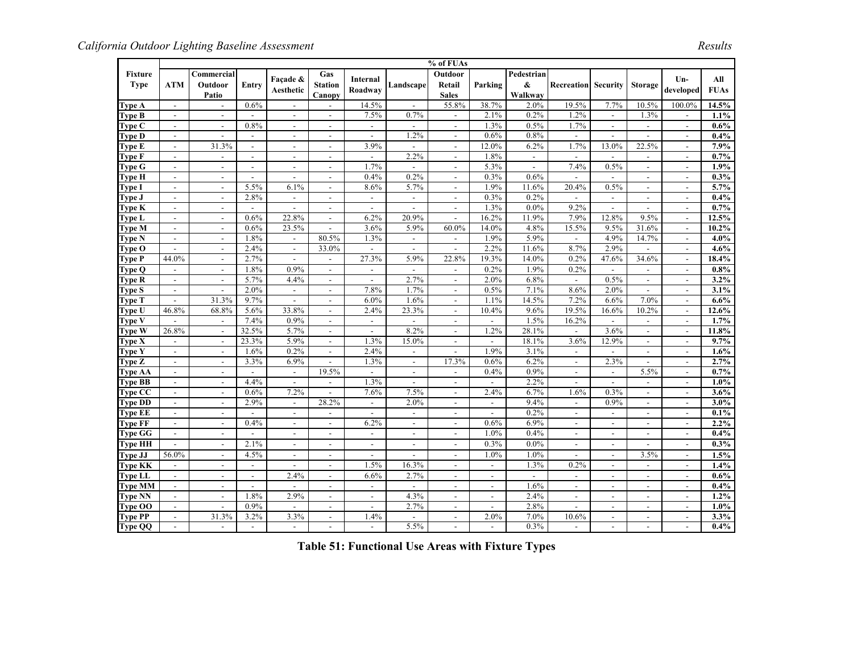|                |                          |                          |                          |                          |                          |                          |                          | % of FUAs                |                          |                          |                          |                          |                          |                          |             |
|----------------|--------------------------|--------------------------|--------------------------|--------------------------|--------------------------|--------------------------|--------------------------|--------------------------|--------------------------|--------------------------|--------------------------|--------------------------|--------------------------|--------------------------|-------------|
| <b>Fixture</b> |                          | Commercial               |                          | Facade &                 | Gas                      | Internal                 |                          | Outdoor                  |                          | Pedestrian               |                          |                          |                          | Un-                      | All         |
| <b>Type</b>    | <b>ATM</b>               | Outdoor<br>Patio         | Entry                    | Aesthetic                | <b>Station</b><br>Canopy | Roadway                  | Landscape                | Retail<br><b>Sales</b>   | Parking                  | &<br>Walkway             | Recreation               | <b>Security</b>          | <b>Storage</b>           | developed                | <b>FUAs</b> |
| Type A         | $\overline{\phantom{a}}$ | $\overline{\phantom{a}}$ | 0.6%                     | $\overline{\phantom{a}}$ | $\sim$                   | 14.5%                    |                          | 55.8%                    | 38.7%                    | 2.0%                     | 19.5%                    | 7.7%                     | 10.5%                    | 100.0%                   | 14.5%       |
| <b>Type B</b>  | $\overline{\phantom{a}}$ | $\blacksquare$           |                          | $\overline{\phantom{a}}$ | $\blacksquare$           | 7.5%                     | 0.7%                     |                          | 2.1%                     | 0.2%                     | 1.2%                     |                          | 1.3%                     |                          | 1.1%        |
| Type C         | $\blacksquare$           | $\overline{\phantom{a}}$ | 0.8%                     | $\overline{\phantom{a}}$ | $\overline{\phantom{a}}$ | $\overline{\phantom{a}}$ |                          | $\overline{\phantom{a}}$ | 1.3%                     | 0.5%                     | 1.7%                     | $\sim$                   |                          | $\blacksquare$           | $0.6\%$     |
| <b>Type D</b>  | $\blacksquare$           |                          | $\overline{a}$           | $\overline{\phantom{a}}$ | $\overline{\phantom{a}}$ | $\overline{\phantom{a}}$ | 1.2%                     | $\overline{\phantom{a}}$ | 0.6%                     | 0.8%                     | $\overline{\phantom{a}}$ |                          |                          | $\blacksquare$           | 0.4%        |
| Type E         | $\overline{\phantom{a}}$ | 31.3%                    | $\overline{\phantom{a}}$ | $\overline{\phantom{a}}$ | $\overline{\phantom{a}}$ | 3.9%                     | $\overline{\phantom{a}}$ | $\overline{\phantom{a}}$ | 12.0%                    | 6.2%                     | 1.7%                     | 13.0%                    | 22.5%                    | $\overline{\phantom{a}}$ | 7.9%        |
| <b>Type F</b>  | $\mathbf{r}$             | $\blacksquare$           | $\blacksquare$           | $\blacksquare$           | $\overline{\phantom{a}}$ | $\overline{\phantom{a}}$ | 2.2%                     | $\sim$                   | 1.8%                     | $\Box$                   | $\overline{\phantom{a}}$ | $\blacksquare$           | $\frac{1}{2}$            | $\blacksquare$           | 0.7%        |
| Type G         | $\overline{\phantom{a}}$ | $\overline{a}$           | $\overline{\phantom{a}}$ | $\overline{\phantom{a}}$ | $\blacksquare$           | 1.7%                     |                          | $\overline{\phantom{a}}$ | 5.3%                     | $\overline{\phantom{a}}$ | 7.4%                     | 0.5%                     | $\overline{\phantom{a}}$ | $\overline{\phantom{a}}$ | 1.9%        |
| <b>Type H</b>  | $\blacksquare$           | $\overline{\phantom{a}}$ | $\overline{a}$           |                          | $\blacksquare$           | 0.4%                     | 0.2%                     | $\overline{\phantom{a}}$ | 0.3%                     | 0.6%                     |                          |                          | $\blacksquare$           | $\blacksquare$           | 0.3%        |
| <b>Type I</b>  | $\overline{\phantom{a}}$ | $\overline{\phantom{a}}$ | 5.5%                     | 6.1%                     | $\blacksquare$           | 8.6%                     | 5.7%                     | $\overline{\phantom{a}}$ | 1.9%                     | 11.6%                    | 20.4%                    | 0.5%                     | $\overline{\phantom{a}}$ | $\overline{\phantom{a}}$ | 5.7%        |
| Type J         | $\overline{\phantom{a}}$ | $\overline{\phantom{a}}$ | 2.8%                     | $\overline{\phantom{a}}$ | $\overline{\phantom{a}}$ | $\overline{\phantom{a}}$ | $\overline{\phantom{a}}$ | $\overline{\phantom{a}}$ | 0.3%                     | 0.2%                     | $\sim$                   | $\overline{\phantom{a}}$ | $\overline{\phantom{a}}$ | $\overline{\phantom{a}}$ | 0.4%        |
| Type K         | $\blacksquare$           | $\blacksquare$           | $\blacksquare$           | $\overline{a}$           | $\overline{a}$           | $\overline{a}$           | $\overline{a}$           | $\blacksquare$           | 1.3%                     | 0.0%                     | 9.2%                     |                          | $\overline{a}$           | $\overline{a}$           | 0.7%        |
| <b>Type L</b>  | $\overline{\phantom{a}}$ | $\overline{\phantom{a}}$ | 0.6%                     | 22.8%                    | $\blacksquare$           | 6.2%                     | 20.9%                    | $\overline{\phantom{a}}$ | 16.2%                    | 11.9%                    | 7.9%                     | $12.\overline{8\%}$      | 9.5%                     | $\overline{\phantom{a}}$ | 12.5%       |
| <b>Type M</b>  | $\overline{\phantom{a}}$ | $\overline{\phantom{a}}$ | 0.6%                     | 23.5%                    | $\overline{\phantom{a}}$ | 3.6%                     | 5.9%                     | 60.0%                    | 14.0%                    | 4.8%                     | 15.5%                    | 9.5%                     | 31.6%                    | $\blacksquare$           | 10.2%       |
| <b>Type N</b>  | $\blacksquare$           | $\overline{\phantom{a}}$ | 1.8%                     | $\overline{\phantom{a}}$ | 80.5%                    | 1.3%                     | $\sim$                   | $\overline{\phantom{a}}$ | 1.9%                     | 5.9%                     | $\blacksquare$           | 4.9%                     | 14.7%                    | $\overline{\phantom{a}}$ | 4.0%        |
| Type O         |                          | $\blacksquare$           | 2.4%                     | $\blacksquare$           | 33.0%                    |                          |                          |                          | 2.2%                     | 11.6%                    | 8.7%                     | 2.9%                     |                          | L.                       | 4.6%        |
| <b>Type P</b>  | 44.0%                    | $\overline{\phantom{a}}$ | 2.7%                     |                          |                          | 27.3%                    | 5.9%                     | 22.8%                    | 19.3%                    | 14.0%                    | 0.2%                     | 47.6%                    | 34.6%                    | $\frac{1}{2}$            | 18.4%       |
| Type Q         | $\overline{\phantom{a}}$ | $\overline{a}$           | 1.8%                     | 0.9%                     | $\overline{\phantom{a}}$ | $\blacksquare$           | $\overline{\phantom{a}}$ | $\overline{\phantom{a}}$ | 0.2%                     | 1.9%                     | 0.2%                     | $\overline{\phantom{a}}$ | $\overline{\phantom{a}}$ | $\overline{\phantom{a}}$ | 0.8%        |
| <b>Type R</b>  | $\overline{\phantom{a}}$ | $\overline{\phantom{a}}$ | 5.7%                     | 4.4%                     | $\blacksquare$           | $\overline{\phantom{a}}$ | 2.7%                     | $\overline{\phantom{a}}$ | 2.0%                     | 6.8%                     | $\blacksquare$           | 0.5%                     | $\overline{\phantom{a}}$ | $\overline{\phantom{a}}$ | 3.2%        |
| <b>Type S</b>  | $\blacksquare$           | $\sim$                   | 2.0%                     | $\overline{\phantom{a}}$ | $\blacksquare$           | 7.8%                     | 1.7%                     | $\sim$                   | 0.5%                     | 7.1%                     | 8.6%                     | 2.0%                     | $\overline{a}$           | $\overline{\phantom{a}}$ | 3.1%        |
| <b>Type T</b>  | $\overline{a}$           | 31.3%                    | 9.7%                     | $\blacksquare$           | $\blacksquare$           | 6.0%                     | 1.6%                     | $\overline{\phantom{a}}$ | 1.1%                     | 14.5%                    | 7.2%                     | 6.6%                     | 7.0%                     | $\blacksquare$           | 6.6%        |
| <b>Type U</b>  | 46.8%                    | 68.8%                    | 5.6%                     | 33.8%                    | $\overline{\phantom{a}}$ | 2.4%                     | 23.3%                    | $\overline{\phantom{a}}$ | 10.4%                    | 9.6%                     | 19.5%                    | 16.6%                    | 10.2%                    | $\blacksquare$           | 12.6%       |
| <b>Type V</b>  | $\blacksquare$           | $\overline{a}$           | 7.4%                     | 0.9%                     | $\blacksquare$           | $\overline{\phantom{a}}$ | $\blacksquare$           | $\overline{\phantom{a}}$ | $\blacksquare$           | 1.5%                     | 16.2%                    | $\overline{\phantom{a}}$ | $\overline{\phantom{a}}$ | $\overline{\phantom{a}}$ | 1.7%        |
| <b>Type W</b>  | 26.8%                    | $\overline{\phantom{a}}$ | 32.5%                    | 5.7%                     | $\overline{\phantom{a}}$ | $\overline{\phantom{a}}$ | 8.2%                     | $\sim$                   | 1.2%                     | 28.1%                    |                          | 3.6%                     | $\overline{\phantom{a}}$ | $\blacksquare$           | 11.8%       |
| Type X         |                          | $\blacksquare$           | 23.3%                    | 5.9%                     | $\blacksquare$           | 1.3%                     | 15.0%                    |                          |                          | 18.1%                    | 3.6%                     | 12.9%                    | $\overline{a}$           | $\blacksquare$           | 9.7%        |
| <b>Type Y</b>  | $\overline{\phantom{a}}$ | $\overline{\phantom{a}}$ | 1.6%                     | 0.2%                     | $\overline{\phantom{a}}$ | 2.4%                     | $\overline{\phantom{a}}$ | $\overline{\phantom{a}}$ | 1.9%                     | 3.1%                     | $\overline{\phantom{a}}$ | $\overline{\phantom{a}}$ | $\overline{\phantom{a}}$ | $\overline{\phantom{a}}$ | 1.6%        |
| Type Z         | $\overline{\phantom{a}}$ | $\overline{\phantom{a}}$ | 3.3%                     | 6.9%                     | $\blacksquare$           | 1.3%                     | $\overline{\phantom{a}}$ | 17.3%                    | 0.6%                     | 6.2%                     | $\overline{\phantom{a}}$ | 2.3%                     | $\blacksquare$           | $\overline{\phantom{a}}$ | 2.7%        |
| <b>Type AA</b> | $\blacksquare$           | $\overline{\phantom{a}}$ | $\overline{a}$           | $\sim$                   | 19.5%                    |                          |                          |                          | 0.4%                     | 0.9%                     | $\overline{a}$           |                          | 5.5%                     | $\blacksquare$           | 0.7%        |
| <b>Type BB</b> | $\blacksquare$           | $\overline{\phantom{a}}$ | 4.4%                     | $\overline{\phantom{a}}$ | $\blacksquare$           | 1.3%                     |                          | $\overline{\phantom{a}}$ |                          | 2.2%                     | $\overline{\phantom{a}}$ |                          | $\blacksquare$           | $\overline{\phantom{a}}$ | 1.0%        |
| Type CC        | $\overline{\phantom{a}}$ | $\blacksquare$           | 0.6%                     | 7.2%                     |                          | 7.6%                     | 7.5%                     | $\blacksquare$           | 2.4%                     | 6.7%                     | 1.6%                     | 0.3%                     | $\overline{\phantom{a}}$ | $\overline{a}$           | 3.6%        |
| <b>Type DD</b> | $\blacksquare$           | $\overline{\phantom{a}}$ | 2.9%                     | $\overline{\phantom{a}}$ | 28.2%                    | $\overline{\phantom{a}}$ | 2.0%                     | $\overline{\phantom{a}}$ | $\blacksquare$           | 9.4%                     | $\overline{\phantom{a}}$ | 0.9%                     | $\overline{\phantom{a}}$ | $\overline{\phantom{a}}$ | 3.0%        |
| <b>Type EE</b> | $\overline{\phantom{a}}$ | $\overline{\phantom{a}}$ | $\overline{\phantom{a}}$ | $\blacksquare$           | $\overline{a}$           | $\overline{\phantom{a}}$ | $\overline{a}$           | $\overline{\phantom{a}}$ | $\overline{a}$           | 0.2%                     | $\overline{\phantom{a}}$ | $\blacksquare$           | $\overline{\phantom{a}}$ | $\blacksquare$           | 0.1%        |
| <b>Type FF</b> | $\blacksquare$           | $\overline{\phantom{a}}$ | 0.4%                     | $\overline{\phantom{a}}$ | $\overline{a}$           | 6.2%                     | $\overline{\phantom{a}}$ | $\overline{\phantom{a}}$ | 0.6%                     | 6.9%                     | $\overline{\phantom{a}}$ |                          | $\overline{a}$           | $\blacksquare$           | 2.2%        |
| <b>Type GG</b> | $\overline{\phantom{a}}$ | $\overline{\phantom{a}}$ |                          | $\overline{\phantom{a}}$ | $\blacksquare$           | $\overline{\phantom{a}}$ | $\overline{\phantom{a}}$ | $\overline{\phantom{a}}$ | 1.0%                     | 0.4%                     | $\overline{\phantom{a}}$ | $\overline{\phantom{a}}$ | $\overline{\phantom{a}}$ | $\overline{\phantom{a}}$ | 0.4%        |
| <b>Type HH</b> | $\blacksquare$           | $\overline{\phantom{a}}$ | 2.1%                     | $\blacksquare$           | $\overline{a}$           | $\overline{\phantom{a}}$ | $\overline{\phantom{a}}$ | $\overline{\phantom{a}}$ | 0.3%                     | $0.0\%$                  | $\overline{\phantom{a}}$ | $\overline{\phantom{a}}$ | $\overline{a}$           | $\blacksquare$           | 0.3%        |
| Type JJ        | 56.0%                    | $\blacksquare$           | 4.5%                     | $\overline{a}$           | $\overline{\phantom{a}}$ |                          |                          |                          | 1.0%                     | 1.0%                     |                          | $\overline{\phantom{a}}$ | 3.5%                     | $\overline{\phantom{a}}$ | 1.5%        |
| <b>Type KK</b> | $\overline{\phantom{a}}$ | $\overline{\phantom{0}}$ | $\overline{\phantom{a}}$ | $\overline{\phantom{a}}$ | $\overline{\phantom{a}}$ | 1.5%                     | 16.3%                    | $\overline{\phantom{a}}$ | $\overline{\phantom{a}}$ | 1.3%                     | 0.2%                     | $\overline{\phantom{a}}$ | $\overline{\phantom{a}}$ | $\overline{\phantom{a}}$ | 1.4%        |
| <b>Type LL</b> | $\blacksquare$           | $\blacksquare$           | $\sim$                   | 2.4%                     | $\blacksquare$           | 6.6%                     | 2.7%                     | $\overline{\phantom{a}}$ | $\overline{\phantom{a}}$ | $\blacksquare$           | $\blacksquare$           | $\blacksquare$           | $\blacksquare$           | $\overline{\phantom{a}}$ | 0.6%        |
| <b>Type MM</b> | $\blacksquare$           | $\overline{\phantom{a}}$ | $\blacksquare$           | $\overline{\phantom{a}}$ | $\overline{\phantom{a}}$ | $\overline{\phantom{a}}$ |                          | $\overline{\phantom{a}}$ | $\overline{\phantom{a}}$ | 1.6%                     | $\overline{\phantom{a}}$ | $\overline{\phantom{a}}$ | $\overline{\phantom{a}}$ | $\overline{\phantom{a}}$ | 0.4%        |
| <b>Type NN</b> | $\blacksquare$           | $\overline{\phantom{a}}$ | 1.8%                     | 2.9%                     | $\overline{\phantom{a}}$ | $\overline{\phantom{a}}$ | 4.3%                     | $\overline{\phantom{a}}$ | $\overline{\phantom{a}}$ | 2.4%                     | $\overline{\phantom{a}}$ | $\blacksquare$           | $\blacksquare$           | $\overline{\phantom{a}}$ | 1.2%        |
| Type OO        | $\overline{\phantom{a}}$ |                          | 0.9%                     |                          | $\blacksquare$           |                          | 2.7%                     |                          | $\overline{\phantom{a}}$ | 2.8%                     |                          | $\overline{\phantom{a}}$ |                          |                          | 1.0%        |
| <b>Type PP</b> | $\blacksquare$           | 31.3%                    | 3.2%                     | 3.3%                     | $\overline{\phantom{a}}$ | 1.4%                     | $\overline{\phantom{a}}$ | $\overline{\phantom{a}}$ | 2.0%                     | 7.0%                     | 10.6%                    | $\overline{\phantom{a}}$ | $\overline{\phantom{a}}$ | $\overline{\phantom{a}}$ | 3.3%        |
| <b>Type QQ</b> |                          |                          |                          | $\overline{\phantom{a}}$ |                          |                          | 5.5%                     |                          |                          | $0.3\%$                  |                          |                          |                          |                          | $0.4\%$     |

**Table 51: Functional Use Areas with Fixture Types**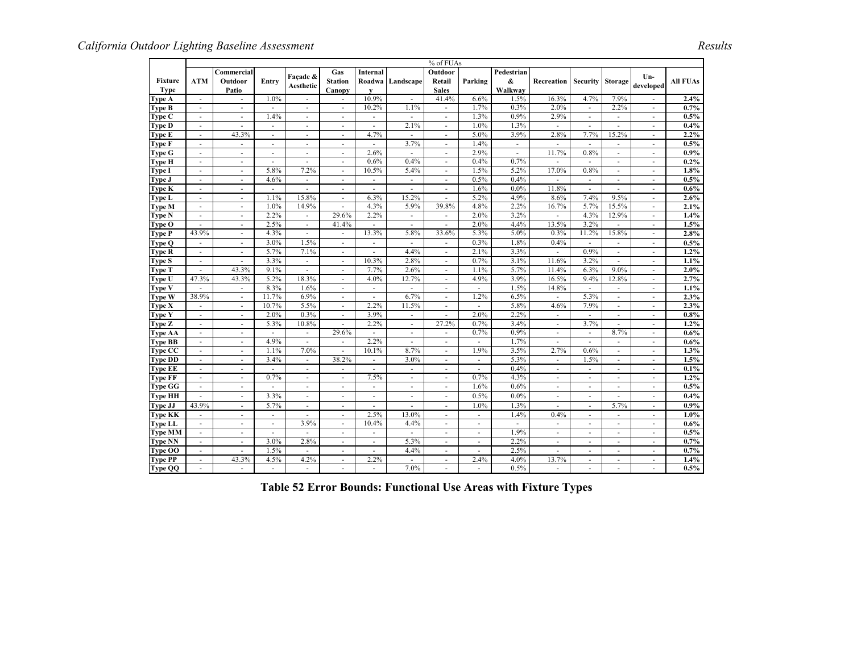# *California Outdoor Lighting Baseline Assessment Results*

|                | % of FUAs      |                          |        |                          |                          |                          |                  |                          |                          |                |                          |                          |                |                          |                 |
|----------------|----------------|--------------------------|--------|--------------------------|--------------------------|--------------------------|------------------|--------------------------|--------------------------|----------------|--------------------------|--------------------------|----------------|--------------------------|-----------------|
|                |                | Commercial               |        | Facade &                 | Gas                      | Internal                 |                  | Outdoor                  |                          | Pedestrian     |                          |                          |                | $Un-$                    |                 |
| <b>Fixture</b> | <b>ATM</b>     | Outdoor                  | Entry  |                          | <b>Station</b>           |                          | Roadwa Landscape | Retail                   | Parking                  | &              | Recreation               | <b>Security</b>          | <b>Storage</b> |                          | <b>All FUAs</b> |
| <b>Type</b>    |                | Patio                    |        | Aesthetic                | Canopy                   | $\mathbf{v}$             |                  | <b>Sales</b>             |                          | Walkway        |                          |                          |                | developed                |                 |
| Type A         | ٠              | $\sim$                   | 1.0%   | $\sim$                   |                          | 10.9%                    |                  | 41.4%                    | 6.6%                     | 1.5%           | 16.3%                    | 4.7%                     | 7.9%           |                          | 2.4%            |
| <b>Type B</b>  |                | ٠                        |        | ÷.                       | $\overline{a}$           | 10.2%                    | 1.1%             | ٠                        | 1.7%                     | 0.3%           | 2.0%                     |                          | 2.2%           |                          | 0.7%            |
| Type C         | ä,             | ä,                       | 1.4%   | $\sim$                   | $\sim$                   | $\blacksquare$           | $\sim$           | $\blacksquare$           | 1.3%                     | 0.9%           | 2.9%                     | $\blacksquare$           | $\omega$       | $\sim$                   | 0.5%            |
| <b>Type D</b>  |                |                          | ä,     | $\sim$                   | $\sim$                   |                          | 2.1%             | ٠                        | 1.0%                     | 1.3%           |                          |                          |                | $\overline{a}$           | 0.4%            |
| Type E         | ÷,             | 43.3%                    | ٠      | ÷.                       | ä,                       | 4.7%                     |                  | $\blacksquare$           | 5.0%                     | 3.9%           | 2.8%                     | 7.7%                     | 15.2%          | $\sim$                   | 2.2%            |
| <b>Type F</b>  | ٠              | $\blacksquare$           | ٠      | $\overline{\phantom{a}}$ | $\overline{\phantom{a}}$ |                          | 3.7%             | $\overline{\phantom{a}}$ | 1.4%                     | $\blacksquare$ |                          |                          | ÷,             | ٠                        | 0.5%            |
| <b>Type G</b>  | ٠              | ٠                        | ٠      | $\sim$                   | $\overline{a}$           | 2.6%                     | $\sim$           | ٠                        | 2.9%                     | $\sim$         | 11.7%                    | 0.8%                     | ×              | $\sim$                   | $0.9\%$         |
| <b>Type H</b>  | ä,             | $\blacksquare$           | ÷.     | $\sim$                   | $\blacksquare$           | 0.6%                     | 0.4%             | ÷                        | 0.4%                     | 0.7%           |                          | ÷.                       | $\sim$         | ÷.                       | $0.2\%$         |
| Type I         | ٠              | $\blacksquare$           | 5.8%   | 7.2%                     | $\overline{\phantom{a}}$ | 10.5%                    | 5.4%             | ٠                        | 1.5%                     | 5.2%           | 17.0%                    | 0.8%                     | ٠              | ٠                        | 1.8%            |
| Type J         | ä,             | $\sim$                   | 4.6%   | $\overline{\phantom{a}}$ | ä,                       |                          | ÷.               | ä,                       | 0.5%                     | 0.4%           |                          |                          | ä,             | $\sim$                   | 0.5%            |
| Type K         | $\sim$         | $\overline{\phantom{a}}$ | ä,     | ×.                       | $\overline{a}$           | $\sim$                   | ÷.               | $\overline{\phantom{a}}$ | 1.6%                     | 0.0%           | 11.8%                    | $\overline{\phantom{a}}$ | ×.             | $\sim$                   | 0.6%            |
| Type L         | $\sim$         | $\sim$                   | 1.1%   | 15.8%                    | $\sim$                   | 6.3%                     | 15.2%            | ٠                        | 5.2%                     | 4.9%           | 8.6%                     | 7.4%                     | 9.5%           | $\sim$                   | 2.6%            |
| Type M         | ÷.             | ÷                        | 1.0%   | 14.9%                    | $\sim$                   | 4.3%                     | 5.9%             | 39.8%                    | 4.8%                     | 2.2%           | 16.7%                    | 5.7%                     | 15.5%          | ÷.                       | 2.1%            |
| Type N         | ä,             | $\sim$                   | 2.2%   | $\blacksquare$           | 29.6%                    | 2.2%                     | $\sim$           | ٠                        | 2.0%                     | 3.2%           | ä,                       | 4.3%                     | 12.9%          | $\sim$                   | 1.4%            |
| Type O         |                | $\overline{a}$           | 2.5%   | ÷.                       | 41.4%                    |                          |                  |                          | 2.0%                     | 4.4%           | 13.5%                    | 3.2%                     |                | ÷                        | 1.5%            |
| Type P         | 43.9%          | $\blacksquare$           | 4.3%   | $\omega$                 | $\sim$                   | 13.3%                    | 5.8%             | 33.6%                    | 5.3%                     | 5.0%           | 0.3%                     | 11.2%                    | 15.8%          | ×.                       | 2.8%            |
| Type Q         | ٠              | $\overline{\phantom{a}}$ | 3.0%   | 1.5%                     | $\overline{\phantom{a}}$ |                          | ÷.               | $\overline{a}$           | 0.3%                     | 1.8%           | 0.4%                     | ÷.                       | ä,             | $\overline{a}$           | 0.5%            |
| Type R         | ä,             | ÷.                       | 5.7%   | 7.1%                     | ÷.                       |                          | 4.4%             | ä,                       | 2.1%                     | 3.3%           |                          | 0.9%                     | ä,             | ÷.                       | 1.2%            |
| <b>Type S</b>  | ×              | $\overline{\phantom{a}}$ | 3.3%   | $\omega$                 | $\sim$                   | 10.3%                    | 2.8%             | $\overline{\phantom{a}}$ | 0.7%                     | 3.1%           | 11.6%                    | 3.2%                     | ÷              | $\overline{\phantom{a}}$ | 1.1%            |
| <b>Type T</b>  | ÷,             | 43.3%                    | 9.1%   | $\omega$                 | $\sim$                   | 7.7%                     | 2.6%             | $\blacksquare$           | 1.1%                     | 5.7%           | 11.4%                    | 6.3%                     | 9.0%           | $\sim$                   | 2.0%            |
| Type U         | 47.3%          | 43.3%                    | 5.2%   | 18.3%                    | ÷                        | 4.0%                     | 12.7%            | $\sim$                   | 4.9%                     | 3.9%           | 16.5%                    | 9.4%                     | 12.8%          | $\overline{a}$           | 2.7%            |
| Type V         |                | $\sim$                   | 8.3%   | 1.6%                     | $\sim$                   | $\sim$                   |                  | $\sim$                   |                          | 1.5%           | 14.8%                    |                          | $\sim$         | $\sim$                   | 1.1%            |
| <b>Type W</b>  | 38.9%          | $\overline{\phantom{a}}$ | 11.7%  | 6.9%                     | ٠                        | $\overline{a}$           | 6.7%             | $\overline{\phantom{a}}$ | 1.2%                     | 6.5%           |                          | 5.3%                     | ٠              | $\overline{a}$           | 2.3%            |
| Type X         | $\blacksquare$ | $\blacksquare$           | 10.7%  | 5.5%                     | $\sim$                   | 2.2%                     | 11.5%            | $\overline{\phantom{a}}$ | $\sim$                   | 5.8%           | 4.6%                     | 7.9%                     | $\sim$         | $\sim$                   | 2.3%            |
| <b>Type Y</b>  | ä,             | $\sim$                   | 2.0%   | 0.3%                     | $\overline{\phantom{a}}$ | 3.9%                     | ÷.               | ä,                       | 2.0%                     | 2.2%           | ÷.                       |                          | ÷.             | ÷.                       | 0.8%            |
| Type Z         | $\sim$         | $\sim$                   | 5.3%   | 10.8%                    | ÷.                       | 2.2%                     | $\sim$           | 27.2%                    | 0.7%                     | 3.4%           | $\blacksquare$           | 3.7%                     | ×.             | $\sim$                   | 1.2%            |
| <b>Type AA</b> | ٠              | $\blacksquare$           |        | $\sim$                   | 29.6%                    |                          | $\sim$           | $\sim$                   | 0.7%                     | 0.9%           | ٠                        | ٠                        | 8.7%           | ٠                        | 0.6%            |
| <b>Type BB</b> | $\sim$         | $\sim$                   | 4.9%   | $\sim$                   | $\sim$                   | 2.2%                     | $\sim$           | $\sim$                   | ٠                        | 1.7%           | $\sim$                   | $\sim$                   | ×.             | $\sim$                   | 0.6%            |
| Type CC        | ÷.             | ×.                       | 1.1%   | 7.0%                     | $\mathbf{r}$             | 10.1%                    | 8.7%             | ÷                        | 1.9%                     | 3.5%           | 2.7%                     | 0.6%                     | ÷.             | ÷.                       | 1.3%            |
| <b>Type DD</b> | ×.             | $\overline{\phantom{a}}$ | 3.4%   | ÷.                       | 38.2%                    |                          | 3.0%             | ٠                        | $\sim$                   | 5.3%           | $\overline{a}$           | 1.5%                     | ×.             | ÷.                       | 1.5%            |
| <b>Type EE</b> | ÷.             | $\overline{a}$           |        | $\overline{a}$           | $\overline{a}$           |                          | ÷.               | $\overline{a}$           |                          | 0.4%           | $\overline{a}$           |                          | ä,             | ÷.                       | 0.1%            |
| <b>Type FF</b> | ٠              | $\overline{\phantom{a}}$ | 0.7%   | $\overline{\phantom{a}}$ | $\sim$                   | 7.5%                     | $\sim$           | $\sim$                   | 0.7%                     | 4.3%           | $\overline{\phantom{a}}$ | $\overline{\phantom{a}}$ | ٠              | $\overline{\phantom{a}}$ | 1.2%            |
| <b>Type GG</b> | ÷.             | $\overline{a}$           | ÷.     | ÷.                       | ×.                       | $\overline{\phantom{a}}$ | $\sim$           | ä,                       | 1.6%                     | 0.6%           | ä,                       | ÷.                       | ä,             | ÷,                       | 0.5%            |
| Type HH        | ä,             | $\overline{a}$           | 3.3%   | ×.                       | ÷.                       | $\sim$                   | ÷.               | ä,                       | 0.5%                     | $0.0\%$        | ×.                       |                          |                | ÷.                       | 0.4%            |
| Type JJ        | 43.9%          | $\sim$                   | 5.7%   | $\sim$                   | $\sim$                   | $\sim$                   | $\sim$           | $\sim$                   | 1.0%                     | 1.3%           | $\overline{a}$           | $\blacksquare$           | 5.7%           | $\sim$                   | 0.9%            |
| <b>Type KK</b> |                | $\overline{a}$           | ÷.     | ÷.                       | ÷.                       | 2.5%                     | 13.0%            | ä,                       | ×.                       | 1.4%           | 0.4%                     |                          | ä,             | ÷.                       | 1.0%            |
| <b>Type LL</b> | ×.             | $\overline{a}$           | $\sim$ | 3.9%                     | $\overline{a}$           | 10.4%                    | 4.4%             | $\overline{a}$           | $\sim$                   |                |                          |                          | ÷.             | ÷.                       | 0.6%            |
| <b>Type MM</b> | $\blacksquare$ | $\overline{\phantom{a}}$ |        |                          | $\overline{\phantom{a}}$ | $\overline{\phantom{a}}$ | $\sim$           | $\frac{1}{2}$            | $\overline{\phantom{a}}$ | 1.9%           | $\overline{a}$           |                          | ÷,             | $\sim$                   | 0.5%            |
| <b>Type NN</b> | ×              | ٠                        | 3.0%   | 2.8%                     | $\overline{a}$           | $\overline{\phantom{a}}$ | 5.3%             | $\overline{\phantom{a}}$ | $\sim$                   | 2.2%           | ÷                        | $\overline{\phantom{a}}$ | ٠              | ÷.                       | 0.7%            |
| Type OO        | ÷.             | ÷.                       | 1.5%   | $\mathbf{r}$             | ×.                       | ×.                       | 4.4%             | $\sim$                   | ×.                       | 2.5%           | $\sim$                   | ÷.                       | ÷.             | ÷.                       | 0.7%            |
| <b>Type PP</b> | ٠              | 43.3%                    | 4.5%   | 4.2%                     | $\sim$                   | 2.2%                     | ÷.               | ٠                        | 2.4%                     | 4.0%           | 13.7%                    | $\sim$                   | ٠              | $\sim$                   | 1.4%            |
| Type QQ        |                | $\overline{\phantom{a}}$ |        |                          |                          |                          | 7.0%             |                          | ä,                       | 0.5%           |                          |                          |                | ٠                        | 0.5%            |

**Table 52 Error Bounds: Functional Use Areas with Fixture Types**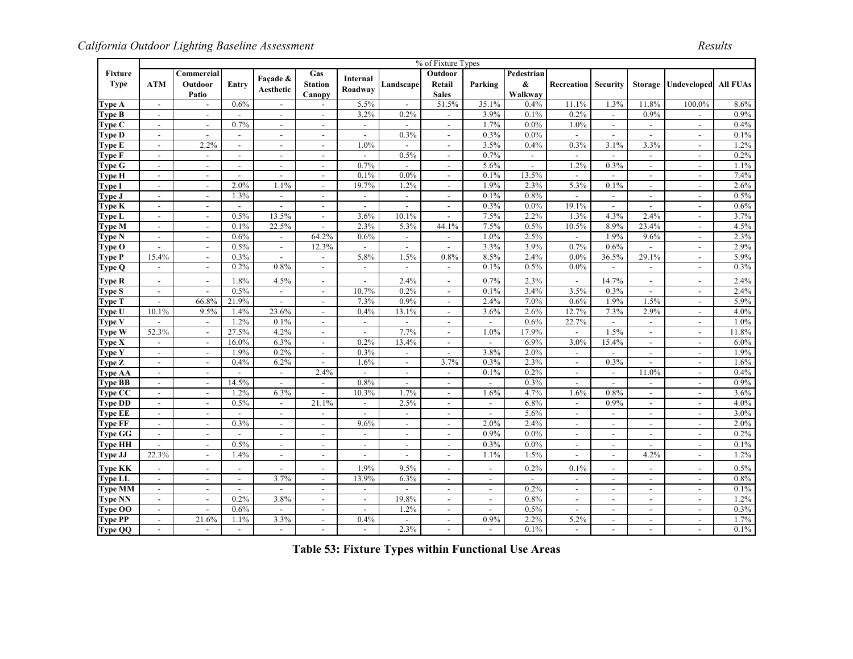|                |                          |                          |                             |                             |                          |                          |                          | % of Fixture Types       |                          |                          |                          |                          |                          |                          |         |
|----------------|--------------------------|--------------------------|-----------------------------|-----------------------------|--------------------------|--------------------------|--------------------------|--------------------------|--------------------------|--------------------------|--------------------------|--------------------------|--------------------------|--------------------------|---------|
| <b>Fixture</b> |                          | Commercial               |                             | Facade &                    | Gas                      | Internal                 |                          | Outdoor                  |                          | Pedestrian               |                          |                          |                          |                          |         |
| <b>Type</b>    | <b>ATM</b>               | Outdoor                  | Entry                       | $\bf A \it{est} \it{hetic}$ | <b>Station</b>           | Roadway                  | Landscape                | Retail                   | Parking                  | &                        | <b>Recreation</b>        | <b>Security</b>          | <b>Storage</b>           | Undeveloped All FUAs     |         |
|                |                          | Patio                    |                             |                             | Canopy                   |                          |                          | <b>Sales</b>             |                          | Walkway                  |                          |                          |                          |                          |         |
| Type A         | $\blacksquare$           |                          | 0.6%                        | $\overline{\phantom{a}}$    | $\blacksquare$           | 5.5%                     | $\blacksquare$           | 51.5%                    | 35.1%                    | 0.4%                     | 11.1%                    | 1.3%                     | 11.8%                    | 100.0%                   | 8.6%    |
| <b>Type B</b>  | $\overline{\phantom{a}}$ | $\blacksquare$           |                             | $\blacksquare$              | $\overline{a}$           | 3.2%                     | 0.2%                     |                          | 3.9%                     | 0.1%                     | 0.2%                     | $\overline{\phantom{a}}$ | 0.9%                     |                          | 0.9%    |
| Type C         | $\blacksquare$           | $\overline{\phantom{a}}$ | 0.7%                        | $\sim$                      | $\blacksquare$           | $\overline{\phantom{a}}$ | $\overline{\phantom{a}}$ | $\overline{\phantom{a}}$ | 1.7%                     | $0.0\%$                  | 1.0%                     | $\overline{\phantom{a}}$ | $\overline{\phantom{a}}$ | $\overline{\phantom{a}}$ | 0.4%    |
| <b>Type D</b>  | $\overline{\phantom{a}}$ | $\overline{\phantom{a}}$ | $\overline{\phantom{a}}$    | $\overline{\phantom{a}}$    | $\blacksquare$           | $\overline{\phantom{a}}$ | 0.3%                     | $\overline{\phantom{a}}$ | 0.3%                     | 0.0%                     | $\blacksquare$           | $\overline{\phantom{a}}$ | $\overline{\phantom{a}}$ | $\overline{\phantom{a}}$ | 0.1%    |
| Type E         | $\blacksquare$           | 2.2%                     | $\sim$                      | $\mathbf{r}$                | $\overline{\phantom{a}}$ | 1.0%                     | $\blacksquare$           | $\blacksquare$           | 3.5%                     | 0.4%                     | 0.3%                     | 3.1%                     | 3.3%                     | $\overline{\phantom{a}}$ | 1.2%    |
| <b>Type F</b>  | $\overline{a}$           | $\blacksquare$           | $\overline{\phantom{a}}$    | $\blacksquare$              | $\overline{\phantom{a}}$ |                          | 0.5%                     | $\overline{\phantom{a}}$ | 0.7%                     | $\overline{\phantom{a}}$ |                          | $\overline{a}$           | $\overline{\phantom{a}}$ | $\overline{\phantom{a}}$ | 0.2%    |
| Type G         | $\overline{a}$           | $\overline{\phantom{a}}$ | $\overline{a}$              | $\overline{a}$              | $\overline{a}$           | 0.7%                     |                          | $\overline{\phantom{a}}$ | 5.6%                     | $\overline{a}$           | 1.2%                     | 0.3%                     |                          | $\blacksquare$           | 1.1%    |
| <b>Type H</b>  | $\blacksquare$           | $\overline{\phantom{a}}$ | $\blacksquare$              | $\overline{\phantom{a}}$    | $\overline{\phantom{a}}$ | 0.1%                     | $0.0\%$                  | $\overline{\phantom{a}}$ | 0.1%                     | 13.5%                    | $\overline{\phantom{a}}$ | $\blacksquare$           | $\overline{\phantom{a}}$ | $\sim$                   | 7.4%    |
| Type I         | $\overline{\phantom{a}}$ | $\overline{\phantom{a}}$ | 2.0%                        | 1.1%                        | $\overline{\phantom{a}}$ | 19.7%                    | 1.2%                     | $\overline{\phantom{a}}$ | 1.9%                     | 2.3%                     | 5.3%                     | $0.1\%$                  | $\overline{\phantom{a}}$ | $\blacksquare$           | 2.6%    |
| Type J         | $\blacksquare$           | $\overline{\phantom{a}}$ | 1.3%                        | $\blacksquare$              | $\blacksquare$           | $\overline{\phantom{a}}$ | $\blacksquare$           | $\overline{\phantom{a}}$ | 0.1%                     | 0.8%                     |                          | $\blacksquare$           | $\overline{\phantom{a}}$ | $\blacksquare$           | 0.5%    |
| <b>Type K</b>  | $\sim$                   |                          |                             | $\overline{a}$              | $\sim$                   |                          | $\overline{a}$           | $\overline{\phantom{a}}$ | 0.3%                     | 0.0%                     | 19.1%                    | $\overline{\phantom{a}}$ |                          | $\overline{\phantom{a}}$ | 0.6%    |
| Type L         | $\overline{a}$           | $\sim$                   | 0.5%                        | 13.5%                       | $\overline{a}$           | 3.6%                     | 10.1%                    |                          | 7.5%                     | 2.2%                     | 1.3%                     | 4.3%                     | 2.4%                     | $\blacksquare$           | 3.7%    |
| <b>Type M</b>  | $\overline{\phantom{a}}$ | $\overline{\phantom{a}}$ | 0.1%                        | 22.5%                       | $\overline{\phantom{a}}$ | 2.3%                     | 5.3%                     | 44.1%                    | 7.5%                     | 0.5%                     | 10.5%                    | 8.9%                     | 23.4%                    | $\blacksquare$           | 4.5%    |
| <b>Type N</b>  | $\sim$                   | $\sim$                   | 0.6%                        | $\sim$                      | 64.2%                    | 0.6%                     | $\blacksquare$           | $\overline{\phantom{a}}$ | 1.0%                     | 2.5%                     | $\sim$                   | 1.9%                     | 9.6%                     | $\blacksquare$           | 2.3%    |
| Type O         | $\overline{a}$           | $\sim$                   | 0.5%                        | $\blacksquare$              | 12.3%                    |                          | $\mathbf{r}$             |                          | 3.3%                     | 3.9%                     | 0.7%                     | 0.6%                     |                          | $\blacksquare$           | 2.9%    |
| <b>Type P</b>  | 15.4%                    | $\overline{\phantom{a}}$ | 0.3%                        | $\overline{\phantom{a}}$    | $\overline{a}$           | 5.8%                     | 1.5%                     | 0.8%                     | 8.5%                     | 2.4%                     | $0.0\%$                  | 36.5%                    | 29.1%                    | $\overline{\phantom{a}}$ | 5.9%    |
| Type Q         |                          |                          | 0.2%                        | 0.8%                        | $\overline{\phantom{a}}$ |                          |                          |                          | 0.1%                     | 0.5%                     | 0.0%                     |                          |                          | $\overline{\phantom{a}}$ | 0.3%    |
| Type R         | $\blacksquare$           | $\blacksquare$           | 1.8%                        | 4.5%                        | $\overline{\phantom{a}}$ |                          | 2.4%                     | $\overline{\phantom{a}}$ | 0.7%                     | 2.3%                     | $\overline{\phantom{a}}$ | 14.7%                    | $\overline{\phantom{a}}$ | $\overline{\phantom{a}}$ | 2.4%    |
| <b>Type S</b>  | $\blacksquare$           |                          | 0.5%                        | $\overline{\phantom{a}}$    | $\overline{\phantom{a}}$ | 10.7%                    | 0.2%                     | $\overline{\phantom{a}}$ | 0.1%                     | 3.4%                     | 3.5%                     | 0.3%                     | $\overline{\phantom{a}}$ | $\blacksquare$           | 2.4%    |
| <b>Type T</b>  | $\overline{a}$           | 66.8%                    | 21.9%                       | $\blacksquare$              | $\overline{a}$           | 7.3%                     | 0.9%                     | $\overline{\phantom{a}}$ | 2.4%                     | 7.0%                     | 0.6%                     | 1.9%                     | 1.5%                     | $\blacksquare$           | 5.9%    |
| Type U         | 10.1%                    | 9.5%                     | 1.4%                        | 23.6%                       | $\overline{a}$           | 0.4%                     | 13.1%                    | $\overline{\phantom{a}}$ | 3.6%                     | 2.6%                     | 12.7%                    | 7.3%                     | 2.9%                     | $\blacksquare$           | 4.0%    |
| Type V         |                          | $\overline{\phantom{a}}$ | 1.2%                        | 0.1%                        | $\overline{\phantom{a}}$ | $\overline{\phantom{a}}$ |                          | $\overline{\phantom{a}}$ |                          | 0.6%                     | 22.7%                    | $\overline{\phantom{0}}$ | $\overline{\phantom{a}}$ | $\overline{\phantom{a}}$ | 1.0%    |
| Type W         | 52.3%                    | $\sim$                   | 27.5%                       | 4.2%                        | $\overline{\phantom{a}}$ | $\sim$                   | 7.7%                     | $\overline{\phantom{a}}$ | 1.0%                     | 17.9%                    | $\overline{a}$           | 1.5%                     | $\overline{\phantom{a}}$ | $\blacksquare$           | 11.8%   |
| Type X         | $\overline{\phantom{a}}$ | $\blacksquare$           | 16.0%                       | 6.3%                        | $\overline{a}$           | 0.2%                     | 13.4%                    | $\overline{\phantom{a}}$ |                          | 6.9%                     | 3.0%                     | 15.4%                    | $\overline{\phantom{a}}$ | $\blacksquare$           | 6.0%    |
| Type Y         | $\blacksquare$           | $\overline{\phantom{a}}$ | 1.9%                        | 0.2%                        | $\blacksquare$           | 0.3%                     | $\overline{\phantom{a}}$ |                          | 3.8%                     | 2.0%                     | $\blacksquare$           |                          | $\overline{\phantom{a}}$ | $\overline{\phantom{a}}$ | 1.9%    |
| Type Z         | $\overline{a}$           | $\sim$                   | 0.4%                        | 6.2%                        | $\overline{a}$           | 1.6%                     | $\mathbf{r}$             | 3.7%                     | 0.3%                     | 2.3%                     | $\blacksquare$           | 0.3%                     |                          | $\blacksquare$           | 1.6%    |
| <b>Type AA</b> | $\overline{\phantom{a}}$ | $\overline{\phantom{a}}$ |                             | $\overline{\phantom{a}}$    | 2.4%                     |                          | $\overline{\phantom{a}}$ | $\overline{\phantom{a}}$ | 0.1%                     | 0.2%                     | $\overline{\phantom{a}}$ | $\overline{\phantom{a}}$ | 11.0%                    | $\overline{\phantom{a}}$ | 0.4%    |
| <b>Type BB</b> | $\overline{\phantom{a}}$ | $\blacksquare$           | 14.5%                       | $\overline{\phantom{a}}$    | $\overline{\phantom{a}}$ | 0.8%                     | $\overline{\phantom{a}}$ | $\overline{\phantom{a}}$ | $\overline{\phantom{a}}$ | 0.3%                     | $\overline{\phantom{a}}$ | $\overline{\phantom{a}}$ | $\overline{\phantom{a}}$ | $\overline{\phantom{a}}$ | 0.9%    |
| Type CC        | $\mathbb{L}$             | $\overline{\phantom{a}}$ | 1.2%                        | 6.3%                        | $\overline{a}$           | 10.3%                    | 1.7%                     | $\blacksquare$           | 1.6%                     | 4.7%                     | 1.6%                     | 0.8%                     | $\overline{a}$           | $\blacksquare$           | 3.6%    |
| <b>Type DD</b> | $\blacksquare$           | $\overline{\phantom{a}}$ | 0.5%                        | $\overline{\phantom{a}}$    | 21.1%                    | $\overline{\phantom{a}}$ | 2.5%                     | $\overline{\phantom{a}}$ | $\blacksquare$           | 6.8%                     | $\overline{\phantom{a}}$ | 0.9%                     | $\overline{\phantom{a}}$ | $\overline{\phantom{a}}$ | 4.0%    |
| <b>Type EE</b> | $\overline{\phantom{a}}$ |                          |                             | $\overline{\phantom{a}}$    |                          |                          |                          | $\blacksquare$           |                          | 5.6%                     | $\blacksquare$           | $\overline{\phantom{a}}$ |                          | $\overline{\phantom{a}}$ | 3.0%    |
| <b>Type FF</b> | $\overline{\phantom{a}}$ | $\overline{\phantom{a}}$ | 0.3%                        | $\overline{\phantom{a}}$    | $\sim$                   | 9.6%                     | $\overline{\phantom{a}}$ | $\overline{\phantom{a}}$ | 2.0%                     | 2.4%                     | $\overline{\phantom{a}}$ | $\overline{\phantom{a}}$ | $\overline{\phantom{a}}$ | $\blacksquare$           | 2.0%    |
| <b>Type GG</b> | $\blacksquare$           | $\overline{\phantom{a}}$ | $\overline{\phantom{a}}$    | $\overline{\phantom{a}}$    | $\overline{\phantom{a}}$ | $\blacksquare$           | $\overline{\phantom{a}}$ | $\overline{\phantom{a}}$ | 0.9%                     | 0.0%                     | $\overline{\phantom{a}}$ | $\overline{\phantom{a}}$ | $\overline{\phantom{a}}$ | $\overline{\phantom{a}}$ | 0.2%    |
| <b>Type HH</b> | $\mathbf{r}$             | $\sim$                   | 0.5%                        | $\blacksquare$              | $\overline{a}$           | $\sim$                   | $\overline{a}$           | $\overline{\phantom{a}}$ | 0.3%                     | $0.0\%$                  | $\overline{a}$           | $\overline{\phantom{a}}$ | $\overline{a}$           | $\blacksquare$           | 0.1%    |
| Type JJ        | 22.3%                    | $\overline{\phantom{a}}$ | 1.4%                        | $\blacksquare$              | $\overline{\phantom{a}}$ | $\blacksquare$           | $\overline{a}$           | $\overline{\phantom{a}}$ | 1.1%                     | 1.5%                     | $\blacksquare$           | ÷,                       | 4.2%                     | $\overline{\phantom{a}}$ | 1.2%    |
| <b>Type KK</b> | $\overline{\phantom{a}}$ | $\overline{\phantom{a}}$ | $\overline{\phantom{a}}$    | $\overline{\phantom{a}}$    | $\overline{\phantom{a}}$ | 1.9%                     | 9.5%                     | $\overline{\phantom{a}}$ | $\overline{\phantom{a}}$ | 0.2%                     | 0.1%                     | $\overline{\phantom{a}}$ | $\overline{\phantom{a}}$ | $\overline{\phantom{a}}$ | $0.5\%$ |
| <b>Type LL</b> | $\blacksquare$           | $\overline{\phantom{a}}$ | $\overline{\phantom{a}}$    | 3.7%                        | $\overline{\phantom{a}}$ | 13.9%                    | 6.3%                     | $\overline{\phantom{a}}$ | $\overline{\phantom{a}}$ | $\mathcal{L}$            | $\overline{\phantom{a}}$ | $\overline{\phantom{a}}$ | $\overline{\phantom{a}}$ | $\blacksquare$           | 0.8%    |
| <b>Type MM</b> | $\mathbf{r}$             | $\overline{\phantom{a}}$ | $\overline{a}$              |                             | $\overline{a}$           | $\overline{\phantom{a}}$ |                          | $\overline{\phantom{a}}$ | $\blacksquare$           | 0.2%                     | $\overline{a}$           | $\overline{\phantom{a}}$ | $\overline{a}$           | $\mathbf{r}$             | 0.1%    |
| <b>Type NN</b> | $\blacksquare$           | $\blacksquare$           | 0.2%                        | 3.8%                        | $\overline{a}$           | $\overline{\phantom{a}}$ | 19.8%                    | $\overline{\phantom{a}}$ | $\overline{\phantom{a}}$ | 0.8%                     | $\overline{\phantom{a}}$ | $\overline{\phantom{a}}$ | $\overline{\phantom{a}}$ | $\overline{\phantom{a}}$ | 1.2%    |
| Type OO        | $\overline{a}$           |                          | 0.6%                        |                             | $\overline{a}$           |                          | 1.2%                     | $\overline{\phantom{a}}$ |                          | 0.5%                     |                          | $\overline{a}$           |                          | $\overline{\phantom{a}}$ | 0.3%    |
| <b>Type PP</b> | $\overline{\phantom{a}}$ | 21.6%                    | 1.1%                        | 3.3%                        | $\overline{\phantom{a}}$ | 0.4%                     | $\overline{\phantom{a}}$ | $\sim$                   | 0.9%                     | 2.2%                     | 5.2%                     | $\overline{\phantom{a}}$ | $\overline{\phantom{a}}$ | $\overline{\phantom{a}}$ | 1.7%    |
| Type QQ        | $\overline{a}$           | $\blacksquare$           | $\mathcal{L}_{\mathcal{A}}$ | $\mathcal{L}^{\mathcal{A}}$ | $\overline{\phantom{a}}$ | $\blacksquare$           | 2.3%                     | $\overline{\phantom{a}}$ | $\overline{\phantom{a}}$ | 0.1%                     | $\blacksquare$           | $\overline{\phantom{a}}$ | $\overline{\phantom{a}}$ | $\blacksquare$           | 0.1%    |

**Table 53: Fixture Types within Functional Use Areas**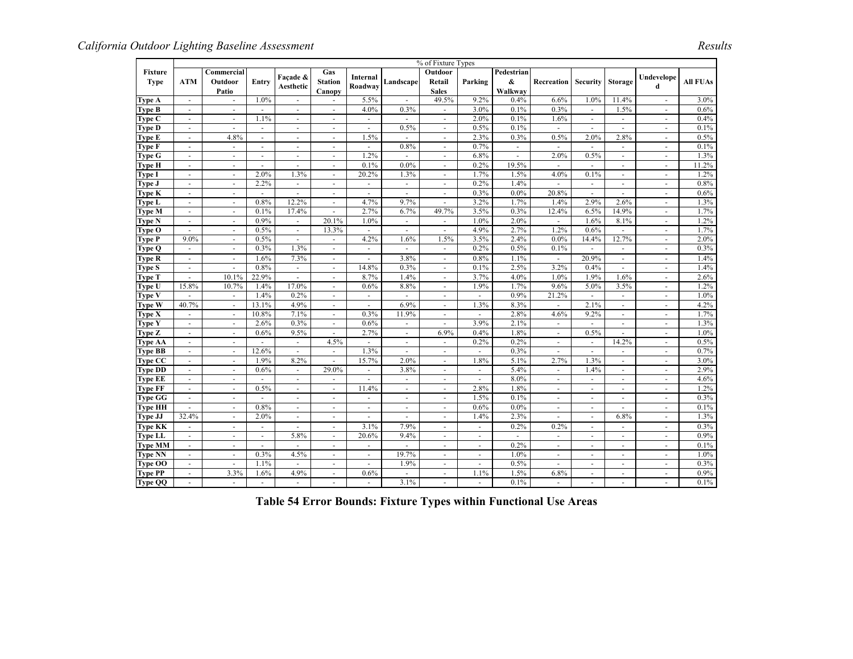|                |                |                          |                          |                          |                             |                          |                | % of Fixture Types          |                          |                          |                             |                          |                             |                          |                 |
|----------------|----------------|--------------------------|--------------------------|--------------------------|-----------------------------|--------------------------|----------------|-----------------------------|--------------------------|--------------------------|-----------------------------|--------------------------|-----------------------------|--------------------------|-----------------|
| <b>Fixture</b> |                | Commercial               |                          | Facade &                 | Gas                         | <b>Internal</b>          |                | Outdoor                     |                          | Pedestrian               |                             |                          |                             |                          |                 |
| <b>Type</b>    | <b>ATM</b>     | Outdoor                  | Entry                    | Aesthetic                | <b>Station</b>              | Roadway                  | Landscape      | Retail                      | Parking                  | $\boldsymbol{\&}$        | Recreation                  | <b>Security</b>          | <b>Storage</b>              | Undevelope<br>d          | <b>All FUAs</b> |
|                |                | Patio                    |                          |                          | Canopy                      |                          |                | <b>Sales</b>                |                          | Walkway                  |                             |                          |                             |                          |                 |
| Type A         | $\sim$         | $\sim$                   | 1.0%                     | $\sim$                   | $\sim$                      | 5.5%                     |                | 49.5%                       | 9.2%                     | 0.4%                     | 6.6%                        | 1.0%                     | 11.4%                       | ٠                        | 3.0%            |
| <b>Type B</b>  | $\sim$         | $\sim$                   |                          | $\sim$                   | $\tilde{\phantom{a}}$       | 4.0%                     | 0.3%           | $\overline{a}$              | 3.0%                     | 0.1%                     | 0.3%                        | $\sim$                   | 1.5%                        | ٠                        | 0.6%            |
| Type C         | $\omega$       | $\sim$                   | 1.1%                     | $\sim$                   | $\blacksquare$              | $\blacksquare$           | $\sim$         | $\sim$                      | 2.0%                     | 0.1%                     | 1.6%                        | $\blacksquare$           | $\mathcal{L}_{\mathcal{A}}$ | $\sim$                   | 0.4%            |
| <b>Type D</b>  | $\sim$         | $\sim$                   | ä,                       | $\blacksquare$           |                             |                          | 0.5%           | $\sim$                      | 0.5%                     | 0.1%                     |                             |                          | ÷                           | ٠                        | 0.1%            |
| <b>Type E</b>  | $\overline{a}$ | 4.8%                     | ä,                       | ä,                       |                             | 1.5%                     |                | ä,                          | 2.3%                     | 0.3%                     | 0.5%                        | 2.0%                     | 2.8%                        | ä,                       | 0.5%            |
| <b>Type F</b>  | $\blacksquare$ | $\sim$                   | $\blacksquare$           | $\sim$                   | $\overline{\phantom{a}}$    | $\sim$                   | 0.8%           | $\overline{\phantom{a}}$    | 0.7%                     | $\overline{\phantom{a}}$ | $\blacksquare$              | $\sim$                   | $\blacksquare$              | $\sim$                   | 0.1%            |
| <b>Type G</b>  | $\sim$         | $\blacksquare$           | $\blacksquare$           | $\sim$                   | $\sim$                      | 1.2%                     | $\sim$         | $\blacksquare$              | 6.8%                     | $\omega$                 | 2.0%                        | 0.5%                     | $\blacksquare$              | $\sim$                   | 1.3%            |
| <b>Type H</b>  | $\omega$       | $\sim$                   | ÷.                       | $\sim$                   | ÷.                          | 0.1%                     | 0.0%           | ÷.                          | 0.2%                     | 19.5%                    |                             |                          | $\blacksquare$              | $\blacksquare$           | 11.2%           |
| <b>Type I</b>  | $\bar{a}$      | $\overline{\phantom{a}}$ | 2.0%                     | 1.3%                     | $\sim$                      | 20.2%                    | 1.3%           | ÷.                          | 1.7%                     | 1.5%                     | 4.0%                        | 0.1%                     | $\overline{\phantom{a}}$    | $\overline{\phantom{a}}$ | 1.2%            |
| Type J         | $\sim$         | $\sim$                   | 2.2%                     | $\sim$                   | $\tilde{\phantom{a}}$       | $\sim$                   | $\sim$         | $\sim$                      | 0.2%                     | 1.4%                     | $\blacksquare$              | $\sim$                   | $\blacksquare$              | $\sim$                   | 0.8%            |
| Type K         | $\omega$       | $\omega$ .               | $\sim$                   | $\sim$                   | $\omega$                    | $\omega$                 | $\sim$         | $\omega$                    | 0.3%                     | $0.0\%$                  | 20.8%                       | $\mathbf{r}$             | $\omega$                    | $\omega$                 | 0.6%            |
| <b>Type L</b>  | ÷.             | $\sim$                   | 0.8%                     | 12.2%                    | ÷.                          | 4.7%                     | 9.7%           | ÷                           | 3.2%                     | 1.7%                     | 1.4%                        | 2.9%                     | 2.6%                        | ٠                        | 1.3%            |
| <b>Type M</b>  | $\sim$         | $\blacksquare$           | 0.1%                     | 17.4%                    |                             | 2.7%                     | 6.7%           | 49.7%                       | 3.5%                     | 0.3%                     | 12.4%                       | 6.5%                     | 14.9%                       | ä,                       | 1.7%            |
| <b>Type N</b>  | $\sim$         | $\sim$                   | 0.9%                     | $\sim$                   | 20.1%                       | 1.0%                     | $\sim$         | $\overline{\phantom{a}}$    | 1.0%                     | 2.0%                     | $\blacksquare$              | 1.6%                     | 8.1%                        | $\sim$                   | 1.2%            |
| Type O         | $\sim$         | $\sim$                   | 0.5%                     | $\sim$                   | 13.3%                       | $\sim$                   | $\sim$         | $\sim$                      | 4.9%                     | 2.7%                     | 1.2%                        | 0.6%                     | ÷.                          | $\sim$                   | 1.7%            |
| <b>Type P</b>  | 9.0%           | $\blacksquare$           | 0.5%                     | $\sim$                   |                             | 4.2%                     | 1.6%           | 1.5%                        | 3.5%                     | 2.4%                     | 0.0%                        | 14.4%                    | 12.7%                       | $\blacksquare$           | 2.0%            |
| Type Q         | $\sim$         | $\overline{\phantom{a}}$ | 0.3%                     | 1.3%                     | $\blacksquare$              | $\overline{\phantom{a}}$ | $\blacksquare$ | $\overline{\phantom{a}}$    | 0.2%                     | 0.5%                     | 0.1%                        |                          | $\blacksquare$              | $\overline{\phantom{m}}$ | 0.3%            |
| <b>Type R</b>  | $\sim$         | $\omega$                 | 1.6%                     | 7.3%                     | ÷                           | $\sim$                   | 3.8%           | $\sim$                      | 0.8%                     | 1.1%                     | $\sim$                      | 20.9%                    | $\omega$                    | $\blacksquare$           | 1.4%            |
| <b>Type S</b>  | ÷.             | $\sim$                   | 0.8%                     | $\mathbf{r}$             | $\overline{a}$              | 14.8%                    | 0.3%           | $\overline{a}$              | 0.1%                     | 2.5%                     | 3.2%                        | 0.4%                     | $\omega$                    | $\sim$                   | 1.4%            |
| <b>Type T</b>  | $\bar{a}$      | 10.1%                    | 22.9%                    | $\omega$                 | $\overline{\phantom{a}}$    | 8.7%                     | 1.4%           | $\bar{a}$                   | 3.7%                     | 4.0%                     | 1.0%                        | 1.9%                     | 1.6%                        | ä,                       | 2.6%            |
| Type U         | 15.8%          | 10.7%                    | 1.4%                     | 17.0%                    | ÷                           | 0.6%                     | 8.8%           | L.                          | 1.9%                     | 1.7%                     | 9.6%                        | 5.0%                     | 3.5%                        | $\blacksquare$           | 1.2%            |
| <b>Type V</b>  | $\sim$         | $\omega$                 | 1.4%                     | 0.2%                     | $\mathcal{L}_{\mathcal{A}}$ | $\omega$                 | $\sim$         | $\mathcal{L}_{\mathcal{A}}$ | $\omega$                 | 0.9%                     | 21.2%                       | $\omega$                 | $\omega$                    | $\omega$                 | 1.0%            |
| Type W         | 40.7%          | $\sim$                   | 13.1%                    | 4.9%                     | $\overline{a}$              | $\mathbf{r}$             | 6.9%           | $\overline{a}$              | 1.3%                     | 8.3%                     |                             | 2.1%                     | $\omega$                    | $\omega$                 | 4.2%            |
| <b>Type X</b>  |                | $\blacksquare$           | 10.8%                    | 7.1%                     | $\overline{\phantom{a}}$    | 0.3%                     | 11.9%          | ä,                          |                          | 2.8%                     | 4.6%                        | 9.2%                     | $\overline{\phantom{a}}$    | ä,                       | 1.7%            |
| Type Y         | $\sim$         | $\blacksquare$           | 2.6%                     | 0.3%                     | $\overline{\phantom{a}}$    | 0.6%                     | $\sim$         | ÷.                          | 3.9%                     | 2.1%                     | $\overline{\phantom{a}}$    | $\sim$                   | $\overline{\phantom{a}}$    | $\blacksquare$           | 1.3%            |
| Type Z         | $\sim$         | $\blacksquare$           | 0.6%                     | 9.5%                     | $\overline{\phantom{a}}$    | 2.7%                     | $\sim$         | 6.9%                        | 0.4%                     | 1.8%                     | $\blacksquare$              | 0.5%                     | ÷                           | $\blacksquare$           | 1.0%            |
| <b>Type AA</b> | ÷.             | $\sim$                   |                          | $\sim$                   | 4.5%                        |                          | $\sim$         | ÷                           | 0.2%                     | 0.2%                     | $\blacksquare$              | ÷.                       | 14.2%                       | $\omega$                 | 0.5%            |
| <b>Type BB</b> | $\blacksquare$ | $\overline{\phantom{a}}$ | 12.6%                    | $\blacksquare$           |                             | 1.3%                     | ÷.             | ÷.                          |                          | 0.3%                     | ä,                          |                          | ä,                          | ä,                       | 0.7%            |
| Type CC        | $\sim$         | $\sim$                   | 1.9%                     | 8.2%                     |                             | 15.7%                    | 2.0%           | ÷.                          | 1.8%                     | 5.1%                     | 2.7%                        | 1.3%                     | ÷.                          | $\blacksquare$           | 3.0%            |
| <b>Type DD</b> | $\omega$       | $\sim$                   | 0.6%                     | $\omega$                 | 29.0%                       | $\blacksquare$           | 3.8%           | $\blacksquare$              | $\overline{\phantom{a}}$ | 5.4%                     | $\omega$                    | 1.4%                     | $\blacksquare$              | $\sim$                   | 2.9%            |
| <b>Type EE</b> | $\sim$         | $\sim$                   | ÷.                       | $\sim$                   | ÷                           | ÷                        | $\sim$         | ÷                           | ÷                        | 8.0%                     | $\blacksquare$              | $\sim$                   | $\overline{\phantom{a}}$    | $\blacksquare$           | 4.6%            |
| <b>Type FF</b> | $\sim$         | $\sim$                   | 0.5%                     | ÷.                       |                             | 11.4%                    | $\blacksquare$ | ä,                          | 2.8%                     | 1.8%                     | $\blacksquare$              |                          | ä,                          | ä,                       | 1.2%            |
| <b>Type GG</b> | $\omega$       | $\overline{\phantom{a}}$ | ÷,                       | $\overline{\phantom{a}}$ | ۰                           | $\overline{\phantom{a}}$ | $\sim$         | $\blacksquare$              | 1.5%                     | 0.1%                     | $\overline{\phantom{a}}$    | $\overline{\phantom{a}}$ | $\blacksquare$              | $\overline{\phantom{a}}$ | 0.3%            |
| <b>Type HH</b> | $\overline{a}$ | $\sim$                   | 0.8%                     | $\sim$                   | $\sim$                      | ÷.                       | ÷.             | ÷.                          | 0.6%                     | $0.0\%$                  | $\blacksquare$              | $\overline{a}$           | ä,                          | ä,                       | 0.1%            |
| <b>Type JJ</b> | 32.4%          | $\blacksquare$           | 2.0%                     | ÷.                       |                             |                          |                | ÷.                          | 1.4%                     | 2.3%                     | ä,                          | $\sim$                   | 6.8%                        | ä,                       | 1.3%            |
| <b>Type KK</b> | $\omega$       | $\sim$                   | $\blacksquare$           | $\blacksquare$           | $\overline{\phantom{a}}$    | 3.1%                     | 7.9%           | $\sim$                      | $\overline{\phantom{a}}$ | 0.2%                     | 0.2%                        | $\blacksquare$           | $\overline{\phantom{a}}$    | $\overline{a}$           | 0.3%            |
| <b>Type LL</b> | $\sim$         | ÷.                       | $\overline{\phantom{a}}$ | 5.8%                     | ÷                           | 20.6%                    | 9.4%           | $\overline{a}$              | $\overline{\phantom{a}}$ | $\overline{a}$           | $\blacksquare$              | $\sim$                   | ä,                          | ä,                       | 0.9%            |
| <b>Type MM</b> | $\omega$       | $\sim$                   | ÷.                       |                          |                             |                          |                | ÷.                          | $\blacksquare$           | 0.2%                     | $\blacksquare$              | $\sim$                   | $\overline{\phantom{a}}$    | ä,                       | 0.1%            |
| <b>Type NN</b> | $\bar{a}$      | $\sim$                   | 0.3%                     | 4.5%                     | $\sim$                      | $\blacksquare$           | 19.7%          | ÷.                          | $\blacksquare$           | 1.0%                     | $\mathcal{L}_{\mathcal{A}}$ | $\sim$                   | $\overline{\phantom{a}}$    | $\overline{\phantom{a}}$ | 1.0%            |
| Type OO        | $\sim$         | $\sim$                   | 1.1%                     | $\sim$                   | $\sim$                      | $\sim$                   | 1.9%           | $\sim$                      | $\sim$                   | 0.5%                     | $\blacksquare$              | $\sim$                   | $\blacksquare$              | ٠                        | 0.3%            |
| <b>Type PP</b> | $\omega$       | 3.3%                     | 1.6%                     | 4.9%                     | $\omega$                    | 0.6%                     |                | $\mathcal{L}_{\mathcal{A}}$ | 1.1%                     | 1.5%                     | 6.8%                        | $\bar{a}$                | $\mathcal{L}_{\mathcal{A}}$ | $\omega$                 | 0.9%            |
| <b>Type QQ</b> |                | ш.                       | $\sim$                   |                          |                             |                          | 3.1%           |                             |                          | 0.1%                     |                             |                          |                             | ÷                        | 0.1%            |

**Table 54 Error Bounds: Fixture Types within Functional Use Areas**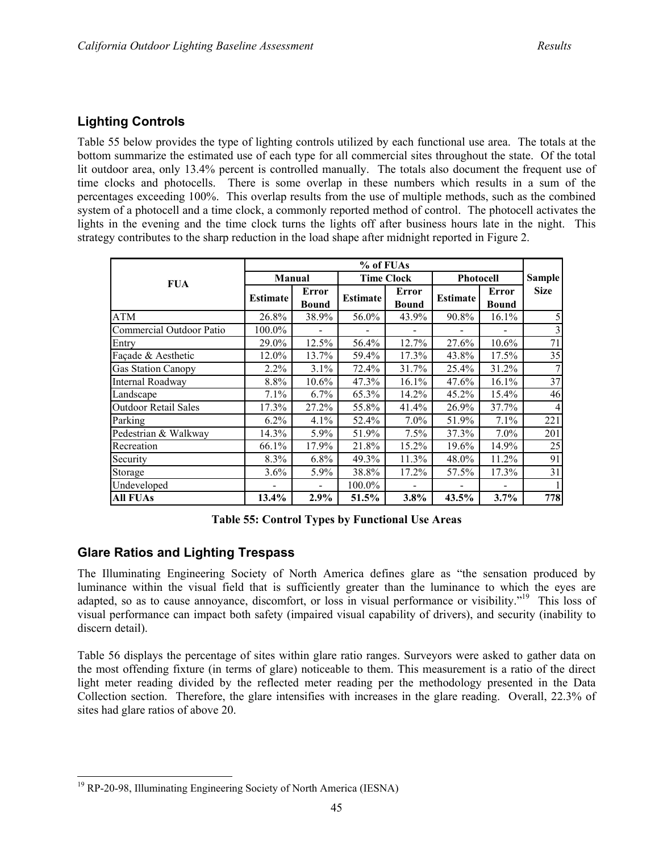## **Lighting Controls**

Table 55 below provides the type of lighting controls utilized by each functional use area. The totals at the bottom summarize the estimated use of each type for all commercial sites throughout the state. Of the total lit outdoor area, only 13.4% percent is controlled manually. The totals also document the frequent use of time clocks and photocells. There is some overlap in these numbers which results in a sum of the percentages exceeding 100%. This overlap results from the use of multiple methods, such as the combined system of a photocell and a time clock, a commonly reported method of control. The photocell activates the lights in the evening and the time clock turns the lights off after business hours late in the night. This strategy contributes to the sharp reduction in the load shape after midnight reported in Figure 2.

|                           | % of FUAs       |                          |                 |                              |                  |                              |               |  |  |  |
|---------------------------|-----------------|--------------------------|-----------------|------------------------------|------------------|------------------------------|---------------|--|--|--|
| <b>FUA</b>                | Manual          |                          |                 | <b>Time Clock</b>            | <b>Photocell</b> |                              | <b>Sample</b> |  |  |  |
|                           | <b>Estimate</b> | Error<br><b>Bound</b>    | <b>Estimate</b> | <b>Error</b><br><b>Bound</b> | <b>Estimate</b>  | <b>Error</b><br><b>Bound</b> | <b>Size</b>   |  |  |  |
| ATM                       | 26.8%           | 38.9%                    | 56.0%           | 43.9%                        | 90.8%            | 16.1%                        | 5             |  |  |  |
| Commercial Outdoor Patio  | 100.0%          |                          |                 |                              |                  |                              | 3             |  |  |  |
| Entry                     | 29.0%           | 12.5%                    | 56.4%           | 12.7%                        | 27.6%            | 10.6%                        | 71            |  |  |  |
| Façade & Aesthetic        | 12.0%           | 13.7%                    | 59.4%           | 17.3%                        | 43.8%            | 17.5%                        | 35            |  |  |  |
| <b>Gas Station Canopy</b> | 2.2%            | 3.1%                     | 72.4%           | 31.7%                        | 25.4%            | 31.2%                        | 7             |  |  |  |
| Internal Roadway          | 8.8%            | 10.6%                    | 47.3%           | 16.1%                        | 47.6%            | 16.1%                        | 37            |  |  |  |
| Landscape                 | 7.1%            | 6.7%                     | 65.3%           | 14.2%                        | 45.2%            | 15.4%                        | 46            |  |  |  |
| Outdoor Retail Sales      | 17.3%           | 27.2%                    | 55.8%           | 41.4%                        | 26.9%            | 37.7%                        | 4             |  |  |  |
| Parking                   | $6.2\%$         | 4.1%                     | 52.4%           | $7.0\%$                      | 51.9%            | 7.1%                         | 221           |  |  |  |
| Pedestrian & Walkway      | 14.3%           | 5.9%                     | 51.9%           | 7.5%                         | 37.3%            | $7.0\%$                      | 201           |  |  |  |
| Recreation                | 66.1%           | 17.9%                    | 21.8%           | 15.2%                        | 19.6%            | 14.9%                        | 25            |  |  |  |
| Security                  | 8.3%            | 6.8%                     | 49.3%           | 11.3%                        | 48.0%            | 11.2%                        | 91            |  |  |  |
| Storage                   | 3.6%            | 5.9%                     | 38.8%           | 17.2%                        | 57.5%            | 17.3%                        | 31            |  |  |  |
| Undeveloped               |                 | $\overline{\phantom{a}}$ | 100.0%          |                              |                  |                              |               |  |  |  |
| All FUAs                  | 13.4%           | 2.9%                     | 51.5%           | $3.8\%$                      | 43.5%            | 3.7%                         | 778           |  |  |  |

**Table 55: Control Types by Functional Use Areas** 

## **Glare Ratios and Lighting Trespass**

The Illuminating Engineering Society of North America defines glare as "the sensation produced by luminance within the visual field that is sufficiently greater than the luminance to which the eyes are adapted, so as to cause annoyance, discomfort, or loss in visual performance or visibility."<sup>19</sup> This loss of visual performance can impact both safety (impaired visual capability of drivers), and security (inability to discern detail).

Table 56 displays the percentage of sites within glare ratio ranges. Surveyors were asked to gather data on the most offending fixture (in terms of glare) noticeable to them. This measurement is a ratio of the direct light meter reading divided by the reflected meter reading per the methodology presented in the Data Collection section. Therefore, the glare intensifies with increases in the glare reading. Overall, 22.3% of sites had glare ratios of above 20.

<sup>1</sup> 19 RP-20-98, Illuminating Engineering Society of North America (IESNA)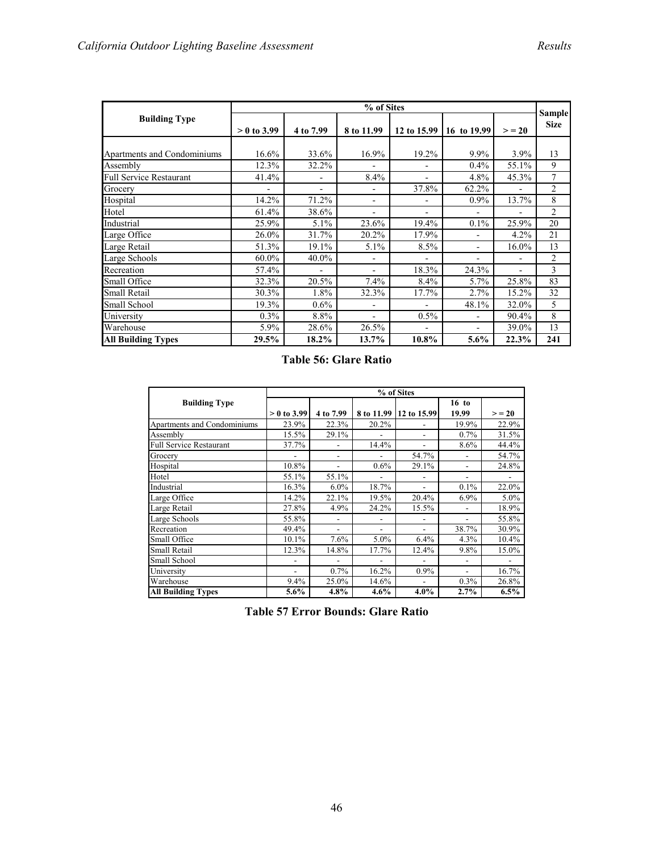|                             |                              |           | % of Sites               |                          |                          |                          | <b>Sample</b>  |
|-----------------------------|------------------------------|-----------|--------------------------|--------------------------|--------------------------|--------------------------|----------------|
| <b>Building Type</b>        | $> 0$ to 3.99                | 4 to 7.99 | 8 to 11.99               | 12 to 15.99              | 16 to 19.99              | > 20                     | <b>Size</b>    |
| Apartments and Condominiums | 16.6%                        | 33.6%     | 16.9%                    | 19.2%                    | 9.9%                     | 3.9%                     | 13             |
| Assembly                    | 12.3%                        | 32.2%     |                          |                          | 0.4%                     | 55.1%                    | 9              |
| Full Service Restaurant     | 41.4%                        | -         | 8.4%                     |                          | 4.8%                     | 45.3%                    | $\tau$         |
| Grocery                     | $\qquad \qquad \blacksquare$ | -         |                          | 37.8%                    | 62.2%                    | $\overline{\phantom{a}}$ | 2              |
| Hospital                    | 14.2%                        | 71.2%     | $\overline{\phantom{a}}$ |                          | $0.9\%$                  | 13.7%                    | 8              |
| Hotel                       | 61.4%                        | 38.6%     |                          |                          | ٠                        |                          | 2              |
| Industrial                  | 25.9%                        | 5.1%      | 23.6%                    | 19.4%                    | 0.1%                     | 25.9%                    | 20             |
| Large Office                | 26.0%                        | 31.7%     | 20.2%                    | 17.9%                    |                          | 4.2%                     | 21             |
| Large Retail                | 51.3%                        | 19.1%     | 5.1%                     | 8.5%                     | $\overline{\phantom{0}}$ | 16.0%                    | 13             |
| Large Schools               | 60.0%                        | 40.0%     |                          |                          | ۰                        |                          | $\overline{2}$ |
| Recreation                  | 57.4%                        |           |                          | 18.3%                    | 24.3%                    | $\blacksquare$           | 3              |
| Small Office                | 32.3%                        | 20.5%     | 7.4%                     | 8.4%                     | 5.7%                     | 25.8%                    | 83             |
| Small Retail                | 30.3%                        | 1.8%      | 32.3%                    | 17.7%                    | 2.7%                     | 15.2%                    | 32             |
| Small School                | 19.3%                        | 0.6%      |                          | ۰                        | 48.1%                    | 32.0%                    | 5              |
| University                  | 0.3%                         | 8.8%      |                          | $0.5\%$                  |                          | 90.4%                    | 8              |
| Warehouse                   | 5.9%                         | 28.6%     | 26.5%                    | $\overline{\phantom{a}}$ | ٠                        | 39.0%                    | 13             |
| <b>All Building Types</b>   | 29.5%                        | 18.2%     | 13.7%                    | 10.8%                    | 5.6%                     | 22.3%                    | 241            |

## **Table 56: Glare Ratio**

|                                | % of Sites    |                          |       |                        |       |       |  |  |  |  |  |
|--------------------------------|---------------|--------------------------|-------|------------------------|-------|-------|--|--|--|--|--|
| <b>Building Type</b>           |               |                          |       |                        | 16 to |       |  |  |  |  |  |
|                                | $> 0$ to 3.99 | 4 to 7.99                |       | 8 to 11.99 12 to 15.99 | 19.99 | > 20  |  |  |  |  |  |
| Apartments and Condominiums    | 23.9%         | 22.3%                    | 20.2% |                        | 19.9% | 22.9% |  |  |  |  |  |
| Assembly                       | 15.5%         | 29.1%                    |       |                        | 0.7%  | 31.5% |  |  |  |  |  |
| <b>Full Service Restaurant</b> | 37.7%         |                          | 14.4% | Ĭ.                     | 8.6%  | 44.4% |  |  |  |  |  |
| Grocery                        |               |                          |       | 54.7%                  |       | 54.7% |  |  |  |  |  |
| Hospital                       | 10.8%         |                          | 0.6%  | 29.1%                  |       | 24.8% |  |  |  |  |  |
| Hotel                          | 55.1%         | 55.1%                    |       |                        |       |       |  |  |  |  |  |
| Industrial                     | 16.3%         | $6.0\%$                  | 18.7% | ٠                      | 0.1%  | 22.0% |  |  |  |  |  |
| Large Office                   | 14.2%         | 22.1%                    | 19.5% | 20.4%                  | 6.9%  | 5.0%  |  |  |  |  |  |
| Large Retail                   | 27.8%         | 4.9%                     | 24.2% | 15.5%                  |       | 18.9% |  |  |  |  |  |
| Large Schools                  | 55.8%         |                          |       |                        |       | 55.8% |  |  |  |  |  |
| Recreation                     | 49.4%         |                          |       |                        | 38.7% | 30.9% |  |  |  |  |  |
| Small Office                   | 10.1%         | 7.6%                     | 5.0%  | 6.4%                   | 4.3%  | 10.4% |  |  |  |  |  |
| Small Retail                   | 12.3%         | 14.8%                    | 17.7% | 12.4%                  | 9.8%  | 15.0% |  |  |  |  |  |
| Small School                   |               | $\overline{\phantom{0}}$ | ۰     |                        | ۰     |       |  |  |  |  |  |
| University                     |               | 0.7%                     | 16.2% | 0.9%                   |       | 16.7% |  |  |  |  |  |
| Warehouse                      | 9.4%          | 25.0%                    | 14.6% |                        | 0.3%  | 26.8% |  |  |  |  |  |
| <b>All Building Types</b>      | 5.6%          | 4.8%                     | 4.6%  | 4.0%                   | 2.7%  | 6.5%  |  |  |  |  |  |

**Table 57 Error Bounds: Glare Ratio**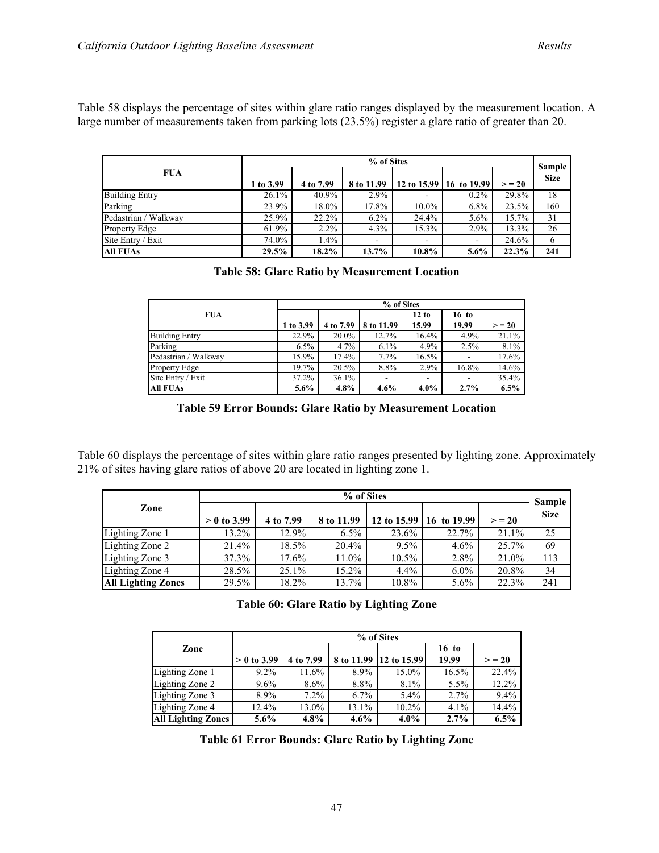Table 58 displays the percentage of sites within glare ratio ranges displayed by the measurement location. A large number of measurements taken from parking lots (23.5%) register a glare ratio of greater than 20.

|                       | % of Sites |           |                          |          |                           |          |                       |  |  |
|-----------------------|------------|-----------|--------------------------|----------|---------------------------|----------|-----------------------|--|--|
| FUA                   | 1 to 3.99  | 4 to 7.99 | 8 to 11.99               |          | 12 to 15.99   16 to 19.99 | $> = 20$ | Sample<br><b>Size</b> |  |  |
| <b>Building Entry</b> | $26.1\%$   | 40.9%     | $2.9\%$                  |          | $0.2\%$                   | 29.8%    | 18                    |  |  |
| Parking               | 23.9%      | 18.0%     | 17.8%                    | $10.0\%$ | $6.8\%$                   | 23.5%    | 160                   |  |  |
| Pedastrian / Walkway  | 25.9%      | 22.2%     | $6.2\%$                  | 24.4%    | $5.6\%$                   | 15.7%    | 31                    |  |  |
| Property Edge         | 61.9%      | $2.2\%$   | $4.3\%$                  | 15.3%    | 2.9%                      | 13.3%    | 26                    |  |  |
| Site Entry / Exit     | 74.0%      | $1.4\%$   | $\overline{\phantom{a}}$ | ۰        |                           | 24.6%    | 6                     |  |  |
| <b>All FUAs</b>       | 29.5%      | 18.2%     | 13.7%                    | 10.8%    | $5.6\%$                   | 22.3%    | 241                   |  |  |

**Table 58: Glare Ratio by Measurement Location** 

|                       |           | % of Sites |            |                          |       |       |  |  |  |  |  |
|-----------------------|-----------|------------|------------|--------------------------|-------|-------|--|--|--|--|--|
| <b>FUA</b>            |           |            |            | 12 to                    | 16 to |       |  |  |  |  |  |
|                       | 1 to 3.99 | 4 to 7.99  | 8 to 11.99 | 15.99                    | 19.99 | > 20  |  |  |  |  |  |
| <b>Building Entry</b> | 22.9%     | $20.0\%$   | 12.7%      | 16.4%                    | 4.9%  | 21.1% |  |  |  |  |  |
| Parking               | 6.5%      | 4.7%       | 6.1%       | 4.9%                     | 2.5%  | 8.1%  |  |  |  |  |  |
| Pedastrian / Walkway  | 15.9%     | 17.4%      | 7.7%       | 16.5%                    | -     | 17.6% |  |  |  |  |  |
| <b>Property Edge</b>  | 19.7%     | 20.5%      | 8.8%       | 2.9%                     | 16.8% | 14.6% |  |  |  |  |  |
| Site Entry / Exit     | 37.2%     | 36.1%      | ۰          | $\overline{\phantom{a}}$ | ۰     | 35.4% |  |  |  |  |  |
| <b>All FUAs</b>       | $5.6\%$   | 4.8%       | 4.6%       | $4.0\%$                  | 2.7%  | 6.5%  |  |  |  |  |  |

**Table 59 Error Bounds: Glare Ratio by Measurement Location** 

Table 60 displays the percentage of sites within glare ratio ranges presented by lighting zone. Approximately 21% of sites having glare ratios of above 20 are located in lighting zone 1.

|                           | % of Sites    |           |            |             |             |       |                              |  |  |  |
|---------------------------|---------------|-----------|------------|-------------|-------------|-------|------------------------------|--|--|--|
| Zone                      | $> 0$ to 3.99 | 4 to 7.99 | 8 to 11.99 | 12 to 15.99 | 16 to 19.99 | > 20  | <b>Sample</b><br><b>Size</b> |  |  |  |
| Lighting Zone 1           | 13.2%         | 12.9%     | $6.5\%$    | 23.6%       | 22.7%       | 21.1% | 25                           |  |  |  |
| Lighting Zone 2           | 21.4%         | 18.5%     | 20.4%      | $9.5\%$     | $4.6\%$     | 25.7% | 69                           |  |  |  |
| Lighting Zone 3           | 37.3%         | 17.6%     | $11.0\%$   | $10.5\%$    | 2.8%        | 21.0% | 113                          |  |  |  |
| Lighting Zone 4           | 28.5%         | $25.1\%$  | 15.2%      | $4.4\%$     | $6.0\%$     | 20.8% | 34                           |  |  |  |
| <b>All Lighting Zones</b> | 29.5%         | 18.2%     | 13.7%      | 10.8%       | $5.6\%$     | 22.3% | 241                          |  |  |  |

| <b>Table 60: Glare Ratio by Lighting Zone</b> |  |  |  |  |
|-----------------------------------------------|--|--|--|--|
|-----------------------------------------------|--|--|--|--|

|                           |               | % of Sites |         |                        |         |       |  |  |  |
|---------------------------|---------------|------------|---------|------------------------|---------|-------|--|--|--|
| Zone                      |               |            |         |                        | 16 to   |       |  |  |  |
|                           | $> 0$ to 3.99 | 4 to 7.99  |         | 8 to 11.99 12 to 15.99 | 19.99   | > 20  |  |  |  |
| Lighting Zone 1           | $9.2\%$       | 11.6%      | 8.9%    | 15.0%                  | 16.5%   | 22.4% |  |  |  |
| Lighting Zone 2           | $9.6\%$       | $8.6\%$    | 8.8%    | 8.1%                   | $5.5\%$ | 12.2% |  |  |  |
| Lighting Zone 3           | 8.9%          | $7.2\%$    | $6.7\%$ | 5.4%                   | $2.7\%$ | 9.4%  |  |  |  |
| Lighting Zone 4           | 12.4%         | 13.0%      | 13.1%   | $10.2\%$               | $4.1\%$ | 14.4% |  |  |  |
| <b>All Lighting Zones</b> | $5.6\%$       | 4.8%       | $4.6\%$ | $4.0\%$                | 2.7%    | 6.5%  |  |  |  |

**Table 61 Error Bounds: Glare Ratio by Lighting Zone**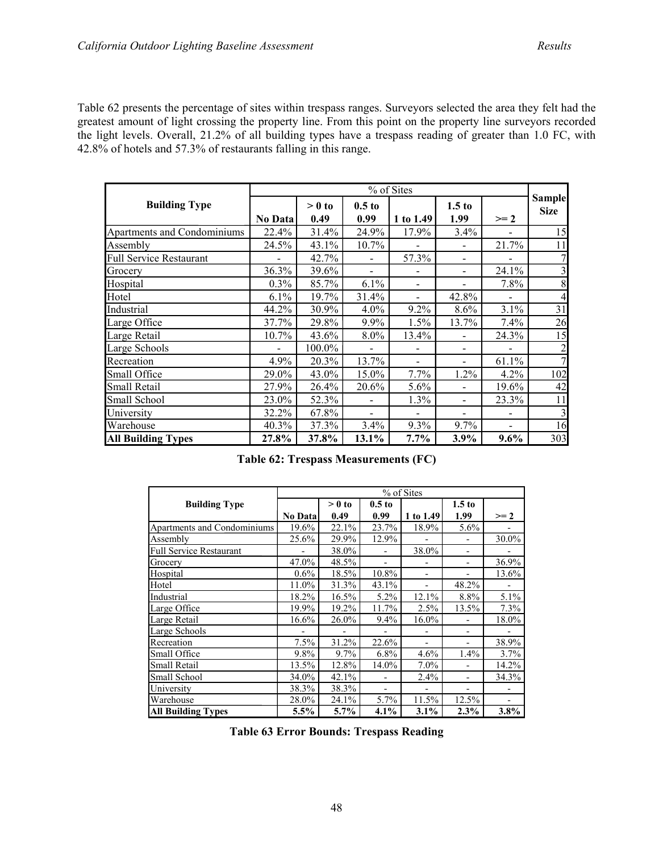Table 62 presents the percentage of sites within trespass ranges. Surveyors selected the area they felt had the greatest amount of light crossing the property line. From this point on the property line surveyors recorded the light levels. Overall, 21.2% of all building types have a trespass reading of greater than 1.0 FC, with 42.8% of hotels and 57.3% of restaurants falling in this range.

| <b>Building Type</b>           |         | $> 0$ to | $0.5$ to |           | 1.5 <sub>to</sub> |         | <b>Sample</b><br><b>Size</b> |
|--------------------------------|---------|----------|----------|-----------|-------------------|---------|------------------------------|
|                                | No Data | 0.49     | 0.99     | 1 to 1.49 | 1.99              | $>= 2$  |                              |
| Apartments and Condominiums    | 22.4%   | 31.4%    | 24.9%    | 17.9%     | 3.4%              |         | 15                           |
| Assembly                       | 24.5%   | 43.1%    | 10.7%    |           |                   | 21.7%   | 11                           |
| <b>Full Service Restaurant</b> |         | 42.7%    |          | 57.3%     |                   |         | 7                            |
| Grocery                        | 36.3%   | 39.6%    |          |           |                   | 24.1%   | 3                            |
| Hospital                       | 0.3%    | 85.7%    | $6.1\%$  |           |                   | 7.8%    | $8\,$                        |
| Hotel                          | $6.1\%$ | 19.7%    | 31.4%    |           | 42.8%             |         | $\overline{4}$               |
| Industrial                     | 44.2%   | 30.9%    | 4.0%     | 9.2%      | 8.6%              | 3.1%    | 31                           |
| Large Office                   | 37.7%   | 29.8%    | 9.9%     | 1.5%      | 13.7%             | 7.4%    | 26                           |
| Large Retail                   | 10.7%   | 43.6%    | 8.0%     | 13.4%     |                   | 24.3%   | 15                           |
| Large Schools                  |         | 100.0%   |          |           |                   |         | $\overline{c}$               |
| Recreation                     | 4.9%    | 20.3%    | 13.7%    |           |                   | 61.1%   | $\overline{7}$               |
| Small Office                   | 29.0%   | 43.0%    | 15.0%    | 7.7%      | 1.2%              | 4.2%    | 102                          |
| Small Retail                   | 27.9%   | 26.4%    | 20.6%    | 5.6%      |                   | 19.6%   | 42                           |
| Small School                   | 23.0%   | 52.3%    |          | 1.3%      | $\blacksquare$    | 23.3%   | 11                           |
| University                     | 32.2%   | 67.8%    |          |           | Ξ.                |         | $\mathfrak{Z}$               |
| Warehouse                      | 40.3%   | 37.3%    | 3.4%     | $9.3\%$   | 9.7%              |         | 16                           |
| <b>All Building Types</b>      | 27.8%   | 37.8%    | 13.1%    | $7.7\%$   | $3.9\%$           | $9.6\%$ | 303                          |

|  |  | Table 62: Trespass Measurements (FC) |
|--|--|--------------------------------------|
|--|--|--------------------------------------|

|                                | % of Sites     |          |          |           |                   |                              |  |
|--------------------------------|----------------|----------|----------|-----------|-------------------|------------------------------|--|
| <b>Building Type</b>           |                | $> 0$ to | $0.5$ to |           | 1.5 <sub>to</sub> |                              |  |
|                                | <b>No Data</b> | 0.49     | 0.99     | 1 to 1.49 | 1.99              | $>= 2$                       |  |
| Apartments and Condominiums    | 19.6%          | 22.1%    | 23.7%    | 18.9%     | 5.6%              |                              |  |
| Assembly                       | 25.6%          | 29.9%    | 12.9%    |           |                   | 30.0%                        |  |
| <b>Full Service Restaurant</b> |                | 38.0%    |          | 38.0%     | -                 |                              |  |
| Grocery                        | 47.0%          | 48.5%    |          |           |                   | 36.9%                        |  |
| Hospital                       | 0.6%           | 18.5%    | 10.8%    |           |                   | 13.6%                        |  |
| Hotel                          | 11.0%          | 31.3%    | 43.1%    |           | 48.2%             | $\qquad \qquad \blacksquare$ |  |
| Industrial                     | 18.2%          | 16.5%    | 5.2%     | 12.1%     | 8.8%              | 5.1%                         |  |
| Large Office                   | 19.9%          | 19.2%    | 11.7%    | 2.5%      | 13.5%             | 7.3%                         |  |
| Large Retail                   | 16.6%          | 26.0%    | 9.4%     | 16.0%     |                   | 18.0%                        |  |
| Large Schools                  |                |          |          |           |                   |                              |  |
| Recreation                     | 7.5%           | 31.2%    | 22.6%    |           |                   | 38.9%                        |  |
| Small Office                   | $9.8\%$        | 9.7%     | 6.8%     | 4.6%      | 1.4%              | 3.7%                         |  |
| <b>Small Retail</b>            | 13.5%          | 12.8%    | 14.0%    | $7.0\%$   |                   | 14.2%                        |  |
| Small School                   | 34.0%          | 42.1%    |          | 2.4%      |                   | 34.3%                        |  |
| University                     | 38.3%          | 38.3%    |          |           |                   |                              |  |
| Warehouse                      | 28.0%          | 24.1%    | 5.7%     | 11.5%     | 12.5%             |                              |  |
| <b>All Building Types</b>      | 5.5%           | 5.7%     | 4.1%     | 3.1%      | 2.3%              | 3.8%                         |  |

**Table 63 Error Bounds: Trespass Reading**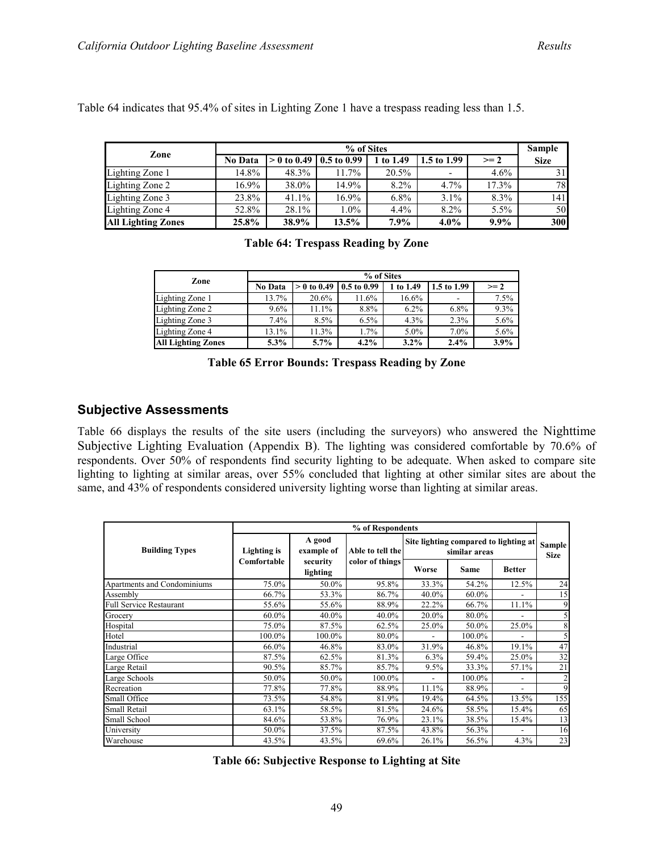| Zone                      | % of Sites     |               |                        |         |                        |          |             |  |
|---------------------------|----------------|---------------|------------------------|---------|------------------------|----------|-------------|--|
|                           | <b>No Data</b> | $> 0$ to 0.49 | $0.5 \text{ to } 0.99$ | to 1.49 | $1.5 \text{ to } 1.99$ | $>= 2$   | <b>Size</b> |  |
| Lighting Zone 1           | 14.8%          | 48.3%         | $1.7\%$                | 20.5%   |                        | $4.6\%$  | 31          |  |
| Lighting Zone 2           | 16.9%          | 38.0%         | 14.9%                  | $8.2\%$ | 4.7%                   | $17.3\%$ | 78          |  |
| Lighting Zone 3           | 23.8%          | 41.1%         | $16.9\%$               | $6.8\%$ | $3.1\%$                | 8.3%     | 141         |  |
| Lighting Zone 4           | 52.8%          | 28.1%         | $1.0\%$                | $4.4\%$ | $8.2\%$                | $5.5\%$  | 50          |  |
| <b>All Lighting Zones</b> | 25.8%          | 38.9%         | 13.5%                  | $7.9\%$ | $4.0\%$                | $9.9\%$  | 300         |  |

Table 64 indicates that 95.4% of sites in Lighting Zone 1 have a trespass reading less than 1.5.

#### **Table 64: Trespass Reading by Zone**

| Zone                      | % of Sites |               |                 |           |             |        |  |  |
|---------------------------|------------|---------------|-----------------|-----------|-------------|--------|--|--|
|                           | No Data    | $> 0$ to 0.49 | $0.5$ to $0.99$ | 1 to 1.49 | 1.5 to 1.99 | $>= 2$ |  |  |
| Lighting Zone 1           | 13.7%      | 20.6%         | 11.6%           | 16.6%     |             | 7.5%   |  |  |
| Lighting Zone 2           | 9.6%       | 11.1%         | 8.8%            | $6.2\%$   | $6.8\%$     | 9.3%   |  |  |
| Lighting Zone 3           | $7.4\%$    | 8.5%          | $6.5\%$         | 4.3%      | 2.3%        | 5.6%   |  |  |
| Lighting Zone 4           | 13.1%      | 11.3%         | $1.7\%$         | $5.0\%$   | $7.0\%$     | 5.6%   |  |  |
| <b>All Lighting Zones</b> | $5.3\%$    | 5.7%          | $4.2\%$         | $3.2\%$   | 2.4%        | 3.9%   |  |  |

**Table 65 Error Bounds: Trespass Reading by Zone** 

## **Subjective Assessments**

Table 66 displays the results of the site users (including the surveyors) who answered the Nighttime Subjective Lighting Evaluation (Appendix B). The lighting was considered comfortable by 70.6% of respondents. Over 50% of respondents find security lighting to be adequate. When asked to compare site lighting to lighting at similar areas, over 55% concluded that lighting at other similar sites are about the same, and 43% of respondents considered university lighting worse than lighting at similar areas.

|                                | % of Respondents |                      |                  |         |                                                        |               |                              |  |  |
|--------------------------------|------------------|----------------------|------------------|---------|--------------------------------------------------------|---------------|------------------------------|--|--|
| <b>Building Types</b>          | Lighting is      | A good<br>example of | Able to tell the |         | Site lighting compared to lighting at<br>similar areas |               | <b>Sample</b><br><b>Size</b> |  |  |
|                                | Comfortable      | security<br>lighting | color of things  | Worse   | <b>Same</b>                                            | <b>Better</b> |                              |  |  |
| Apartments and Condominiums    | 75.0%            | 50.0%                | 95.8%            | 33.3%   | 54.2%                                                  | 12.5%         | 24                           |  |  |
| Assembly                       | 66.7%            | 53.3%                | 86.7%            | 40.0%   | 60.0%                                                  |               | 15                           |  |  |
| <b>Full Service Restaurant</b> | 55.6%            | 55.6%                | 88.9%            | 22.2%   | 66.7%                                                  | 11.1%         | 9                            |  |  |
| Grocery                        | 60.0%            | 40.0%                | 40.0%            | 20.0%   | 80.0%                                                  |               | 5                            |  |  |
| Hospital                       | 75.0%            | 87.5%                | 62.5%            | 25.0%   | 50.0%                                                  | 25.0%         | 8                            |  |  |
| Hotel                          | 100.0%           | 100.0%               | 80.0%            | ٠       | 100.0%                                                 |               | 5                            |  |  |
| Industrial                     | 66.0%            | 46.8%                | 83.0%            | 31.9%   | 46.8%                                                  | 19.1%         | 47                           |  |  |
| Large Office                   | 87.5%            | 62.5%                | 81.3%            | 6.3%    | 59.4%                                                  | 25.0%         | 32                           |  |  |
| Large Retail                   | 90.5%            | 85.7%                | 85.7%            | $9.5\%$ | 33.3%                                                  | 57.1%         | 21                           |  |  |
| Large Schools                  | 50.0%            | 50.0%                | 100.0%           | ۰       | 100.0%                                                 |               | $\overline{c}$               |  |  |
| Recreation                     | 77.8%            | 77.8%                | 88.9%            | 11.1%   | 88.9%                                                  |               | 9                            |  |  |
| Small Office                   | 73.5%            | 54.8%                | 81.9%            | 19.4%   | 64.5%                                                  | 13.5%         | 155                          |  |  |
| Small Retail                   | 63.1%            | 58.5%                | 81.5%            | 24.6%   | 58.5%                                                  | 15.4%         | 65                           |  |  |
| Small School                   | 84.6%            | 53.8%                | 76.9%            | 23.1%   | 38.5%                                                  | 15.4%         | 13                           |  |  |
| University                     | 50.0%            | 37.5%                | 87.5%            | 43.8%   | 56.3%                                                  |               | 16                           |  |  |
| Warehouse                      | 43.5%            | 43.5%                | 69.6%            | 26.1%   | 56.5%                                                  | 4.3%          | 23                           |  |  |

**Table 66: Subjective Response to Lighting at Site**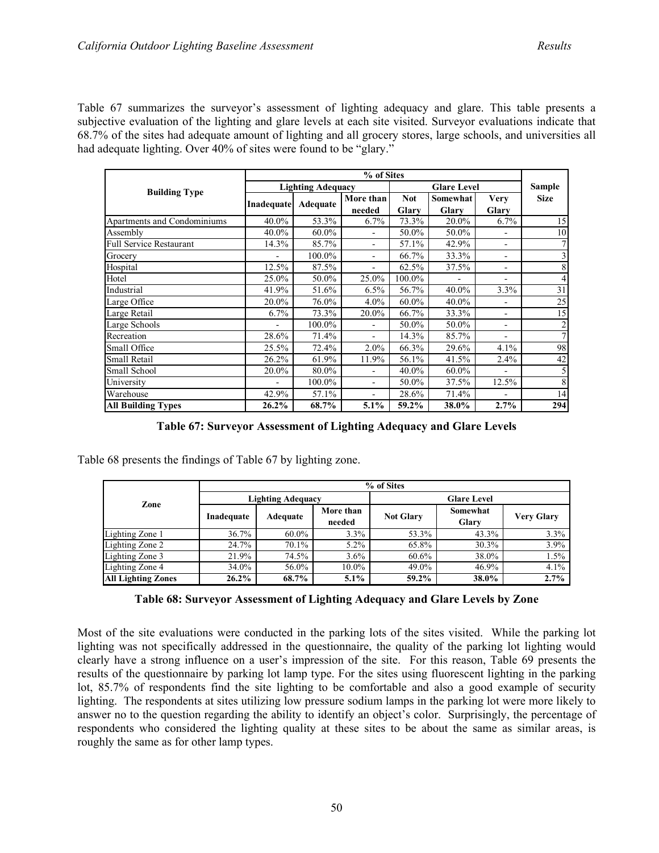|                                |            | <b>Lighting Adequacy</b> |                |              | <b>Glare Level</b> |                          | <b>Sample</b>  |
|--------------------------------|------------|--------------------------|----------------|--------------|--------------------|--------------------------|----------------|
| <b>Building Type</b>           | Inadequate | Adequate                 | More than      | <b>Not</b>   | Somewhat           | <b>Very</b>              | <b>Size</b>    |
|                                |            |                          | needed         | <b>Glary</b> | <b>Glary</b>       | <b>Glary</b>             |                |
| Apartments and Condominiums    | 40.0%      | 53.3%                    | 6.7%           | 73.3%        | 20.0%              | 6.7%                     | 15             |
| Assembly                       | 40.0%      | 60.0%                    |                | 50.0%        | 50.0%              |                          | 10             |
| <b>Full Service Restaurant</b> | 14.3%      | 85.7%                    | $\blacksquare$ | 57.1%        | 42.9%              | $\overline{\phantom{a}}$ |                |
| Grocery                        |            | 100.0%                   |                | 66.7%        | 33.3%              | $\overline{\phantom{a}}$ |                |
| Hospital                       | 12.5%      | 87.5%                    | ۰              | 62.5%        | 37.5%              | $\overline{\phantom{a}}$ | 8              |
| Hotel                          | 25.0%      | 50.0%                    | 25.0%          | 100.0%       |                    |                          | $\overline{4}$ |
| Industrial                     | 41.9%      | 51.6%                    | 6.5%           | 56.7%        | 40.0%              | 3.3%                     | 31             |
| Large Office                   | 20.0%      | 76.0%                    | $4.0\%$        | $60.0\%$     | 40.0%              |                          | 25             |
| Large Retail                   | 6.7%       | 73.3%                    | 20.0%          | 66.7%        | 33.3%              | $\overline{\phantom{a}}$ | 15             |
| Large Schools                  |            | 100.0%                   |                | 50.0%        | 50.0%              | $\overline{\phantom{a}}$ | $\overline{2}$ |
| Recreation                     | 28.6%      | 71.4%                    |                | 14.3%        | 85.7%              | $\blacksquare$           | $\tau$         |
| Small Office                   | 25.5%      | 72.4%                    | $2.0\%$        | 66.3%        | 29.6%              | 4.1%                     | 98             |
| Small Retail                   | 26.2%      | 61.9%                    | 11.9%          | 56.1%        | 41.5%              | 2.4%                     | 42             |
| Small School                   | 20.0%      | 80.0%                    |                | 40.0%        | 60.0%              |                          | 5              |
| University                     |            | 100.0%                   | $\overline{a}$ | 50.0%        | 37.5%              | 12.5%                    | 8              |
| Warehouse                      | 42.9%      | 57.1%                    |                | 28.6%        | 71.4%              |                          | 14             |
| <b>All Building Types</b>      | $26.2\%$   | 68.7%                    | $5.1\%$        | 59.2%        | 38.0%              | 2.7%                     | 294            |

**Table 67: Surveyor Assessment of Lighting Adequacy and Glare Levels** 

Table 68 presents the findings of Table 67 by lighting zone.

|                           | % of Sites |                          |                     |                    |                   |                   |  |  |  |
|---------------------------|------------|--------------------------|---------------------|--------------------|-------------------|-------------------|--|--|--|
| Zone                      |            | <b>Lighting Adequacy</b> |                     | <b>Glare Level</b> |                   |                   |  |  |  |
|                           | Inadequate | Adequate                 | More than<br>needed | <b>Not Glary</b>   | Somewhat<br>Glary | <b>Very Glary</b> |  |  |  |
| Lighting Zone 1           | 36.7%      | $60.0\%$                 | 3.3%                | 53.3%              | 43.3%             | 3.3%              |  |  |  |
| Lighting Zone 2           | 24.7%      | 70.1%                    | $5.2\%$             | 65.8%              | 30.3%             | $3.9\%$           |  |  |  |
| Lighting Zone 3           | 21.9%      | 74.5%                    | 3.6%                | $60.6\%$           | 38.0%             | 1.5%              |  |  |  |
| Lighting Zone 4           | 34.0%      | 56.0%                    | $10.0\%$            | 49.0%              | 46.9%             | $4.1\%$           |  |  |  |
| <b>All Lighting Zones</b> | 26.2%      | 68.7%                    | $5.1\%$             | 59.2%              | 38.0%             | 2.7%              |  |  |  |

**Table 68: Surveyor Assessment of Lighting Adequacy and Glare Levels by Zone** 

Most of the site evaluations were conducted in the parking lots of the sites visited. While the parking lot lighting was not specifically addressed in the questionnaire, the quality of the parking lot lighting would clearly have a strong influence on a user's impression of the site. For this reason, Table 69 presents the results of the questionnaire by parking lot lamp type. For the sites using fluorescent lighting in the parking lot, 85.7% of respondents find the site lighting to be comfortable and also a good example of security lighting. The respondents at sites utilizing low pressure sodium lamps in the parking lot were more likely to answer no to the question regarding the ability to identify an object's color. Surprisingly, the percentage of respondents who considered the lighting quality at these sites to be about the same as similar areas, is roughly the same as for other lamp types.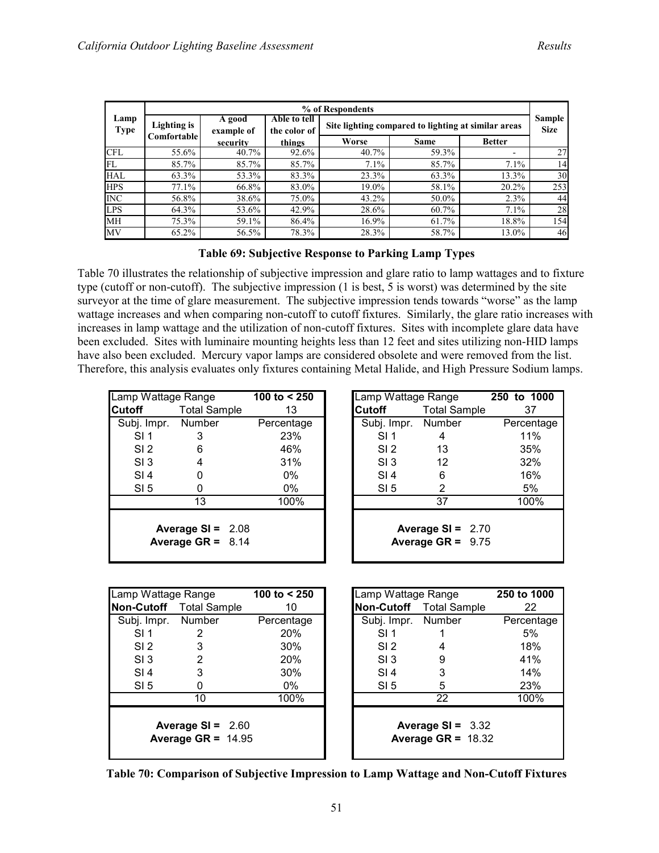|                     | % of Respondents   |                      |                              |                                                     |               |                       |     |  |  |  |
|---------------------|--------------------|----------------------|------------------------------|-----------------------------------------------------|---------------|-----------------------|-----|--|--|--|
| Lamp<br><b>Type</b> | <b>Lighting is</b> | A good<br>example of | Able to tell<br>the color of | Site lighting compared to lighting at similar areas |               | Sample<br><b>Size</b> |     |  |  |  |
|                     | <b>Comfortable</b> | security             | things                       | Worse                                               | <b>Better</b> |                       |     |  |  |  |
| <b>CFL</b>          | 55.6%              | 40.7%                | 92.6%                        | 40.7%                                               | 59.3%         | ۰                     | 27  |  |  |  |
| FL                  | 85.7%              | 85.7%                | 85.7%                        | 7.1%                                                | 85.7%         | $7.1\%$               | 14  |  |  |  |
| HAL                 | 63.3%              | 53.3%                | 83.3%                        | 23.3%                                               | 63.3%         | 13.3%                 | 30  |  |  |  |
| <b>HPS</b>          | 77.1%              | 66.8%                | 83.0%                        | 19.0%                                               | 58.1%         | 20.2%                 | 253 |  |  |  |
| <b>INC</b>          | 56.8%              | 38.6%                | 75.0%                        | 43.2%                                               | 50.0%         | 2.3%                  | 44  |  |  |  |
| <b>LPS</b>          | 64.3%              | 53.6%                | 42.9%                        | 28.6%                                               | 60.7%         | 7.1%                  | 28  |  |  |  |
| МH                  | 75.3%              | 59.1%                | 86.4%                        | 16.9%                                               | 61.7%         | 18.8%                 | 154 |  |  |  |
| MV                  | 65.2%              | 56.5%                | 78.3%                        | 28.3%                                               | 58.7%         | 13.0%                 | 46  |  |  |  |

**Table 69: Subjective Response to Parking Lamp Types** 

Table 70 illustrates the relationship of subjective impression and glare ratio to lamp wattages and to fixture type (cutoff or non-cutoff). The subjective impression (1 is best, 5 is worst) was determined by the site surveyor at the time of glare measurement. The subjective impression tends towards "worse" as the lamp wattage increases and when comparing non-cutoff to cutoff fixtures. Similarly, the glare ratio increases with increases in lamp wattage and the utilization of non-cutoff fixtures. Sites with incomplete glare data have been excluded. Sites with luminaire mounting heights less than 12 feet and sites utilizing non-HID lamps have also been excluded. Mercury vapor lamps are considered obsolete and were removed from the list. Therefore, this analysis evaluates only fixtures containing Metal Halide, and High Pressure Sodium lamps.

| Lamp Wattage Range |                                            | 100 to $<$ 250 | Lamp Wattage Range |                                            | 250 to 1000 |
|--------------------|--------------------------------------------|----------------|--------------------|--------------------------------------------|-------------|
| Cutoff             | <b>Total Sample</b>                        | 13             | Cutoff             | <b>Total Sample</b>                        | 37          |
| Subj. Impr.        | Number                                     | Percentage     | Subj. Impr. Number |                                            | Percentage  |
| SI <sub>1</sub>    | 3                                          | 23%            | SI <sub>1</sub>    | 4                                          | 11%         |
| SI <sub>2</sub>    | 6                                          | 46%            | SI <sub>2</sub>    | 13                                         | 35%         |
| SI <sub>3</sub>    | 4                                          | 31%            | SI <sub>3</sub>    | 12                                         | 32%         |
| SI <sub>4</sub>    |                                            | $0\%$          | SI <sub>4</sub>    | 6                                          | 16%         |
| SI <sub>5</sub>    |                                            | 0%             | SI <sub>5</sub>    | 2                                          | 5%          |
|                    | 13                                         | 100%           |                    | 37                                         | 100%        |
|                    | Average $SI = 2.08$<br>Average GR = $8.14$ |                |                    | Average $SI = 2.70$<br>Average GR = $9.75$ |             |

| ange                                                                        | 100 to $<$ 250 |  | Lamp Wattage Range | 250 to 1000         |            |
|-----------------------------------------------------------------------------|----------------|--|--------------------|---------------------|------------|
| al Sample                                                                   | 13             |  | <b>Cutoff</b>      | <b>Total Sample</b> | 37         |
| mber                                                                        | Percentage     |  | Subj. Impr.        | Number              | Percentage |
| 3                                                                           | 23%            |  | SI <sub>1</sub>    |                     | 11%        |
| 6                                                                           | 46%            |  | SI <sub>2</sub>    | 13                  | 35%        |
| $\overline{4}$                                                              | 31%            |  | SI <sub>3</sub>    | 12                  | 32%        |
| $\mathbf 0$                                                                 | 0%             |  | SI <sub>4</sub>    | 6                   | 16%        |
| $\mathbf{0}$                                                                | 0%             |  | SI <sub>5</sub>    | 2                   | 5%         |
| $\overline{13}$                                                             | 100%           |  |                    | 37                  | 100%       |
| $S = 2.08$<br>Average $SI = 2.70$<br>$\mathbf{a}$ $\mathbf{a}$ $\mathbf{a}$ |                |  |                    |                     |            |

| Lamp Wattage Range                          |                         | 100 to $<$ 250 | Lamp Wattage Range |                                             | 250 to 1000 |
|---------------------------------------------|-------------------------|----------------|--------------------|---------------------------------------------|-------------|
|                                             | Non-Cutoff Total Sample | 10             |                    | Non-Cutoff Total Sample                     | 22          |
| Subj. Impr.                                 | Number                  | Percentage     | Subj. Impr.        | Number                                      | Percentage  |
| SI <sub>1</sub>                             | 2                       | <b>20%</b>     | SI <sub>1</sub>    |                                             | 5%          |
| SI <sub>2</sub>                             | 3                       | 30%            | SI <sub>2</sub>    | 4                                           | 18%         |
| SI <sub>3</sub>                             |                         | 20%            | SI <sub>3</sub>    | 9                                           | 41%         |
| SI <sub>4</sub>                             | 3                       | 30%            | SI <sub>4</sub>    | 3                                           | 14%         |
| SI 5                                        |                         | 0%             | SI <sub>5</sub>    | 5                                           | 23%         |
|                                             | 10                      | 100%           |                    | 22                                          | 100%        |
| Average $SI = 2.60$<br>Average GR = $14.95$ |                         |                |                    | Average $SI = 3.32$<br>Average GR = $18.32$ |             |

**Table 70: Comparison of Subjective Impression to Lamp Wattage and Non-Cutoff Fixtures**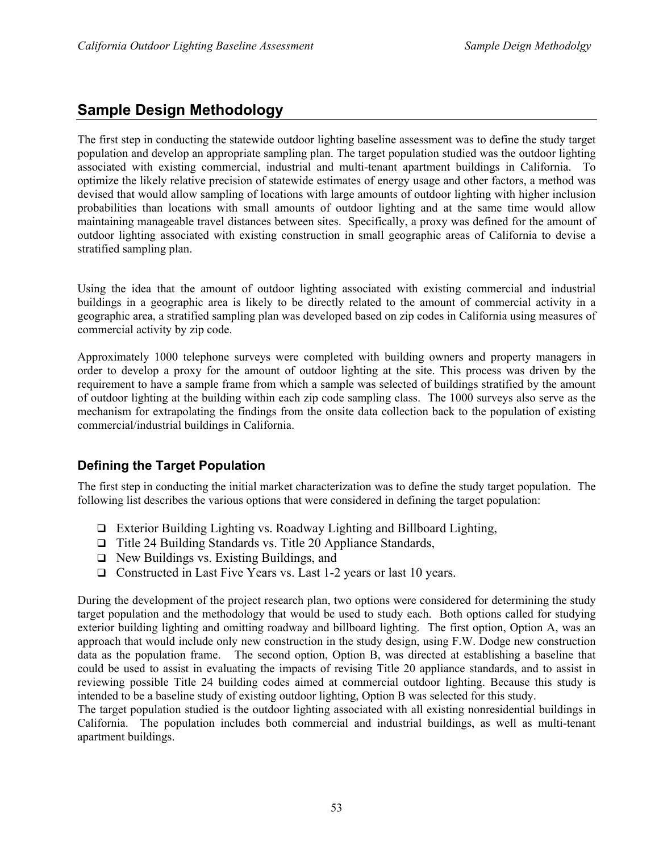# **Sample Design Methodology**

The first step in conducting the statewide outdoor lighting baseline assessment was to define the study target population and develop an appropriate sampling plan. The target population studied was the outdoor lighting associated with existing commercial, industrial and multi-tenant apartment buildings in California. To optimize the likely relative precision of statewide estimates of energy usage and other factors, a method was devised that would allow sampling of locations with large amounts of outdoor lighting with higher inclusion probabilities than locations with small amounts of outdoor lighting and at the same time would allow maintaining manageable travel distances between sites. Specifically, a proxy was defined for the amount of outdoor lighting associated with existing construction in small geographic areas of California to devise a stratified sampling plan.

Using the idea that the amount of outdoor lighting associated with existing commercial and industrial buildings in a geographic area is likely to be directly related to the amount of commercial activity in a geographic area, a stratified sampling plan was developed based on zip codes in California using measures of commercial activity by zip code.

Approximately 1000 telephone surveys were completed with building owners and property managers in order to develop a proxy for the amount of outdoor lighting at the site. This process was driven by the requirement to have a sample frame from which a sample was selected of buildings stratified by the amount of outdoor lighting at the building within each zip code sampling class. The 1000 surveys also serve as the mechanism for extrapolating the findings from the onsite data collection back to the population of existing commercial/industrial buildings in California.

# **Defining the Target Population**

The first step in conducting the initial market characterization was to define the study target population. The following list describes the various options that were considered in defining the target population:

- Exterior Building Lighting vs. Roadway Lighting and Billboard Lighting,
- □ Title 24 Building Standards vs. Title 20 Appliance Standards,
- $\Box$  New Buildings vs. Existing Buildings, and
- □ Constructed in Last Five Years vs. Last 1-2 years or last 10 years.

During the development of the project research plan, two options were considered for determining the study target population and the methodology that would be used to study each. Both options called for studying exterior building lighting and omitting roadway and billboard lighting. The first option, Option A, was an approach that would include only new construction in the study design, using F.W. Dodge new construction data as the population frame. The second option, Option B, was directed at establishing a baseline that could be used to assist in evaluating the impacts of revising Title 20 appliance standards, and to assist in reviewing possible Title 24 building codes aimed at commercial outdoor lighting. Because this study is intended to be a baseline study of existing outdoor lighting, Option B was selected for this study.

The target population studied is the outdoor lighting associated with all existing nonresidential buildings in California. The population includes both commercial and industrial buildings, as well as multi-tenant apartment buildings.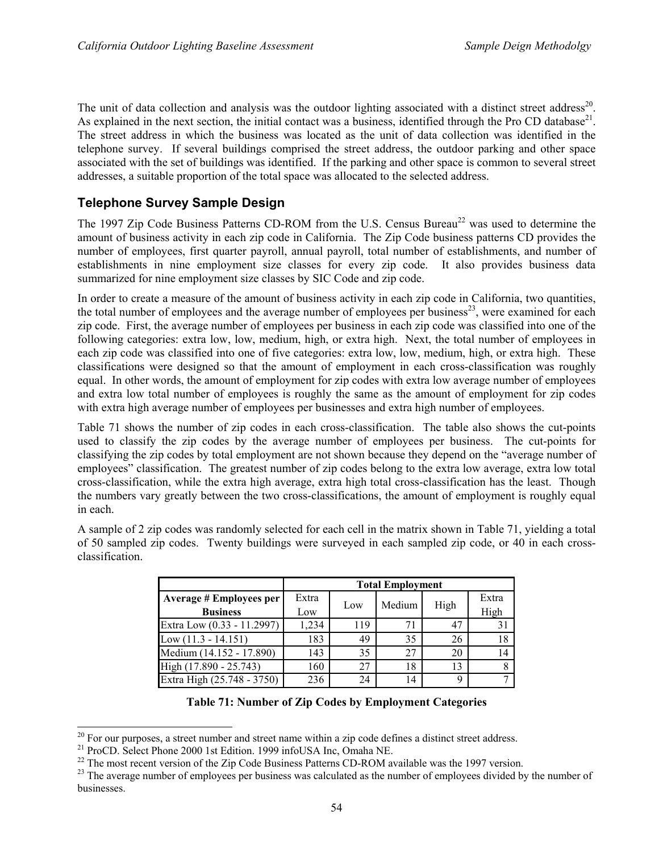The unit of data collection and analysis was the outdoor lighting associated with a distinct street address<sup>20</sup>. As explained in the next section, the initial contact was a business, identified through the Pro CD database<sup>21</sup>. The street address in which the business was located as the unit of data collection was identified in the telephone survey. If several buildings comprised the street address, the outdoor parking and other space associated with the set of buildings was identified. If the parking and other space is common to several street addresses, a suitable proportion of the total space was allocated to the selected address.

## **Telephone Survey Sample Design**

The 1997 Zip Code Business Patterns CD-ROM from the U.S. Census Bureau<sup>22</sup> was used to determine the amount of business activity in each zip code in California. The Zip Code business patterns CD provides the number of employees, first quarter payroll, annual payroll, total number of establishments, and number of establishments in nine employment size classes for every zip code. It also provides business data summarized for nine employment size classes by SIC Code and zip code.

In order to create a measure of the amount of business activity in each zip code in California, two quantities, the total number of employees and the average number of employees per business $^{23}$ , were examined for each zip code. First, the average number of employees per business in each zip code was classified into one of the following categories: extra low, low, medium, high, or extra high. Next, the total number of employees in each zip code was classified into one of five categories: extra low, low, medium, high, or extra high. These classifications were designed so that the amount of employment in each cross-classification was roughly equal. In other words, the amount of employment for zip codes with extra low average number of employees and extra low total number of employees is roughly the same as the amount of employment for zip codes with extra high average number of employees per businesses and extra high number of employees.

Table 71 shows the number of zip codes in each cross-classification. The table also shows the cut-points used to classify the zip codes by the average number of employees per business. The cut-points for classifying the zip codes by total employment are not shown because they depend on the "average number of employees" classification. The greatest number of zip codes belong to the extra low average, extra low total cross-classification, while the extra high average, extra high total cross-classification has the least. Though the numbers vary greatly between the two cross-classifications, the amount of employment is roughly equal in each.

A sample of 2 zip codes was randomly selected for each cell in the matrix shown in Table 71, yielding a total of 50 sampled zip codes. Twenty buildings were surveyed in each sampled zip code, or 40 in each crossclassification.

|                                | <b>Total Employment</b> |     |        |      |       |
|--------------------------------|-------------------------|-----|--------|------|-------|
| <b>Average # Employees per</b> | Extra                   | Low |        |      | Extra |
| <b>Business</b>                | Low                     |     | Medium | High | High  |
| Extra Low (0.33 - 11.2997)     | 1,234                   | 119 |        | 47   | 31    |
| Low $(11.3 - 14.151)$          | 183                     | 49  | 35     | 26   |       |
| Medium (14.152 - 17.890)       | 143                     | 35  | 27     | 20   | 14    |
| High (17.890 - 25.743)         | 160                     |     | 18     | 13   |       |
| Extra High (25.748 - 3750)     | 236                     | 24  | 14     |      |       |

**Table 71: Number of Zip Codes by Employment Categories** 

1

<sup>&</sup>lt;sup>20</sup> For our purposes, a street number and street name within a zip code defines a distinct street address. <sup>21</sup> ProCD. Select Phone 2000 1st Edition. 1999 infoUSA Inc, Omaha NE.

<sup>&</sup>lt;sup>22</sup> The most recent version of the Zip Code Business Patterns CD-ROM available was the 1997 version.<br><sup>23</sup> The average number of employees per business was calculated as the number of employees divided by the number of

businesses.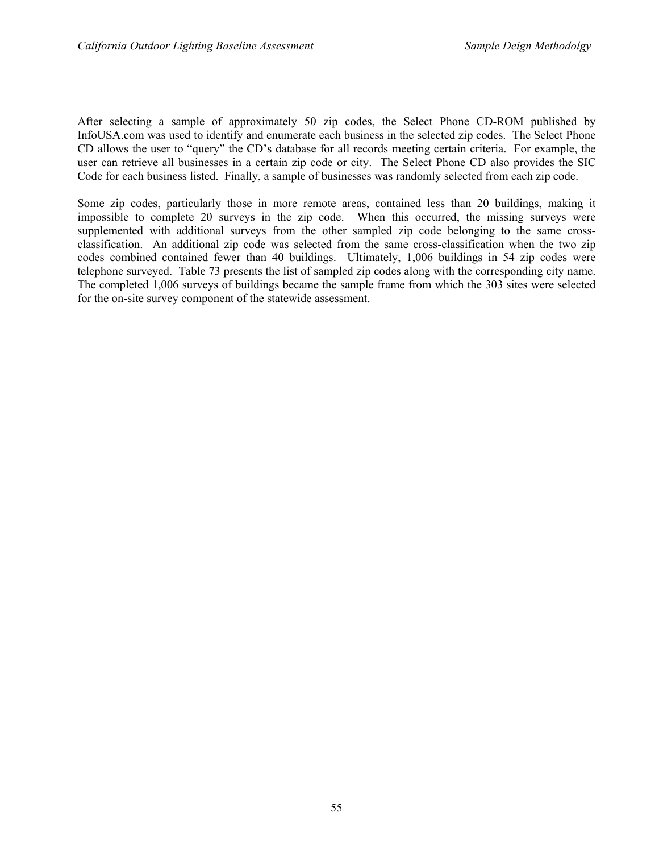After selecting a sample of approximately 50 zip codes, the Select Phone CD-ROM published by InfoUSA.com was used to identify and enumerate each business in the selected zip codes. The Select Phone CD allows the user to "query" the CD's database for all records meeting certain criteria. For example, the user can retrieve all businesses in a certain zip code or city. The Select Phone CD also provides the SIC Code for each business listed. Finally, a sample of businesses was randomly selected from each zip code.

Some zip codes, particularly those in more remote areas, contained less than 20 buildings, making it impossible to complete 20 surveys in the zip code. When this occurred, the missing surveys were supplemented with additional surveys from the other sampled zip code belonging to the same crossclassification. An additional zip code was selected from the same cross-classification when the two zip codes combined contained fewer than 40 buildings. Ultimately, 1,006 buildings in 54 zip codes were telephone surveyed. Table 73 presents the list of sampled zip codes along with the corresponding city name. The completed 1,006 surveys of buildings became the sample frame from which the 303 sites were selected for the on-site survey component of the statewide assessment.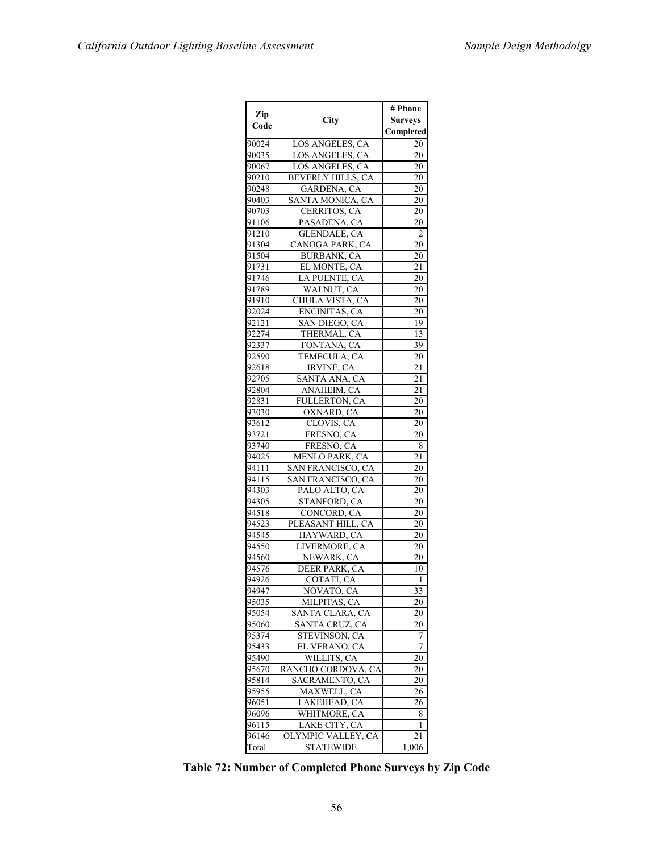|                |                                     | # Phone               |
|----------------|-------------------------------------|-----------------------|
| Zip            | City                                | <b>Surveys</b>        |
| Code           |                                     | Completed             |
| 90024          | LOS ANGELES, CA                     | 20                    |
| 90035          | LOS ANGELES, CA                     | 20                    |
| 90067          | LOS ANGELES, CA                     | 20                    |
| 90210          | <b>BEVERLY HILLS, CA</b>            | 20                    |
| 90248          | <b>GARDENA, CA</b>                  | 20                    |
| 90403          | SANTA MONICA, CA                    | 20                    |
| 90703          | <b>CERRITOS, CA</b>                 | 20                    |
| 91106          | PASADENA, CA                        | 20                    |
| 91210          | <b>GLENDALE, CA</b>                 | 2                     |
| 91304          | CANOGA PARK, CA                     | 20                    |
| 91504          | <b>BURBANK, CA</b>                  | 20                    |
| 91731          | EL MONTE, CA                        | 21                    |
| 91746          | LA PUENTE, CA                       | 20                    |
| 91789          | WALNUT, CA                          | 20                    |
| 91910          | CHULA VISTA, CA                     | 20                    |
| 92024          | <b>ENCINITAS, CA</b>                | 20                    |
| 92121          | SAN DIEGO, CA                       | 19                    |
| 92274          | THERMAL, CA                         | 13                    |
| 92337          | FONTANA, CA                         | 39                    |
| 92590          | TEMECULA, CA                        | 20                    |
| 92618          | IRVINE, CA<br><b>SANTA ANA, CA</b>  | 21                    |
| 92705          |                                     | 21<br>$\overline{21}$ |
| 92804<br>92831 | ANAHEIM, CA<br>FULLERTON, CA        |                       |
| 93030          | OXNARD, CA                          | 20<br>20              |
| 93612          | CLOVIS, CA                          | 20                    |
| 93721          | FRESNO, CA                          | 20                    |
| 93740          | FRESNO, CA                          | 8                     |
| 94025          | MENLO PARK, CA                      | 21                    |
| 94111          | <b>SAN FRANCISCO, CA</b>            | 20                    |
| 94115          | SAN FRANCISCO, CA                   | 20                    |
| 94303          | PALO ALTO, CA                       | 20                    |
| 94305          | STANFORD, CA                        | 20                    |
| 94518          | CONCORD, CA                         | 20                    |
| 94523          | PLEASANT HILL, CA                   | 20                    |
| 94545          | HAYWARD, CA                         | 20                    |
| 94550          | LIVERMORE, CA                       | 20                    |
| 94560          | NEWARK, CA                          | 20                    |
| 94576          | <b>DEER PARK, CA</b>                | 10                    |
| 94926          | COTATI, CA                          | 1                     |
| 94947          | NOVATO, CA                          | 33                    |
| 95035          | MILPITAS, CA                        | 20                    |
| 95054          | SANTA CLARA, CA                     | <b>20</b>             |
| 95060          | SANTA CRUZ, CA                      | 20                    |
| 95374          | STEVINSON, CA                       | 7                     |
| 95433          | EL VERANO, CA                       | 7                     |
| 95490          | WILLITS, CA                         | 20                    |
| 95670          | RANCHO CORDOVA, CA                  | 20                    |
| 95814          | SACRAMENTO, CA                      | 20                    |
| 95955          | MAXWELL, CA                         | $\frac{26}{5}$        |
| 96051          | LAKEHEAD, CA                        | 26                    |
| 96096          | WHITMORE, CA                        | 8                     |
| 96115<br>96146 | LAKE CITY, CA<br>OLYMPIC VALLEY, CA | 1<br>21               |
| Total          | <b>STATEWIDE</b>                    | 1,006                 |
|                |                                     |                       |

**Table 72: Number of Completed Phone Surveys by Zip Code**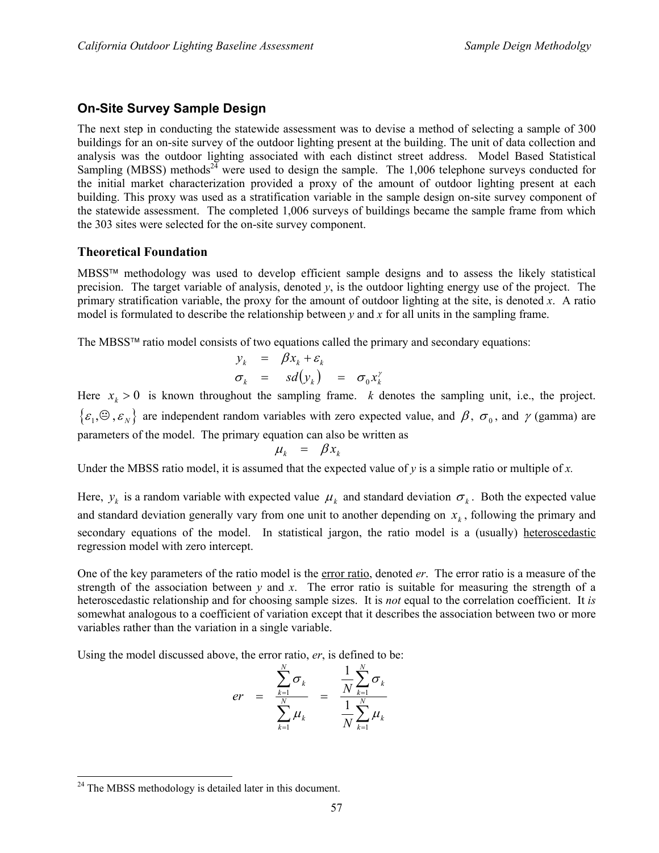## **On-Site Survey Sample Design**

The next step in conducting the statewide assessment was to devise a method of selecting a sample of 300 buildings for an on-site survey of the outdoor lighting present at the building. The unit of data collection and analysis was the outdoor lighting associated with each distinct street address. Model Based Statistical Sampling (MBSS) methods<sup> $2\overline{4}$ </sup> were used to design the sample. The 1,006 telephone surveys conducted for the initial market characterization provided a proxy of the amount of outdoor lighting present at each building. This proxy was used as a stratification variable in the sample design on-site survey component of the statewide assessment. The completed 1,006 surveys of buildings became the sample frame from which the 303 sites were selected for the on-site survey component.

#### **Theoretical Foundation**

MBSS<sup>™</sup> methodology was used to develop efficient sample designs and to assess the likely statistical precision. The target variable of analysis, denoted  $y$ , is the outdoor lighting energy use of the project. The primary stratification variable, the proxy for the amount of outdoor lighting at the site, is denoted *x*. A ratio model is formulated to describe the relationship between *y* and *x* for all units in the sampling frame.

The MBSS<sup>™</sup> ratio model consists of two equations called the primary and secondary equations:

$$
y_k = \beta x_k + \varepsilon_k
$$
  
\n
$$
\sigma_k = sd(y_k) = \sigma_0 x_k^{\gamma}
$$

Here  $x_k > 0$  is known throughout the sampling frame. *k* denotes the sampling unit, i.e., the project.  $\{\varepsilon_1, \Theta, \varepsilon_N\}$  are independent random variables with zero expected value, and  $\beta$ ,  $\sigma_0$ , and  $\gamma$  (gamma) are parameters of the model. The primary equation can also be written as

$$
\mu_k = \beta x_k
$$

Under the MBSS ratio model, it is assumed that the expected value of  $\nu$  is a simple ratio or multiple of  $x$ .

Here,  $y_k$  is a random variable with expected value  $\mu_k$  and standard deviation  $\sigma_k$ . Both the expected value and standard deviation generally vary from one unit to another depending on  $x<sub>k</sub>$ , following the primary and secondary equations of the model. In statistical jargon, the ratio model is a (usually) heteroscedastic regression model with zero intercept.

One of the key parameters of the ratio model is the error ratio, denoted *er*. The error ratio is a measure of the strength of the association between  $y$  and  $x$ . The error ratio is suitable for measuring the strength of a heteroscedastic relationship and for choosing sample sizes. It is *not* equal to the correlation coefficient. It *is* somewhat analogous to a coefficient of variation except that it describes the association between two or more variables rather than the variation in a single variable.

Using the model discussed above, the error ratio, *er*, is defined to be:

$$
er = \frac{\sum_{k=1}^{N} \sigma_k}{\sum_{k=1}^{N} \mu_k} = \frac{\frac{1}{N} \sum_{k=1}^{N} \sigma_k}{\frac{1}{N} \sum_{k=1}^{N} \mu_k}
$$

l

<sup>&</sup>lt;sup>24</sup> The MBSS methodology is detailed later in this document.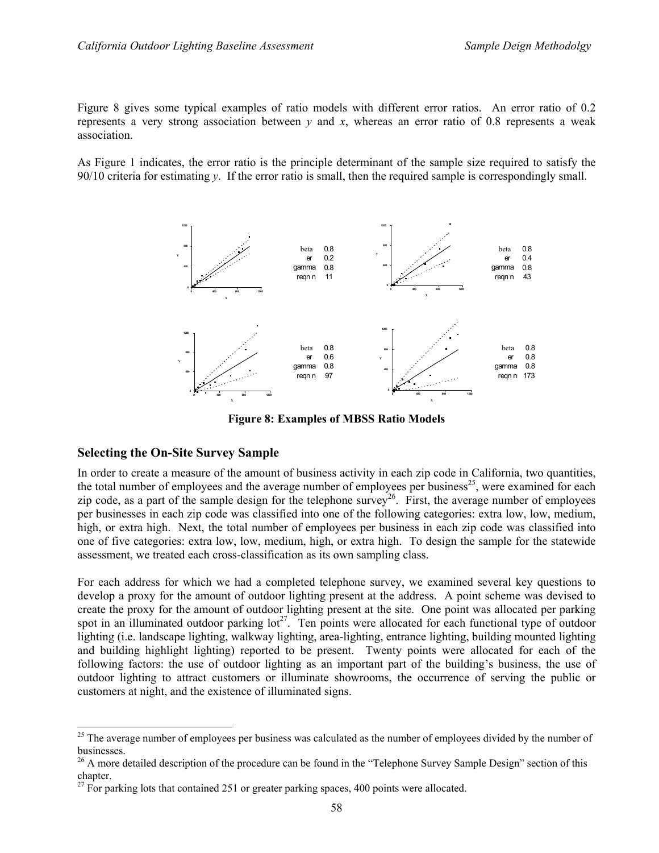Figure 8 gives some typical examples of ratio models with different error ratios. An error ratio of 0.2 represents a very strong association between  $\gamma$  and  $\chi$ , whereas an error ratio of 0.8 represents a weak association.

As Figure 1 indicates, the error ratio is the principle determinant of the sample size required to satisfy the 90/10 criteria for estimating *y*. If the error ratio is small, then the required sample is correspondingly small.



**Figure 8: Examples of MBSS Ratio Models** 

#### **Selecting the On-Site Survey Sample**

In order to create a measure of the amount of business activity in each zip code in California, two quantities, the total number of employees and the average number of employees per business<sup>25</sup>, were examined for each zip code, as a part of the sample design for the telephone survey<sup>26</sup>. First, the average number of employees per businesses in each zip code was classified into one of the following categories: extra low, low, medium, high, or extra high. Next, the total number of employees per business in each zip code was classified into one of five categories: extra low, low, medium, high, or extra high. To design the sample for the statewide assessment, we treated each cross-classification as its own sampling class.

For each address for which we had a completed telephone survey, we examined several key questions to develop a proxy for the amount of outdoor lighting present at the address. A point scheme was devised to create the proxy for the amount of outdoor lighting present at the site. One point was allocated per parking spot in an illuminated outdoor parking  $\text{lot}^{27}$ . Ten points were allocated for each functional type of outdoor lighting (i.e. landscape lighting, walkway lighting, area-lighting, entrance lighting, building mounted lighting and building highlight lighting) reported to be present. Twenty points were allocated for each of the following factors: the use of outdoor lighting as an important part of the building's business, the use of outdoor lighting to attract customers or illuminate showrooms, the occurrence of serving the public or customers at night, and the existence of illuminated signs.

<sup>1</sup> <sup>25</sup> The average number of employees per business was calculated as the number of employees divided by the number of businesses.

 $26$  A more detailed description of the procedure can be found in the "Telephone Survey Sample Design" section of this chapter.

 $27$  For parking lots that contained 251 or greater parking spaces, 400 points were allocated.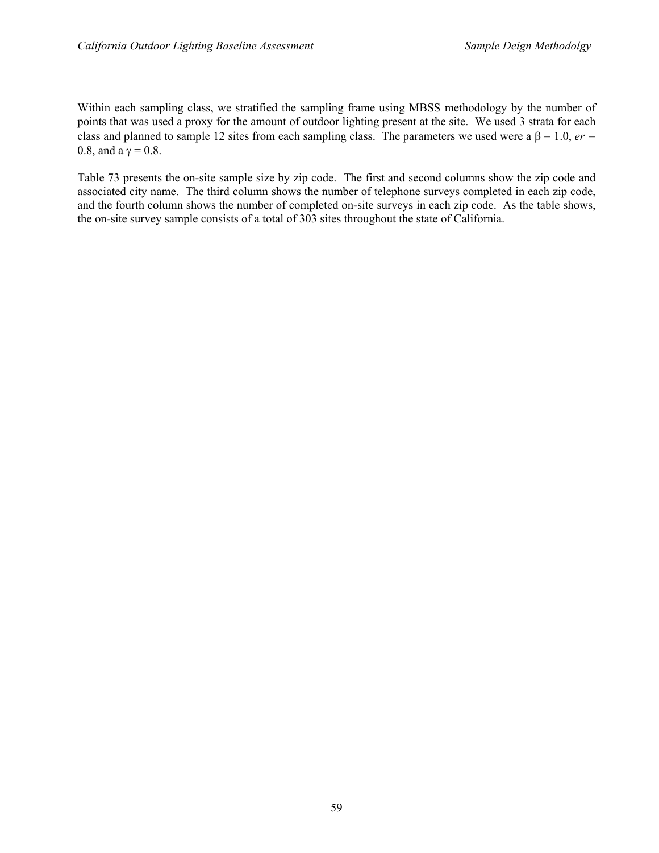Within each sampling class, we stratified the sampling frame using MBSS methodology by the number of points that was used a proxy for the amount of outdoor lighting present at the site. We used 3 strata for each class and planned to sample 12 sites from each sampling class. The parameters we used were a  $\beta = 1.0$ ,  $er =$ 0.8, and a  $\gamma = 0.8$ .

Table 73 presents the on-site sample size by zip code. The first and second columns show the zip code and associated city name. The third column shows the number of telephone surveys completed in each zip code, and the fourth column shows the number of completed on-site surveys in each zip code. As the table shows, the on-site survey sample consists of a total of 303 sites throughout the state of California.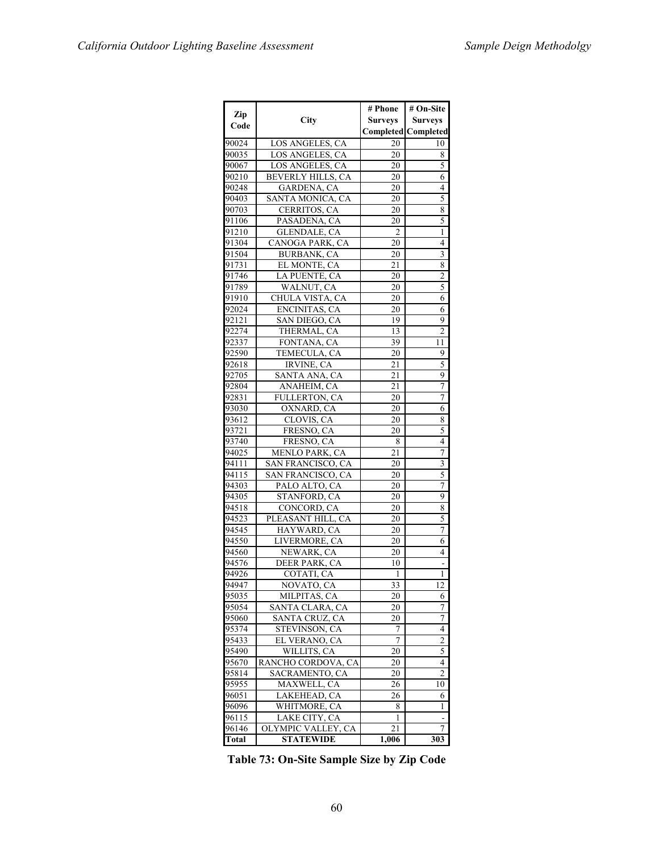|                |                                    | # Phone            | # On-Site                  |
|----------------|------------------------------------|--------------------|----------------------------|
| Zip<br>Code    | City                               | Surveys            | <b>Surveys</b>             |
|                |                                    |                    | <b>Completed</b> Completed |
| 90024          | LOS ANGELES, CA                    | 20                 | 10                         |
| 90035          | LOS ANGELES, CA                    | 20                 | 8                          |
| 90067          | LOS ANGELES, CA                    | 20                 | 5                          |
| 90210          | <b>BEVERLY HILLS, CA</b>           | 20                 | 6                          |
| 90248          | <b>GARDENA, CA</b>                 | 20                 | 4                          |
| 90403          | SANTA MONICA, CA                   | 20                 | 5                          |
| 90703          | <b>CERRITOS, CA</b>                | 20                 | 8                          |
| 91106          | PASADENA, CA                       | 20                 | 5                          |
| 91210          | <b>GLENDALE, CA</b>                | 2                  | 1                          |
| 91304          | CANOGA PARK, CA                    | 20                 | 4                          |
| 91504          | <b>BURBANK, CA</b>                 | 20                 | 3                          |
| 91731          | EL MONTE, CA                       | 21                 | 8                          |
| 91746          | LA PUENTE, CA                      | 20                 | $\overline{2}$             |
| 91789          | WALNUT, CA                         | 20                 | 5                          |
| 91910          | CHULA VISTA, CA                    | 20                 | 6                          |
| 92024          | <b>ENCINITAS, CA</b>               | 20                 | 6                          |
| 92121          | SAN DIEGO, CA                      | 19                 | 9                          |
| 92274          | THERMAL, CA                        | 13                 | $\overline{c}$             |
| 92337          | FONTANA, CA                        | 39                 | 11                         |
| 92590          | TEMECULA, CA                       | 20                 | 9                          |
| 92618          | <b>IRVINE, CA</b>                  | 21                 | 5                          |
| 92705<br>92804 | SANTA ANA, CA<br>ANAHEIM, CA       | 21                 | 9<br>7                     |
|                |                                    | 21<br>20           | 7                          |
| 92831<br>93030 | <b>FULLERTON, CA</b><br>OXNARD, CA | 20                 | 6                          |
| 93612          | CLOVIS, CA                         | 20                 | 8                          |
| 93721          | FRESNO, CA                         | 20                 | 5                          |
| 93740          | FRESNO, CA                         | 8                  | 4                          |
| 94025          | MENLO PARK, CA                     | 21                 | 7                          |
| 94111          | SAN FRANCISCO, CA                  | 20                 | 3                          |
| 94115          | SAN FRANCISCO, CA                  | 20                 | 5                          |
| 94303          | PALO ALTO, CA                      | 20                 | 7                          |
| 94305          | STANFORD, CA                       | 20                 | 9                          |
| 94518          | CONCORD, CA                        | 20                 | 8                          |
| 94523          | PLEASANT HILL, CA                  | 20                 | 5                          |
| 94545          | HAYWARD, CA                        | 20                 | 7                          |
| 94550          | LIVERMORE, CA                      | 20                 | 6                          |
| 94560          | NEWARK, CA                         | 20                 | 4                          |
| 94576          | DEER PARK, CA                      | 10                 |                            |
| 94926          | COTATI, CA                         | 1                  | 1                          |
| 94947          | NOVATO, CA                         | 33                 | $\overline{12}$            |
| 95035          | MILPITAS, CA                       | 20                 | 6                          |
| 95054          | SANTA CLARA, CA                    | 20                 | 7                          |
| 95060          | SANTA CRUZ, CA                     | 20                 | 7                          |
| 95374          | STEVINSON, CA                      | 7                  | $\overline{4}$             |
| 95433          | EL VERANO, CA                      | $\overline{7}$     | $\overline{c}$             |
| 95490          | WILLITS, CA                        | 20                 | 5                          |
| 95670          | RANCHO CORDOVA, CA                 | 20                 | 4                          |
| 95814          | SACRAMENTO, CA                     | 20                 | $\overline{2}$             |
| 95955          | MAXWELL, CA                        | 26                 | 10                         |
| 96051          | LAKEHEAD, CA                       | 26                 | 6                          |
| 96096          | WHITMORE, CA                       | 8                  | 1                          |
| 96115          | LAKE CITY, CA                      | 1                  |                            |
| 96146          | OLYMPIC VALLEY, CA                 | 21                 | 7                          |
| <b>Total</b>   | <b>STATEWIDE</b>                   | $\overline{1,}006$ | 303                        |

**Table 73: On-Site Sample Size by Zip Code**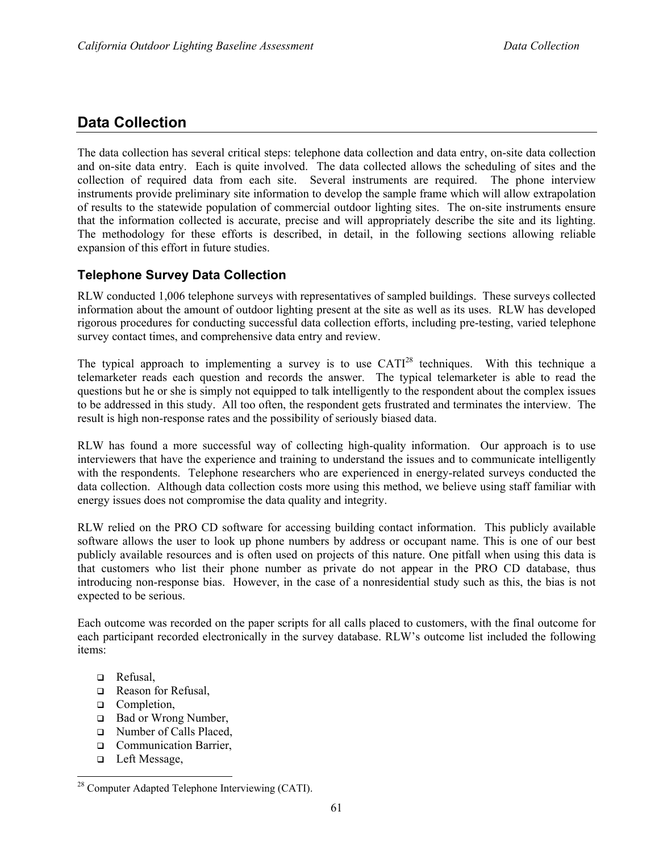# **Data Collection**

The data collection has several critical steps: telephone data collection and data entry, on-site data collection and on-site data entry. Each is quite involved. The data collected allows the scheduling of sites and the collection of required data from each site. Several instruments are required. The phone interview instruments provide preliminary site information to develop the sample frame which will allow extrapolation of results to the statewide population of commercial outdoor lighting sites. The on-site instruments ensure that the information collected is accurate, precise and will appropriately describe the site and its lighting. The methodology for these efforts is described, in detail, in the following sections allowing reliable expansion of this effort in future studies.

## **Telephone Survey Data Collection**

RLW conducted 1,006 telephone surveys with representatives of sampled buildings. These surveys collected information about the amount of outdoor lighting present at the site as well as its uses. RLW has developed rigorous procedures for conducting successful data collection efforts, including pre-testing, varied telephone survey contact times, and comprehensive data entry and review.

The typical approach to implementing a survey is to use CATI<sup>28</sup> techniques. With this technique a telemarketer reads each question and records the answer. The typical telemarketer is able to read the questions but he or she is simply not equipped to talk intelligently to the respondent about the complex issues to be addressed in this study. All too often, the respondent gets frustrated and terminates the interview. The result is high non-response rates and the possibility of seriously biased data.

RLW has found a more successful way of collecting high-quality information. Our approach is to use interviewers that have the experience and training to understand the issues and to communicate intelligently with the respondents. Telephone researchers who are experienced in energy-related surveys conducted the data collection. Although data collection costs more using this method, we believe using staff familiar with energy issues does not compromise the data quality and integrity.

RLW relied on the PRO CD software for accessing building contact information. This publicly available software allows the user to look up phone numbers by address or occupant name. This is one of our best publicly available resources and is often used on projects of this nature. One pitfall when using this data is that customers who list their phone number as private do not appear in the PRO CD database, thus introducing non-response bias. However, in the case of a nonresidential study such as this, the bias is not expected to be serious.

Each outcome was recorded on the paper scripts for all calls placed to customers, with the final outcome for each participant recorded electronically in the survey database. RLW's outcome list included the following items:

- □ Refusal.
- Reason for Refusal,
- **Q** Completion,
- □ Bad or Wrong Number,
- □ Number of Calls Placed,
- **Q** Communication Barrier,
- $\Box$  Left Message,

1

<sup>&</sup>lt;sup>28</sup> Computer Adapted Telephone Interviewing (CATI).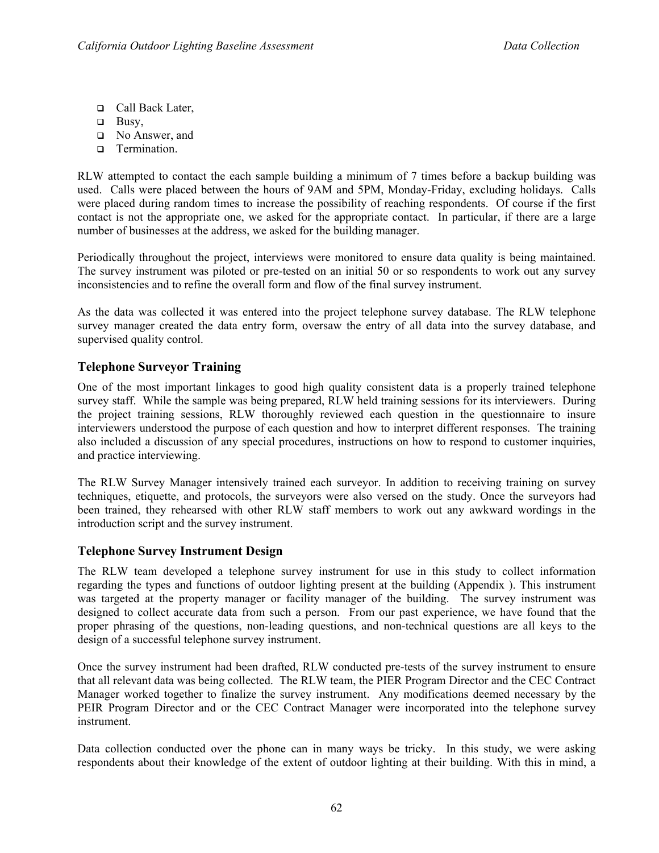- □ Call Back Later,
- $\Box$  Busy,
- No Answer, and
- **D** Termination.

RLW attempted to contact the each sample building a minimum of 7 times before a backup building was used. Calls were placed between the hours of 9AM and 5PM, Monday-Friday, excluding holidays. Calls were placed during random times to increase the possibility of reaching respondents. Of course if the first contact is not the appropriate one, we asked for the appropriate contact. In particular, if there are a large number of businesses at the address, we asked for the building manager.

Periodically throughout the project, interviews were monitored to ensure data quality is being maintained. The survey instrument was piloted or pre-tested on an initial 50 or so respondents to work out any survey inconsistencies and to refine the overall form and flow of the final survey instrument.

As the data was collected it was entered into the project telephone survey database. The RLW telephone survey manager created the data entry form, oversaw the entry of all data into the survey database, and supervised quality control.

## **Telephone Surveyor Training**

One of the most important linkages to good high quality consistent data is a properly trained telephone survey staff. While the sample was being prepared, RLW held training sessions for its interviewers. During the project training sessions, RLW thoroughly reviewed each question in the questionnaire to insure interviewers understood the purpose of each question and how to interpret different responses. The training also included a discussion of any special procedures, instructions on how to respond to customer inquiries, and practice interviewing.

The RLW Survey Manager intensively trained each surveyor. In addition to receiving training on survey techniques, etiquette, and protocols, the surveyors were also versed on the study. Once the surveyors had been trained, they rehearsed with other RLW staff members to work out any awkward wordings in the introduction script and the survey instrument.

### **Telephone Survey Instrument Design**

The RLW team developed a telephone survey instrument for use in this study to collect information regarding the types and functions of outdoor lighting present at the building (Appendix ). This instrument was targeted at the property manager or facility manager of the building. The survey instrument was designed to collect accurate data from such a person. From our past experience, we have found that the proper phrasing of the questions, non-leading questions, and non-technical questions are all keys to the design of a successful telephone survey instrument.

Once the survey instrument had been drafted, RLW conducted pre-tests of the survey instrument to ensure that all relevant data was being collected. The RLW team, the PIER Program Director and the CEC Contract Manager worked together to finalize the survey instrument. Any modifications deemed necessary by the PEIR Program Director and or the CEC Contract Manager were incorporated into the telephone survey instrument.

Data collection conducted over the phone can in many ways be tricky. In this study, we were asking respondents about their knowledge of the extent of outdoor lighting at their building. With this in mind, a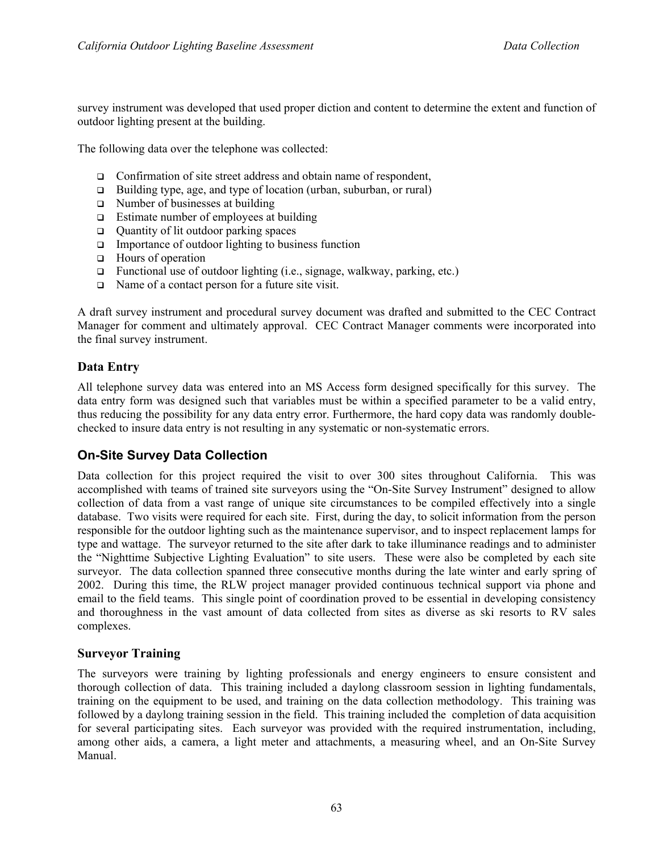survey instrument was developed that used proper diction and content to determine the extent and function of outdoor lighting present at the building.

The following data over the telephone was collected:

- □ Confirmation of site street address and obtain name of respondent,
- □ Building type, age, and type of location (urban, suburban, or rural)
- $\Box$  Number of businesses at building
- $\Box$  Estimate number of employees at building
- Quantity of lit outdoor parking spaces
- $\Box$  Importance of outdoor lighting to business function
- $\Box$  Hours of operation
- $\Box$  Functional use of outdoor lighting (i.e., signage, walkway, parking, etc.)
- $\Box$  Name of a contact person for a future site visit.

A draft survey instrument and procedural survey document was drafted and submitted to the CEC Contract Manager for comment and ultimately approval. CEC Contract Manager comments were incorporated into the final survey instrument.

### **Data Entry**

All telephone survey data was entered into an MS Access form designed specifically for this survey. The data entry form was designed such that variables must be within a specified parameter to be a valid entry, thus reducing the possibility for any data entry error. Furthermore, the hard copy data was randomly doublechecked to insure data entry is not resulting in any systematic or non-systematic errors.

## **On-Site Survey Data Collection**

Data collection for this project required the visit to over 300 sites throughout California. This was accomplished with teams of trained site surveyors using the "On-Site Survey Instrument" designed to allow collection of data from a vast range of unique site circumstances to be compiled effectively into a single database. Two visits were required for each site. First, during the day, to solicit information from the person responsible for the outdoor lighting such as the maintenance supervisor, and to inspect replacement lamps for type and wattage. The surveyor returned to the site after dark to take illuminance readings and to administer the "Nighttime Subjective Lighting Evaluation" to site users. These were also be completed by each site surveyor. The data collection spanned three consecutive months during the late winter and early spring of 2002. During this time, the RLW project manager provided continuous technical support via phone and email to the field teams. This single point of coordination proved to be essential in developing consistency and thoroughness in the vast amount of data collected from sites as diverse as ski resorts to RV sales complexes.

### **Surveyor Training**

The surveyors were training by lighting professionals and energy engineers to ensure consistent and thorough collection of data. This training included a daylong classroom session in lighting fundamentals, training on the equipment to be used, and training on the data collection methodology. This training was followed by a daylong training session in the field. This training included the completion of data acquisition for several participating sites. Each surveyor was provided with the required instrumentation, including, among other aids, a camera, a light meter and attachments, a measuring wheel, and an On-Site Survey Manual.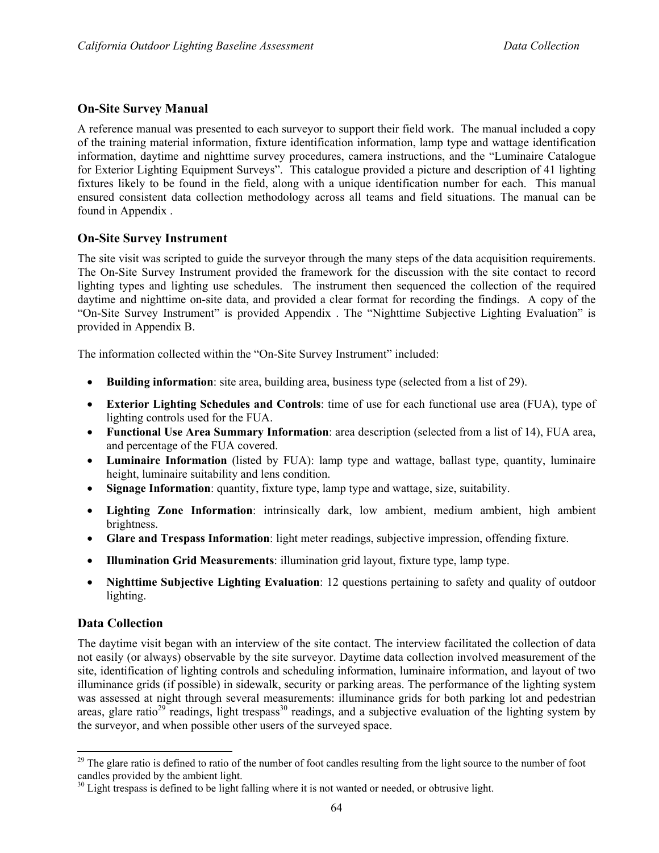## **On-Site Survey Manual**

A reference manual was presented to each surveyor to support their field work. The manual included a copy of the training material information, fixture identification information, lamp type and wattage identification information, daytime and nighttime survey procedures, camera instructions, and the "Luminaire Catalogue for Exterior Lighting Equipment Surveys". This catalogue provided a picture and description of 41 lighting fixtures likely to be found in the field, along with a unique identification number for each. This manual ensured consistent data collection methodology across all teams and field situations. The manual can be found in Appendix .

## **On-Site Survey Instrument**

The site visit was scripted to guide the surveyor through the many steps of the data acquisition requirements. The On-Site Survey Instrument provided the framework for the discussion with the site contact to record lighting types and lighting use schedules. The instrument then sequenced the collection of the required daytime and nighttime on-site data, and provided a clear format for recording the findings. A copy of the "On-Site Survey Instrument" is provided Appendix . The "Nighttime Subjective Lighting Evaluation" is provided in Appendix B.

The information collected within the "On-Site Survey Instrument" included:

- **Building information**: site area, building area, business type (selected from a list of 29).
- **Exterior Lighting Schedules and Controls**: time of use for each functional use area (FUA), type of lighting controls used for the FUA.
- **Functional Use Area Summary Information**: area description (selected from a list of 14), FUA area, and percentage of the FUA covered.
- **Luminaire Information** (listed by FUA): lamp type and wattage, ballast type, quantity, luminaire height, luminaire suitability and lens condition.
- **Signage Information**: quantity, fixture type, lamp type and wattage, size, suitability.
- **Lighting Zone Information**: intrinsically dark, low ambient, medium ambient, high ambient brightness.
- **Glare and Trespass Information**: light meter readings, subjective impression, offending fixture.
- **Illumination Grid Measurements**: illumination grid layout, fixture type, lamp type.
- **Nighttime Subjective Lighting Evaluation**: 12 questions pertaining to safety and quality of outdoor lighting.

### **Data Collection**

The daytime visit began with an interview of the site contact. The interview facilitated the collection of data not easily (or always) observable by the site surveyor. Daytime data collection involved measurement of the site, identification of lighting controls and scheduling information, luminaire information, and layout of two illuminance grids (if possible) in sidewalk, security or parking areas. The performance of the lighting system was assessed at night through several measurements: illuminance grids for both parking lot and pedestrian areas, glare ratio<sup>29</sup> readings, light trespass<sup>30</sup> readings, and a subjective evaluation of the lighting system by the surveyor, and when possible other users of the surveyed space.

<sup>-</sup> $2<sup>29</sup>$  The glare ratio is defined to ratio of the number of foot candles resulting from the light source to the number of foot candles provided by the ambient light.

<sup>&</sup>lt;sup>30</sup> Light trespass is defined to be light falling where it is not wanted or needed, or obtrusive light.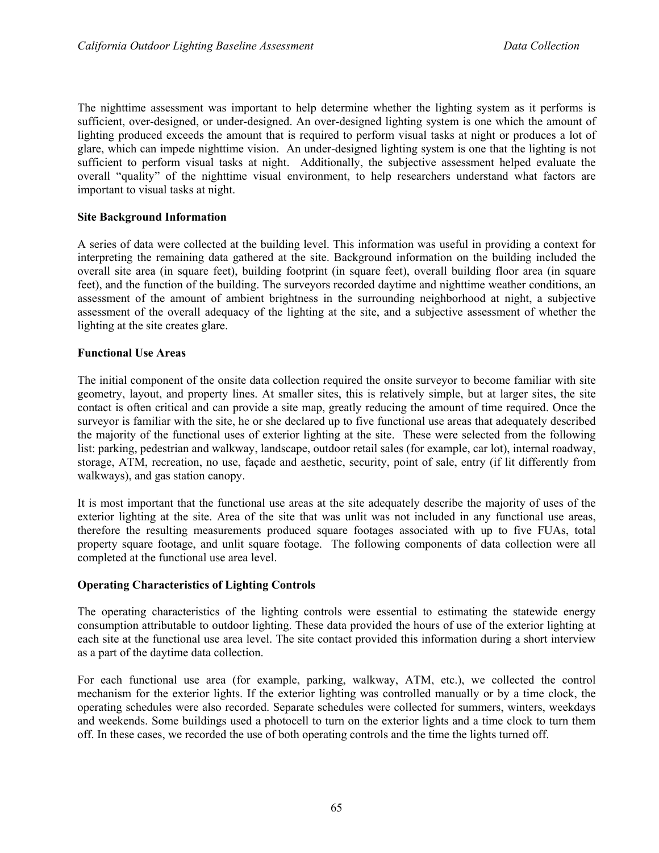The nighttime assessment was important to help determine whether the lighting system as it performs is sufficient, over-designed, or under-designed. An over-designed lighting system is one which the amount of lighting produced exceeds the amount that is required to perform visual tasks at night or produces a lot of glare, which can impede nighttime vision. An under-designed lighting system is one that the lighting is not sufficient to perform visual tasks at night. Additionally, the subjective assessment helped evaluate the overall "quality" of the nighttime visual environment, to help researchers understand what factors are important to visual tasks at night.

#### **Site Background Information**

A series of data were collected at the building level. This information was useful in providing a context for interpreting the remaining data gathered at the site. Background information on the building included the overall site area (in square feet), building footprint (in square feet), overall building floor area (in square feet), and the function of the building. The surveyors recorded daytime and nighttime weather conditions, an assessment of the amount of ambient brightness in the surrounding neighborhood at night, a subjective assessment of the overall adequacy of the lighting at the site, and a subjective assessment of whether the lighting at the site creates glare.

#### **Functional Use Areas**

The initial component of the onsite data collection required the onsite surveyor to become familiar with site geometry, layout, and property lines. At smaller sites, this is relatively simple, but at larger sites, the site contact is often critical and can provide a site map, greatly reducing the amount of time required. Once the surveyor is familiar with the site, he or she declared up to five functional use areas that adequately described the majority of the functional uses of exterior lighting at the site. These were selected from the following list: parking, pedestrian and walkway, landscape, outdoor retail sales (for example, car lot), internal roadway, storage, ATM, recreation, no use, façade and aesthetic, security, point of sale, entry (if lit differently from walkways), and gas station canopy.

It is most important that the functional use areas at the site adequately describe the majority of uses of the exterior lighting at the site. Area of the site that was unlit was not included in any functional use areas, therefore the resulting measurements produced square footages associated with up to five FUAs, total property square footage, and unlit square footage. The following components of data collection were all completed at the functional use area level.

#### **Operating Characteristics of Lighting Controls**

The operating characteristics of the lighting controls were essential to estimating the statewide energy consumption attributable to outdoor lighting. These data provided the hours of use of the exterior lighting at each site at the functional use area level. The site contact provided this information during a short interview as a part of the daytime data collection.

For each functional use area (for example, parking, walkway, ATM, etc.), we collected the control mechanism for the exterior lights. If the exterior lighting was controlled manually or by a time clock, the operating schedules were also recorded. Separate schedules were collected for summers, winters, weekdays and weekends. Some buildings used a photocell to turn on the exterior lights and a time clock to turn them off. In these cases, we recorded the use of both operating controls and the time the lights turned off.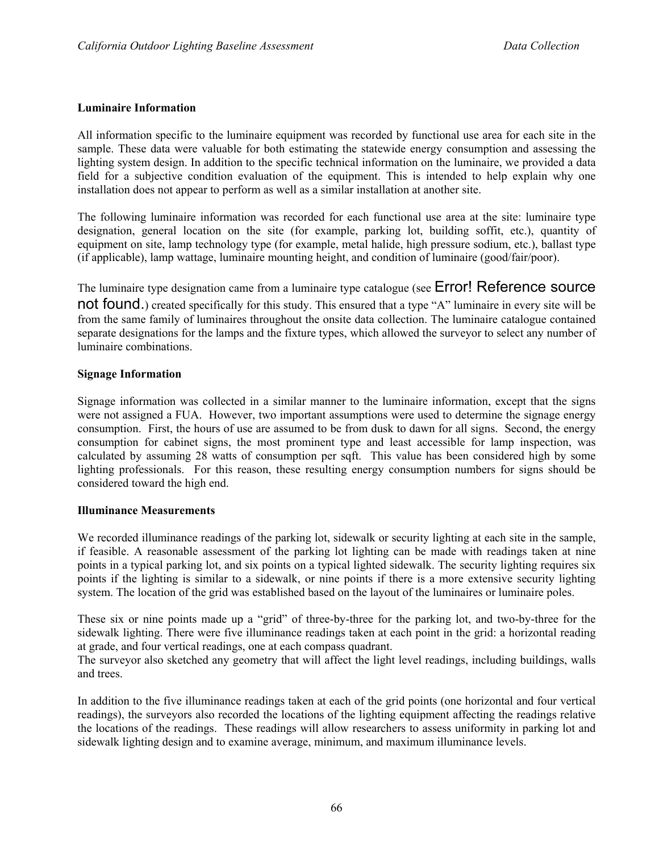#### **Luminaire Information**

All information specific to the luminaire equipment was recorded by functional use area for each site in the sample. These data were valuable for both estimating the statewide energy consumption and assessing the lighting system design. In addition to the specific technical information on the luminaire, we provided a data field for a subjective condition evaluation of the equipment. This is intended to help explain why one installation does not appear to perform as well as a similar installation at another site.

The following luminaire information was recorded for each functional use area at the site: luminaire type designation, general location on the site (for example, parking lot, building soffit, etc.), quantity of equipment on site, lamp technology type (for example, metal halide, high pressure sodium, etc.), ballast type (if applicable), lamp wattage, luminaire mounting height, and condition of luminaire (good/fair/poor).

The luminaire type designation came from a luminaire type catalogue (see Error! Reference source not found.) created specifically for this study. This ensured that a type "A" luminaire in every site will be from the same family of luminaires throughout the onsite data collection. The luminaire catalogue contained separate designations for the lamps and the fixture types, which allowed the surveyor to select any number of luminaire combinations.

#### **Signage Information**

Signage information was collected in a similar manner to the luminaire information, except that the signs were not assigned a FUA. However, two important assumptions were used to determine the signage energy consumption. First, the hours of use are assumed to be from dusk to dawn for all signs. Second, the energy consumption for cabinet signs, the most prominent type and least accessible for lamp inspection, was calculated by assuming 28 watts of consumption per sqft. This value has been considered high by some lighting professionals. For this reason, these resulting energy consumption numbers for signs should be considered toward the high end.

#### **Illuminance Measurements**

We recorded illuminance readings of the parking lot, sidewalk or security lighting at each site in the sample, if feasible. A reasonable assessment of the parking lot lighting can be made with readings taken at nine points in a typical parking lot, and six points on a typical lighted sidewalk. The security lighting requires six points if the lighting is similar to a sidewalk, or nine points if there is a more extensive security lighting system. The location of the grid was established based on the layout of the luminaires or luminaire poles.

These six or nine points made up a "grid" of three-by-three for the parking lot, and two-by-three for the sidewalk lighting. There were five illuminance readings taken at each point in the grid: a horizontal reading at grade, and four vertical readings, one at each compass quadrant.

The surveyor also sketched any geometry that will affect the light level readings, including buildings, walls and trees.

In addition to the five illuminance readings taken at each of the grid points (one horizontal and four vertical readings), the surveyors also recorded the locations of the lighting equipment affecting the readings relative the locations of the readings. These readings will allow researchers to assess uniformity in parking lot and sidewalk lighting design and to examine average, minimum, and maximum illuminance levels.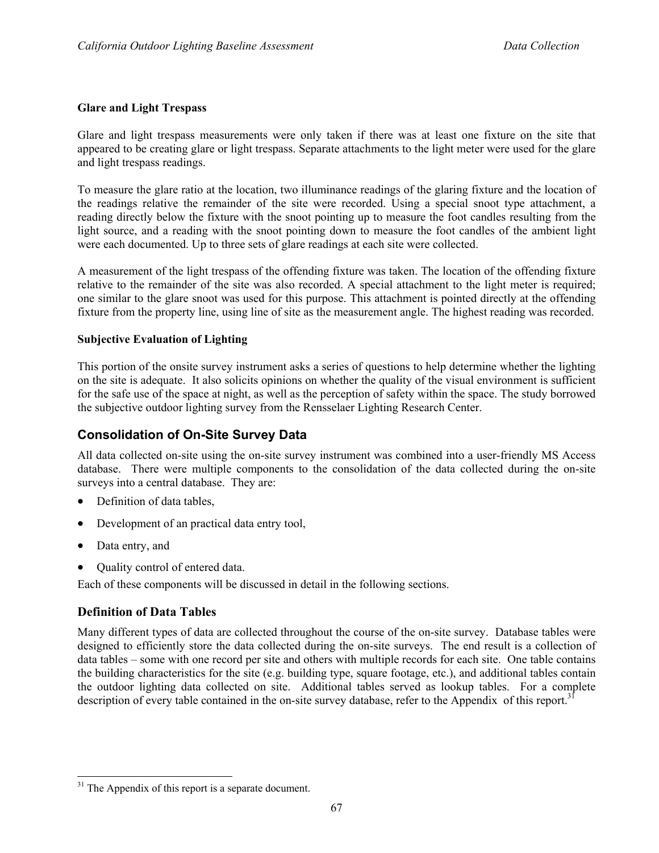#### **Glare and Light Trespass**

Glare and light trespass measurements were only taken if there was at least one fixture on the site that appeared to be creating glare or light trespass. Separate attachments to the light meter were used for the glare and light trespass readings.

To measure the glare ratio at the location, two illuminance readings of the glaring fixture and the location of the readings relative the remainder of the site were recorded. Using a special snoot type attachment, a reading directly below the fixture with the snoot pointing up to measure the foot candles resulting from the light source, and a reading with the snoot pointing down to measure the foot candles of the ambient light were each documented. Up to three sets of glare readings at each site were collected.

A measurement of the light trespass of the offending fixture was taken. The location of the offending fixture relative to the remainder of the site was also recorded. A special attachment to the light meter is required; one similar to the glare snoot was used for this purpose. This attachment is pointed directly at the offending fixture from the property line, using line of site as the measurement angle. The highest reading was recorded.

#### **Subjective Evaluation of Lighting**

This portion of the onsite survey instrument asks a series of questions to help determine whether the lighting on the site is adequate. It also solicits opinions on whether the quality of the visual environment is sufficient for the safe use of the space at night, as well as the perception of safety within the space. The study borrowed the subjective outdoor lighting survey from the Rensselaer Lighting Research Center.

## **Consolidation of On-Site Survey Data**

All data collected on-site using the on-site survey instrument was combined into a user-friendly MS Access database. There were multiple components to the consolidation of the data collected during the on-site surveys into a central database. They are:

- Definition of data tables,
- Development of an practical data entry tool,
- Data entry, and

1

• Ouality control of entered data.

Each of these components will be discussed in detail in the following sections.

### **Definition of Data Tables**

Many different types of data are collected throughout the course of the on-site survey. Database tables were designed to efficiently store the data collected during the on-site surveys. The end result is a collection of data tables – some with one record per site and others with multiple records for each site. One table contains the building characteristics for the site (e.g. building type, square footage, etc.), and additional tables contain the outdoor lighting data collected on site. Additional tables served as lookup tables. For a complete description of every table contained in the on-site survey database, refer to the Appendix of this report.<sup>31</sup>

 $31$  The Appendix of this report is a separate document.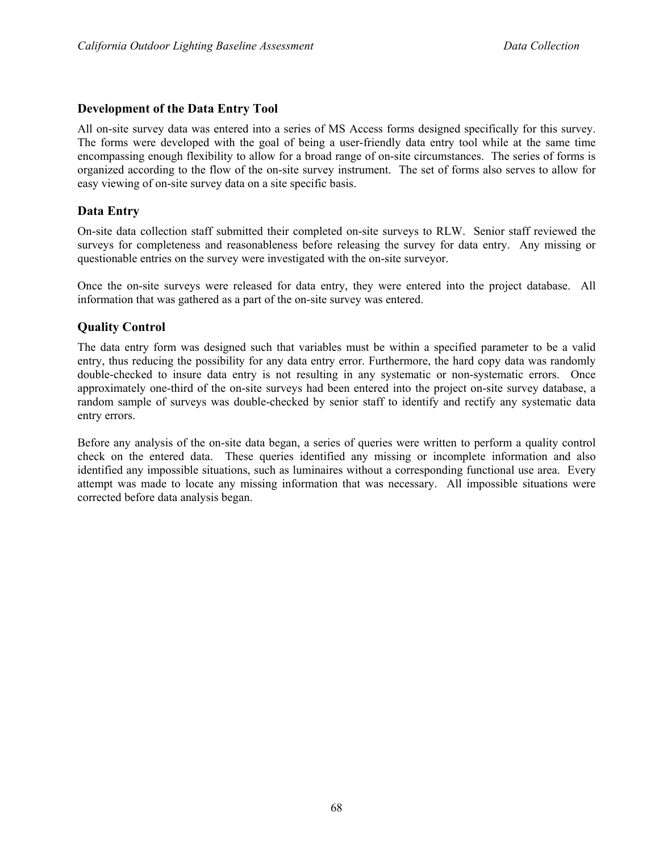#### **Development of the Data Entry Tool**

All on-site survey data was entered into a series of MS Access forms designed specifically for this survey. The forms were developed with the goal of being a user-friendly data entry tool while at the same time encompassing enough flexibility to allow for a broad range of on-site circumstances. The series of forms is organized according to the flow of the on-site survey instrument. The set of forms also serves to allow for easy viewing of on-site survey data on a site specific basis.

#### **Data Entry**

On-site data collection staff submitted their completed on-site surveys to RLW. Senior staff reviewed the surveys for completeness and reasonableness before releasing the survey for data entry. Any missing or questionable entries on the survey were investigated with the on-site surveyor.

Once the on-site surveys were released for data entry, they were entered into the project database. All information that was gathered as a part of the on-site survey was entered.

#### **Quality Control**

The data entry form was designed such that variables must be within a specified parameter to be a valid entry, thus reducing the possibility for any data entry error. Furthermore, the hard copy data was randomly double-checked to insure data entry is not resulting in any systematic or non-systematic errors. Once approximately one-third of the on-site surveys had been entered into the project on-site survey database, a random sample of surveys was double-checked by senior staff to identify and rectify any systematic data entry errors.

Before any analysis of the on-site data began, a series of queries were written to perform a quality control check on the entered data. These queries identified any missing or incomplete information and also identified any impossible situations, such as luminaires without a corresponding functional use area. Every attempt was made to locate any missing information that was necessary. All impossible situations were corrected before data analysis began.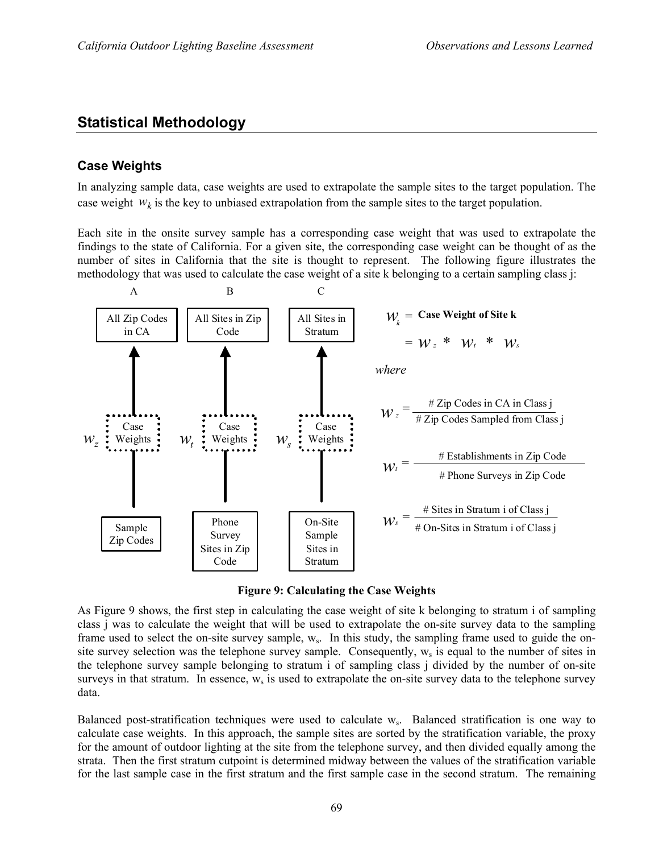# **Statistical Methodology**

## **Case Weights**

In analyzing sample data, case weights are used to extrapolate the sample sites to the target population. The case weight  $W_k$  is the key to unbiased extrapolation from the sample sites to the target population.

Each site in the onsite survey sample has a corresponding case weight that was used to extrapolate the findings to the state of California. For a given site, the corresponding case weight can be thought of as the number of sites in California that the site is thought to represent. The following figure illustrates the methodology that was used to calculate the case weight of a site k belonging to a certain sampling class j:



**Figure 9: Calculating the Case Weights** 

As Figure 9 shows, the first step in calculating the case weight of site k belonging to stratum i of sampling class j was to calculate the weight that will be used to extrapolate the on-site survey data to the sampling frame used to select the on-site survey sample, w<sub>s</sub>. In this study, the sampling frame used to guide the onsite survey selection was the telephone survey sample. Consequently,  $w_s$  is equal to the number of sites in the telephone survey sample belonging to stratum i of sampling class j divided by the number of on-site surveys in that stratum. In essence,  $w_s$  is used to extrapolate the on-site survey data to the telephone survey data.

Balanced post-stratification techniques were used to calculate  $w_s$ . Balanced stratification is one way to calculate case weights. In this approach, the sample sites are sorted by the stratification variable, the proxy for the amount of outdoor lighting at the site from the telephone survey, and then divided equally among the strata. Then the first stratum cutpoint is determined midway between the values of the stratification variable for the last sample case in the first stratum and the first sample case in the second stratum. The remaining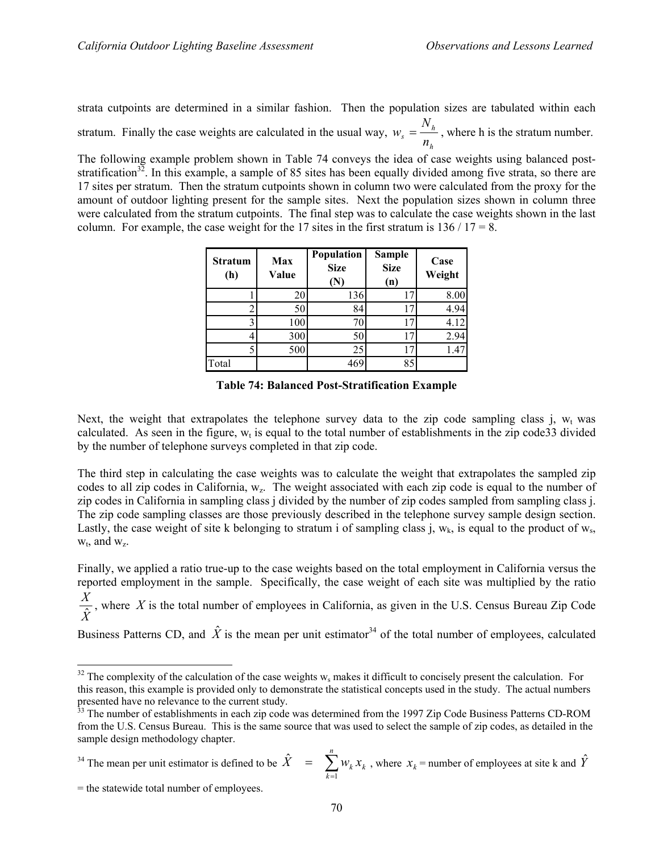strata cutpoints are determined in a similar fashion. Then the population sizes are tabulated within each stratum. Finally the case weights are calculated in the usual way, *h*  $s = \frac{N}{n_h}$  $W_s = \frac{N_h}{N}$ , where h is the stratum number.

The following example problem shown in Table 74 conveys the idea of case weights using balanced poststratification $32$ . In this example, a sample of 85 sites has been equally divided among five strata, so there are 17 sites per stratum. Then the stratum cutpoints shown in column two were calculated from the proxy for the amount of outdoor lighting present for the sample sites. Next the population sizes shown in column three were calculated from the stratum cutpoints. The final step was to calculate the case weights shown in the last column. For example, the case weight for the 17 sites in the first stratum is  $136 / 17 = 8$ .

| <b>Stratum</b><br>(h) | Max<br>Value | Population<br><b>Size</b> | <b>Sample</b><br><b>Size</b><br>(n) | Case<br>Weight |
|-----------------------|--------------|---------------------------|-------------------------------------|----------------|
|                       | 20           | 136                       | 17                                  | 8.00           |
|                       | 50           | 84                        | 17                                  | 4.94           |
|                       | 100          | 70                        |                                     | 4.12           |
|                       | 300          | 50                        |                                     | 2.94           |
|                       | 500          | 25                        |                                     | 1.47           |
| Total                 |              | 469                       | 85                                  |                |

**Table 74: Balanced Post-Stratification Example** 

Next, the weight that extrapolates the telephone survey data to the zip code sampling class j,  $w_t$  was calculated. As seen in the figure,  $w_t$  is equal to the total number of establishments in the zip code33 divided by the number of telephone surveys completed in that zip code.

The third step in calculating the case weights was to calculate the weight that extrapolates the sampled zip codes to all zip codes in California, wz. The weight associated with each zip code is equal to the number of zip codes in California in sampling class j divided by the number of zip codes sampled from sampling class j. The zip code sampling classes are those previously described in the telephone survey sample design section. Lastly, the case weight of site k belonging to stratum i of sampling class j,  $w_k$ , is equal to the product of  $w_s$ ,  $w_t$ , and  $w_z$ .

Finally, we applied a ratio true-up to the case weights based on the total employment in California versus the reported employment in the sample. Specifically, the case weight of each site was multiplied by the ratio

*X*  $\frac{X}{\hat{X}}$ , where *X* is the total number of employees in California, as given in the U.S. Census Bureau Zip Code

Business Patterns CD, and  $\hat{X}$  is the mean per unit estimator<sup>34</sup> of the total number of employees, calculated

1

 $32$  The complexity of the calculation of the case weights w<sub>s</sub> makes it difficult to concisely present the calculation. For this reason, this example is provided only to demonstrate the statistical concepts used in the study. The actual numbers presented have no relevance to the current study.

<sup>&</sup>lt;sup>33</sup> The number of establishments in each zip code was determined from the 1997 Zip Code Business Patterns CD-ROM from the U.S. Census Bureau. This is the same source that was used to select the sample of zip codes, as detailed in the sample design methodology chapter.

<sup>&</sup>lt;sup>34</sup> The mean per unit estimator is defined to be  $\hat{X} = \sum_{k=1}^{N}$ *n k*  $\hat{X}$  =  $\sum w_k x_k$ 1  $\hat{Y}$  =  $\sum_{k=1}^{N} w_k x_k$ , where  $x_k$  = number of employees at site k and  $\hat{Y}$ 

<sup>=</sup> the statewide total number of employees.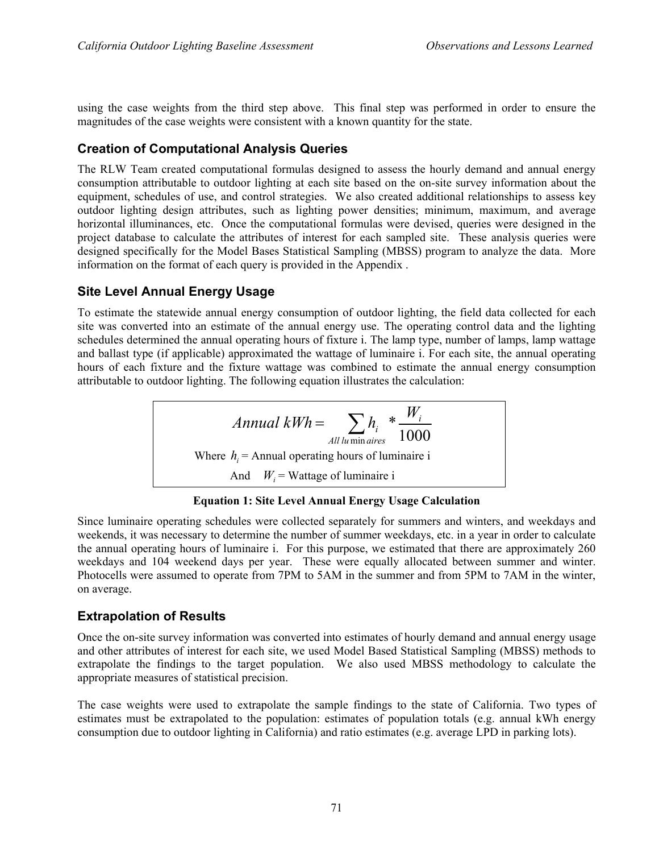using the case weights from the third step above. This final step was performed in order to ensure the magnitudes of the case weights were consistent with a known quantity for the state.

## **Creation of Computational Analysis Queries**

The RLW Team created computational formulas designed to assess the hourly demand and annual energy consumption attributable to outdoor lighting at each site based on the on-site survey information about the equipment, schedules of use, and control strategies. We also created additional relationships to assess key outdoor lighting design attributes, such as lighting power densities; minimum, maximum, and average horizontal illuminances, etc. Once the computational formulas were devised, queries were designed in the project database to calculate the attributes of interest for each sampled site. These analysis queries were designed specifically for the Model Bases Statistical Sampling (MBSS) program to analyze the data. More information on the format of each query is provided in the Appendix .

## **Site Level Annual Energy Usage**

To estimate the statewide annual energy consumption of outdoor lighting, the field data collected for each site was converted into an estimate of the annual energy use. The operating control data and the lighting schedules determined the annual operating hours of fixture i. The lamp type, number of lamps, lamp wattage and ballast type (if applicable) approximated the wattage of luminaire i. For each site, the annual operating hours of each fixture and the fixture wattage was combined to estimate the annual energy consumption attributable to outdoor lighting. The following equation illustrates the calculation:



**Equation 1: Site Level Annual Energy Usage Calculation** 

Since luminaire operating schedules were collected separately for summers and winters, and weekdays and weekends, it was necessary to determine the number of summer weekdays, etc. in a year in order to calculate the annual operating hours of luminaire i. For this purpose, we estimated that there are approximately 260 weekdays and 104 weekend days per year. These were equally allocated between summer and winter. Photocells were assumed to operate from 7PM to 5AM in the summer and from 5PM to 7AM in the winter, on average.

## **Extrapolation of Results**

Once the on-site survey information was converted into estimates of hourly demand and annual energy usage and other attributes of interest for each site, we used Model Based Statistical Sampling (MBSS) methods to extrapolate the findings to the target population. We also used MBSS methodology to calculate the appropriate measures of statistical precision.

The case weights were used to extrapolate the sample findings to the state of California. Two types of estimates must be extrapolated to the population: estimates of population totals (e.g. annual kWh energy consumption due to outdoor lighting in California) and ratio estimates (e.g. average LPD in parking lots).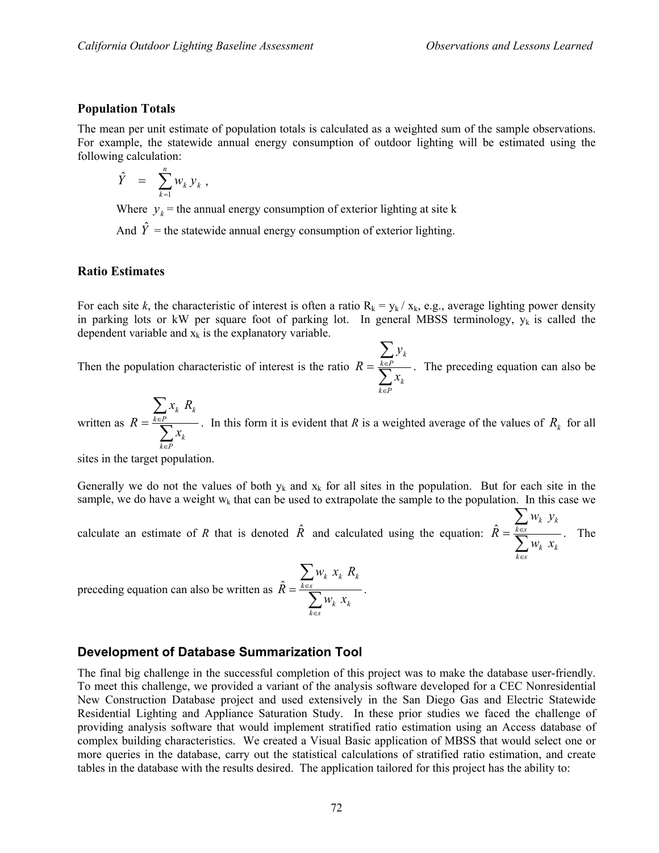#### **Population Totals**

The mean per unit estimate of population totals is calculated as a weighted sum of the sample observations. For example, the statewide annual energy consumption of outdoor lighting will be estimated using the following calculation:

$$
\hat{Y} = \sum_{k=1}^n w_k y_k,
$$

Where  $y_k$  = the annual energy consumption of exterior lighting at site k

And  $\hat{Y}$  = the statewide annual energy consumption of exterior lighting.

#### **Ratio Estimates**

For each site k, the characteristic of interest is often a ratio  $R_k = y_k / x_k$ , e.g., average lighting power density in parking lots or kW per square foot of parking lot. In general MBSS terminology,  $y_k$  is called the dependent variable and  $x_k$  is the explanatory variable.

Then the population characteristic of interest is the ratio  $R = \sum_{n=1}^{k \in F}$ ∑ ∈ *k P*  $=\frac{k\infty}{\sqrt{2}}$ *k k P k x y*  $R = \frac{k \epsilon P}{\sum_{n=1}^{\infty}}$ . The preceding equation can also be

written as  $R = \frac{k \in P}{\sum}$ ∑ ∈  $=\frac{k\in}{\sqrt{2}}$ *k P k k P k k x*  $x_k$  *R*  $R = \frac{k \epsilon P}{R}$ . In this form it is evident that *R* is a weighted average of the values of  $R_k$  for all

sites in the target population.

Generally we do not the values of both  $y_k$  and  $x_k$  for all sites in the population. But for each site in the sample, we do have a weight  $w_k$  that can be used to extrapolate the sample to the population. In this case we

calculate an estimate of *R* that is denoted  $\hat{R}$  and calculated using the equation:  $\hat{R} = \frac{\overline{k \epsilon s}}{\sum_{n=1}^{\infty} \overline{r}}$ ∑ ∈  $=\frac{k\epsilon}{\sqrt{2}}$ *k s k k*  $k \in S$ *k k*  $w_k$ <sub>*x*</sub>  $w_k$  *y*  $\hat{R} = \frac{\overline{k} \epsilon s}{\sum}$ . The

preceding equation can also be written as  $R = \frac{k \epsilon s}{\sum}$ ∑ ∈  $=\frac{k\epsilon}{2}$ *k s k k k s*  $k \mathbf{A} k$ <sup> $\mathbf{A}$ </sup> $k$  $W_k$  *x*  $w_k$   $x_k$   $R$  $\hat{R} = \frac{\overline{k \in S}}{\sum}$ .

#### **Development of Database Summarization Tool**

The final big challenge in the successful completion of this project was to make the database user-friendly. To meet this challenge, we provided a variant of the analysis software developed for a CEC Nonresidential New Construction Database project and used extensively in the San Diego Gas and Electric Statewide Residential Lighting and Appliance Saturation Study. In these prior studies we faced the challenge of providing analysis software that would implement stratified ratio estimation using an Access database of complex building characteristics. We created a Visual Basic application of MBSS that would select one or more queries in the database, carry out the statistical calculations of stratified ratio estimation, and create tables in the database with the results desired. The application tailored for this project has the ability to: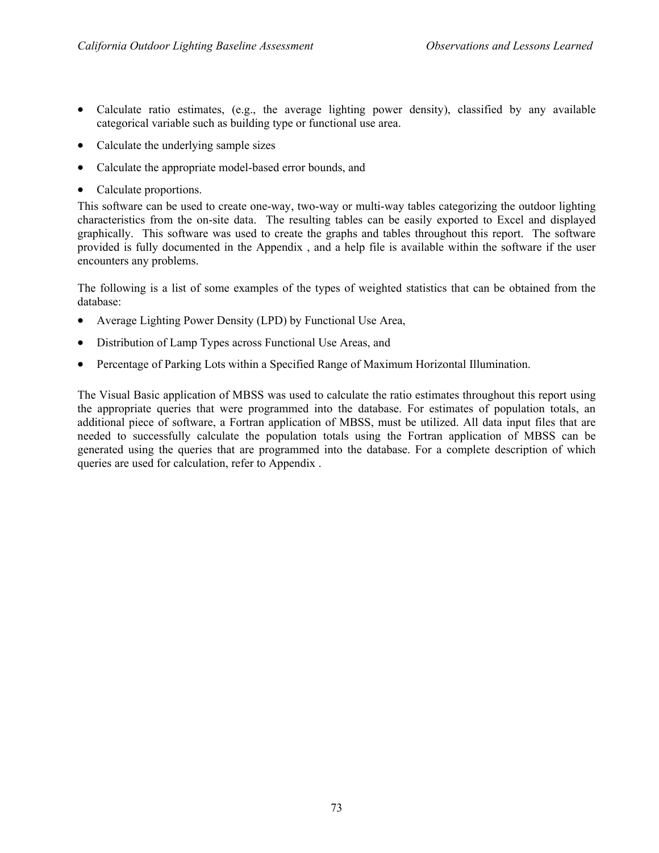- Calculate ratio estimates, (e.g., the average lighting power density), classified by any available categorical variable such as building type or functional use area.
- Calculate the underlying sample sizes
- Calculate the appropriate model-based error bounds, and
- Calculate proportions.

This software can be used to create one-way, two-way or multi-way tables categorizing the outdoor lighting characteristics from the on-site data. The resulting tables can be easily exported to Excel and displayed graphically. This software was used to create the graphs and tables throughout this report. The software provided is fully documented in the Appendix , and a help file is available within the software if the user encounters any problems.

The following is a list of some examples of the types of weighted statistics that can be obtained from the database:

- Average Lighting Power Density (LPD) by Functional Use Area,
- Distribution of Lamp Types across Functional Use Areas, and
- Percentage of Parking Lots within a Specified Range of Maximum Horizontal Illumination.

The Visual Basic application of MBSS was used to calculate the ratio estimates throughout this report using the appropriate queries that were programmed into the database. For estimates of population totals, an additional piece of software, a Fortran application of MBSS, must be utilized. All data input files that are needed to successfully calculate the population totals using the Fortran application of MBSS can be generated using the queries that are programmed into the database. For a complete description of which queries are used for calculation, refer to Appendix .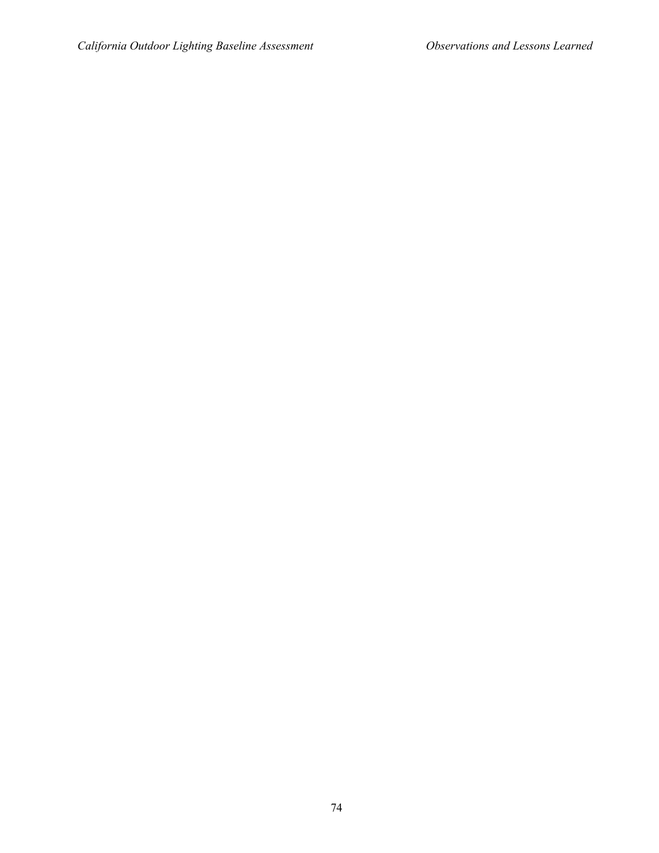74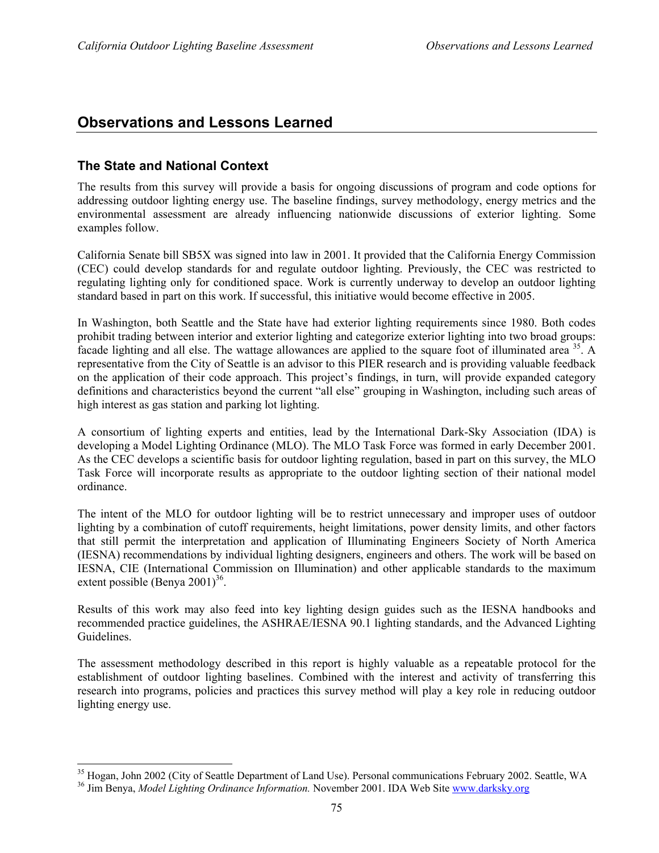## **Observations and Lessons Learned**

## **The State and National Context**

1

The results from this survey will provide a basis for ongoing discussions of program and code options for addressing outdoor lighting energy use. The baseline findings, survey methodology, energy metrics and the environmental assessment are already influencing nationwide discussions of exterior lighting. Some examples follow.

California Senate bill SB5X was signed into law in 2001. It provided that the California Energy Commission (CEC) could develop standards for and regulate outdoor lighting. Previously, the CEC was restricted to regulating lighting only for conditioned space. Work is currently underway to develop an outdoor lighting standard based in part on this work. If successful, this initiative would become effective in 2005.

In Washington, both Seattle and the State have had exterior lighting requirements since 1980. Both codes prohibit trading between interior and exterior lighting and categorize exterior lighting into two broad groups: facade lighting and all else. The wattage allowances are applied to the square foot of illuminated area <sup>35</sup>. A representative from the City of Seattle is an advisor to this PIER research and is providing valuable feedback on the application of their code approach. This project's findings, in turn, will provide expanded category definitions and characteristics beyond the current "all else" grouping in Washington, including such areas of high interest as gas station and parking lot lighting.

A consortium of lighting experts and entities, lead by the International Dark-Sky Association (IDA) is developing a Model Lighting Ordinance (MLO). The MLO Task Force was formed in early December 2001. As the CEC develops a scientific basis for outdoor lighting regulation, based in part on this survey, the MLO Task Force will incorporate results as appropriate to the outdoor lighting section of their national model ordinance.

The intent of the MLO for outdoor lighting will be to restrict unnecessary and improper uses of outdoor lighting by a combination of cutoff requirements, height limitations, power density limits, and other factors that still permit the interpretation and application of Illuminating Engineers Society of North America (IESNA) recommendations by individual lighting designers, engineers and others. The work will be based on IESNA, CIE (International Commission on Illumination) and other applicable standards to the maximum extent possible (Benya 2001)<sup>36</sup>.

Results of this work may also feed into key lighting design guides such as the IESNA handbooks and recommended practice guidelines, the ASHRAE/IESNA 90.1 lighting standards, and the Advanced Lighting Guidelines.

The assessment methodology described in this report is highly valuable as a repeatable protocol for the establishment of outdoor lighting baselines. Combined with the interest and activity of transferring this research into programs, policies and practices this survey method will play a key role in reducing outdoor lighting energy use.

<sup>&</sup>lt;sup>35</sup> Hogan, John 2002 (City of Seattle Department of Land Use). Personal communications February 2002. Seattle, WA <sup>36</sup> Jim Benya, *Model Lighting Ordinance Information*. November 2001. IDA Web Site www.darksky.org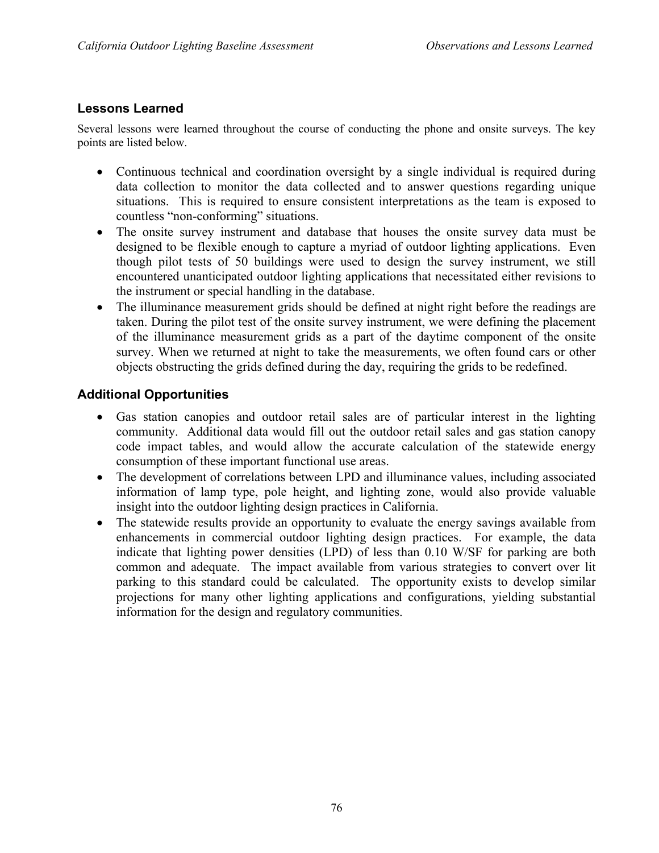## **Lessons Learned**

Several lessons were learned throughout the course of conducting the phone and onsite surveys. The key points are listed below.

- Continuous technical and coordination oversight by a single individual is required during data collection to monitor the data collected and to answer questions regarding unique situations. This is required to ensure consistent interpretations as the team is exposed to countless "non-conforming" situations.
- The onsite survey instrument and database that houses the onsite survey data must be designed to be flexible enough to capture a myriad of outdoor lighting applications. Even though pilot tests of 50 buildings were used to design the survey instrument, we still encountered unanticipated outdoor lighting applications that necessitated either revisions to the instrument or special handling in the database.
- The illuminance measurement grids should be defined at night right before the readings are taken. During the pilot test of the onsite survey instrument, we were defining the placement of the illuminance measurement grids as a part of the daytime component of the onsite survey. When we returned at night to take the measurements, we often found cars or other objects obstructing the grids defined during the day, requiring the grids to be redefined.

## **Additional Opportunities**

- Gas station canopies and outdoor retail sales are of particular interest in the lighting community. Additional data would fill out the outdoor retail sales and gas station canopy code impact tables, and would allow the accurate calculation of the statewide energy consumption of these important functional use areas.
- The development of correlations between LPD and illuminance values, including associated information of lamp type, pole height, and lighting zone, would also provide valuable insight into the outdoor lighting design practices in California.
- The statewide results provide an opportunity to evaluate the energy savings available from enhancements in commercial outdoor lighting design practices. For example, the data indicate that lighting power densities (LPD) of less than 0.10 W/SF for parking are both common and adequate. The impact available from various strategies to convert over lit parking to this standard could be calculated. The opportunity exists to develop similar projections for many other lighting applications and configurations, yielding substantial information for the design and regulatory communities.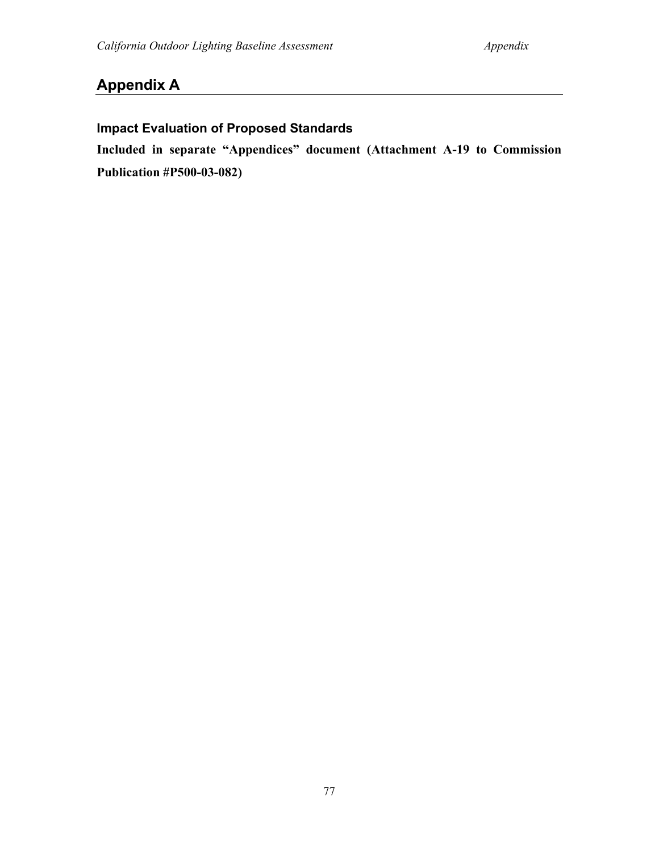# **Appendix A**

## **Impact Evaluation of Proposed Standards**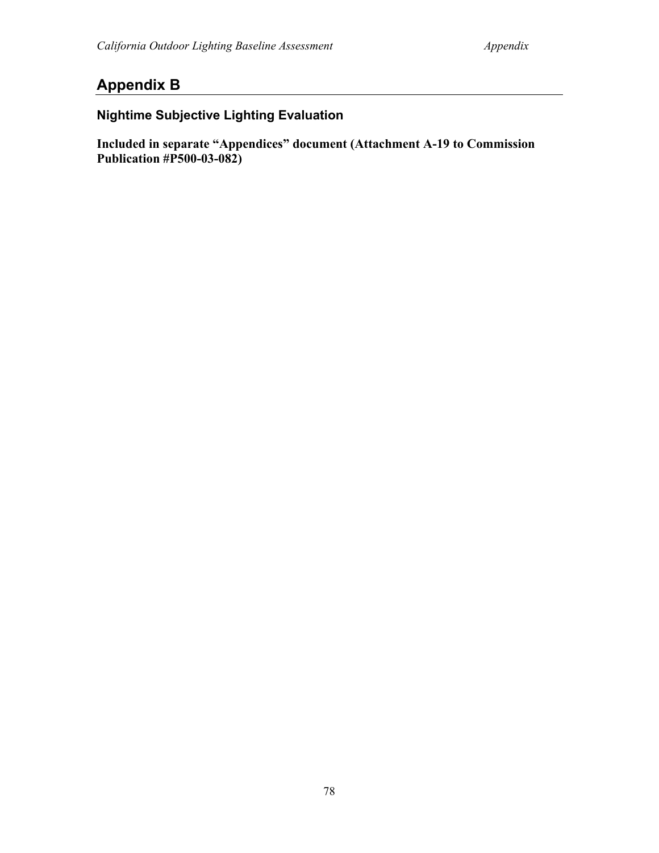# **Appendix B**

# **Nightime Subjective Lighting Evaluation**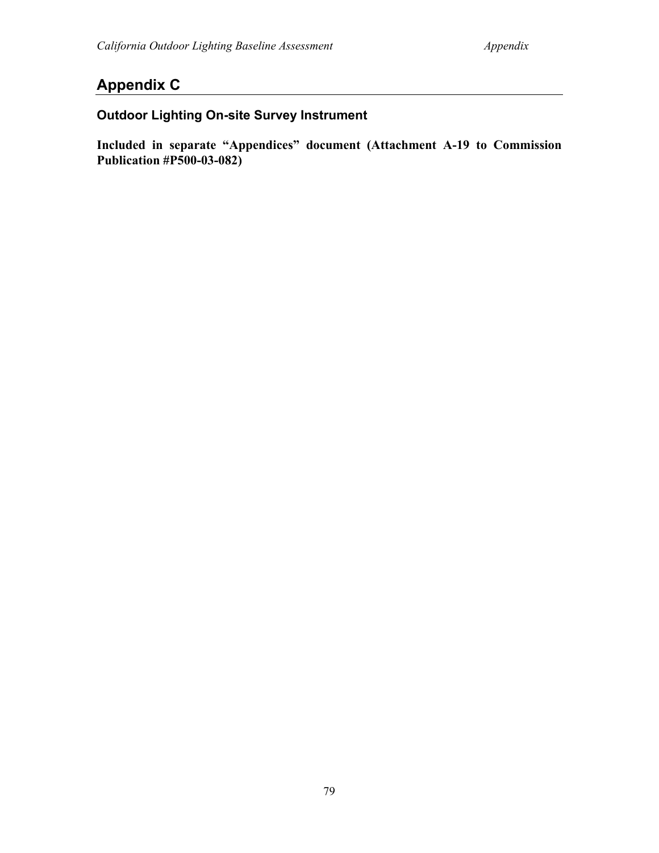# **Appendix C**

# **Outdoor Lighting On-site Survey Instrument**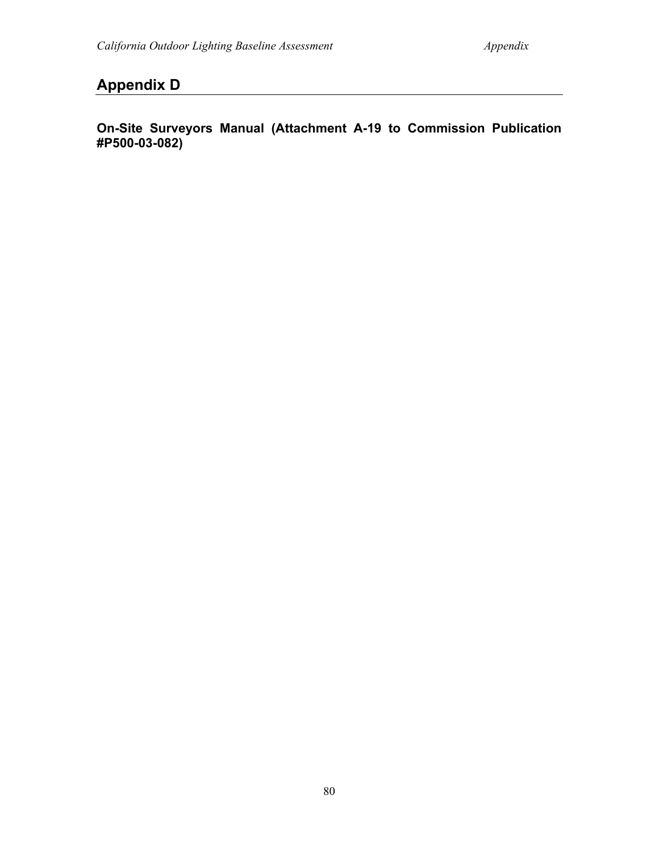# **Appendix D**

## **On-Site Surveyors Manual (Attachment A-19 to Commission Publication #P500-03-082)**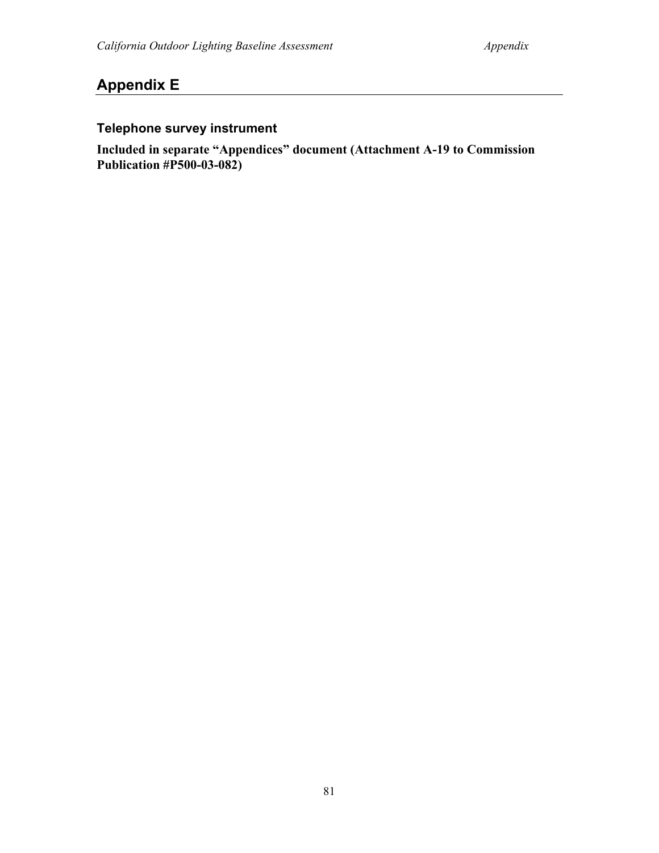# **Appendix E**

## **Telephone survey instrument**